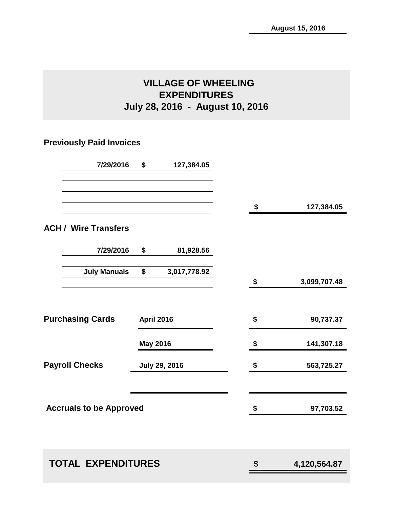# **VILLAGE OF WHEELING EXPENDITURES July 28, 2016 - August 10, 2016**

# **Previously Paid Invoices**

| 7/29/2016                      | \$                | 127,384.05           |                    |
|--------------------------------|-------------------|----------------------|--------------------|
|                                |                   |                      | \$<br>127,384.05   |
| <b>ACH / Wire Transfers</b>    |                   |                      |                    |
| 7/29/2016                      | \$                | 81,928.56            |                    |
| <b>July Manuals</b>            | \$                | 3,017,778.92         | \$<br>3,099,707.48 |
|                                |                   |                      |                    |
| <b>Purchasing Cards</b>        | <b>April 2016</b> |                      | \$<br>90,737.37    |
|                                | <b>May 2016</b>   |                      | \$<br>141,307.18   |
| <b>Payroll Checks</b>          |                   | <b>July 29, 2016</b> | \$<br>563,725.27   |
| <b>Accruals to be Approved</b> |                   |                      | \$<br>97,703.52    |
| <b>TOTAL EXPENDITURES</b>      |                   |                      | \$<br>4,120,564.87 |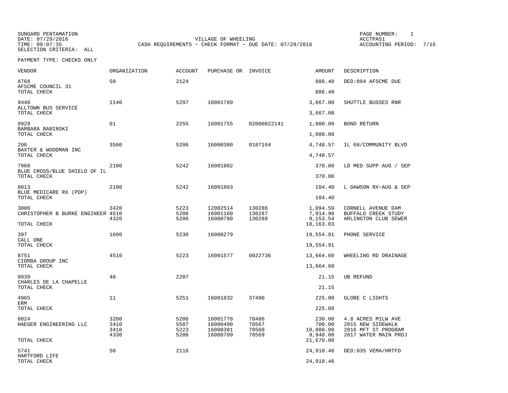SUNGARD PENTAMATION SUNGARD PENTAMATION SUNG PAGE NUMBER: 1 SELECTION CRITERIA: ALL

VILLAGE OF WHEELING **ACCTPA51** TIME: 09:07:35 CASH REQUIREMENTS - CHECK FORMAT - DUE DATE: 07/29/2016

ACCOUNTING PERIOD: 7/16

PAYMENT TYPE: CHECKS ONLY

| VENDOR                                     | ORGANIZATION | ACCOUNT      | PURCHASE OR INVOICE  |                  | AMOUNT                | DESCRIPTION                                 |
|--------------------------------------------|--------------|--------------|----------------------|------------------|-----------------------|---------------------------------------------|
| 8768<br>AFSCME COUNCIL 31                  | 50           | 2124         |                      |                  | 886.40                | DED:094 AFSCME DUE                          |
| TOTAL CHECK                                |              |              |                      |                  | 886.40                |                                             |
| 9440<br>ALLTOWN BUS SERVICE                | 1140         | 5297         | 16001789             |                  | 3,667.00              | SHUTTLE BUSSES RNR                          |
| TOTAL CHECK                                |              |              |                      |                  | 3,667.00              |                                             |
| 9929<br>BARBARA BABINSKI                   | 01           | 2255         | 16001755             | 02000022141      | 1,000.00              | <b>BOND RETURN</b>                          |
| TOTAL CHECK                                |              |              |                      |                  | 1,000.00              |                                             |
| 296<br>BAXTER & WOODMAN INC<br>TOTAL CHECK | 3500         | 5206         | 16000380             | 0187164          | 4,748.57<br>4,748.57  | IL 68/COMMUNITY BLVD                        |
|                                            |              |              |                      |                  |                       |                                             |
| 7960<br>BLUE CROSS/BLUE SHIELD OF IL       | 2100         | 5242         | 16001802             |                  | 370.00                | LD MED SUPP AUG / SEP                       |
| TOTAL CHECK                                |              |              |                      |                  | 370.00                |                                             |
| 8013<br>BLUE MEDICARE RX (PDP)             | 2100         | 5242         | 16001803             |                  | 104.40                | L DAWSON RX-AUG & SEP                       |
| TOTAL CHECK                                |              |              |                      |                  | 104.40                |                                             |
| 3006                                       | 3420         | 5223         | 12002514             | 130286           | 1,094.59              | CORNELL AVENUE DAM                          |
| CHRISTOPHER B BURKE ENGINEER 4510          | 4320         | 5206<br>5206 | 16001160<br>16000780 | 130287<br>130288 | 7,914.90<br>9,153.54  | BUFFALO CREEK STUDY<br>ARLINGTON CLUB SEWER |
| TOTAL CHECK                                |              |              |                      |                  | 18, 163.03            |                                             |
| 397                                        | 1600         | 5238         | 16000279             |                  | 19,554.91             | PHONE SERVICE                               |
| CALL ONE<br>TOTAL CHECK                    |              |              |                      |                  | 19,554.91             |                                             |
| 8751<br>CIORBA GROUP INC                   | 4510         | 5223         | 16001577             | 0022736          | 13,664.60             | WHEELING RD DRAINAGE                        |
| TOTAL CHECK                                |              |              |                      |                  | 13,664.60             |                                             |
| 9939                                       | 40           | 2207         |                      |                  | 21.15                 | <b>UB REFUND</b>                            |
| CHARLES DE LA CHAPELLE<br>TOTAL CHECK      |              |              |                      |                  | 21.15                 |                                             |
| 4965                                       | 11           | 5251         | 16001832             | 37490            | 225.00                | GLOBE C LIGHTS                              |
| ERM<br>TOTAL CHECK                         |              |              |                      |                  | 225.00                |                                             |
| 6024                                       | 3200         | 5206         | 16001778             | 78486            | 230.00                | 4.8 ACRES MILW AVE                          |
| HAEGER ENGINEERING LLC                     | 3410         | 5507         | 16000490             | 78567            | 700.00                | 2015 NEW SIDEWALK                           |
|                                            | 3410<br>4330 | 5223<br>5206 | 16000381<br>16000799 | 78568<br>78569   | 10,800.00<br>9,940.00 | 2016 MFT ST PROGRAM<br>2017 WATER MAIN PROJ |
| TOTAL CHECK                                |              |              |                      |                  | 21,670.00             |                                             |
| 5741<br>HARTFORD LIFE                      | 50           | 2116         |                      |                  | 24,918.46             | DED: 035 VEMA/HRTFD                         |
| TOTAL CHECK                                |              |              |                      |                  | 24,918.46             |                                             |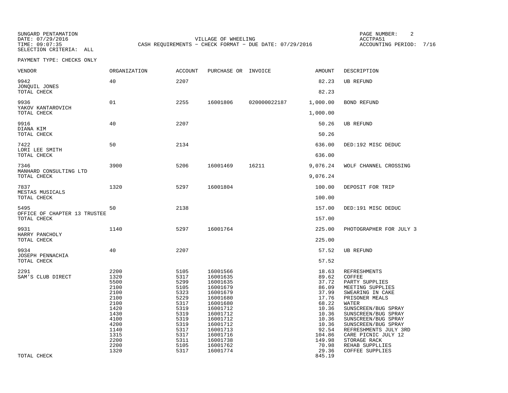SUNGARD PENTAMATION PAGE NUMBER: 2SELECTION CRITERIA: ALL

DATE: 07/29/2016 VILLAGE OF WHEELING ACCTPA51TIME: 09:07:35 CASH REQUIREMENTS - CHECK FORMAT - DUE DATE: 07/29/2016

ACCOUNTING PERIOD: 7/16

PAYMENT TYPE: CHECKS ONLY

| VENDOR                                   | ORGANIZATION                                                                                                                 | <b>ACCOUNT</b>                                                                                                               | PURCHASE OR INVOICE                                                                                                                                                                          |              | AMOUNT                                                                                                                                         | DESCRIPTION                                                                                                                                                                                                                                                                                                                        |
|------------------------------------------|------------------------------------------------------------------------------------------------------------------------------|------------------------------------------------------------------------------------------------------------------------------|----------------------------------------------------------------------------------------------------------------------------------------------------------------------------------------------|--------------|------------------------------------------------------------------------------------------------------------------------------------------------|------------------------------------------------------------------------------------------------------------------------------------------------------------------------------------------------------------------------------------------------------------------------------------------------------------------------------------|
| 9942<br>JONQUIL JONES                    | 40                                                                                                                           | 2207                                                                                                                         |                                                                                                                                                                                              |              | 82.23                                                                                                                                          | <b>UB REFUND</b>                                                                                                                                                                                                                                                                                                                   |
| TOTAL CHECK                              |                                                                                                                              |                                                                                                                              |                                                                                                                                                                                              |              | 82.23                                                                                                                                          |                                                                                                                                                                                                                                                                                                                                    |
| 9936<br>YAKOV KANTAROVICH<br>TOTAL CHECK | 01                                                                                                                           | 2255                                                                                                                         | 16001806                                                                                                                                                                                     | 020000022187 | 1,000.00<br>1,000.00                                                                                                                           | <b>BOND REFUND</b>                                                                                                                                                                                                                                                                                                                 |
|                                          |                                                                                                                              |                                                                                                                              |                                                                                                                                                                                              |              |                                                                                                                                                |                                                                                                                                                                                                                                                                                                                                    |
| 9916<br>DIANA KIM<br>TOTAL CHECK         | 40                                                                                                                           | 2207                                                                                                                         |                                                                                                                                                                                              |              | 50.26<br>50.26                                                                                                                                 | <b>UB REFUND</b>                                                                                                                                                                                                                                                                                                                   |
|                                          |                                                                                                                              |                                                                                                                              |                                                                                                                                                                                              |              |                                                                                                                                                |                                                                                                                                                                                                                                                                                                                                    |
| 7422<br>LORI LEE SMITH<br>TOTAL CHECK    | 50                                                                                                                           | 2134                                                                                                                         |                                                                                                                                                                                              |              | 636.00<br>636.00                                                                                                                               | DED:192 MISC DEDUC                                                                                                                                                                                                                                                                                                                 |
| 7346<br>MANHARD CONSULTING LTD           | 3900                                                                                                                         | 5206                                                                                                                         | 16001469                                                                                                                                                                                     | 16211        | 9,076.24                                                                                                                                       | WOLF CHANNEL CROSSING                                                                                                                                                                                                                                                                                                              |
| TOTAL CHECK                              |                                                                                                                              |                                                                                                                              |                                                                                                                                                                                              |              | 9,076.24                                                                                                                                       |                                                                                                                                                                                                                                                                                                                                    |
| 7837<br>MESTAS MUSICALS                  | 1320                                                                                                                         | 5297                                                                                                                         | 16001804                                                                                                                                                                                     |              | 100.00                                                                                                                                         | DEPOSIT FOR TRIP                                                                                                                                                                                                                                                                                                                   |
| TOTAL CHECK                              |                                                                                                                              |                                                                                                                              |                                                                                                                                                                                              |              | 100.00                                                                                                                                         |                                                                                                                                                                                                                                                                                                                                    |
| 5495<br>OFFICE OF CHAPTER 13 TRUSTEE     | 50                                                                                                                           | 2138                                                                                                                         |                                                                                                                                                                                              |              | 157.00                                                                                                                                         | DED:191 MISC DEDUC                                                                                                                                                                                                                                                                                                                 |
| TOTAL CHECK                              |                                                                                                                              |                                                                                                                              |                                                                                                                                                                                              |              | 157.00                                                                                                                                         |                                                                                                                                                                                                                                                                                                                                    |
| 9931<br>HARRY PANCHOLY                   | 1140                                                                                                                         | 5297                                                                                                                         | 16001764                                                                                                                                                                                     |              | 225.00                                                                                                                                         | PHOTOGRAPHER FOR JULY 3                                                                                                                                                                                                                                                                                                            |
| TOTAL CHECK                              |                                                                                                                              |                                                                                                                              |                                                                                                                                                                                              |              | 225.00                                                                                                                                         |                                                                                                                                                                                                                                                                                                                                    |
| 9934<br>JOSEPH PENNACHIA                 | 40                                                                                                                           | 2207                                                                                                                         |                                                                                                                                                                                              |              | 57.52                                                                                                                                          | <b>UB REFUND</b>                                                                                                                                                                                                                                                                                                                   |
| TOTAL CHECK                              |                                                                                                                              |                                                                                                                              |                                                                                                                                                                                              |              | 57.52                                                                                                                                          |                                                                                                                                                                                                                                                                                                                                    |
| 2291<br>SAM'S CLUB DIRECT                | 2200<br>1320<br>5500<br>2100<br>2100<br>2100<br>2100<br>1420<br>1430<br>4100<br>4200<br>1140<br>1315<br>2200<br>2200<br>1320 | 5105<br>5317<br>5299<br>5105<br>5323<br>5229<br>5317<br>5319<br>5319<br>5319<br>5319<br>5317<br>5317<br>5311<br>5105<br>5317 | 16001566<br>16001635<br>16001635<br>16001679<br>16001679<br>16001680<br>16001680<br>16001712<br>16001712<br>16001712<br>16001712<br>16001713<br>16001716<br>16001738<br>16001762<br>16001774 |              | 18.63<br>89.62<br>37.72<br>86.09<br>37.99<br>17.76<br>68.22<br>10.36<br>10.36<br>10.36<br>10.36<br>92.54<br>104.86<br>149.98<br>70.98<br>29.36 | <b>REFRESHMENTS</b><br>COFFEE<br>PARTY SUPPLIES<br>MEETING SUPPLIES<br>SWEARING IN CAKE<br>PRISONER MEALS<br><b>WATER</b><br>SUNSCREEN/BUG SPRAY<br>SUNSCREEN/BUG SPRAY<br>SUNSCREEN/BUG SPRAY<br>SUNSCREEN/BUG SPRAY<br>REFRESHMENTS JULY 3RD<br>CARE PICNIC JULY 12<br>STORAGE RACK<br>REHAB SUPPLLIES<br><b>COFFEE SUPPLIES</b> |
| TOTAL CHECK                              |                                                                                                                              |                                                                                                                              |                                                                                                                                                                                              |              | 845.19                                                                                                                                         |                                                                                                                                                                                                                                                                                                                                    |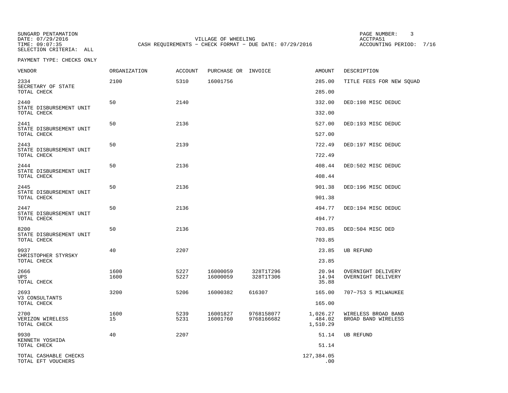SELECTION CRITERIA: ALL

SUNGARD PENTAMATION PAGE NUMBER: 3VILLAGE OF WHEELING **ACCTPA51** TIME: 09:07:35 CASH REQUIREMENTS - CHECK FORMAT - DUE DATE: 07/29/2016

ACCOUNTING PERIOD: 7/16

PAYMENT TYPE: CHECKS ONLY

| VENDOR                                      | ORGANIZATION | <b>ACCOUNT</b> | PURCHASE OR INVOICE  |                          | <b>AMOUNT</b>                  | DESCRIPTION                                |
|---------------------------------------------|--------------|----------------|----------------------|--------------------------|--------------------------------|--------------------------------------------|
| 2334<br>SECRETARY OF STATE                  | 2100         | 5310           | 16001756             |                          | 285.00                         | TITLE FEES FOR NEW SOUAD                   |
| TOTAL CHECK                                 |              |                |                      |                          | 285.00                         |                                            |
| 2440<br>STATE DISBURSEMENT UNIT             | 50           | 2140           |                      |                          | 332.00                         | DED:198 MISC DEDUC                         |
| TOTAL CHECK                                 |              |                |                      |                          | 332.00                         |                                            |
| 2441<br>STATE DISBURSEMENT UNIT             | 50           | 2136           |                      |                          | 527.00                         | DED:193 MISC DEDUC                         |
| TOTAL CHECK                                 |              |                |                      |                          | 527.00                         |                                            |
| 2443<br>STATE DISBURSEMENT UNIT             | 50           | 2139           |                      |                          | 722.49                         | DED:197 MISC DEDUC                         |
| TOTAL CHECK                                 |              |                |                      |                          | 722.49                         |                                            |
| 2444<br>STATE DISBURSEMENT UNIT             | 50           | 2136           |                      |                          | 408.44                         | DED:502 MISC DEDUC                         |
| TOTAL CHECK                                 |              |                |                      |                          | 408.44                         |                                            |
| 2445<br>STATE DISBURSEMENT UNIT             | 50           | 2136           |                      |                          | 901.38                         | DED:196 MISC DEDUC                         |
| TOTAL CHECK                                 |              |                |                      |                          | 901.38                         |                                            |
| 2447<br>STATE DISBURSEMENT UNIT             | 50           | 2136           |                      |                          | 494.77                         | DED:194 MISC DEDUC                         |
| TOTAL CHECK                                 |              |                |                      |                          | 494.77                         |                                            |
| 8200<br>STATE DISBURSEMENT UNIT             | 50           | 2136           |                      |                          | 703.85                         | DED:504 MISC DED                           |
| TOTAL CHECK                                 |              |                |                      |                          | 703.85                         |                                            |
| 9937<br>CHRISTOPHER STYRSKY                 | 40           | 2207           |                      |                          | 23.85                          | UB REFUND                                  |
| TOTAL CHECK                                 |              |                |                      |                          | 23.85                          |                                            |
| 2666<br><b>UPS</b><br>TOTAL CHECK           | 1600<br>1600 | 5227<br>5227   | 16000059<br>16000059 | 328T1T296<br>328T1T306   | 20.94<br>14.94<br>35.88        | OVERNIGHT DELIVERY<br>OVERNIGHT DELIVERY   |
| 2693<br>V3 CONSULTANTS                      | 3200         | 5206           | 16000382             | 616307                   | 165.00                         | 707-753 S MILWAUKEE                        |
| TOTAL CHECK                                 |              |                |                      |                          | 165.00                         |                                            |
| 2700<br>VERIZON WIRELESS<br>TOTAL CHECK     | 1600<br>15   | 5239<br>5231   | 16001827<br>16001760 | 9768158077<br>9768166682 | 1,026.27<br>484.02<br>1,510.29 | WIRELESS BROAD BAND<br>BROAD BAND WIRELESS |
| 9930                                        | 40           | 2207           |                      |                          | 51.14                          | <b>UB REFUND</b>                           |
| KENNETH YOSHIDA<br>TOTAL CHECK              |              |                |                      |                          | 51.14                          |                                            |
| TOTAL CASHABLE CHECKS<br>TOTAL EFT VOUCHERS |              |                |                      |                          | 127,384.05<br>.00              |                                            |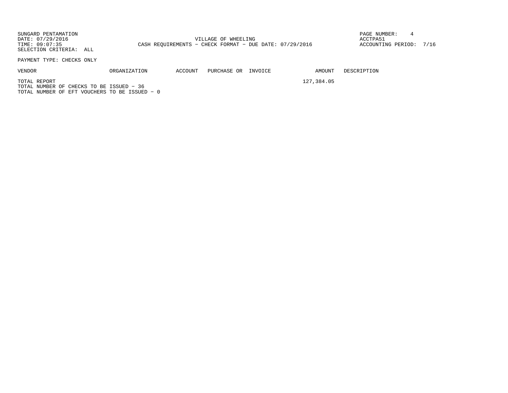SUNGARD PENTAMATION PAGE NUMBER: 4DATE: 07/29/2016 VILLAGE OF WHEELING ACCTPA51ACCOUNTING PERIOD: 7/16 TIME: 09:07:35 CASH REQUIREMENTS - CHECK FORMAT - DUE DATE: 07/29/2016 SELECTION CRITERIA: ALL

PAYMENT TYPE: CHECKS ONLY

| VENDOR | <b>ORGANIZATION</b> | ACCOUNT<br>. | PURCHASE<br>ΟR<br>_____ | INVOICE<br>. |
|--------|---------------------|--------------|-------------------------|--------------|
|--------|---------------------|--------------|-------------------------|--------------|

AMOUNT DESCRIPTION

TOTAL REPORT 127,384.05 TOTAL NUMBER OF CHECKS TO BE ISSUED − 36TOTAL NUMBER OF EFT VOUCHERS TO BE ISSUED − 0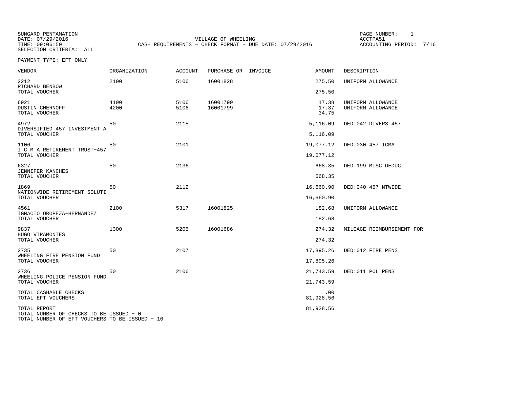SUNGARD PENTAMATION PAGE NUMBER: 1SELECTION CRITERIA: ALL

DATE: 07/29/2016 VILLAGE OF WHEELING ACCTPA51TIME: 09:06:50 CASH REQUIREMENTS - CHECK FORMAT - DUE DATE: 07/29/2016

ACCOUNTING PERIOD: 7/16

PAYMENT TYPE: EFT ONLY

| <b>VENDOR</b>                                                                                             | <b>ORGANIZATION</b> | <b>ACCOUNT</b> | PURCHASE OR INVOICE  | <b>AMOUNT</b>           | DESCRIPTION                            |
|-----------------------------------------------------------------------------------------------------------|---------------------|----------------|----------------------|-------------------------|----------------------------------------|
| 2212<br>RICHARD BENBOW                                                                                    | 2100                | 5106           | 16001828             | 275.50                  | UNIFORM ALLOWANCE                      |
| TOTAL VOUCHER                                                                                             |                     |                |                      | 275.50                  |                                        |
| 6921<br><b>DUSTIN CHERNOFF</b><br>TOTAL VOUCHER                                                           | 4100<br>4200        | 5106<br>5106   | 16001799<br>16001799 | 17.38<br>17.37<br>34.75 | UNIFORM ALLOWANCE<br>UNIFORM ALLOWANCE |
| 4972<br>DIVERSIFIED 457 INVESTMENT A                                                                      | 50                  | 2115           |                      | 5,116.09                | DED:042 DIVERS 457                     |
| TOTAL VOUCHER                                                                                             |                     |                |                      | 5,116.09                |                                        |
| 1106<br>I C M A RETIREMENT TRUST-457                                                                      | 50                  | 2101           |                      | 19,077.12               | DED:030 457 ICMA                       |
| TOTAL VOUCHER                                                                                             |                     |                |                      | 19,077.12               |                                        |
| 6327<br>JENNIFER KANCHES                                                                                  | 50                  | 2136           |                      | 668.35                  | DED:199 MISC DEDUC                     |
| TOTAL VOUCHER                                                                                             |                     |                |                      | 668.35                  |                                        |
| 1869<br>NATIONWIDE RETIREMENT SOLUTI                                                                      | 50                  | 2112           |                      | 16,660.90               | DED:040 457 NTWIDE                     |
| TOTAL VOUCHER                                                                                             |                     |                |                      | 16,660.90               |                                        |
| 4561<br>IGNACIO OROPEZA-HERNANDEZ                                                                         | 2100                | 5317           | 16001825             | 182.68                  | UNIFORM ALLOWANCE                      |
| TOTAL VOUCHER                                                                                             |                     |                |                      | 182.68                  |                                        |
| 9837<br>HUGO VIRAMONTES                                                                                   | 1300                | 5205           | 16001686             | 274.32                  | MILEAGE REIMBURSEMENT FOR              |
| TOTAL VOUCHER                                                                                             |                     |                |                      | 274.32                  |                                        |
| 2735<br>WHEELING FIRE PENSION FUND                                                                        | 50                  | 2107           |                      | 17,895.26               | DED:012 FIRE PENS                      |
| TOTAL VOUCHER                                                                                             |                     |                |                      | 17,895.26               |                                        |
| 2736<br>WHEELING POLICE PENSION FUND                                                                      | 50                  | 2106           |                      | 21,743.59               | DED:011 POL PENS                       |
| TOTAL VOUCHER                                                                                             |                     |                |                      | 21,743.59               |                                        |
| TOTAL CASHABLE CHECKS<br>TOTAL EFT VOUCHERS                                                               |                     |                |                      | .00<br>81,928.56        |                                        |
| TOTAL REPORT<br>TOTAL NUMBER OF CHECKS TO BE ISSUED - 0<br>TOTAL NUMBER OF EFT VOUCHERS TO BE ISSUED - 10 |                     |                |                      | 81,928.56               |                                        |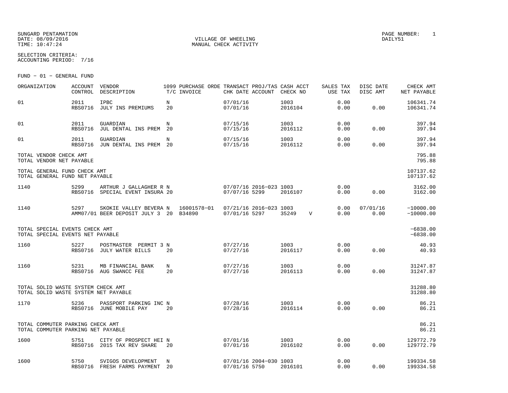#### SUNGARD PENTAMATION PAGE NUMBER: 1DATE: 08/09/2016 VILLAGE OF WHEELING DAILY51

SELECTION CRITERIA:

MANUAL CHECK ACTIVITY

ACCOUNTING PERIOD: 7/16

FUND − 01 − GENERAL FUND

| ORGANIZATION                                                               | ACCOUNT<br>CONTROL     | VENDOR<br>DESCRIPTION                                            |          | 1099 PURCHASE ORDE TRANSACT PROJ/TAS CASH ACCT<br>T/C INVOICE | CHK DATE ACCOUNT     |                        | CHECK NO        |   | SALES TAX<br>USE TAX | DISC DATE<br>DISC AMT | CHECK AMT<br>NET PAYABLE   |
|----------------------------------------------------------------------------|------------------------|------------------------------------------------------------------|----------|---------------------------------------------------------------|----------------------|------------------------|-----------------|---|----------------------|-----------------------|----------------------------|
| 01                                                                         | 2011<br><b>RBS0716</b> | IPBC<br>JULY INS PREMIUMS                                        | N<br>20  |                                                               | 07/01/16<br>07/01/16 |                        | 1003<br>2016104 |   | 0.00<br>0.00         | 0.00                  | 106341.74<br>106341.74     |
| 01                                                                         | 2011<br><b>RBS0716</b> | GUARDIAN<br>JUL DENTAL INS PREM                                  | N<br>20  |                                                               | 07/15/16<br>07/15/16 |                        | 1003<br>2016112 |   | 0.00<br>0.00         | 0.00                  | 397.94<br>397.94           |
| 01                                                                         | 2011<br><b>RBS0716</b> | GUARDIAN<br>JUN DENTAL INS PREM                                  | N<br>-20 |                                                               | 07/15/16<br>07/15/16 |                        | 1003<br>2016112 |   | 0.00<br>0.00         | 0.00                  | 397.94<br>397.94           |
| TOTAL VENDOR CHECK AMT<br>TOTAL VENDOR NET PAYABLE                         |                        |                                                                  |          |                                                               |                      |                        |                 |   |                      |                       | 795.88<br>795.88           |
| TOTAL GENERAL FUND CHECK AMT<br>TOTAL GENERAL FUND NET PAYABLE             |                        |                                                                  |          |                                                               |                      |                        |                 |   |                      |                       | 107137.62<br>107137.62     |
| 1140                                                                       | 5299<br>RBS0716        | ARTHUR J GALLAGHER R N<br>SPECIAL EVENT INSURA 20                |          |                                                               | 07/07/16 5299        | 07/07/16 2016-023 1003 | 2016107         |   | 0.00<br>0.00         | 0.00                  | 3162.00<br>3162.00         |
| 1140                                                                       | 5297                   | SKOKIE VALLEY BEVERA N<br>AMM07/01 BEER DEPOSIT JULY 3 20 B34890 |          | 16001578-01                                                   | 07/01/16 5297        | 07/21/16 2016-023 1003 | 35249           | V | 0.00<br>0.00         | 07/01/16<br>0.00      | $-10000.00$<br>$-10000.00$ |
| TOTAL SPECIAL EVENTS CHECK AMT<br>TOTAL SPECIAL EVENTS NET PAYABLE         |                        |                                                                  |          |                                                               |                      |                        |                 |   |                      |                       | $-6838.00$<br>$-6838.00$   |
| 1160                                                                       | 5227                   | POSTMASTER PERMIT 3 N<br>RBS0716 JULY WATER BILLS                | 20       |                                                               | 07/27/16<br>07/27/16 |                        | 1003<br>2016117 |   | 0.00<br>0.00         | 0.00                  | 40.93<br>40.93             |
| 1160                                                                       | 5231                   | MB FINANCIAL BANK<br>RBS0716 AUG SWANCC FEE                      | N<br>20  |                                                               | 07/27/16<br>07/27/16 |                        | 1003<br>2016113 |   | 0.00<br>0.00         | 0.00                  | 31247.87<br>31247.87       |
| TOTAL SOLID WASTE SYSTEM CHECK AMT<br>TOTAL SOLID WASTE SYSTEM NET PAYABLE |                        |                                                                  |          |                                                               |                      |                        |                 |   |                      |                       | 31288.80<br>31288.80       |
| 1170                                                                       | 5236                   | PASSPORT PARKING INC N<br>RBS0716 JUNE MOBILE PAY                | 20       |                                                               | 07/28/16<br>07/28/16 |                        | 1003<br>2016114 |   | 0.00<br>0.00         | 0.00                  | 86.21<br>86.21             |
| TOTAL COMMUTER PARKING CHECK AMT<br>TOTAL COMMUTER PARKING NET PAYABLE     |                        |                                                                  |          |                                                               |                      |                        |                 |   |                      |                       | 86.21<br>86.21             |
| 1600                                                                       | 5751<br><b>RBS0716</b> | CITY OF PROSPECT HEI N<br>2015 TAX REV SHARE                     | 20       |                                                               | 07/01/16<br>07/01/16 |                        | 1003<br>2016102 |   | 0.00<br>0.00         | 0.00                  | 129772.79<br>129772.79     |
| 1600                                                                       | 5750                   | SVIGOS DEVELOPMENT<br>RBS0716 FRESH FARMS PAYMENT                | N<br>20  |                                                               | 07/01/16 5750        | 07/01/16 2004-030 1003 | 2016101         |   | 0.00<br>0.00         | 0.00                  | 199334.58<br>199334.58     |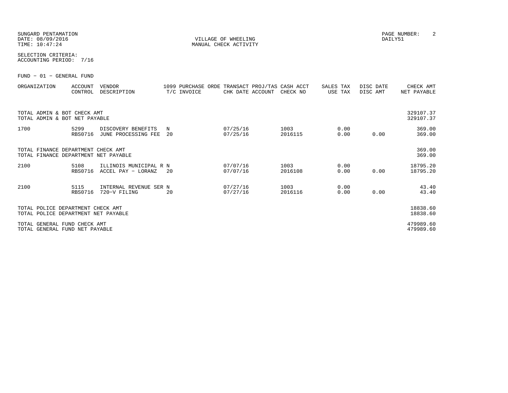#### SUNGARD PENTAMATION PAGE NUMBER: 2DATE: 08/09/2016 VILLAGE OF WHEELING DAILY51

MANUAL CHECK ACTIVITY

SELECTION CRITERIA:ACCOUNTING PERIOD: 7/16

FUND − 01 − GENERAL FUND

| ORGANIZATION                                                               | <b>ACCOUNT</b><br>CONTROL | <b>VENDOR</b><br>DESCRIPTION                 |         | T/C INVOICE | CHK DATE ACCOUNT     | 1099 PURCHASE ORDE TRANSACT PROJ/TAS CASH ACCT<br>CHECK NO | SALES TAX<br>USE TAX | DISC DATE<br>DISC AMT | CHECK AMT<br>NET PAYABLE |
|----------------------------------------------------------------------------|---------------------------|----------------------------------------------|---------|-------------|----------------------|------------------------------------------------------------|----------------------|-----------------------|--------------------------|
| TOTAL ADMIN & BOT CHECK AMT<br>TOTAL ADMIN & BOT NET PAYABLE               |                           |                                              |         |             |                      |                                                            |                      |                       | 329107.37<br>329107.37   |
| 1700                                                                       | 5299<br><b>RBS0716</b>    | DISCOVERY BENEFITS<br>JUNE PROCESSING FEE    | N<br>20 |             | 07/25/16<br>07/25/16 | 1003<br>2016115                                            | 0.00<br>0.00         | 0.00                  | 369.00<br>369.00         |
| TOTAL FINANCE DEPARTMENT CHECK AMT<br>TOTAL FINANCE DEPARTMENT NET PAYABLE |                           |                                              |         |             |                      |                                                            |                      |                       | 369.00<br>369.00         |
| 2100                                                                       | 5108<br><b>RBS0716</b>    | ILLINOIS MUNICIPAL R N<br>ACCEL PAY - LORANZ | 20      |             | 07/07/16<br>07/07/16 | 1003<br>2016108                                            | 0.00<br>0.00         | 0.00                  | 18795.20<br>18795.20     |
| 2100                                                                       | 5115<br><b>RBS0716</b>    | INTERNAL REVENUE SER N<br>720-V FILING       | 20      |             | 07/27/16<br>07/27/16 | 1003<br>2016116                                            | 0.00<br>0.00         | 0.00                  | 43.40<br>43.40           |
| TOTAL POLICE DEPARTMENT CHECK AMT<br>TOTAL POLICE DEPARTMENT NET PAYABLE   |                           |                                              |         |             |                      |                                                            |                      |                       | 18838.60<br>18838.60     |
| TOTAL GENERAL FUND CHECK AMT<br>TOTAL GENERAL FUND NET PAYABLE             |                           |                                              |         |             |                      |                                                            |                      |                       | 479989.60<br>479989.60   |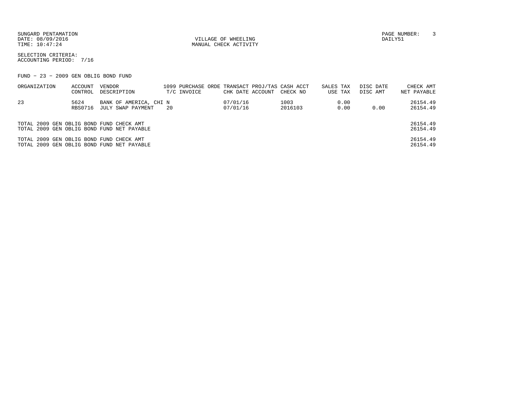SUNGARD PENTAMATION PAGE NUMBER: 3DATE:  $08/09/2016$  DAILY51

TIME:  $10:47:24$  MANUAL CHECK ACTIVITY

SELECTION CRITERIA:ACCOUNTING PERIOD: 7/16

FUND − 23 − 2009 GEN OBLIG BOND FUND

| ACCOUNT | VENDOR            |                                                                                                                                                                                  |                        |  |                                          |                                                            | DISC DATE            | CHECK AMT   |
|---------|-------------------|----------------------------------------------------------------------------------------------------------------------------------------------------------------------------------|------------------------|--|------------------------------------------|------------------------------------------------------------|----------------------|-------------|
| CONTROL | DESCRIPTION       | T/C INVOICE                                                                                                                                                                      |                        |  |                                          |                                                            | DISC AMT             | NET PAYABLE |
| 5624    |                   |                                                                                                                                                                                  |                        |  | 1003                                     | 0.00                                                       |                      | 26154.49    |
| RBS0716 | JULY SWAP PAYMENT | -20                                                                                                                                                                              |                        |  | 2016103                                  | 0.00                                                       | 0.00                 | 26154.49    |
|         |                   |                                                                                                                                                                                  |                        |  |                                          |                                                            |                      |             |
|         |                   |                                                                                                                                                                                  |                        |  |                                          |                                                            |                      | 26154.49    |
|         |                   |                                                                                                                                                                                  |                        |  |                                          |                                                            |                      | 26154.49    |
|         |                   |                                                                                                                                                                                  |                        |  |                                          |                                                            |                      | 26154.49    |
|         |                   |                                                                                                                                                                                  |                        |  |                                          |                                                            |                      | 26154.49    |
|         |                   | TOTAL 2009 GEN OBLIG BOND FUND CHECK AMT<br>TOTAL 2009 GEN OBLIG BOND FUND NET PAYABLE<br>TOTAL 2009 GEN OBLIG BOND FUND CHECK AMT<br>TOTAL 2009 GEN OBLIG BOND FUND NET PAYABLE | BANK OF AMERICA, CHI N |  | CHK DATE ACCOUNT<br>07/01/16<br>07/01/16 | 1099 PURCHASE ORDE TRANSACT PROJ/TAS CASH ACCT<br>CHECK NO | SALES TAX<br>USE TAX |             |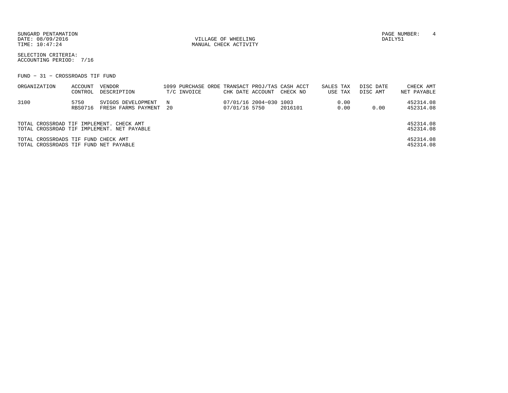SUNGARD PENTAMATION PAGE NUMBER: 4 DATE:  $08/09/2016$  DAILY51

TIME:  $10:47:24$  MANUAL CHECK ACTIVITY

SELECTION CRITERIA:ACCOUNTING PERIOD: 7/16

FUND − 31 − CROSSROADS TIF FUND

| ORGANIZATION                                                                 | ACCOUNT<br>CONTROL     | VENDOR<br>DESCRIPTION                          | T/C INVOICE | CHK DATE ACCOUNT |                        | 1099 PURCHASE ORDE TRANSACT PROJ/TAS CASH ACCT<br>CHECK NO | SALES TAX | USE TAX      | DISC DATE<br>DISC AMT | CHECK AMT<br>NET PAYABLE |
|------------------------------------------------------------------------------|------------------------|------------------------------------------------|-------------|------------------|------------------------|------------------------------------------------------------|-----------|--------------|-----------------------|--------------------------|
| 3100                                                                         | 5750<br><b>RBS0716</b> | SVIGOS DEVELOPMENT N<br>FRESH FARMS PAYMENT 20 |             | 07/01/16 5750    | 07/01/16 2004-030 1003 | 2016101                                                    |           | 0.00<br>0.00 | 0.00                  | 452314.08<br>452314.08   |
| TOTAL CROSSROAD TIF IMPLEMENT. CHECK AMT                                     |                        | TOTAL CROSSROAD TIF IMPLEMENT. NET PAYABLE     |             |                  |                        |                                                            |           |              |                       | 452314.08<br>452314.08   |
| TOTAL CROSSROADS TIF FUND CHECK AMT<br>TOTAL CROSSROADS TIF FUND NET PAYABLE |                        |                                                |             |                  |                        |                                                            |           |              |                       | 452314.08<br>452314.08   |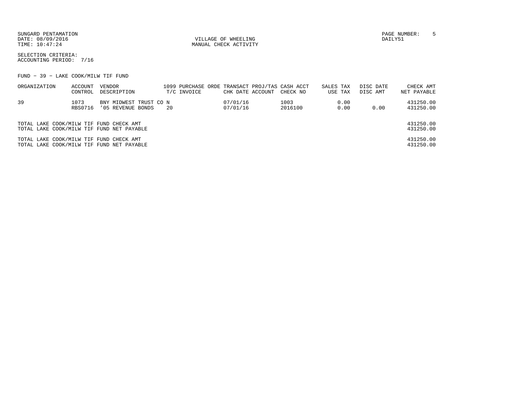SUNGARD PENTAMATION PAGE NUMBER: 5DATE:  $08/09/2016$  DAILY51

TIME:  $10:47:24$  MANUAL CHECK ACTIVITY

SELECTION CRITERIA:ACCOUNTING PERIOD: 7/16

FUND − 39 − LAKE COOK/MILW TIF FUND

| ORGANIZATION                            | ACCOUNT<br>CONTROL | VENDOR<br>DESCRIPTION                       | 1099 PURCHASE ORDE TRANSACT PROJ/TAS CASH ACCT<br>T/C INVOICE | CHK DATE ACCOUNT     | CHECK NO        | SALES TAX<br>USE TAX | DISC DATE<br>DISC AMT | CHECK AMT<br>NET PAYABLE |
|-----------------------------------------|--------------------|---------------------------------------------|---------------------------------------------------------------|----------------------|-----------------|----------------------|-----------------------|--------------------------|
| 39                                      | 1073<br>RBS0716    | BNY MIDWEST TRUST CO N<br>'05 REVENUE BONDS | -20                                                           | 07/01/16<br>07/01/16 | 1003<br>2016100 | 0.00<br>0.00         | 0.00                  | 431250.00<br>431250.00   |
| TOTAL LAKE COOK/MILW TIF FUND CHECK AMT |                    | TOTAL LAKE COOK/MILW TIF FUND NET PAYABLE   |                                                               |                      |                 |                      |                       | 431250.00<br>431250.00   |
| TOTAL LAKE COOK/MILW TIF FUND CHECK AMT |                    | TOTAL LAKE COOK/MILW TIF FUND NET PAYABLE   |                                                               |                      |                 |                      |                       | 431250.00<br>431250.00   |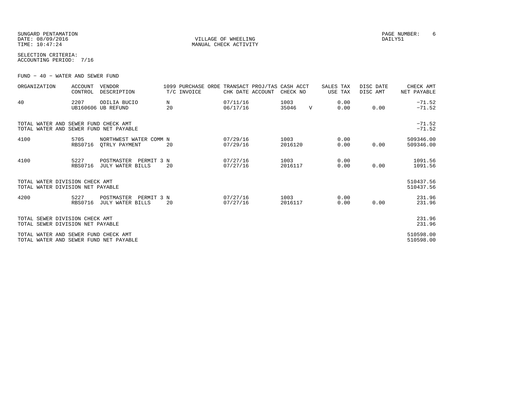SUNGARD PENTAMATION PAGE NUMBER: 6DATE:  $08/09/2016$  DAILY51 TIME:  $10:47:24$  MANUAL CHECK ACTIVITY

SELECTION CRITERIA:ACCOUNTING PERIOD: 7/16

FUND − 40 − WATER AND SEWER FUND

| ORGANIZATION                                                                   | <b>ACCOUNT</b><br>CONTROL | <b>VENDOR</b><br>DESCRIPTION                 |         | 1099 PURCHASE ORDE TRANSACT PROJ/TAS CASH ACCT<br>T/C INVOICE | CHK DATE ACCOUNT     | CHECK NO        |              | SALES TAX<br>USE TAX | DISC DATE<br>DISC AMT | CHECK AMT<br>NET PAYABLE |
|--------------------------------------------------------------------------------|---------------------------|----------------------------------------------|---------|---------------------------------------------------------------|----------------------|-----------------|--------------|----------------------|-----------------------|--------------------------|
| 40                                                                             | 2207                      | ODILIA BUCIO<br>UB160606 UB REFUND           | N<br>20 |                                                               | 07/11/16<br>06/17/16 | 1003<br>35046   | $\mathbf{V}$ | 0.00<br>0.00         | 0.00                  | $-71.52$<br>$-71.52$     |
| TOTAL WATER AND SEWER FUND CHECK AMT<br>TOTAL WATER AND SEWER FUND NET PAYABLE |                           |                                              |         |                                                               |                      |                 |              |                      |                       | $-71.52$<br>$-71.52$     |
| 4100                                                                           | 5705<br><b>RBS0716</b>    | NORTHWEST WATER COMM N<br>OTRLY PAYMENT      | 20      |                                                               | 07/29/16<br>07/29/16 | 1003<br>2016120 |              | 0.00<br>0.00         | 0.00                  | 509346.00<br>509346.00   |
| 4100                                                                           | 5227<br><b>RBS0716</b>    | POSTMASTER<br>PERMIT 3 N<br>JULY WATER BILLS | 20      |                                                               | 07/27/16<br>07/27/16 | 1003<br>2016117 |              | 0.00<br>0.00         | 0.00                  | 1091.56<br>1091.56       |
| TOTAL WATER DIVISION CHECK AMT<br>TOTAL WATER DIVISION NET PAYABLE             |                           |                                              |         |                                                               |                      |                 |              |                      |                       | 510437.56<br>510437.56   |
| 4200                                                                           | 5227<br><b>RBS0716</b>    | POSTMASTER<br>PERMIT 3 N<br>JULY WATER BILLS | 20      |                                                               | 07/27/16<br>07/27/16 | 1003<br>2016117 |              | 0.00<br>0.00         | 0.00                  | 231.96<br>231.96         |
| TOTAL SEWER DIVISION CHECK AMT<br>TOTAL SEWER DIVISION NET PAYABLE             |                           |                                              |         |                                                               |                      |                 |              |                      |                       | 231.96<br>231.96         |
| TOTAL WATER AND SEWER FUND CHECK AMT<br>TOTAL WATER AND SEWER FUND NET PAYABLE |                           |                                              |         |                                                               |                      |                 |              |                      |                       | 510598.00<br>510598.00   |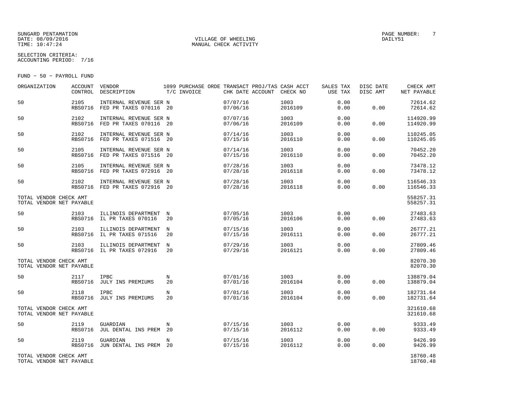#### SUNGARD PENTAMATION PAGE NUMBER: T DATE: 08/09/2016 VILLAGE OF WHEELING DAILY51

MANUAL CHECK ACTIVITY

SELECTION CRITERIA:ACCOUNTING PERIOD: 7/16

FUND − 50 − PAYROLL FUND

| ORGANIZATION                                       | ACCOUNT<br>CONTROL     | VENDOR<br>DESCRIPTION                                    | 1099 PURCHASE ORDE TRANSACT PROJ/TAS CASH ACCT<br>T/C INVOICE | CHK DATE ACCOUNT CHECK NO |                 | SALES TAX<br>USE TAX | DISC DATE<br>DISC AMT | CHECK AMT<br>NET PAYABLE |
|----------------------------------------------------|------------------------|----------------------------------------------------------|---------------------------------------------------------------|---------------------------|-----------------|----------------------|-----------------------|--------------------------|
| 50                                                 | 2105                   | INTERNAL REVENUE SER N<br>RBS0716 FED PR TAXES 070116 20 |                                                               | 07/07/16<br>07/06/16      | 1003<br>2016109 | 0.00<br>0.00         | 0.00                  | 72614.62<br>72614.62     |
| 50                                                 | 2102<br><b>RBS0716</b> | INTERNAL REVENUE SER N<br>FED PR TAXES 070116 20         |                                                               | 07/07/16<br>07/06/16      | 1003<br>2016109 | 0.00<br>0.00         | 0.00                  | 114920.99<br>114920.99   |
| 50                                                 | 2102<br><b>RBS0716</b> | INTERNAL REVENUE SER N<br>FED PR TAXES 071516 20         |                                                               | 07/14/16<br>07/15/16      | 1003<br>2016110 | 0.00<br>0.00         | 0.00                  | 110245.05<br>110245.05   |
| 50                                                 | 2105                   | INTERNAL REVENUE SER N<br>RBS0716 FED PR TAXES 071516 20 |                                                               | 07/14/16<br>07/15/16      | 1003<br>2016110 | 0.00<br>0.00         | 0.00                  | 70452.20<br>70452.20     |
| 50                                                 | 2105                   | INTERNAL REVENUE SER N<br>RBS0716 FED PR TAXES 072916 20 |                                                               | 07/28/16<br>07/28/16      | 1003<br>2016118 | 0.00<br>0.00         | 0.00                  | 73478.12<br>73478.12     |
| 50                                                 | 2102                   | INTERNAL REVENUE SER N<br>RBS0716 FED PR TAXES 072916 20 |                                                               | 07/28/16<br>07/28/16      | 1003<br>2016118 | 0.00<br>0.00         | 0.00                  | 116546.33<br>116546.33   |
| TOTAL VENDOR CHECK AMT<br>TOTAL VENDOR NET PAYABLE |                        |                                                          |                                                               |                           |                 |                      |                       | 558257.31<br>558257.31   |
| 50                                                 | 2103                   | ILLINOIS DEPARTMENT N<br>RBS0716 IL PR TAXES 070116      | 20                                                            | 07/05/16<br>07/05/16      | 1003<br>2016106 | 0.00<br>0.00         | 0.00                  | 27483.63<br>27483.63     |
| 50                                                 | 2103                   | ILLINOIS DEPARTMENT<br>RBS0716 IL PR TAXES 071516        | $_{\rm N}$<br>20                                              | 07/15/16<br>07/15/16      | 1003<br>2016111 | 0.00<br>0.00         | 0.00                  | 26777.21<br>26777.21     |
| 50                                                 | 2103                   | ILLINOIS DEPARTMENT<br>RBS0716 IL PR TAXES 072916        | N<br>20                                                       | 07/29/16<br>07/29/16      | 1003<br>2016121 | 0.00<br>0.00         | 0.00                  | 27809.46<br>27809.46     |
| TOTAL VENDOR CHECK AMT<br>TOTAL VENDOR NET PAYABLE |                        |                                                          |                                                               |                           |                 |                      |                       | 82070.30<br>82070.30     |
| 50                                                 | 2117                   | <b>IPBC</b><br>RBS0716 JULY INS PREMIUMS                 | N<br>20                                                       | 07/01/16<br>07/01/16      | 1003<br>2016104 | 0.00<br>0.00         | 0.00                  | 138879.04<br>138879.04   |
| 50                                                 | 2118                   | <b>IPBC</b><br>RBS0716 JULY INS PREMIUMS                 | $_{\rm N}$<br>20                                              | 07/01/16<br>07/01/16      | 1003<br>2016104 | 0.00<br>0.00         | 0.00                  | 182731.64<br>182731.64   |
| TOTAL VENDOR CHECK AMT<br>TOTAL VENDOR NET PAYABLE |                        |                                                          |                                                               |                           |                 |                      |                       | 321610.68<br>321610.68   |
| 50                                                 | 2119<br>RBS0716        | GUARDIAN<br>JUL DENTAL INS PREM 20                       | N                                                             | 07/15/16<br>07/15/16      | 1003<br>2016112 | 0.00<br>0.00         | 0.00                  | 9333.49<br>9333.49       |
| 50                                                 | 2119<br><b>RBS0716</b> | GUARDIAN<br>JUN DENTAL INS PREM 20                       | N                                                             | 07/15/16<br>07/15/16      | 1003<br>2016112 | 0.00<br>0.00         | 0.00                  | 9426.99<br>9426.99       |
| TOTAL VENDOR CHECK AMT<br>TOTAL VENDOR NET PAYABLE |                        |                                                          |                                                               |                           |                 |                      |                       | 18760.48<br>18760.48     |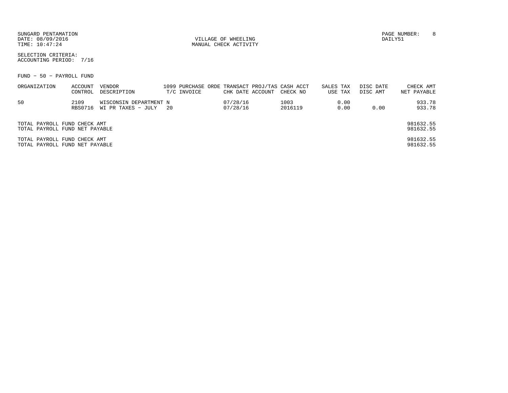| SUNGARD PENTAMATION |  |
|---------------------|--|
| DATE: 08/09/2016    |  |
| TIME: 10:47:24      |  |

VILLAGE OF WHEELING **DAILY51** MANUAL CHECK ACTIVITY

PAGE NUMBER: 8

SELECTION CRITERIA:ACCOUNTING PERIOD: 7/16

FUND − 50 − PAYROLL FUND

| ORGANIZATION                   | ACCOUNT        | VENDOR                 |      |             |                  | 1099 PURCHASE ORDE TRANSACT PROJ/TAS CASH ACCT | SALES TAX |         | DISC DATE | CHECK AMT   |
|--------------------------------|----------------|------------------------|------|-------------|------------------|------------------------------------------------|-----------|---------|-----------|-------------|
|                                | CONTROL        | DESCRIPTION            |      | T/C INVOICE | CHK DATE ACCOUNT | CHECK NO                                       |           | USE TAX | DISC AMT  | NET PAYABLE |
| 50                             | 2109           | WISCONSIN DEPARTMENT N |      |             | 07/28/16         | 1003                                           |           | 0.00    |           | 933.78      |
|                                | <b>RBS0716</b> | WI PR TAXES - JULY     | - 20 |             | 07/28/16         | 2016119                                        |           | 0.00    | 0.00      | 933.78      |
|                                |                |                        |      |             |                  |                                                |           |         |           |             |
| TOTAL PAYROLL FUND CHECK AMT   |                |                        |      |             |                  |                                                |           |         |           | 981632.55   |
| TOTAL PAYROLL FUND NET PAYABLE |                |                        |      |             |                  |                                                |           |         |           | 981632.55   |
| TOTAL PAYROLL FUND CHECK AMT   |                |                        |      |             |                  |                                                |           |         |           | 981632.55   |
| TOTAL PAYROLL FUND NET PAYABLE |                |                        |      |             |                  |                                                |           |         |           | 981632.55   |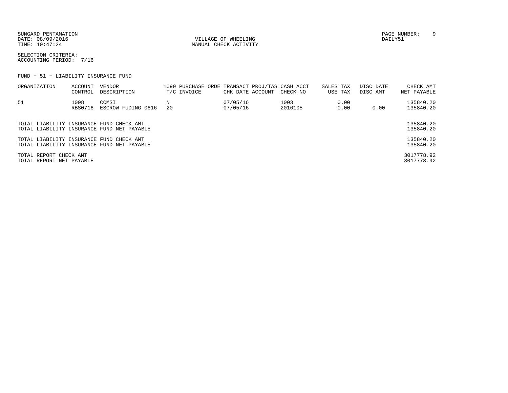SUNGARD PENTAMATION PAGE NUMBER: 9DATE:  $08/09/2016$  DAILY51

TIME:  $10:47:24$  MANUAL CHECK ACTIVITY

SELECTION CRITERIA:ACCOUNTING PERIOD: 7/16

FUND − 51 − LIABILITY INSURANCE FUND

| ORGANIZATION                                       | ACCOUNT<br>CONTROL | VENDOR<br>DESCRIPTION                      | T/C INVOICE | CHK DATE ACCOUNT     | 1099 PURCHASE ORDE TRANSACT PROJ/TAS CASH ACCT<br>CHECK NO | SALES TAX<br>USE TAX |              | DISC DATE<br>DISC AMT | CHECK AMT<br>NET PAYABLE |
|----------------------------------------------------|--------------------|--------------------------------------------|-------------|----------------------|------------------------------------------------------------|----------------------|--------------|-----------------------|--------------------------|
| 51                                                 | 1008<br>RBS0716    | CCMSI<br>ESCROW FUDING 0616                | 20          | 07/05/16<br>07/05/16 | 1003<br>2016105                                            |                      | 0.00<br>0.00 | 0.00                  | 135840.20<br>135840.20   |
| TOTAL LIABILITY INSURANCE FUND CHECK AMT           |                    | TOTAL LIABILITY INSURANCE FUND NET PAYABLE |             |                      |                                                            |                      |              |                       | 135840.20<br>135840.20   |
| TOTAL LIABILITY INSURANCE FUND CHECK AMT           |                    | TOTAL LIABILITY INSURANCE FUND NET PAYABLE |             |                      |                                                            |                      |              |                       | 135840.20<br>135840.20   |
| TOTAL REPORT CHECK AMT<br>TOTAL REPORT NET PAYABLE |                    |                                            |             |                      |                                                            |                      |              |                       | 3017778.92<br>3017778.92 |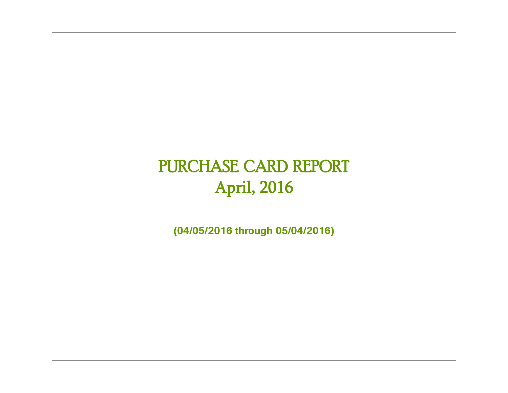# PURCHASE CARD REPORT April, 2016

**(04/05/2016 through 05/04/2016)**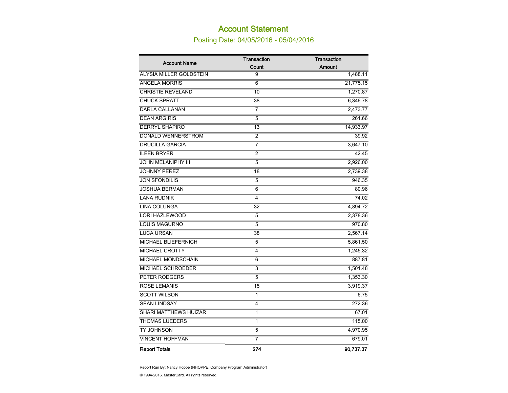# Account Statement

Posting Date: 04/05/2016 - 05/04/2016

| <b>Account Name</b>            | <b>Transaction</b> | <b>Transaction</b> |
|--------------------------------|--------------------|--------------------|
|                                | Count              | Amount             |
| <b>ALYSIA MILLER GOLDSTEIN</b> | 9                  | 1,488.11           |
| <b>ANGELA MORRIS</b>           | 6                  | 21,775.15          |
| <b>CHRISTIE REVELAND</b>       | 10                 | 1,270.87           |
| <b>CHUCK SPRATT</b>            | 38                 | 6,346.78           |
| <b>DARLA CALLANAN</b>          | 7                  | 2,473.77           |
| <b>DEAN ARGIRIS</b>            | 5                  | 261.66             |
| <b>DERRYL SHAPIRO</b>          | 13                 | 14,933.97          |
| <b>DONALD WENNERSTROM</b>      | 2                  | 39.92              |
| <b>DRUCILLA GARCIA</b>         | $\overline{7}$     | 3,647.10           |
| <b>ILEEN BRYER</b>             | $\overline{2}$     | 42.45              |
| <b>JOHN MELANIPHY III</b>      | 5                  | 2,926.00           |
| <b>JOHNNY PEREZ</b>            | 18                 | 2,739.38           |
| <b>JON SFONDILIS</b>           | 5                  | 946.35             |
| <b>JOSHUA BERMAN</b>           | 6                  | 80.96              |
| <b>LANA RUDNIK</b>             | $\overline{4}$     | 74.02              |
| <b>LINA COLUNGA</b>            | 32                 | 4,894.72           |
| <b>LORI HAZLEWOOD</b>          | 5                  | 2,378.36           |
| <b>LOUIS MAGURNO</b>           | $\overline{5}$     | 970.80             |
| <b>LUCA URSAN</b>              | 38                 | 2,567.14           |
| <b>MICHAEL BLIEFERNICH</b>     | 5                  | 5,861.50           |
| <b>MICHAEL CROTTY</b>          | 4                  | 1,245.32           |
| MICHAEL MONDSCHAIN             | 6                  | 887.81             |
| <b>MICHAEL SCHROEDER</b>       | $\overline{3}$     | 1,501.48           |
| <b>PETER RODGERS</b>           | 5                  | 1,353.30           |
| <b>ROSE LEMANIS</b>            | 15                 | 3,919.37           |
| <b>SCOTT WILSON</b>            | 1                  | 6.75               |
| <b>SEAN LINDSAY</b>            | 4                  | 272.36             |
| <b>SHARI MATTHEWS HUIZAR</b>   | 1                  | 67.01              |
| <b>THOMAS LUEDERS</b>          | $\overline{1}$     | 115.00             |
| TY JOHNSON                     | 5                  | 4,970.95           |
| <b>VINCENT HOFFMAN</b>         | 7                  | 679.01             |
| <b>Report Totals</b>           | 274                | 90.737.37          |

Report Run By: Nancy Hoppe (NHOPPE, Company Program Administrator)

© 1994-2016. MasterCard. All rights reserved.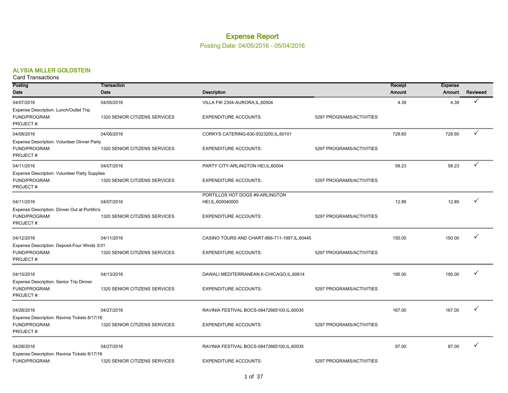# Expense Report

#### Posting Date: 04/05/2016 - 05/04/2016

#### ALYSIA MILLER GOLDSTEIN

| Posting                                              | Transaction                   |                                                       |                          | Receipt | <b>Expense</b> |              |
|------------------------------------------------------|-------------------------------|-------------------------------------------------------|--------------------------|---------|----------------|--------------|
| Date                                                 | Date                          | <b>Description</b>                                    |                          | Amount  | Amount         | Reviewed     |
| 04/07/2016                                           | 04/05/2016                    | VILLA FIK 2304-AURORA, IL, 60504                      |                          | 4.39    | 4.39           |              |
| Expense Description: Lunch/Outlet Trip               |                               |                                                       |                          |         |                |              |
| FUND/PROGRAM:<br>PROJECT#:                           | 1320 SENIOR CITIZENS SERVICES | <b>EXPENDITURE ACCOUNTS:</b>                          | 5297 PROGRAMS/ACTIVITIES |         |                |              |
|                                                      |                               |                                                       |                          |         |                |              |
| 04/08/2016                                           | 04/06/2016                    | CORKYS CATERING-630-9323200, IL, 60101                |                          | 728.60  | 728.60         | $\checkmark$ |
| Expense Description: Volunteer Dinner Party          |                               |                                                       |                          |         |                |              |
| FUND/PROGRAM:<br>PROJECT#:                           | 1320 SENIOR CITIZENS SERVICES | <b>EXPENDITURE ACCOUNTS:</b>                          | 5297 PROGRAMS/ACTIVITIES |         |                |              |
| 04/11/2016                                           | 04/07/2016                    | PARTY CITY-ARLINGTON HEI, IL, 60004                   |                          | 58.23   | 58.23          | ✓            |
| <b>Expense Description: Volunteer Party Supplies</b> |                               |                                                       |                          |         |                |              |
| FUND/PROGRAM:                                        | 1320 SENIOR CITIZENS SERVICES | <b>EXPENDITURE ACCOUNTS:</b>                          | 5297 PROGRAMS/ACTIVITIES |         |                |              |
| PROJECT#:                                            |                               |                                                       |                          |         |                |              |
| 04/11/2016                                           | 04/07/2016                    | PORTILLOS HOT DOGS #9-ARLINGTON<br>HEI, IL, 600040000 |                          | 12.89   | 12.89          |              |
| Expense Description: Dinner Out at Portillo's        |                               |                                                       |                          |         |                |              |
| FUND/PROGRAM:                                        | 1320 SENIOR CITIZENS SERVICES | <b>EXPENDITURE ACCOUNTS:</b>                          | 5297 PROGRAMS/ACTIVITIES |         |                |              |
| PROJECT#:                                            |                               |                                                       |                          |         |                |              |
| 04/12/2016                                           | 04/11/2016                    | CASINO TOURS AND CHART-866-711-1997, IL, 60445        |                          | 150.00  | 150.00         |              |
| Expense Description: Deposit-Four Winds 3/31         |                               |                                                       |                          |         |                |              |
| FUND/PROGRAM:                                        | 1320 SENIOR CITIZENS SERVICES | <b>EXPENDITURE ACCOUNTS:</b>                          | 5297 PROGRAMS/ACTIVITIES |         |                |              |
| PROJECT#:                                            |                               |                                                       |                          |         |                |              |
| 04/15/2016                                           | 04/13/2016                    | DAWALI MEDITERRANEAN K-CHICAGO, IL, 60614             |                          | 195.00  | 195.00         | ✓            |
| Expense Description: Senior Trip Dinner              |                               |                                                       |                          |         |                |              |
| FUND/PROGRAM:                                        | 1320 SENIOR CITIZENS SERVICES | <b>EXPENDITURE ACCOUNTS:</b>                          | 5297 PROGRAMS/ACTIVITIES |         |                |              |
| PROJECT#:                                            |                               |                                                       |                          |         |                |              |
| 04/28/2016                                           | 04/27/2016                    | RAVINIA FESTIVAL BOCS-08472665100, IL, 60035          |                          | 167.00  | 167.00         |              |
| Expense Description: Ravinia Tickets 8/17/16         |                               |                                                       |                          |         |                |              |
| FUND/PROGRAM:                                        | 1320 SENIOR CITIZENS SERVICES | <b>EXPENDITURE ACCOUNTS:</b>                          | 5297 PROGRAMS/ACTIVITIES |         |                |              |
| PROJECT#:                                            |                               |                                                       |                          |         |                |              |
| 04/28/2016                                           | 04/27/2016                    | RAVINIA FESTIVAL BOCS-08472665100, IL, 60035          |                          | 87.00   | 87.00          |              |
| Expense Description: Ravinia Tickets 8/17/16         |                               |                                                       |                          |         |                |              |
| FUND/PROGRAM:                                        | 1320 SENIOR CITIZENS SERVICES | <b>EXPENDITURE ACCOUNTS:</b>                          | 5297 PROGRAMS/ACTIVITIES |         |                |              |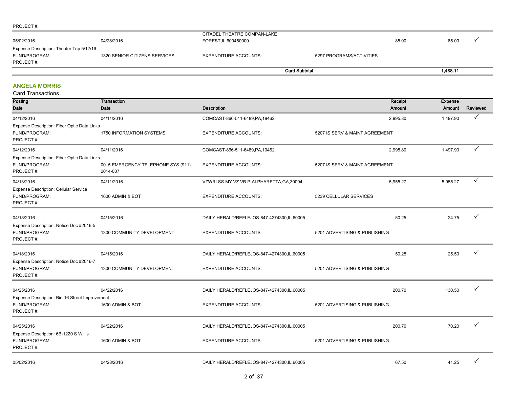#### PROJECT #:

| 1.488.11<br><b>Card Subtotal</b>                                                                                                                                     |       |  |
|----------------------------------------------------------------------------------------------------------------------------------------------------------------------|-------|--|
| Expense Description: Theater Trip 5/12/16<br>1320 SENIOR CITIZENS SERVICES<br><b>EXPENDITURE ACCOUNTS:</b><br>FUND/PROGRAM:<br>5297 PROGRAMS/ACTIVITIES<br>PROJECT#: |       |  |
| CITADEL THEATRE COMPAN-LAKE<br>05/02/2016<br>FOREST, IL, 600450000<br>04/28/2016<br>85.00                                                                            | 85.00 |  |

and the

#### ANGELA MORRIS

| Posting                                        | Transaction                        |                                              |                                | Receipt  | <b>Expense</b> |          |
|------------------------------------------------|------------------------------------|----------------------------------------------|--------------------------------|----------|----------------|----------|
| Date                                           | Date                               | <b>Description</b>                           |                                | Amount   | Amount         | Reviewed |
| 04/12/2016                                     | 04/11/2016                         | COMCAST-866-511-6489, PA, 19462              |                                | 2,995.80 | 1,497.90       | ✓        |
| Expense Description: Fiber Optic Data Links    |                                    |                                              |                                |          |                |          |
| FUND/PROGRAM:                                  | 1750 INFORMATION SYSTEMS           | <b>EXPENDITURE ACCOUNTS:</b>                 | 5207 IS SERV & MAINT AGREEMENT |          |                |          |
| PROJECT#:                                      |                                    |                                              |                                |          |                |          |
| 04/12/2016                                     | 04/11/2016                         | COMCAST-866-511-6489, PA, 19462              |                                | 2,995.80 | 1,497.90       |          |
| Expense Description: Fiber Optic Data Links    |                                    |                                              |                                |          |                |          |
| FUND/PROGRAM:                                  | 0015 EMERGENCY TELEPHONE SYS (911) | <b>EXPENDITURE ACCOUNTS:</b>                 | 5207 IS SERV & MAINT AGREEMENT |          |                |          |
| PROJECT#:                                      | 2014-037                           |                                              |                                |          |                |          |
| 04/13/2016                                     | 04/11/2016                         | VZWRLSS MY VZ VB P-ALPHARETTA, GA, 30004     |                                | 5,955.27 | 5,955.27       | ✓        |
| Expense Description: Cellular Service          |                                    |                                              |                                |          |                |          |
| FUND/PROGRAM:                                  | 1600 ADMIN & BOT                   | <b>EXPENDITURE ACCOUNTS:</b>                 | 5239 CELLULAR SERVICES         |          |                |          |
| PROJECT#:                                      |                                    |                                              |                                |          |                |          |
|                                                |                                    |                                              |                                | 50.25    | 24.75          |          |
| 04/18/2016                                     | 04/15/2016                         | DAILY HERALD/REFLEJOS-847-4274300,IL,60005   |                                |          |                |          |
| Expense Description: Notice Doc #2016-5        |                                    |                                              |                                |          |                |          |
| FUND/PROGRAM:<br>PROJECT#:                     | 1300 COMMUNITY DEVELOPMENT         | <b>EXPENDITURE ACCOUNTS:</b>                 | 5201 ADVERTISING & PUBLISHING  |          |                |          |
|                                                |                                    |                                              |                                |          |                |          |
| 04/18/2016                                     | 04/15/2016                         | DAILY HERALD/REFLEJOS-847-4274300,IL,60005   |                                | 50.25    | 25.50          |          |
| Expense Description: Notice Doc #2016-7        |                                    |                                              |                                |          |                |          |
| FUND/PROGRAM:                                  | 1300 COMMUNITY DEVELOPMENT         | <b>EXPENDITURE ACCOUNTS:</b>                 | 5201 ADVERTISING & PUBLISHING  |          |                |          |
| PROJECT#:                                      |                                    |                                              |                                |          |                |          |
|                                                |                                    |                                              |                                |          |                |          |
| 04/25/2016                                     | 04/22/2016                         | DAILY HERALD/REFLEJOS-847-4274300, IL, 60005 |                                | 200.70   | 130.50         |          |
| Expense Description: Bid-16 Street Improvement |                                    |                                              |                                |          |                |          |
| FUND/PROGRAM:<br>PROJECT#:                     | 1600 ADMIN & BOT                   | <b>EXPENDITURE ACCOUNTS:</b>                 | 5201 ADVERTISING & PUBLISHING  |          |                |          |
|                                                |                                    |                                              |                                |          |                |          |
| 04/25/2016                                     | 04/22/2016                         | DAILY HERALD/REFLEJOS-847-4274300, IL, 60005 |                                | 200.70   | 70.20          |          |
| Expense Description: 6B-1220 S Willis          |                                    |                                              |                                |          |                |          |
| FUND/PROGRAM:                                  | 1600 ADMIN & BOT                   | <b>EXPENDITURE ACCOUNTS:</b>                 | 5201 ADVERTISING & PUBLISHING  |          |                |          |
| PROJECT#:                                      |                                    |                                              |                                |          |                |          |
|                                                |                                    |                                              |                                |          |                |          |
| 05/02/2016                                     | 04/28/2016                         | DAILY HERALD/REFLEJOS-847-4274300,IL,60005   |                                | 67.50    | 41.25          |          |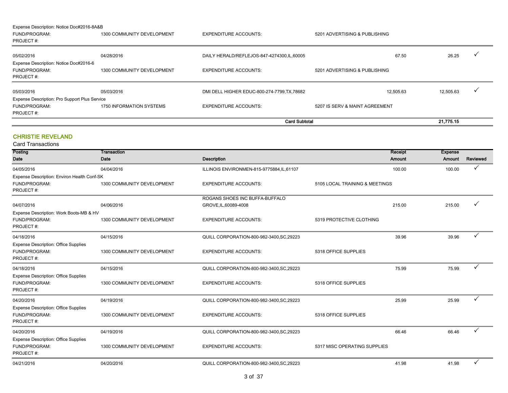| Expense Description: Notice Doc#2016-8A&B     |                                   |                                              |                                |           |  |  |  |  |  |  |  |  |
|-----------------------------------------------|-----------------------------------|----------------------------------------------|--------------------------------|-----------|--|--|--|--|--|--|--|--|
| FUND/PROGRAM:                                 | 1300 COMMUNITY DEVELOPMENT        | <b>EXPENDITURE ACCOUNTS:</b>                 | 5201 ADVERTISING & PUBLISHING  |           |  |  |  |  |  |  |  |  |
| PROJECT#:                                     |                                   |                                              |                                |           |  |  |  |  |  |  |  |  |
| 05/02/2016                                    | 04/28/2016                        | DAILY HERALD/REFLEJOS-847-4274300, IL, 60005 | 67.50                          | 26.25     |  |  |  |  |  |  |  |  |
| Expense Description: Notice Doc#2016-6        |                                   |                                              |                                |           |  |  |  |  |  |  |  |  |
| FUND/PROGRAM:                                 | 1300 COMMUNITY DEVELOPMENT        | <b>EXPENDITURE ACCOUNTS:</b>                 | 5201 ADVERTISING & PUBLISHING  |           |  |  |  |  |  |  |  |  |
| PROJECT#:                                     |                                   |                                              |                                |           |  |  |  |  |  |  |  |  |
| 05/03/2016                                    | 05/03/2016                        | DMI DELL HIGHER EDUC-800-274-7799, TX, 78682 | 12,505.63                      | 12,505.63 |  |  |  |  |  |  |  |  |
| Expense Description: Pro Support Plus Service |                                   |                                              |                                |           |  |  |  |  |  |  |  |  |
| FUND/PROGRAM:                                 | 1750 INFORMATION SYSTEMS          | <b>EXPENDITURE ACCOUNTS:</b>                 | 5207 IS SERV & MAINT AGREEMENT |           |  |  |  |  |  |  |  |  |
| PROJECT#:                                     |                                   |                                              |                                |           |  |  |  |  |  |  |  |  |
|                                               | <b>Card Subtotal</b><br>21.775.15 |                                              |                                |           |  |  |  |  |  |  |  |  |

#### CHRISTIE REVELAND

| Posting                                     | Transaction                |                                           |                                | Receipt       | <b>Expense</b> |              |
|---------------------------------------------|----------------------------|-------------------------------------------|--------------------------------|---------------|----------------|--------------|
| Date                                        | Date                       | <b>Description</b>                        |                                | <b>Amount</b> | Amount         | Reviewed     |
| 04/05/2016                                  | 04/04/2016                 | ILLINOIS ENVIRONMEN-815-9775884,IL,61107  |                                | 100.00        | 100.00         |              |
| Expense Description: Environ Health Conf-SK |                            |                                           |                                |               |                |              |
| FUND/PROGRAM:                               | 1300 COMMUNITY DEVELOPMENT | <b>EXPENDITURE ACCOUNTS:</b>              | 5105 LOCAL TRAINING & MEETINGS |               |                |              |
| PROJECT#:                                   |                            |                                           |                                |               |                |              |
|                                             |                            | ROGANS SHOES INC BUFFA-BUFFALO            |                                |               |                |              |
| 04/07/2016                                  | 04/06/2016                 | GROVE, IL, 60089-4008                     |                                | 215.00        | 215.00         |              |
| Expense Description: Work Boots-MB & HV     |                            |                                           |                                |               |                |              |
| FUND/PROGRAM:<br>PROJECT#:                  | 1300 COMMUNITY DEVELOPMENT | <b>EXPENDITURE ACCOUNTS:</b>              | 5319 PROTECTIVE CLOTHING       |               |                |              |
| 04/18/2016                                  | 04/15/2016                 | QUILL CORPORATION-800-982-3400, SC, 29223 |                                | 39.96         | 39.96          | ✓            |
| <b>Expense Description: Office Supplies</b> |                            |                                           |                                |               |                |              |
| FUND/PROGRAM:                               | 1300 COMMUNITY DEVELOPMENT | <b>EXPENDITURE ACCOUNTS:</b>              | 5318 OFFICE SUPPLIES           |               |                |              |
| PROJECT#:                                   |                            |                                           |                                |               |                |              |
| 04/18/2016                                  | 04/15/2016                 | QUILL CORPORATION-800-982-3400, SC, 29223 |                                | 75.99         | 75.99          | ✓            |
| <b>Expense Description: Office Supplies</b> |                            |                                           |                                |               |                |              |
| FUND/PROGRAM:                               | 1300 COMMUNITY DEVELOPMENT | <b>EXPENDITURE ACCOUNTS:</b>              | 5318 OFFICE SUPPLIES           |               |                |              |
| PROJECT#:                                   |                            |                                           |                                |               |                |              |
| 04/20/2016                                  | 04/19/2016                 | QUILL CORPORATION-800-982-3400, SC, 29223 |                                | 25.99         | 25.99          | ✓            |
| <b>Expense Description: Office Supplies</b> |                            |                                           |                                |               |                |              |
| FUND/PROGRAM:                               | 1300 COMMUNITY DEVELOPMENT | <b>EXPENDITURE ACCOUNTS:</b>              | 5318 OFFICE SUPPLIES           |               |                |              |
| PROJECT#:                                   |                            |                                           |                                |               |                |              |
| 04/20/2016                                  | 04/19/2016                 | QUILL CORPORATION-800-982-3400, SC, 29223 |                                | 66.46         | 66.46          | $\checkmark$ |
| <b>Expense Description: Office Supplies</b> |                            |                                           |                                |               |                |              |
| FUND/PROGRAM:                               | 1300 COMMUNITY DEVELOPMENT | <b>EXPENDITURE ACCOUNTS:</b>              | 5317 MISC OPERATING SUPPLIES   |               |                |              |
| PROJECT#:                                   |                            |                                           |                                |               |                |              |
| 04/21/2016                                  | 04/20/2016                 | QUILL CORPORATION-800-982-3400, SC, 29223 |                                | 41.98         | 41.98          |              |
|                                             |                            |                                           |                                |               |                |              |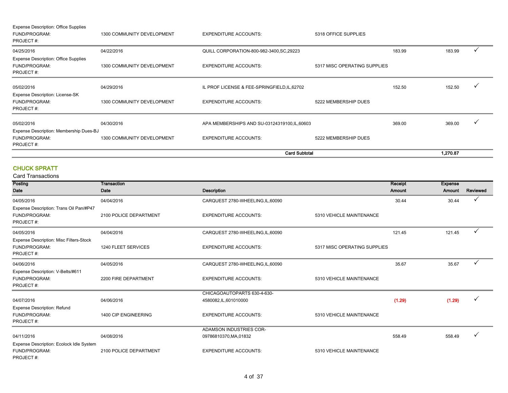|                                                              |                            |                                               | <b>Card Subtotal</b>         |        | 1,270.87 |              |
|--------------------------------------------------------------|----------------------------|-----------------------------------------------|------------------------------|--------|----------|--------------|
| FUND/PROGRAM:<br>PROJECT#:                                   | 1300 COMMUNITY DEVELOPMENT | <b>EXPENDITURE ACCOUNTS:</b>                  | 5222 MEMBERSHIP DUES         |        |          |              |
| Expense Description: Membership Dues-BJ                      |                            |                                               |                              |        |          |              |
| 05/02/2016                                                   | 04/30/2016                 | APA MEMBERSHIPS AND SU-03124319100, IL, 60603 |                              | 369.00 | 369.00   | $\checkmark$ |
| FUND/PROGRAM:<br>PROJECT#:                                   | 1300 COMMUNITY DEVELOPMENT | <b>EXPENDITURE ACCOUNTS:</b>                  | 5222 MEMBERSHIP DUES         |        |          |              |
| Expense Description: License-SK                              |                            |                                               |                              |        |          |              |
| 05/02/2016                                                   | 04/29/2016                 | IL PROF LICENSE & FEE-SPRINGFIELD, IL, 62702  |                              | 152.50 | 152.50   | $\checkmark$ |
| PROJECT#:                                                    |                            |                                               |                              |        |          |              |
| <b>Expense Description: Office Supplies</b><br>FUND/PROGRAM: | 1300 COMMUNITY DEVELOPMENT | <b>EXPENDITURE ACCOUNTS:</b>                  | 5317 MISC OPERATING SUPPLIES |        |          |              |
| 04/25/2016                                                   | 04/22/2016                 | QUILL CORPORATION-800-982-3400, SC, 29223     |                              | 183.99 | 183.99   | $\checkmark$ |
| FUND/PROGRAM:<br>PROJECT#:                                   | 1300 COMMUNITY DEVELOPMENT | <b>EXPENDITURE ACCOUNTS:</b>                  | 5318 OFFICE SUPPLIES         |        |          |              |
| <b>Expense Description: Office Supplies</b>                  |                            |                                               |                              |        |          |              |

#### CHUCK SPRATT

| Posting                                                               | Transaction            |                                   |                              | Receipt       | <b>Expense</b> |              |
|-----------------------------------------------------------------------|------------------------|-----------------------------------|------------------------------|---------------|----------------|--------------|
| <b>Date</b>                                                           | Date                   | <b>Description</b>                |                              | <b>Amount</b> | Amount         | Reviewed     |
| 04/05/2016                                                            | 04/04/2016             | CARQUEST 2780-WHEELING,IL,60090   |                              | 30.44         | 30.44          | ✓            |
| Expense Description: Trans Oil Pan/#P47<br>FUND/PROGRAM:<br>PROJECT#: | 2100 POLICE DEPARTMENT | <b>EXPENDITURE ACCOUNTS:</b>      | 5310 VEHICLE MAINTENANCE     |               |                |              |
| 04/05/2016                                                            | 04/04/2016             | CARQUEST 2780-WHEELING,IL,60090   |                              | 121.45        | 121.45         | ✓            |
| Expense Description: Misc Filters-Stock<br>FUND/PROGRAM:<br>PROJECT#: | 1240 FLEET SERVICES    | <b>EXPENDITURE ACCOUNTS:</b>      | 5317 MISC OPERATING SUPPLIES |               |                |              |
| 04/06/2016                                                            | 04/05/2016             | CARQUEST 2780-WHEELING, IL, 60090 |                              | 35.67         | 35.67          | ✓            |
| Expense Description: V-Belts/#611<br>FUND/PROGRAM:<br>PROJECT#:       | 2200 FIRE DEPARTMENT   | <b>EXPENDITURE ACCOUNTS:</b>      | 5310 VEHICLE MAINTENANCE     |               |                |              |
|                                                                       |                        | CHICAGOAUTOPARTS 630-4-630-       |                              |               |                |              |
| 04/07/2016                                                            | 04/06/2016             | 4580082, IL, 601010000            |                              | (1.29)        | (1.29)         | $\checkmark$ |
| <b>Expense Description: Refund</b><br>FUND/PROGRAM:<br>PROJECT#:      | 1400 CIP ENGINEERING   | <b>EXPENDITURE ACCOUNTS:</b>      | 5310 VEHICLE MAINTENANCE     |               |                |              |
|                                                                       |                        | ADAMSON INDUSTRIES COR-           |                              |               |                |              |
| 04/11/2016                                                            | 04/08/2016             | 09786810370, MA, 01832            |                              | 558.49        | 558.49         |              |
| Expense Description: Ecolock Idle System                              |                        |                                   |                              |               |                |              |
| FUND/PROGRAM:                                                         | 2100 POLICE DEPARTMENT | <b>EXPENDITURE ACCOUNTS:</b>      | 5310 VEHICLE MAINTENANCE     |               |                |              |
| PROJECT#:                                                             |                        |                                   |                              |               |                |              |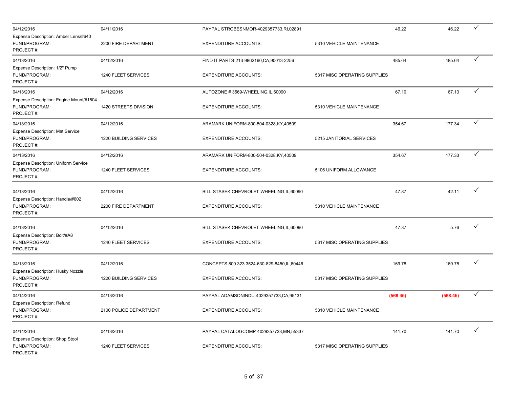| 04/12/2016                                                            | 04/11/2016             | PAYPAL STROBESNMOR-4029357733,RI,02891        | 46.22                        | 46.22    | $\checkmark$ |
|-----------------------------------------------------------------------|------------------------|-----------------------------------------------|------------------------------|----------|--------------|
| Expense Description: Amber Lens/#640<br>FUND/PROGRAM:<br>PROJECT#:    | 2200 FIRE DEPARTMENT   | <b>EXPENDITURE ACCOUNTS:</b>                  | 5310 VEHICLE MAINTENANCE     |          |              |
| 04/13/2016                                                            | 04/12/2016             | FIND IT PARTS-213-9862160, CA, 90013-2256     | 485.64                       | 485.64   | ✓            |
| Expense Description: 1/2" Pump<br>FUND/PROGRAM:<br>PROJECT#:          | 1240 FLEET SERVICES    | <b>EXPENDITURE ACCOUNTS:</b>                  | 5317 MISC OPERATING SUPPLIES |          |              |
| 04/13/2016                                                            | 04/12/2016             | AUTOZONE #3569-WHEELING,IL,60090              | 67.10                        | 67.10    | $\checkmark$ |
| Expense Description: Engine Mount/#1504<br>FUND/PROGRAM:<br>PROJECT#: | 1420 STREETS DIVISION  | <b>EXPENDITURE ACCOUNTS:</b>                  | 5310 VEHICLE MAINTENANCE     |          |              |
| 04/13/2016                                                            | 04/12/2016             | ARAMARK UNIFORM-800-504-0328,KY,40509         | 354.67                       | 177.34   | $\checkmark$ |
| Expense Description: Mat Service<br>FUND/PROGRAM:<br>PROJECT#:        | 1220 BUILDING SERVICES | <b>EXPENDITURE ACCOUNTS:</b>                  | 5215 JANITORIAL SERVICES     |          |              |
| 04/13/2016                                                            | 04/12/2016             | ARAMARK UNIFORM-800-504-0328,KY,40509         | 354.67                       | 177.33   | $\checkmark$ |
| Expense Description: Uniform Service<br>FUND/PROGRAM:<br>PROJECT#:    | 1240 FLEET SERVICES    | <b>EXPENDITURE ACCOUNTS:</b>                  | 5106 UNIFORM ALLOWANCE       |          |              |
| 04/13/2016                                                            | 04/12/2016             | BILL STASEK CHEVROLET-WHEELING, IL, 60090     | 47.87                        | 42.11    | ✓            |
| Expense Description: Handle/#602<br>FUND/PROGRAM:<br>PROJECT#:        | 2200 FIRE DEPARTMENT   | <b>EXPENDITURE ACCOUNTS:</b>                  | 5310 VEHICLE MAINTENANCE     |          |              |
| 04/13/2016                                                            | 04/12/2016             | BILL STASEK CHEVROLET-WHEELING, IL, 60090     | 47.87                        | 5.76     | ✓            |
| Expense Description: Bolt/#A8<br>FUND/PROGRAM:<br>PROJECT#:           | 1240 FLEET SERVICES    | <b>EXPENDITURE ACCOUNTS:</b>                  | 5317 MISC OPERATING SUPPLIES |          |              |
| 04/13/2016                                                            | 04/12/2016             | CONCEPTS 800 323 3524-630-829-8450, IL, 60446 | 169.78                       | 169.78   | ✓            |
| Expense Description: Husky Nozzle<br>FUND/PROGRAM:<br>PROJECT#:       | 1220 BUILDING SERVICES | <b>EXPENDITURE ACCOUNTS:</b>                  | 5317 MISC OPERATING SUPPLIES |          |              |
| 04/14/2016                                                            | 04/13/2016             | PAYPAL ADAMSONINDU-4029357733,CA,95131        | (568.45)                     | (568.45) | $\checkmark$ |
| <b>Expense Description: Refund</b><br>FUND/PROGRAM:<br>PROJECT#:      | 2100 POLICE DEPARTMENT | <b>EXPENDITURE ACCOUNTS:</b>                  | 5310 VEHICLE MAINTENANCE     |          |              |
| 04/14/2016                                                            | 04/13/2016             | PAYPAL CATALOGCOMP-4029357733,MN,55337        | 141.70                       | 141.70   | $\checkmark$ |
| Expense Description: Shop Stool<br>FUND/PROGRAM:<br>PROJECT#:         | 1240 FLEET SERVICES    | <b>EXPENDITURE ACCOUNTS:</b>                  | 5317 MISC OPERATING SUPPLIES |          |              |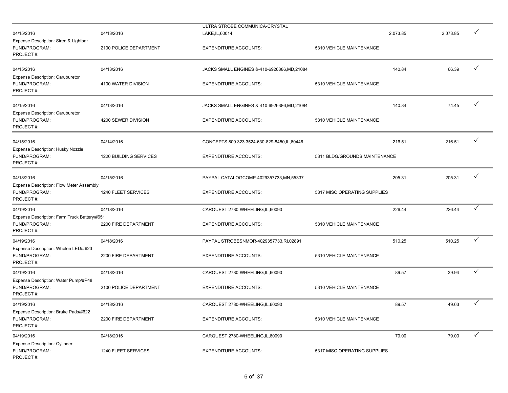| 04/15/2016                                                                 | 04/13/2016             | ULTRA STROBE COMMUNICA-CRYSTAL<br>LAKE, IL, 60014 |                               | 2,073.85 | 2,073.85 | ✓            |
|----------------------------------------------------------------------------|------------------------|---------------------------------------------------|-------------------------------|----------|----------|--------------|
| Expense Description: Siren & Lightbar<br>FUND/PROGRAM:<br>PROJECT#:        | 2100 POLICE DEPARTMENT | <b>EXPENDITURE ACCOUNTS:</b>                      | 5310 VEHICLE MAINTENANCE      |          |          |              |
| 04/15/2016                                                                 | 04/13/2016             | JACKS SMALL ENGINES &-410-6926386.MD.21084        |                               | 140.84   | 66.39    | ✓            |
| Expense Description: Caruburetor<br>FUND/PROGRAM:<br>PROJECT#:             | 4100 WATER DIVISION    | <b>EXPENDITURE ACCOUNTS:</b>                      | 5310 VEHICLE MAINTENANCE      |          |          |              |
| 04/15/2016                                                                 | 04/13/2016             | JACKS SMALL ENGINES &-410-6926386, MD, 21084      |                               | 140.84   | 74.45    | ✓            |
| <b>Expense Description: Caruburetor</b><br>FUND/PROGRAM:<br>PROJECT#:      | 4200 SEWER DIVISION    | <b>EXPENDITURE ACCOUNTS:</b>                      | 5310 VEHICLE MAINTENANCE      |          |          |              |
| 04/15/2016                                                                 | 04/14/2016             | CONCEPTS 800 323 3524-630-829-8450, IL, 60446     |                               | 216.51   | 216.51   | ✓            |
| Expense Description: Husky Nozzle<br>FUND/PROGRAM:<br>PROJECT#:            | 1220 BUILDING SERVICES | <b>EXPENDITURE ACCOUNTS:</b>                      | 5311 BLDG/GROUNDS MAINTENANCE |          |          |              |
| 04/18/2016                                                                 | 04/15/2016             | PAYPAL CATALOGCOMP-4029357733,MN,55337            |                               | 205.31   | 205.31   | ✓            |
| Expense Description: Flow Meter Assembly<br>FUND/PROGRAM:<br>PROJECT#:     | 1240 FLEET SERVICES    | <b>EXPENDITURE ACCOUNTS:</b>                      | 5317 MISC OPERATING SUPPLIES  |          |          |              |
| 04/19/2016                                                                 | 04/18/2016             | CARQUEST 2780-WHEELING, IL, 60090                 |                               | 226.44   | 226.44   | $\checkmark$ |
| Expense Description: Farm Truck Battery/#651<br>FUND/PROGRAM:<br>PROJECT#: | 2200 FIRE DEPARTMENT   | <b>EXPENDITURE ACCOUNTS:</b>                      | 5310 VEHICLE MAINTENANCE      |          |          |              |
| 04/19/2016                                                                 | 04/18/2016             | PAYPAL STROBESNMOR-4029357733,RI,02891            |                               | 510.25   | 510.25   | ✓            |
| Expense Description: Whelen LED/#623<br>FUND/PROGRAM:<br>PROJECT#:         | 2200 FIRE DEPARTMENT   | <b>EXPENDITURE ACCOUNTS:</b>                      | 5310 VEHICLE MAINTENANCE      |          |          |              |
| 04/19/2016                                                                 | 04/18/2016             | CARQUEST 2780-WHEELING, IL, 60090                 |                               | 89.57    | 39.94    | ✓            |
| Expense Description: Water Pump/#P48<br>FUND/PROGRAM:<br>PROJECT#:         | 2100 POLICE DEPARTMENT | <b>EXPENDITURE ACCOUNTS:</b>                      | 5310 VEHICLE MAINTENANCE      |          |          |              |
| 04/19/2016                                                                 | 04/18/2016             | CARQUEST 2780-WHEELING, IL, 60090                 |                               | 89.57    | 49.63    | $\checkmark$ |
| Expense Description: Brake Pads/#622<br>FUND/PROGRAM:<br>PROJECT#:         | 2200 FIRE DEPARTMENT   | <b>EXPENDITURE ACCOUNTS:</b>                      | 5310 VEHICLE MAINTENANCE      |          |          |              |
| 04/19/2016                                                                 | 04/18/2016             | CARQUEST 2780-WHEELING, IL, 60090                 |                               | 79.00    | 79.00    | $\checkmark$ |
| <b>Expense Description: Cylinder</b><br>FUND/PROGRAM:<br>PROJECT#:         | 1240 FLEET SERVICES    | <b>EXPENDITURE ACCOUNTS:</b>                      | 5317 MISC OPERATING SUPPLIES  |          |          |              |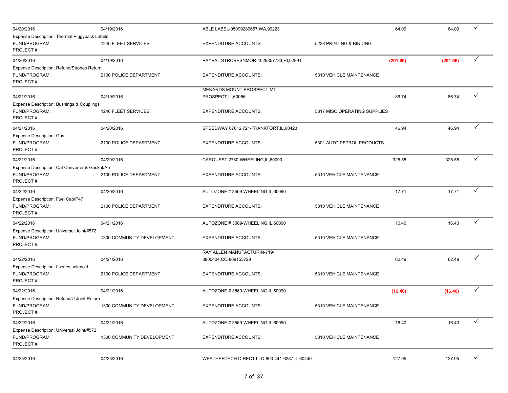| 04/20/2016                                                                   | 04/19/2016                 | ABLE LABEL-05099289657, WA, 99223                     |                              | 64.09    | 64.09    | $\checkmark$ |  |
|------------------------------------------------------------------------------|----------------------------|-------------------------------------------------------|------------------------------|----------|----------|--------------|--|
| Expense Description: Thermal Piggyback Labels<br>FUND/PROGRAM:<br>PROJECT#:  | 1240 FLEET SERVICES        | <b>EXPENDITURE ACCOUNTS:</b>                          | 5228 PRINTING & BINDING      |          |          |              |  |
| 04/20/2016                                                                   | 04/19/2016                 | PAYPAL STROBESNMOR-4029357733,RI,02891                |                              | (291.96) | (291.96) | $\checkmark$ |  |
| Expense Description: Refund/Strobes Return<br>FUND/PROGRAM:<br>PROJECT#:     | 2100 POLICE DEPARTMENT     | <b>EXPENDITURE ACCOUNTS:</b>                          | 5310 VEHICLE MAINTENANCE     |          |          |              |  |
|                                                                              |                            | MENARDS MOUNT PROSPECT-MT                             |                              |          |          | ✓            |  |
| 04/21/2016                                                                   | 04/19/2016                 | PROSPECT, IL, 60056                                   |                              | 86.74    | 86.74    |              |  |
| Expense Description: Bushings & Couplings<br>FUND/PROGRAM:<br>PROJECT#:      | 1240 FLEET SERVICES        | <b>EXPENDITURE ACCOUNTS:</b>                          | 5317 MISC OPERATING SUPPLIES |          |          |              |  |
| 04/21/2016                                                                   | 04/20/2016                 | SPEEDWAY 07612 721-FRANKFORT, IL, 60423               |                              | 46.94    | 46.94    | $\checkmark$ |  |
| Expense Description: Gas<br>FUND/PROGRAM:<br>PROJECT#:                       | 2100 POLICE DEPARTMENT     | <b>EXPENDITURE ACCOUNTS:</b>                          | 5301 AUTO PETROL PRODUCTS    |          |          |              |  |
| 04/21/2016                                                                   | 04/20/2016                 | CARQUEST 2780-WHEELING, IL, 60090                     |                              | 325.58   | 325.58   | $\checkmark$ |  |
| Expense Description: Cat Converter & Gasket/A5<br>FUND/PROGRAM:<br>PROJECT#: | 2100 POLICE DEPARTMENT     | <b>EXPENDITURE ACCOUNTS:</b>                          | 5310 VEHICLE MAINTENANCE     |          |          |              |  |
| 04/22/2016                                                                   | 04/20/2016                 | AUTOZONE #3569-WHEELING,IL,60090                      |                              | 17.71    | 17.71    | ✓            |  |
| Expense Description: Fuel Cap/P47<br>FUND/PROGRAM:<br>PROJECT#:              | 2100 POLICE DEPARTMENT     | <b>EXPENDITURE ACCOUNTS:</b>                          | 5310 VEHICLE MAINTENANCE     |          |          |              |  |
| 04/22/2016                                                                   | 04/21/2016                 | AUTOZONE #3569-WHEELING, IL, 60090                    |                              | 16.40    | 16.40    | $\checkmark$ |  |
| Expense Description: Universal Joint/#572<br>FUND/PROGRAM:<br>PROJECT #:     | 1300 COMMUNITY DEVELOPMENT | <b>EXPENDITURE ACCOUNTS:</b>                          | 5310 VEHICLE MAINTENANCE     |          |          |              |  |
| 04/22/2016<br>Expense Description: f series solenoid                         | 04/21/2016                 | RAY ALLEN MANUFACTURIN-719-<br>3800404, CO, 809153729 |                              | 62.49    | 62.49    | ✓            |  |
| FUND/PROGRAM:<br>PROJECT #:                                                  | 2100 POLICE DEPARTMENT     | <b>EXPENDITURE ACCOUNTS:</b>                          | 5310 VEHICLE MAINTENANCE     |          |          |              |  |
| 04/22/2016                                                                   | 04/21/2016                 | AUTOZONE #3569-WHEELING,IL,60090                      |                              | (16.40)  | (16.40)  | $\checkmark$ |  |
| Expense Description: Refund/U Joint Return<br>FUND/PROGRAM:<br>PROJECT #:    | 1300 COMMUNITY DEVELOPMENT | <b>EXPENDITURE ACCOUNTS:</b>                          | 5310 VEHICLE MAINTENANCE     |          |          |              |  |
| 04/22/2016                                                                   | 04/21/2016                 | AUTOZONE #3569-WHEELING, IL, 60090                    |                              | 16.40    | 16.40    | $\checkmark$ |  |
| Expense Description: Universal Joint/#572<br>FUND/PROGRAM:<br>PROJECT#:      | 1300 COMMUNITY DEVELOPMENT | <b>EXPENDITURE ACCOUNTS:</b>                          | 5310 VEHICLE MAINTENANCE     |          |          |              |  |
| 04/25/2016                                                                   | 04/23/2016                 | WEATHERTECH DIRECT LLC-800-441-6287,IL,60440          |                              | 127.95   | 127.95   | $\checkmark$ |  |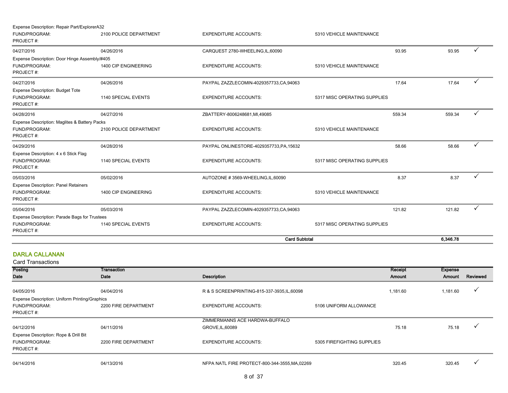| Expense Description: Repair Part/ExplorerA32  |                        |                                          |                              |          |              |
|-----------------------------------------------|------------------------|------------------------------------------|------------------------------|----------|--------------|
| FUND/PROGRAM:<br>PROJECT#:                    | 2100 POLICE DEPARTMENT | <b>EXPENDITURE ACCOUNTS:</b>             | 5310 VEHICLE MAINTENANCE     |          |              |
| 04/27/2016                                    | 04/26/2016             | CARQUEST 2780-WHEELING,IL,60090          | 93.95                        | 93.95    |              |
| Expense Description: Door Hinge Assembly/#405 |                        |                                          |                              |          |              |
| FUND/PROGRAM:<br>PROJECT#:                    | 1400 CIP ENGINEERING   | <b>EXPENDITURE ACCOUNTS:</b>             | 5310 VEHICLE MAINTENANCE     |          |              |
| 04/27/2016                                    | 04/26/2016             | PAYPAL ZAZZLECOMIN-4029357733,CA,94063   | 17.64                        | 17.64    |              |
| <b>Expense Description: Budget Tote</b>       |                        |                                          |                              |          |              |
| FUND/PROGRAM:<br>PROJECT#:                    | 1140 SPECIAL EVENTS    | <b>EXPENDITURE ACCOUNTS:</b>             | 5317 MISC OPERATING SUPPLIES |          |              |
| 04/28/2016                                    | 04/27/2016             | ZBATTERY-8006248681, MI, 49085           | 559.34                       | 559.34   |              |
| Expense Description: Maglites & Battery Packs |                        |                                          |                              |          |              |
| FUND/PROGRAM:<br>PROJECT#:                    | 2100 POLICE DEPARTMENT | <b>EXPENDITURE ACCOUNTS:</b>             | 5310 VEHICLE MAINTENANCE     |          |              |
| 04/29/2016                                    | 04/28/2016             | PAYPAL ONLINESTORE-4029357733, PA, 15632 | 58.66                        | 58.66    | ✓            |
| Expense Description: 4 x 6 Stick Flag         |                        |                                          |                              |          |              |
| FUND/PROGRAM:<br>PROJECT#:                    | 1140 SPECIAL EVENTS    | <b>EXPENDITURE ACCOUNTS:</b>             | 5317 MISC OPERATING SUPPLIES |          |              |
| 05/03/2016                                    | 05/02/2016             | AUTOZONE #3569-WHEELING,IL,60090         | 8.37                         | 8.37     |              |
| <b>Expense Description: Panel Retainers</b>   |                        |                                          |                              |          |              |
| FUND/PROGRAM:                                 | 1400 CIP ENGINEERING   | <b>EXPENDITURE ACCOUNTS:</b>             | 5310 VEHICLE MAINTENANCE     |          |              |
| PROJECT#:                                     |                        |                                          |                              |          |              |
| 05/04/2016                                    | 05/03/2016             | PAYPAL ZAZZLECOMIN-4029357733,CA,94063   | 121.82                       | 121.82   | $\checkmark$ |
| Expense Description: Parade Bags for Trustees |                        |                                          |                              |          |              |
| FUND/PROGRAM:<br>PROJECT#:                    | 1140 SPECIAL EVENTS    | <b>EXPENDITURE ACCOUNTS:</b>             | 5317 MISC OPERATING SUPPLIES |          |              |
|                                               |                        | <b>Card Subtotal</b>                     |                              | 6.346.78 |              |

## DARLA CALLANAN

| Posting                                        | Transaction          |                                                |                            | Receipt  | <b>Expense</b> |          |
|------------------------------------------------|----------------------|------------------------------------------------|----------------------------|----------|----------------|----------|
| Date                                           | Date                 | Description                                    |                            | Amount   | Amount         | Reviewed |
|                                                |                      |                                                |                            |          |                |          |
| 04/05/2016                                     | 04/04/2016           | R & S SCREENPRINTING-815-337-3935, IL, 60098   |                            | 1,181.60 | 1,181.60       |          |
| Expense Description: Uniform Printing/Graphics |                      |                                                |                            |          |                |          |
| FUND/PROGRAM:                                  | 2200 FIRE DEPARTMENT | <b>EXPENDITURE ACCOUNTS:</b>                   | 5106 UNIFORM ALLOWANCE     |          |                |          |
| PROJECT#:                                      |                      |                                                |                            |          |                |          |
|                                                |                      | ZIMMERMANNS ACE HARDWA-BUFFALO                 |                            |          |                |          |
| 04/12/2016                                     | 04/11/2016           | GROVE, IL, 60089                               |                            | 75.18    | 75.18          |          |
| Expense Description: Rope & Drill Bit          |                      |                                                |                            |          |                |          |
| FUND/PROGRAM:                                  | 2200 FIRE DEPARTMENT | <b>EXPENDITURE ACCOUNTS:</b>                   | 5305 FIREFIGHTING SUPPLIES |          |                |          |
| PROJECT#:                                      |                      |                                                |                            |          |                |          |
|                                                |                      |                                                |                            |          |                |          |
| 04/14/2016                                     | 04/13/2016           | NFPA NATL FIRE PROTECT-800-344-3555, MA, 02269 |                            | 320.45   | 320.45         |          |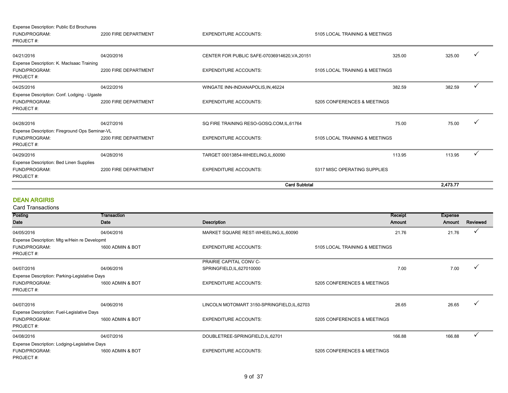| Expense Description: Public Ed Brochures       |                      |                                               |                                |          |   |
|------------------------------------------------|----------------------|-----------------------------------------------|--------------------------------|----------|---|
| FUND/PROGRAM:                                  | 2200 FIRE DEPARTMENT | <b>EXPENDITURE ACCOUNTS:</b>                  | 5105 LOCAL TRAINING & MEETINGS |          |   |
| PROJECT#:                                      |                      |                                               |                                |          |   |
| 04/21/2016                                     | 04/20/2016           | CENTER FOR PUBLIC SAFE-07036914620, VA, 20151 | 325.00                         | 325.00   |   |
| Expense Description: K. MacIsaac Training      |                      |                                               |                                |          |   |
| FUND/PROGRAM:<br>PROJECT#:                     | 2200 FIRE DEPARTMENT | <b>EXPENDITURE ACCOUNTS:</b>                  | 5105 LOCAL TRAINING & MEETINGS |          |   |
| 04/25/2016                                     | 04/22/2016           | WINGATE INN-INDIANAPOLIS, IN, 46224           | 382.59                         | 382.59   | ✓ |
| Expense Description: Conf. Lodging - Ugaste    |                      |                                               |                                |          |   |
| FUND/PROGRAM:                                  | 2200 FIRE DEPARTMENT | <b>EXPENDITURE ACCOUNTS:</b>                  | 5205 CONFERENCES & MEETINGS    |          |   |
| PROJECT#:                                      |                      |                                               |                                |          |   |
| 04/28/2016                                     | 04/27/2016           | SQ FIRE TRAINING RESO-GOSQ.COM,IL,61764       | 75.00                          | 75.00    |   |
| Expense Description: Fireground Ops Seminar-VL |                      |                                               |                                |          |   |
| FUND/PROGRAM:<br>PROJECT#:                     | 2200 FIRE DEPARTMENT | <b>EXPENDITURE ACCOUNTS:</b>                  | 5105 LOCAL TRAINING & MEETINGS |          |   |
| 04/29/2016                                     | 04/28/2016           | TARGET 00013854-WHEELING,IL,60090             | 113.95                         | 113.95   |   |
| Expense Description: Bed Linen Supplies        |                      |                                               |                                |          |   |
| FUND/PROGRAM:                                  | 2200 FIRE DEPARTMENT | <b>EXPENDITURE ACCOUNTS:</b>                  | 5317 MISC OPERATING SUPPLIES   |          |   |
| PROJECT#:                                      |                      |                                               |                                |          |   |
|                                                |                      |                                               | <b>Card Subtotal</b>           | 2,473.77 |   |

#### DEAN ARGIRIS

| Posting                                       | Transaction      |                                              | Receipt                        | <b>Expense</b> |          |
|-----------------------------------------------|------------------|----------------------------------------------|--------------------------------|----------------|----------|
| Date                                          | Date             | <b>Description</b>                           | Amount                         | Amount         | Reviewed |
| 04/05/2016                                    | 04/04/2016       | MARKET SQUARE REST-WHEELING, IL, 60090       | 21.76                          | 21.76          | ✓        |
| Expense Description: Mtg w/Hein re Developmt  |                  |                                              |                                |                |          |
| FUND/PROGRAM:                                 | 1600 ADMIN & BOT | <b>EXPENDITURE ACCOUNTS:</b>                 | 5105 LOCAL TRAINING & MEETINGS |                |          |
| PROJECT#:                                     |                  |                                              |                                |                |          |
|                                               |                  | PRAIRIE CAPITAL CONV C-                      |                                |                |          |
| 04/07/2016                                    | 04/06/2016       | SPRINGFIELD, IL, 627010000                   | 7.00                           | 7.00           |          |
| Expense Description: Parking-Legislative Days |                  |                                              |                                |                |          |
| FUND/PROGRAM:                                 | 1600 ADMIN & BOT | <b>EXPENDITURE ACCOUNTS:</b>                 | 5205 CONFERENCES & MEETINGS    |                |          |
| PROJECT#:                                     |                  |                                              |                                |                |          |
| 04/07/2016                                    | 04/06/2016       | LINCOLN MOTOMART 3150-SPRINGFIELD, IL, 62703 | 26.65                          | 26.65          |          |
| Expense Description: Fuel-Legislative Days    |                  |                                              |                                |                |          |
| FUND/PROGRAM:                                 | 1600 ADMIN & BOT | <b>EXPENDITURE ACCOUNTS:</b>                 | 5205 CONFERENCES & MEETINGS    |                |          |
| PROJECT#:                                     |                  |                                              |                                |                |          |
| 04/08/2016                                    | 04/07/2016       | DOUBLETREE-SPRINGFIELD,IL,62701              | 166.88                         | 166.88         |          |
| Expense Description: Lodging-Legislative Days |                  |                                              |                                |                |          |
| FUND/PROGRAM:                                 | 1600 ADMIN & BOT | <b>EXPENDITURE ACCOUNTS:</b>                 | 5205 CONFERENCES & MEETINGS    |                |          |
| PROJECT#:                                     |                  |                                              |                                |                |          |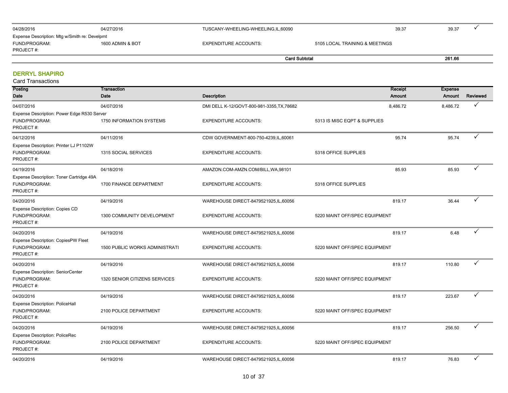| 04/28/2016                                    | 04/27/2016       | TUSCANY-WHEELING-WHEELING,IL,60090 |                                | 39.37 | 39.37  |  |
|-----------------------------------------------|------------------|------------------------------------|--------------------------------|-------|--------|--|
| Expense Description: Mtg w/Smith re: Develpmt |                  |                                    |                                |       |        |  |
| FUND/PROGRAM:                                 | 1600 ADMIN & BOT | EXPENDITURE ACCOUNTS:              | 5105 LOCAL TRAINING & MEETINGS |       |        |  |
| PROJECT #:                                    |                  |                                    |                                |       |        |  |
|                                               |                  | <b>Card Subtotal</b>               |                                |       | 261.66 |  |

#### DERRYL SHAPIRO Card Transactions

| Galu Tidlisactions                                                        |                                       |                                            |                               |                          |              |
|---------------------------------------------------------------------------|---------------------------------------|--------------------------------------------|-------------------------------|--------------------------|--------------|
| Posting<br>Date                                                           | Transaction<br>Date                   | <b>Description</b>                         | Receipt<br>Amount             | <b>Expense</b><br>Amount | Reviewed     |
| 04/07/2016                                                                | 04/07/2016                            | DMI DELL K-12/GOVT-800-981-3355, TX, 78682 | 8,486.72                      | 8,486.72                 | ✓            |
| Expense Description: Power Edge R530 Server<br>FUND/PROGRAM:<br>PROJECT#: | <b>1750 INFORMATION SYSTEMS</b>       | <b>EXPENDITURE ACCOUNTS:</b>               | 5313 IS MISC EQPT & SUPPLIES  |                          |              |
| 04/12/2016                                                                | 04/11/2016                            | CDW GOVERNMENT-800-750-4239,IL,60061       | 95.74                         | 95.74                    | ✓            |
| Expense Description: Printer LJ P1102W<br>FUND/PROGRAM:<br>PROJECT#:      | 1315 SOCIAL SERVICES                  | <b>EXPENDITURE ACCOUNTS:</b>               | 5318 OFFICE SUPPLIES          |                          |              |
| 04/19/2016                                                                | 04/18/2016                            | AMAZON.COM-AMZN.COM/BILL, WA, 98101        | 85.93                         | 85.93                    | ✓            |
| Expense Description: Toner Cartridge 49A<br>FUND/PROGRAM:<br>PROJECT#:    | 1700 FINANCE DEPARTMENT               | <b>EXPENDITURE ACCOUNTS:</b>               | 5318 OFFICE SUPPLIES          |                          |              |
| 04/20/2016                                                                | 04/19/2016                            | WAREHOUSE DIRECT-8479521925,IL,60056       | 819.17                        | 36.44                    | ✓            |
| Expense Description: Copies CD<br>FUND/PROGRAM:<br>PROJECT#:              | 1300 COMMUNITY DEVELOPMENT            | <b>EXPENDITURE ACCOUNTS:</b>               | 5220 MAINT OFF/SPEC EQUIPMENT |                          |              |
| 04/20/2016                                                                | 04/19/2016                            | WAREHOUSE DIRECT-8479521925,IL,60056       | 819.17                        | 6.48                     |              |
| <b>Expense Description: CopiesPW Fleet</b><br>FUND/PROGRAM:<br>PROJECT#:  | <b>1500 PUBLIC WORKS ADMINISTRATI</b> | <b>EXPENDITURE ACCOUNTS:</b>               | 5220 MAINT OFF/SPEC EQUIPMENT |                          |              |
| 04/20/2016                                                                | 04/19/2016                            | WAREHOUSE DIRECT-8479521925, IL, 60056     | 819.17                        | 110.80                   | ✓            |
| <b>Expense Description: SeniorCenter</b><br>FUND/PROGRAM:<br>PROJECT#:    | 1320 SENIOR CITIZENS SERVICES         | <b>EXPENDITURE ACCOUNTS:</b>               | 5220 MAINT OFF/SPEC EQUIPMENT |                          |              |
| 04/20/2016                                                                | 04/19/2016                            | WAREHOUSE DIRECT-8479521925,IL,60056       | 819.17                        | 223.67                   | ✓            |
| <b>Expense Description: PoliceHall</b><br>FUND/PROGRAM:<br>PROJECT#:      | 2100 POLICE DEPARTMENT                | <b>EXPENDITURE ACCOUNTS:</b>               | 5220 MAINT OFF/SPEC EQUIPMENT |                          |              |
| 04/20/2016                                                                | 04/19/2016                            | WAREHOUSE DIRECT-8479521925,IL,60056       | 819.17                        | 256.50                   | $\checkmark$ |
| <b>Expense Description: PoliceRec</b><br>FUND/PROGRAM:<br>PROJECT#:       | 2100 POLICE DEPARTMENT                | <b>EXPENDITURE ACCOUNTS:</b>               | 5220 MAINT OFF/SPEC EQUIPMENT |                          |              |
| 04/20/2016                                                                | 04/19/2016                            | WAREHOUSE DIRECT-8479521925,IL,60056       | 819.17                        | 76.83                    |              |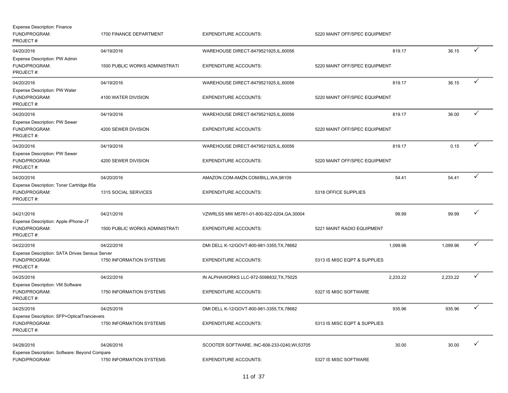| <b>Expense Description: Finance</b><br>FUND/PROGRAM:<br>PROJECT#:            | 1700 FINANCE DEPARTMENT                      | <b>EXPENDITURE ACCOUNTS:</b>                                           | 5220 MAINT OFF/SPEC EQUIPMENT           |          |              |
|------------------------------------------------------------------------------|----------------------------------------------|------------------------------------------------------------------------|-----------------------------------------|----------|--------------|
| 04/20/2016<br>Expense Description: PW Admin<br>FUND/PROGRAM:                 | 04/19/2016<br>1500 PUBLIC WORKS ADMINISTRATI | WAREHOUSE DIRECT-8479521925, IL, 60056<br><b>EXPENDITURE ACCOUNTS:</b> | 819.17<br>5220 MAINT OFF/SPEC EQUIPMENT | 36.15    | ✓            |
| PROJECT #:<br>04/20/2016                                                     | 04/19/2016                                   | WAREHOUSE DIRECT-8479521925, IL, 60056                                 | 819.17                                  | 36.15    | $\checkmark$ |
| Expense Description: PW Water<br>FUND/PROGRAM:<br>PROJECT#:                  | 4100 WATER DIVISION                          | <b>EXPENDITURE ACCOUNTS:</b>                                           | 5220 MAINT OFF/SPEC EQUIPMENT           |          |              |
| 04/20/2016                                                                   | 04/19/2016                                   | WAREHOUSE DIRECT-8479521925, IL, 60056                                 | 819.17                                  | 36.00    | ✓            |
| <b>Expense Description: PW Sewer</b><br>FUND/PROGRAM:<br>PROJECT#:           | 4200 SEWER DIVISION                          | <b>EXPENDITURE ACCOUNTS:</b>                                           | 5220 MAINT OFF/SPEC EQUIPMENT           |          |              |
| 04/20/2016                                                                   | 04/19/2016                                   | WAREHOUSE DIRECT-8479521925, IL, 60056                                 | 819.17                                  | 0.15     | ✓            |
| <b>Expense Description: PW Sewer</b><br>FUND/PROGRAM:<br>PROJECT#:           | 4200 SEWER DIVISION                          | <b>EXPENDITURE ACCOUNTS:</b>                                           | 5220 MAINT OFF/SPEC EQUIPMENT           |          |              |
| 04/20/2016                                                                   | 04/20/2016                                   | AMAZON.COM-AMZN.COM/BILL, WA, 98109                                    | 54.41                                   | 54.41    | $\checkmark$ |
| Expense Description: Toner Cartridge 85a<br>FUND/PROGRAM:<br>PROJECT#:       | 1315 SOCIAL SERVICES                         | <b>EXPENDITURE ACCOUNTS:</b>                                           | 5318 OFFICE SUPPLIES                    |          |              |
| 04/21/2016<br>Expense Description: Apple iPhone-JT                           | 04/21/2016                                   | VZWRLSS MW M5761-01-800-922-0204, GA, 30004                            | 99.99                                   | 99.99    | $\checkmark$ |
| FUND/PROGRAM:<br>PROJECT#:                                                   | <b>1500 PUBLIC WORKS ADMINISTRATI</b>        | <b>EXPENDITURE ACCOUNTS:</b>                                           | 5221 MAINT RADIO EQUIPMENT              |          |              |
| 04/22/2016                                                                   | 04/22/2016                                   | DMI DELL K-12/GOVT-800-981-3355, TX, 78682                             | 1,099.96                                | 1,099.96 | ✓            |
| Expense Description: SATA Drives Sensus Server<br>FUND/PROGRAM:<br>PROJECT#: | 1750 INFORMATION SYSTEMS                     | <b>EXPENDITURE ACCOUNTS:</b>                                           | 5313 IS MISC EQPT & SUPPLIES            |          |              |
| 04/25/2016                                                                   | 04/22/2016                                   | IN ALPHAWORKS LLC-972-5098832, TX, 75025                               | 2,233.22                                | 2,233.22 | ✓            |
| Expense Description: VM Software<br>FUND/PROGRAM:<br>PROJECT#:               | 1750 INFORMATION SYSTEMS                     | <b>EXPENDITURE ACCOUNTS:</b>                                           | 5327 IS MISC SOFTWARE                   |          |              |
| 04/25/2016                                                                   | 04/25/2016                                   | DMI DELL K-12/GOVT-800-981-3355, TX, 78682                             | 935.96                                  | 935.96   | ✓            |
| Expense Description: SFP+OpticalTrancievers<br>FUND/PROGRAM:<br>PROJECT#:    | 1750 INFORMATION SYSTEMS                     | <b>EXPENDITURE ACCOUNTS:</b>                                           | 5313 IS MISC EQPT & SUPPLIES            |          |              |
| 04/28/2016<br>Expense Description: Software: Beyond Compare                  | 04/26/2016                                   | SCOOTER SOFTWARE, INC-608-233-0240, WI,53705                           | 30.00                                   | 30.00    | $\checkmark$ |
| FUND/PROGRAM:                                                                | 1750 INFORMATION SYSTEMS                     | <b>EXPENDITURE ACCOUNTS:</b>                                           | 5327 IS MISC SOFTWARE                   |          |              |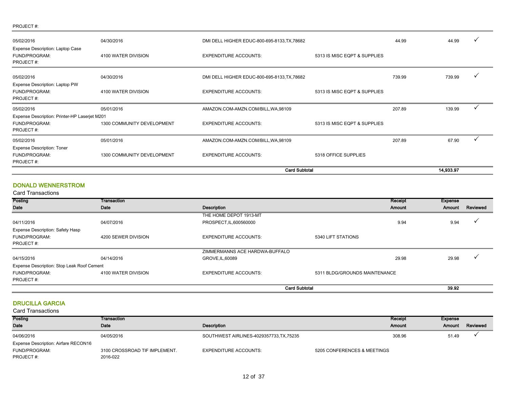#### PROJECT #:

| 04/30/2016                                                                  | DMI DELL HIGHER EDUC-800-695-8133, TX, 78682 |                              | 44.99                                        | 44.99  | $\checkmark$ |
|-----------------------------------------------------------------------------|----------------------------------------------|------------------------------|----------------------------------------------|--------|--------------|
| 4100 WATER DIVISION                                                         | <b>EXPENDITURE ACCOUNTS:</b>                 | 5313 IS MISC EQPT & SUPPLIES |                                              |        |              |
| 04/30/2016                                                                  | DMI DELL HIGHER EDUC-800-695-8133, TX, 78682 |                              | 739.99                                       | 739.99 |              |
| 4100 WATER DIVISION                                                         | <b>EXPENDITURE ACCOUNTS:</b>                 | 5313 IS MISC EQPT & SUPPLIES |                                              |        |              |
| 05/01/2016                                                                  | AMAZON.COM-AMZN.COM/BILL, WA, 98109          |                              | 207.89                                       | 139.99 | ✓            |
| Expense Description: Printer-HP Laserjet M201<br>1300 COMMUNITY DEVELOPMENT | <b>EXPENDITURE ACCOUNTS:</b>                 | 5313 IS MISC EQPT & SUPPLIES |                                              |        |              |
| 05/01/2016                                                                  | AMAZON.COM-AMZN.COM/BILL, WA, 98109          |                              | 207.89                                       | 67.90  |              |
|                                                                             |                                              |                              |                                              |        |              |
|                                                                             | 1300 COMMUNITY DEVELOPMENT                   | <b>EXPENDITURE ACCOUNTS:</b> | 5318 OFFICE SUPPLIES<br><b>Card Subtotal</b> |        | 14,933.97    |

#### DONALD WENNERSTROM

#### Card Transactions

| <b>Posting</b>                             | <b>Transaction</b>  |                                |                               | Receipt | Expense |          |
|--------------------------------------------|---------------------|--------------------------------|-------------------------------|---------|---------|----------|
| Date                                       | Date                | Description                    |                               | Amount  | Amount  | Reviewed |
|                                            |                     | THE HOME DEPOT 1913-MT         |                               |         |         |          |
| 04/11/2016                                 | 04/07/2016          | PROSPECT, IL, 600560000        |                               | 9.94    | 9.94    |          |
| Expense Description: Safety Hasp           |                     |                                |                               |         |         |          |
| FUND/PROGRAM:                              | 4200 SEWER DIVISION | EXPENDITURE ACCOUNTS:          | 5340 LIFT STATIONS            |         |         |          |
| PROJECT#:                                  |                     |                                |                               |         |         |          |
|                                            |                     | ZIMMERMANNS ACE HARDWA-BUFFALO |                               |         |         |          |
| 04/15/2016                                 | 04/14/2016          | GROVE, IL, 60089               |                               | 29.98   | 29.98   |          |
| Expense Description: Stop Leak Roof Cement |                     |                                |                               |         |         |          |
| FUND/PROGRAM:                              | 4100 WATER DIVISION | <b>EXPENDITURE ACCOUNTS:</b>   | 5311 BLDG/GROUNDS MAINTENANCE |         |         |          |
| PROJECT#:                                  |                     |                                |                               |         |         |          |
|                                            |                     | <b>Card Subtotal</b>           |                               |         | 39.92   |          |

#### DRUCILLA GARCIA

| Posting                              | <b>Transaction</b>            |                                        |                             | <b>Receipt</b> | Expense |          |
|--------------------------------------|-------------------------------|----------------------------------------|-----------------------------|----------------|---------|----------|
| Date                                 | Date                          | Description                            |                             | <b>Amount</b>  | Amount  | Reviewed |
| 04/06/2016                           | 04/05/2016                    | SOUTHWEST AIRLINES-4029357733,TX,75235 |                             | 308.96         | 51.49   |          |
| Expense Description: Airfare RECON16 |                               |                                        |                             |                |         |          |
| FUND/PROGRAM:                        | 3100 CROSSROAD TIF IMPLEMENT. | <b>EXPENDITURE ACCOUNTS:</b>           | 5205 CONFERENCES & MEETINGS |                |         |          |
| PROJECT#:                            | 2016-022                      |                                        |                             |                |         |          |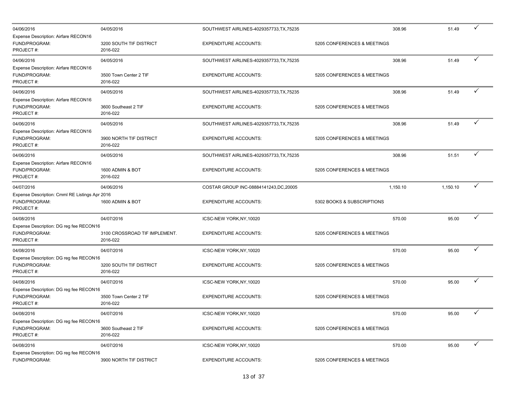| 04/06/2016                                                                   | 04/05/2016                                |                                          |                             |          | $\checkmark$ |
|------------------------------------------------------------------------------|-------------------------------------------|------------------------------------------|-----------------------------|----------|--------------|
|                                                                              |                                           | SOUTHWEST AIRLINES-4029357733, TX, 75235 | 308.96                      | 51.49    |              |
| Expense Description: Airfare RECON16<br>FUND/PROGRAM:<br>PROJECT#:           | 3200 SOUTH TIF DISTRICT<br>2016-022       | <b>EXPENDITURE ACCOUNTS:</b>             | 5205 CONFERENCES & MEETINGS |          |              |
| 04/06/2016                                                                   | 04/05/2016                                | SOUTHWEST AIRLINES-4029357733, TX, 75235 | 308.96                      | 51.49    | $\checkmark$ |
| Expense Description: Airfare RECON16<br>FUND/PROGRAM:<br>PROJECT#:           | 3500 Town Center 2 TIF<br>2016-022        | <b>EXPENDITURE ACCOUNTS:</b>             | 5205 CONFERENCES & MEETINGS |          |              |
| 04/06/2016                                                                   | 04/05/2016                                | SOUTHWEST AIRLINES-4029357733, TX, 75235 | 308.96                      | 51.49    |              |
| Expense Description: Airfare RECON16<br>FUND/PROGRAM:<br>PROJECT#:           | 3600 Southeast 2 TIF<br>2016-022          | <b>EXPENDITURE ACCOUNTS:</b>             | 5205 CONFERENCES & MEETINGS |          |              |
| 04/06/2016                                                                   | 04/05/2016                                | SOUTHWEST AIRLINES-4029357733, TX, 75235 | 308.96                      | 51.49    | ✓            |
| Expense Description: Airfare RECON16<br>FUND/PROGRAM:<br>PROJECT#:           | 3900 NORTH TIF DISTRICT<br>2016-022       | <b>EXPENDITURE ACCOUNTS:</b>             | 5205 CONFERENCES & MEETINGS |          |              |
| 04/06/2016                                                                   | 04/05/2016                                | SOUTHWEST AIRLINES-4029357733, TX, 75235 | 308.96                      | 51.51    | ✓            |
| Expense Description: Airfare RECON16<br>FUND/PROGRAM:<br>PROJECT#:           | 1600 ADMIN & BOT<br>2016-022              | <b>EXPENDITURE ACCOUNTS:</b>             | 5205 CONFERENCES & MEETINGS |          |              |
| 04/07/2016                                                                   | 04/06/2016                                | COSTAR GROUP INC-08884141243, DC, 20005  | 1,150.10                    | 1,150.10 | $\checkmark$ |
| Expense Description: Cmml RE Listings Apr 2016<br>FUND/PROGRAM:<br>PROJECT#: | 1600 ADMIN & BOT                          | <b>EXPENDITURE ACCOUNTS:</b>             | 5302 BOOKS & SUBSCRIPTIONS  |          |              |
| 04/08/2016                                                                   | 04/07/2016                                | ICSC-NEW YORK, NY, 10020                 | 570.00                      | 95.00    | ✓            |
| Expense Description: DG reg fee RECON16<br>FUND/PROGRAM:<br>PROJECT#:        | 3100 CROSSROAD TIF IMPLEMENT.<br>2016-022 | <b>EXPENDITURE ACCOUNTS:</b>             | 5205 CONFERENCES & MEETINGS |          |              |
| 04/08/2016                                                                   | 04/07/2016                                | ICSC-NEW YORK, NY, 10020                 | 570.00                      | 95.00    | $\checkmark$ |
| Expense Description: DG reg fee RECON16<br>FUND/PROGRAM:<br>PROJECT#:        | 3200 SOUTH TIF DISTRICT<br>2016-022       | <b>EXPENDITURE ACCOUNTS:</b>             | 5205 CONFERENCES & MEETINGS |          |              |
| 04/08/2016                                                                   | 04/07/2016                                | ICSC-NEW YORK, NY, 10020                 | 570.00                      | 95.00    | ✓            |
| Expense Description: DG reg fee RECON16<br>FUND/PROGRAM:<br>PROJECT#:        | 3500 Town Center 2 TIF<br>2016-022        | <b>EXPENDITURE ACCOUNTS:</b>             | 5205 CONFERENCES & MEETINGS |          |              |
| 04/08/2016                                                                   | 04/07/2016                                | ICSC-NEW YORK, NY, 10020                 | 570.00                      | 95.00    | ✓            |
| Expense Description: DG reg fee RECON16<br>FUND/PROGRAM:<br>PROJECT#:        | 3600 Southeast 2 TIF<br>2016-022          | <b>EXPENDITURE ACCOUNTS:</b>             | 5205 CONFERENCES & MEETINGS |          |              |
| 04/08/2016                                                                   | 04/07/2016                                | ICSC-NEW YORK, NY, 10020                 | 570.00                      | 95.00    | $\checkmark$ |
| Expense Description: DG reg fee RECON16<br>FUND/PROGRAM:                     | 3900 NORTH TIF DISTRICT                   | <b>EXPENDITURE ACCOUNTS:</b>             | 5205 CONFERENCES & MEETINGS |          |              |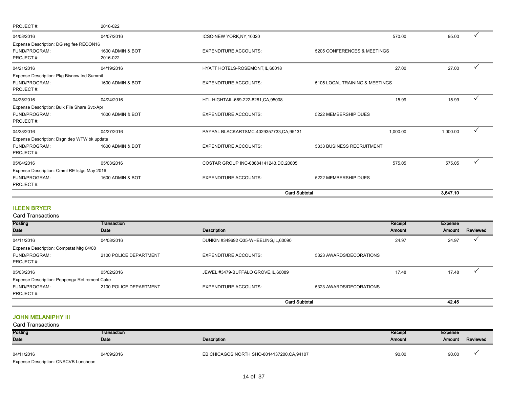| PROJECT#:                                    | 2016-022         |                                         |                                |          |              |
|----------------------------------------------|------------------|-----------------------------------------|--------------------------------|----------|--------------|
| 04/08/2016                                   | 04/07/2016       | ICSC-NEW YORK, NY, 10020                | 570.00                         | 95.00    |              |
| Expense Description: DG reg fee RECON16      |                  |                                         |                                |          |              |
| FUND/PROGRAM:                                | 1600 ADMIN & BOT | <b>EXPENDITURE ACCOUNTS:</b>            | 5205 CONFERENCES & MEETINGS    |          |              |
| PROJECT#:                                    | 2016-022         |                                         |                                |          |              |
| 04/21/2016                                   | 04/19/2016       | HYATT HOTELS-ROSEMONT, IL, 60018        | 27.00                          | 27.00    |              |
| Expense Description: Pkg Bisnow Ind Summit   |                  |                                         |                                |          |              |
| FUND/PROGRAM:                                | 1600 ADMIN & BOT | <b>EXPENDITURE ACCOUNTS:</b>            | 5105 LOCAL TRAINING & MEETINGS |          |              |
| PROJECT#:                                    |                  |                                         |                                |          |              |
| 04/25/2016                                   | 04/24/2016       | HTL HIGHTAIL-669-222-8281, CA, 95008    | 15.99                          | 15.99    |              |
| Expense Description: Bulk File Share Svc-Apr |                  |                                         |                                |          |              |
| FUND/PROGRAM:                                | 1600 ADMIN & BOT | <b>EXPENDITURE ACCOUNTS:</b>            | 5222 MEMBERSHIP DUES           |          |              |
| PROJECT#:                                    |                  |                                         |                                |          |              |
| 04/28/2016                                   | 04/27/2016       | PAYPAL BLACKARTSMC-4029357733,CA,95131  | 1,000.00                       | 1,000.00 | ✓            |
| Expense Description: Dsgn dep WTW bk update  |                  |                                         |                                |          |              |
| FUND/PROGRAM:                                | 1600 ADMIN & BOT | <b>EXPENDITURE ACCOUNTS:</b>            | 5333 BUSINESS RECRUITMENT      |          |              |
| PROJECT#:                                    |                  |                                         |                                |          |              |
| 05/04/2016                                   | 05/03/2016       | COSTAR GROUP INC-08884141243, DC, 20005 | 575.05                         | 575.05   | $\checkmark$ |
| Expense Description: Cmml RE Istgs May 2016  |                  |                                         |                                |          |              |
| FUND/PROGRAM:                                | 1600 ADMIN & BOT | <b>EXPENDITURE ACCOUNTS:</b>            | 5222 MEMBERSHIP DUES           |          |              |
| PROJECT#:                                    |                  |                                         |                                |          |              |
|                                              |                  | <b>Card Subtotal</b>                    |                                | 3,647.10 |              |

## ILEEN BRYER

Card Transactions

| Posting                                       | Transaction            |                                        |                         | Receipt | Expense |          |
|-----------------------------------------------|------------------------|----------------------------------------|-------------------------|---------|---------|----------|
| Date                                          | Date                   | Description                            |                         | Amount  | Amount  | Reviewed |
| 04/11/2016                                    | 04/08/2016             | DUNKIN #349692 Q35-WHEELING, IL, 60090 |                         | 24.97   | 24.97   |          |
| Expense Description: Compstat Mtg 04/08       |                        |                                        |                         |         |         |          |
| FUND/PROGRAM:                                 | 2100 POLICE DEPARTMENT | <b>EXPENDITURE ACCOUNTS:</b>           | 5323 AWARDS/DECORATIONS |         |         |          |
| PROJECT#:                                     |                        |                                        |                         |         |         |          |
| 05/03/2016                                    | 05/02/2016             | JEWEL #3479-BUFFALO GROVE, IL, 60089   |                         | 17.48   | 17.48   |          |
| Expense Description: Poppenga Retirement Cake |                        |                                        |                         |         |         |          |
| FUND/PROGRAM:                                 | 2100 POLICE DEPARTMENT | <b>EXPENDITURE ACCOUNTS:</b>           | 5323 AWARDS/DECORATIONS |         |         |          |
| PROJECT#:                                     |                        |                                        |                         |         |         |          |
|                                               |                        | <b>Card Subtotal</b>                   |                         |         | 42.45   |          |

## JOHN MELANIPHY III

| Posting                              | Transaction |                                             | Receipt | Expense |          |
|--------------------------------------|-------------|---------------------------------------------|---------|---------|----------|
| Date                                 | Date        | Description                                 | Amount  | Amount  | Reviewed |
| 04/11/2016                           | 04/09/2016  | EB CHICAGOS NORTH SHO-8014137200, CA, 94107 | 90.00   | 90.00   |          |
| Expense Description: CNSCVB Luncheon |             |                                             |         |         |          |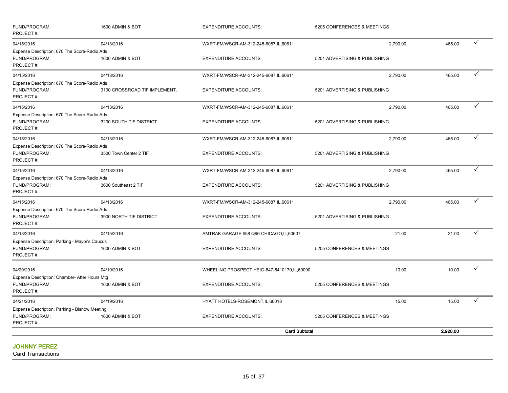| FUND/PROGRAM:<br>PROJECT#:                                                  | 1600 ADMIN & BOT              | <b>EXPENDITURE ACCOUNTS:</b>                  | 5205 CONFERENCES & MEETINGS   |          |              |
|-----------------------------------------------------------------------------|-------------------------------|-----------------------------------------------|-------------------------------|----------|--------------|
| 04/15/2016                                                                  | 04/13/2016                    | WXRT-FM/WSCR-AM-312-245-6087,IL,60611         | 2,790.00                      | 465.00   | ✓            |
| Expense Description: 670 The Score-Radio Ads<br>FUND/PROGRAM:<br>PROJECT#:  | 1600 ADMIN & BOT              | <b>EXPENDITURE ACCOUNTS:</b>                  | 5201 ADVERTISING & PUBLISHING |          |              |
| 04/15/2016                                                                  | 04/13/2016                    | WXRT-FM/WSCR-AM-312-245-6087,IL,60611         | 2,790.00                      | 465.00   |              |
| Expense Description: 670 The Score-Radio Ads<br>FUND/PROGRAM:<br>PROJECT#:  | 3100 CROSSROAD TIF IMPLEMENT. | <b>EXPENDITURE ACCOUNTS:</b>                  | 5201 ADVERTISING & PUBLISHING |          |              |
| 04/15/2016                                                                  | 04/13/2016                    | WXRT-FM/WSCR-AM-312-245-6087,IL,60611         | 2.790.00                      | 465.00   | $\checkmark$ |
| Expense Description: 670 The Score-Radio Ads<br>FUND/PROGRAM:<br>PROJECT#:  | 3200 SOUTH TIF DISTRICT       | <b>EXPENDITURE ACCOUNTS:</b>                  | 5201 ADVERTISING & PUBLISHING |          |              |
| 04/15/2016                                                                  | 04/13/2016                    | WXRT-FM/WSCR-AM-312-245-6087,IL,60611         | 2,790.00                      | 465.00   | ✓            |
| Expense Description: 670 The Score-Radio Ads<br>FUND/PROGRAM:<br>PROJECT#:  | 3500 Town Center 2 TIF        | <b>EXPENDITURE ACCOUNTS:</b>                  | 5201 ADVERTISING & PUBLISHING |          |              |
| 04/15/2016                                                                  | 04/13/2016                    | WXRT-FM/WSCR-AM-312-245-6087,IL,60611         | 2.790.00                      | 465.00   | ✓            |
| Expense Description: 670 The Score-Radio Ads<br>FUND/PROGRAM:<br>PROJECT#:  | 3600 Southeast 2 TIF          | <b>EXPENDITURE ACCOUNTS:</b>                  | 5201 ADVERTISING & PUBLISHING |          |              |
| 04/15/2016                                                                  | 04/13/2016                    | WXRT-FM/WSCR-AM-312-245-6087,IL,60611         | 2,790.00                      | 465.00   |              |
| Expense Description: 670 The Score-Radio Ads<br>FUND/PROGRAM:<br>PROJECT#:  | 3900 NORTH TIF DISTRICT       | <b>EXPENDITURE ACCOUNTS:</b>                  | 5201 ADVERTISING & PUBLISHING |          |              |
| 04/18/2016                                                                  | 04/15/2016                    | AMTRAK GARAGE #58 Q96-CHICAGO,IL,60607        | 21.00                         | 21.00    | ✓            |
| Expense Description: Parking - Mayor's Caucus<br>FUND/PROGRAM:<br>PROJECT#: | 1600 ADMIN & BOT              | <b>EXPENDITURE ACCOUNTS:</b>                  | 5205 CONFERENCES & MEETINGS   |          |              |
| 04/20/2016                                                                  | 04/19/2016                    | WHEELING PROSPECT HEIG-847-5410170, IL, 60090 | 10.00                         | 10.00    |              |
| Expense Description: Chamber- After Hours Mtg<br>FUND/PROGRAM:<br>PROJECT#: | 1600 ADMIN & BOT              | <b>EXPENDITURE ACCOUNTS:</b>                  | 5205 CONFERENCES & MEETINGS   |          |              |
| 04/21/2016                                                                  | 04/19/2016                    | HYATT HOTELS-ROSEMONT, IL, 60018              | 15.00                         | 15.00    | ✓            |
| Expense Description: Parking - Bisnow Meeting<br>FUND/PROGRAM:              | 1600 ADMIN & BOT              | <b>EXPENDITURE ACCOUNTS:</b>                  | 5205 CONFERENCES & MEETINGS   |          |              |
| PROJECT#:                                                                   |                               | <b>Card Subtotal</b>                          |                               | 2,926.00 |              |
|                                                                             |                               |                                               |                               |          |              |

## JOHNNY PEREZ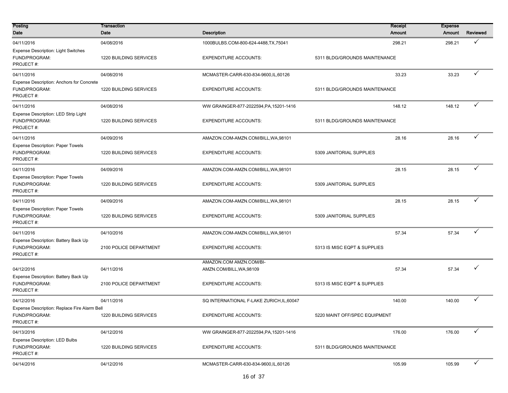| Posting<br>Date                                                                  | <b>Transaction</b><br>Date           | <b>Description</b>                                       | Receipt<br>Amount                     | <b>Expense</b><br>Amount | Reviewed     |
|----------------------------------------------------------------------------------|--------------------------------------|----------------------------------------------------------|---------------------------------------|--------------------------|--------------|
| 04/11/2016                                                                       | 04/08/2016                           | 1000BULBS.COM-800-624-4488,TX,75041                      | 298.21                                | 298.21                   | ✓            |
| <b>Expense Description: Light Switches</b><br>FUND/PROGRAM:<br>PROJECT#:         | 1220 BUILDING SERVICES               | <b>EXPENDITURE ACCOUNTS:</b>                             | 5311 BLDG/GROUNDS MAINTENANCE         |                          |              |
| 04/11/2016                                                                       | 04/08/2016                           | MCMASTER-CARR-630-834-9600, IL, 60126                    | 33.23                                 | 33.23                    | $\checkmark$ |
| Expense Description: Anchors for Concrete<br>FUND/PROGRAM:<br>PROJECT#:          | 1220 BUILDING SERVICES               | <b>EXPENDITURE ACCOUNTS:</b>                             | 5311 BLDG/GROUNDS MAINTENANCE         |                          |              |
| 04/11/2016                                                                       | 04/08/2016                           | WW GRAINGER-877-2022594, PA, 15201-1416                  | 148.12                                | 148.12                   | $\checkmark$ |
| Expense Description: LED Strip Light<br>FUND/PROGRAM:<br>PROJECT#:               | 1220 BUILDING SERVICES               | <b>EXPENDITURE ACCOUNTS:</b>                             | 5311 BLDG/GROUNDS MAINTENANCE         |                          |              |
| 04/11/2016                                                                       | 04/09/2016                           | AMAZON.COM-AMZN.COM/BILL, WA, 98101                      | 28.16                                 | 28.16                    | $\checkmark$ |
| <b>Expense Description: Paper Towels</b><br>FUND/PROGRAM:<br>PROJECT#:           | 1220 BUILDING SERVICES               | <b>EXPENDITURE ACCOUNTS:</b>                             | 5309 JANITORIAL SUPPLIES              |                          |              |
| 04/11/2016                                                                       | 04/09/2016                           | AMAZON.COM-AMZN.COM/BILL, WA, 98101                      | 28.15                                 | 28.15                    | ✓            |
| <b>Expense Description: Paper Towels</b><br>FUND/PROGRAM:<br>PROJECT#:           | 1220 BUILDING SERVICES               | <b>EXPENDITURE ACCOUNTS:</b>                             | 5309 JANITORIAL SUPPLIES              |                          |              |
| 04/11/2016                                                                       | 04/09/2016                           | AMAZON.COM-AMZN.COM/BILL, WA, 98101                      | 28.15                                 | 28.15                    | $\checkmark$ |
| <b>Expense Description: Paper Towels</b><br>FUND/PROGRAM:<br>PROJECT#:           | 1220 BUILDING SERVICES               | <b>EXPENDITURE ACCOUNTS:</b>                             | 5309 JANITORIAL SUPPLIES              |                          |              |
| 04/11/2016                                                                       | 04/10/2016                           | AMAZON.COM-AMZN.COM/BILL, WA, 98101                      | 57.34                                 | 57.34                    | ✓            |
| Expense Description: Battery Back Up<br>FUND/PROGRAM:<br>PROJECT#:               | 2100 POLICE DEPARTMENT               | <b>EXPENDITURE ACCOUNTS:</b>                             | 5313 IS MISC EQPT & SUPPLIES          |                          |              |
|                                                                                  |                                      | AMAZON.COM AMZN.COM/BI-                                  |                                       |                          | ✓            |
| 04/12/2016<br>Expense Description: Battery Back Up<br>FUND/PROGRAM:<br>PROJECT#: | 04/11/2016<br>2100 POLICE DEPARTMENT | AMZN.COM/BILL, WA, 98109<br><b>EXPENDITURE ACCOUNTS:</b> | 57.34<br>5313 IS MISC EQPT & SUPPLIES | 57.34                    |              |
| 04/12/2016                                                                       | 04/11/2016                           | SQ INTERNATIONAL F-LAKE ZURICH, IL, 60047                | 140.00                                | 140.00                   | ✓            |
| Expense Description: Replace Fire Alarm Bell<br>FUND/PROGRAM:<br>PROJECT#:       | 1220 BUILDING SERVICES               | <b>EXPENDITURE ACCOUNTS:</b>                             | 5220 MAINT OFF/SPEC EQUIPMENT         |                          |              |
| 04/13/2016                                                                       | 04/12/2016                           | WW GRAINGER-877-2022594, PA, 15201-1416                  | 176.00                                | 176.00                   | $\checkmark$ |
| <b>Expense Description: LED Bulbs</b><br>FUND/PROGRAM:<br>PROJECT#:              | 1220 BUILDING SERVICES               | <b>EXPENDITURE ACCOUNTS:</b>                             | 5311 BLDG/GROUNDS MAINTENANCE         |                          |              |
| 04/14/2016                                                                       | 04/12/2016                           | MCMASTER-CARR-630-834-9600.IL.60126                      | 105.99                                | 105.99                   | $\checkmark$ |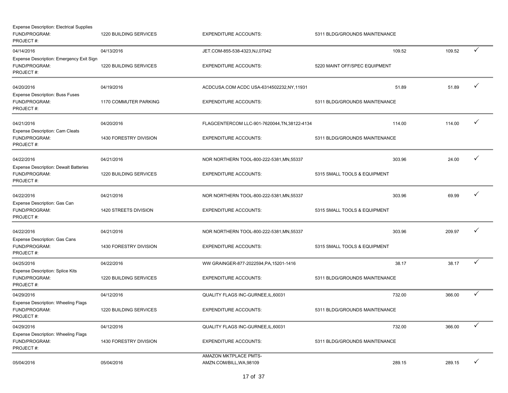| <b>Expense Description: Electrical Supplies</b><br>FUND/PROGRAM:<br>PROJECT#: | 1220 BUILDING SERVICES        | <b>EXPENDITURE ACCOUNTS:</b>                      | 5311 BLDG/GROUNDS MAINTENANCE |        |        |              |
|-------------------------------------------------------------------------------|-------------------------------|---------------------------------------------------|-------------------------------|--------|--------|--------------|
| 04/14/2016<br>Expense Description: Emergency Exit Sign                        | 04/13/2016                    | JET.COM-855-538-4323,NJ,07042                     |                               | 109.52 | 109.52 | ✓            |
| FUND/PROGRAM:<br>PROJECT#:                                                    | 1220 BUILDING SERVICES        | <b>EXPENDITURE ACCOUNTS:</b>                      | 5220 MAINT OFF/SPEC EQUIPMENT |        |        |              |
| 04/20/2016<br><b>Expense Description: Buss Fuses</b>                          | 04/19/2016                    | ACDCUSA.COM ACDC USA-6314502232, NY, 11931        |                               | 51.89  | 51.89  | ✓            |
| FUND/PROGRAM:<br>PROJECT#:                                                    | <b>1170 COMMUTER PARKING</b>  | <b>EXPENDITURE ACCOUNTS:</b>                      | 5311 BLDG/GROUNDS MAINTENANCE |        |        |              |
| 04/21/2016<br>Expense Description: Cam Cleats                                 | 04/20/2016                    | FLAGCENTERCOM LLC-901-7620044, TN, 38122-4134     |                               | 114.00 | 114.00 | $\checkmark$ |
| FUND/PROGRAM:<br>PROJECT#:                                                    | 1430 FORESTRY DIVISION        | <b>EXPENDITURE ACCOUNTS:</b>                      | 5311 BLDG/GROUNDS MAINTENANCE |        |        |              |
| 04/22/2016<br><b>Expense Description: Dewalt Batteries</b>                    | 04/21/2016                    | NOR NORTHERN TOOL-800-222-5381, MN, 55337         |                               | 303.96 | 24.00  | ✓            |
| FUND/PROGRAM:<br>PROJECT#:                                                    | 1220 BUILDING SERVICES        | <b>EXPENDITURE ACCOUNTS:</b>                      | 5315 SMALL TOOLS & EQUIPMENT  |        |        |              |
| 04/22/2016<br>Expense Description: Gas Can                                    | 04/21/2016                    | NOR NORTHERN TOOL-800-222-5381, MN, 55337         |                               | 303.96 | 69.99  |              |
| FUND/PROGRAM:<br>PROJECT #:                                                   | 1420 STREETS DIVISION         | <b>EXPENDITURE ACCOUNTS:</b>                      | 5315 SMALL TOOLS & EQUIPMENT  |        |        |              |
| 04/22/2016                                                                    | 04/21/2016                    | NOR NORTHERN TOOL-800-222-5381, MN, 55337         |                               | 303.96 | 209.97 |              |
| Expense Description: Gas Cans<br>FUND/PROGRAM:<br>PROJECT#:                   | 1430 FORESTRY DIVISION        | <b>EXPENDITURE ACCOUNTS:</b>                      | 5315 SMALL TOOLS & EQUIPMENT  |        |        |              |
| 04/25/2016<br><b>Expense Description: Splice Kits</b>                         | 04/22/2016                    | WW GRAINGER-877-2022594, PA, 15201-1416           |                               | 38.17  | 38.17  | ✓            |
| FUND/PROGRAM:<br>PROJECT#:                                                    | 1220 BUILDING SERVICES        | <b>EXPENDITURE ACCOUNTS:</b>                      | 5311 BLDG/GROUNDS MAINTENANCE |        |        |              |
| 04/29/2016<br><b>Expense Description: Wheeling Flags</b>                      | 04/12/2016                    | QUALITY FLAGS INC-GURNEE, IL, 60031               |                               | 732.00 | 366.00 | $\checkmark$ |
| FUND/PROGRAM:<br>PROJECT#:                                                    | <b>1220 BUILDING SERVICES</b> | <b>EXPENDITURE ACCOUNTS:</b>                      | 5311 BLDG/GROUNDS MAINTENANCE |        |        |              |
| 04/29/2016<br><b>Expense Description: Wheeling Flags</b>                      | 04/12/2016                    | QUALITY FLAGS INC-GURNEE, IL, 60031               |                               | 732.00 | 366.00 |              |
| FUND/PROGRAM:<br>PROJECT#:                                                    | 1430 FORESTRY DIVISION        | <b>EXPENDITURE ACCOUNTS:</b>                      | 5311 BLDG/GROUNDS MAINTENANCE |        |        |              |
| 05/04/2016                                                                    | 05/04/2016                    | AMAZON MKTPLACE PMTS-<br>AMZN.COM/BILL, WA, 98109 |                               | 289.15 | 289.15 | $\checkmark$ |
|                                                                               |                               |                                                   |                               |        |        |              |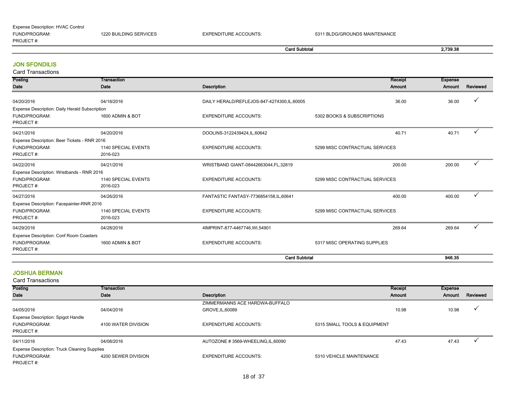| Expense Description: HVAC Control |                        |                              |                               |
|-----------------------------------|------------------------|------------------------------|-------------------------------|
| FUND/PROGRAM:                     | 1220 BUILDING SERVICES | <b>EXPENDITURE ACCOUNTS:</b> | 5311 BLDG/GROUNDS MAINTENANCE |
| PROJECT#:                         |                        |                              |                               |

| Card Subtotal | 2,739.38 |
|---------------|----------|
|               |          |

#### JON SFONDILIS

| <b>Card Transactions</b>                       |                                 |                                            |                                |                          |          |
|------------------------------------------------|---------------------------------|--------------------------------------------|--------------------------------|--------------------------|----------|
| Posting<br>Date                                | Transaction<br>Date             | <b>Description</b>                         | Receipt<br><b>Amount</b>       | <b>Expense</b><br>Amount | Reviewed |
| 04/20/2016                                     | 04/18/2016                      | DAILY HERALD/REFLEJOS-847-4274300,IL,60005 | 36.00                          | 36.00                    | ✓        |
| Expense Description: Daily Herald Subscription |                                 |                                            |                                |                          |          |
| FUND/PROGRAM:<br>PROJECT#:                     | 1600 ADMIN & BOT                | <b>EXPENDITURE ACCOUNTS:</b>               | 5302 BOOKS & SUBSCRIPTIONS     |                          |          |
| 04/21/2016                                     | 04/20/2016                      | DOOLINS-3122439424,IL,60642                | 40.71                          | 40.71                    |          |
| Expense Description: Beer Tickets - RNR 2016   |                                 |                                            |                                |                          |          |
| FUND/PROGRAM:<br>PROJECT#:                     | 1140 SPECIAL EVENTS<br>2016-023 | <b>EXPENDITURE ACCOUNTS:</b>               | 5299 MISC CONTRACTUAL SERVICES |                          |          |
| 04/22/2016                                     | 04/21/2016                      | WRISTBAND GIANT-08442663044, FL, 32819     | 200.00                         | 200.00                   | ✓        |
| Expense Description: Wristbands - RNR 2016     |                                 |                                            |                                |                          |          |
| FUND/PROGRAM:<br>PROJECT#:                     | 1140 SPECIAL EVENTS<br>2016-023 | <b>EXPENDITURE ACCOUNTS:</b>               | 5299 MISC CONTRACTUAL SERVICES |                          |          |
| 04/27/2016                                     | 04/26/2016                      | FANTASTIC FANTASY-7736854158, IL, 60641    | 400.00                         | 400.00                   | ✓        |
| Expense Description: Facepainter-RNR 2016      |                                 |                                            |                                |                          |          |
| FUND/PROGRAM:<br>PROJECT#:                     | 1140 SPECIAL EVENTS<br>2016-023 | <b>EXPENDITURE ACCOUNTS:</b>               | 5299 MISC CONTRACTUAL SERVICES |                          |          |
| 04/29/2016                                     | 04/28/2016                      | 4IMPRINT-877-4467746, WI, 54901            | 269.64                         | 269.64                   | ✓        |
| Expense Description: Conf Room Coasters        |                                 |                                            |                                |                          |          |
| FUND/PROGRAM:<br>PROJECT#:                     | 1600 ADMIN & BOT                | <b>EXPENDITURE ACCOUNTS:</b>               | 5317 MISC OPERATING SUPPLIES   |                          |          |
|                                                |                                 | <b>Card Subtotal</b>                       |                                | 946.35                   |          |

#### JOSHUA BERMAN

Card Transactions

| Posting                                      | Transaction         |                                    | Receipt                      | Expense |          |
|----------------------------------------------|---------------------|------------------------------------|------------------------------|---------|----------|
| Date                                         | Date                | Description                        | Amount                       | Amount  | Reviewed |
|                                              |                     |                                    |                              |         |          |
|                                              |                     | ZIMMERMANNS ACE HARDWA-BUFFALO     |                              |         |          |
| 04/05/2016                                   | 04/04/2016          | GROVE, IL, 60089                   | 10.98                        | 10.98   |          |
| <b>Expense Description: Spigot Handle</b>    |                     |                                    |                              |         |          |
| FUND/PROGRAM:                                | 4100 WATER DIVISION | <b>EXPENDITURE ACCOUNTS:</b>       | 5315 SMALL TOOLS & EQUIPMENT |         |          |
| PROJECT#:                                    |                     |                                    |                              |         |          |
| 04/11/2016                                   | 04/08/2016          | AUTOZONE #3569-WHEELING, IL, 60090 | 47.43                        | 47.43   |          |
| Expense Description: Truck Cleaning Supplies |                     |                                    |                              |         |          |
| FUND/PROGRAM:                                | 4200 SEWER DIVISION | <b>EXPENDITURE ACCOUNTS:</b>       | 5310 VEHICLE MAINTENANCE     |         |          |
| PROJECT#:                                    |                     |                                    |                              |         |          |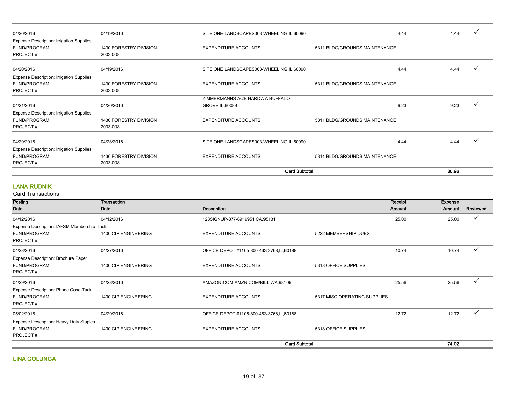| 04/20/2016                                                             | 04/19/2016                         | SITE ONE LANDSCAPES003-WHEELING, IL, 60090 | 4.44                          | 4.44 |  |
|------------------------------------------------------------------------|------------------------------------|--------------------------------------------|-------------------------------|------|--|
| Expense Description: Irrigation Supplies<br>FUND/PROGRAM:<br>PROJECT#: | 1430 FORESTRY DIVISION<br>2003-008 | <b>EXPENDITURE ACCOUNTS:</b>               | 5311 BLDG/GROUNDS MAINTENANCE |      |  |
| 04/20/2016                                                             | 04/19/2016                         | SITE ONE LANDSCAPES003-WHEELING,IL,60090   | 4.44                          | 4.44 |  |
| <b>Expense Description: Irrigation Supplies</b>                        |                                    |                                            |                               |      |  |
| FUND/PROGRAM:                                                          | 1430 FORESTRY DIVISION             | <b>EXPENDITURE ACCOUNTS:</b>               | 5311 BLDG/GROUNDS MAINTENANCE |      |  |
| PROJECT#:                                                              | 2003-008                           |                                            |                               |      |  |
|                                                                        |                                    | ZIMMERMANNS ACE HARDWA-BUFFALO             |                               |      |  |
| 04/21/2016                                                             | 04/20/2016                         | GROVE, IL, 60089                           | 9.23                          | 9.23 |  |
| <b>Expense Description: Irrigation Supplies</b>                        |                                    |                                            |                               |      |  |
| FUND/PROGRAM:                                                          | 1430 FORESTRY DIVISION             | <b>EXPENDITURE ACCOUNTS:</b>               | 5311 BLDG/GROUNDS MAINTENANCE |      |  |
| PROJECT#:                                                              | 2003-008                           |                                            |                               |      |  |
| 04/29/2016                                                             | 04/28/2016                         | SITE ONE LANDSCAPES003-WHEELING, IL, 60090 | 4.44                          | 4.44 |  |
| <b>Expense Description: Irrigation Supplies</b>                        |                                    |                                            |                               |      |  |
| FUND/PROGRAM:                                                          | 1430 FORESTRY DIVISION             | <b>EXPENDITURE ACCOUNTS:</b>               | 5311 BLDG/GROUNDS MAINTENANCE |      |  |
| PROJECT#:                                                              | 2003-008                           |                                            |                               |      |  |
|                                                                        |                                    |                                            | <b>Card Subtotal</b>          |      |  |

#### LANA RUDNIK

| Posting                                                            | Transaction          |                                            |                              | Receipt | <b>Expense</b> |              |
|--------------------------------------------------------------------|----------------------|--------------------------------------------|------------------------------|---------|----------------|--------------|
| Date                                                               | Date                 | <b>Description</b>                         |                              | Amount  | Amount         | Reviewed     |
| 04/12/2016                                                         | 04/12/2016           | 123SIGNUP-877-6919951, CA, 95131           |                              | 25.00   | 25.00          |              |
| Expense Description: IAFSM Membership-Tack                         |                      |                                            |                              |         |                |              |
| FUND/PROGRAM:<br>PROJECT#:                                         | 1400 CIP ENGINEERING | <b>EXPENDITURE ACCOUNTS:</b>               | 5222 MEMBERSHIP DUES         |         |                |              |
| 04/28/2016                                                         | 04/27/2016           | OFFICE DEPOT #1105-800-463-3768, IL, 60188 |                              | 10.74   | 10.74          |              |
| Expense Description: Brochure Paper<br>FUND/PROGRAM:<br>PROJECT#:  | 1400 CIP ENGINEERING | <b>EXPENDITURE ACCOUNTS:</b>               | 5318 OFFICE SUPPLIES         |         |                |              |
| 04/29/2016                                                         | 04/28/2016           | AMAZON.COM-AMZN.COM/BILL, WA, 98109        |                              | 25.56   | 25.56          | $\checkmark$ |
| Expense Description: Phone Case-Tack<br>FUND/PROGRAM:<br>PROJECT#: | 1400 CIP ENGINEERING | <b>EXPENDITURE ACCOUNTS:</b>               | 5317 MISC OPERATING SUPPLIES |         |                |              |
| 05/02/2016                                                         | 04/29/2016           | OFFICE DEPOT #1105-800-463-3768, IL, 60188 |                              | 12.72   | 12.72          |              |
| Expense Description: Heavy Duty Staples                            |                      |                                            |                              |         |                |              |
| FUND/PROGRAM:<br>PROJECT#:                                         | 1400 CIP ENGINEERING | <b>EXPENDITURE ACCOUNTS:</b>               | 5318 OFFICE SUPPLIES         |         |                |              |
| <b>Card Subtotal</b>                                               |                      |                                            |                              |         | 74.02          |              |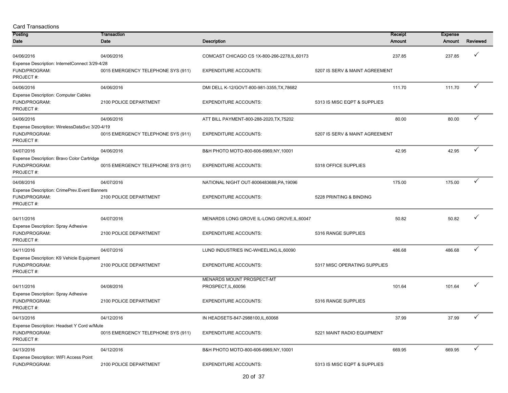| <b>Card Transactions</b>                                                     |                                    |                                                  |                                |                   |                          |              |
|------------------------------------------------------------------------------|------------------------------------|--------------------------------------------------|--------------------------------|-------------------|--------------------------|--------------|
| Posting<br>Date                                                              | Transaction<br>Date                | <b>Description</b>                               |                                | Receipt<br>Amount | <b>Expense</b><br>Amount | Reviewed     |
| 04/06/2016                                                                   | 04/06/2016                         | COMCAST CHICAGO CS 1X-800-266-2278, IL, 60173    |                                | 237.85            | 237.85                   |              |
| Expense Description: InternetConnect 3/29-4/28<br>FUND/PROGRAM:<br>PROJECT#: | 0015 EMERGENCY TELEPHONE SYS (911) | <b>EXPENDITURE ACCOUNTS:</b>                     | 5207 IS SERV & MAINT AGREEMENT |                   |                          |              |
| 04/06/2016<br><b>Expense Description: Computer Cables</b>                    | 04/06/2016                         | DMI DELL K-12/GOVT-800-981-3355, TX, 78682       |                                | 111.70            | 111.70                   | ✓            |
| FUND/PROGRAM:<br>PROJECT#:                                                   | 2100 POLICE DEPARTMENT             | <b>EXPENDITURE ACCOUNTS:</b>                     | 5313 IS MISC EQPT & SUPPLIES   |                   |                          |              |
| 04/06/2016                                                                   | 04/06/2016                         | ATT BILL PAYMENT-800-288-2020, TX, 75202         |                                | 80.00             | 80.00                    | ✓            |
| Expense Description: WirelessDataSvc 3/20-4/19<br>FUND/PROGRAM:<br>PROJECT#: | 0015 EMERGENCY TELEPHONE SYS (911) | <b>EXPENDITURE ACCOUNTS:</b>                     | 5207 IS SERV & MAINT AGREEMENT |                   |                          |              |
| 04/07/2016                                                                   | 04/06/2016                         | B&H PHOTO MOTO-800-606-6969, NY, 10001           |                                | 42.95             | 42.95                    | $\checkmark$ |
| Expense Description: Bravo Color Cartridge<br>FUND/PROGRAM:<br>PROJECT#:     | 0015 EMERGENCY TELEPHONE SYS (911) | <b>EXPENDITURE ACCOUNTS:</b>                     | 5318 OFFICE SUPPLIES           |                   |                          |              |
| 04/08/2016                                                                   | 04/07/2016                         | NATIONAL NIGHT OUT-8006483688, PA, 19096         |                                | 175.00            | 175.00                   | $\checkmark$ |
| Expense Description: CrimePrev. Event Banners<br>FUND/PROGRAM:<br>PROJECT#:  | 2100 POLICE DEPARTMENT             | <b>EXPENDITURE ACCOUNTS:</b>                     | 5228 PRINTING & BINDING        |                   |                          |              |
| 04/11/2016                                                                   | 04/07/2016                         | MENARDS LONG GROVE IL-LONG GROVE, IL, 60047      |                                | 50.82             | 50.82                    |              |
| <b>Expense Description: Spray Adhesive</b><br>FUND/PROGRAM:<br>PROJECT#:     | 2100 POLICE DEPARTMENT             | <b>EXPENDITURE ACCOUNTS:</b>                     | 5316 RANGE SUPPLIES            |                   |                          |              |
| 04/11/2016                                                                   | 04/07/2016                         | LUND INDUSTRIES INC-WHEELING, IL, 60090          |                                | 486.68            | 486.68                   |              |
| Expense Description: K9 Vehicle Equipment<br>FUND/PROGRAM:<br>PROJECT#:      | 2100 POLICE DEPARTMENT             | <b>EXPENDITURE ACCOUNTS:</b>                     | 5317 MISC OPERATING SUPPLIES   |                   |                          |              |
| 04/11/2016                                                                   | 04/08/2016                         | MENARDS MOUNT PROSPECT-MT<br>PROSPECT, IL, 60056 |                                | 101.64            | 101.64                   |              |
| Expense Description: Spray Adhesive<br>FUND/PROGRAM:<br>PROJECT#:            | 2100 POLICE DEPARTMENT             | <b>EXPENDITURE ACCOUNTS:</b>                     | 5316 RANGE SUPPLIES            |                   |                          |              |
| 04/13/2016                                                                   | 04/12/2016                         | IN HEADSETS-847-2988100, IL, 60068               |                                | 37.99             | 37.99                    | ✓            |
| Expense Description: Headset Y Cord w/Mute<br>FUND/PROGRAM:<br>PROJECT#:     | 0015 EMERGENCY TELEPHONE SYS (911) | <b>EXPENDITURE ACCOUNTS:</b>                     | 5221 MAINT RADIO EQUIPMENT     |                   |                          |              |
| 04/13/2016                                                                   | 04/12/2016                         | B&H PHOTO MOTO-800-606-6969, NY, 10001           |                                | 669.95            | 669.95                   | $\checkmark$ |
| Expense Description: WIFI Access Point<br>FUND/PROGRAM:                      | 2100 POLICE DEPARTMENT             | <b>EXPENDITURE ACCOUNTS:</b>                     | 5313 IS MISC EQPT & SUPPLIES   |                   |                          |              |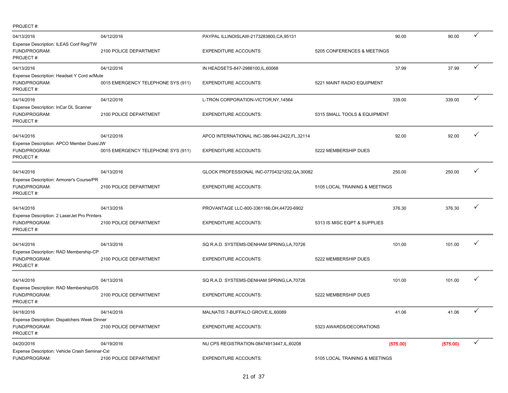| PROJECT#:                                                                  |                                    |                                                |                                |          |          |                 |
|----------------------------------------------------------------------------|------------------------------------|------------------------------------------------|--------------------------------|----------|----------|-----------------|
| 04/13/2016                                                                 | 04/12/2016                         | PAYPAL ILLINOISLAW-2173283800, CA, 95131       |                                | 90.00    | 90.00    | ✓               |
| Expense Description: ILEAS Conf Reg/TW<br>FUND/PROGRAM:<br>PROJECT#:       | 2100 POLICE DEPARTMENT             | <b>EXPENDITURE ACCOUNTS:</b>                   | 5205 CONFERENCES & MEETINGS    |          |          |                 |
| 04/13/2016                                                                 | 04/12/2016                         | IN HEADSETS-847-2988100, IL, 60068             |                                | 37.99    | 37.99    | $\checkmark$    |
| Expense Description: Headset Y Cord w/Mute<br>FUND/PROGRAM:<br>PROJECT#:   | 0015 EMERGENCY TELEPHONE SYS (911) | <b>EXPENDITURE ACCOUNTS:</b>                   | 5221 MAINT RADIO EQUIPMENT     |          |          |                 |
| 04/14/2016                                                                 | 04/12/2016                         | L-TRON CORPORATION-VICTOR, NY, 14564           |                                | 339.00   | 339.00   | ✓               |
| Expense Description: InCar DL Scanner<br>FUND/PROGRAM:<br>PROJECT#:        | 2100 POLICE DEPARTMENT             | <b>EXPENDITURE ACCOUNTS:</b>                   | 5315 SMALL TOOLS & EQUIPMENT   |          |          |                 |
| 04/14/2016                                                                 | 04/12/2016                         | APCO INTERNATIONAL INC-386-944-2422, FL, 32114 |                                | 92.00    | 92.00    |                 |
| Expense Description: APCO Member Dues/JW<br>FUND/PROGRAM:<br>PROJECT#:     | 0015 EMERGENCY TELEPHONE SYS (911) | <b>EXPENDITURE ACCOUNTS:</b>                   | 5222 MEMBERSHIP DUES           |          |          |                 |
| 04/14/2016                                                                 | 04/13/2016                         | GLOCK PROFESSIONAL INC-07704321202, GA, 30082  |                                | 250.00   | 250.00   | ✓               |
| Expense Description: Armorer's Course/PR<br>FUND/PROGRAM:<br>PROJECT#:     | 2100 POLICE DEPARTMENT             | <b>EXPENDITURE ACCOUNTS:</b>                   | 5105 LOCAL TRAINING & MEETINGS |          |          |                 |
| 04/14/2016                                                                 | 04/13/2016                         | PROVANTAGE LLC-800-3361166, OH, 44720-6902     |                                | 376.30   | 376.30   | ✓               |
| Expense Description: 2 LaserJet Pro Printers<br>FUND/PROGRAM:<br>PROJECT#: | 2100 POLICE DEPARTMENT             | <b>EXPENDITURE ACCOUNTS:</b>                   | 5313 IS MISC EQPT & SUPPLIES   |          |          |                 |
| 04/14/2016                                                                 | 04/13/2016                         | SQ R.A.D. SYSTEMS-DENHAM SPRING,LA,70726       |                                | 101.00   | 101.00   |                 |
| Expense Description: RAD Membership-CP<br>FUND/PROGRAM:<br>PROJECT#:       | 2100 POLICE DEPARTMENT             | <b>EXPENDITURE ACCOUNTS:</b>                   | 5222 MEMBERSHIP DUES           |          |          |                 |
| 04/14/2016                                                                 | 04/13/2016                         | SQ R.A.D. SYSTEMS-DENHAM SPRING, LA, 70726     |                                | 101.00   | 101.00   | ✓               |
| Expense Description: RAD Membership/DS<br>FUND/PROGRAM:<br>PROJECT#:       | 2100 POLICE DEPARTMENT             | <b>EXPENDITURE ACCOUNTS:</b>                   | 5222 MEMBERSHIP DUES           |          |          |                 |
| 04/18/2016                                                                 | 04/14/2016                         | MALNATIS 7-BUFFALO GROVE, IL, 60089            |                                | 41.06    | 41.06    | $\vec{\sqrt{}}$ |
| Expense Description: Dispatchers Week Dinner<br>FUND/PROGRAM:<br>PROJECT#: | 2100 POLICE DEPARTMENT             | <b>EXPENDITURE ACCOUNTS:</b>                   | 5323 AWARDS/DECORATIONS        |          |          |                 |
| 04/20/2016                                                                 | 04/19/2016                         | NU CPS REGISTRATION-08474913447, IL, 60208     |                                | (575.00) | (575.00) | $\checkmark$    |
| Expense Description: Vehicle Crash Seminar-Cxl<br>FUND/PROGRAM:            | 2100 POLICE DEPARTMENT             | <b>EXPENDITURE ACCOUNTS:</b>                   | 5105 LOCAL TRAINING & MEETINGS |          |          |                 |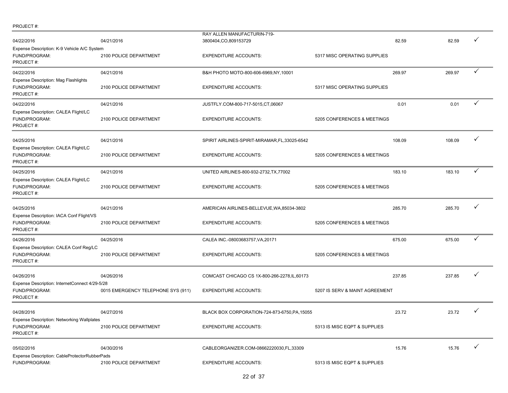|                                                       |                                    | RAY ALLEN MANUFACTURIN-719-                    |                                |        |        |              |
|-------------------------------------------------------|------------------------------------|------------------------------------------------|--------------------------------|--------|--------|--------------|
| 04/22/2016                                            | 04/21/2016                         | 3800404,CO,809153729                           |                                | 82.59  | 82.59  | ✓            |
| Expense Description: K-9 Vehicle A/C System           |                                    |                                                |                                |        |        |              |
| FUND/PROGRAM:                                         | 2100 POLICE DEPARTMENT             | <b>EXPENDITURE ACCOUNTS:</b>                   | 5317 MISC OPERATING SUPPLIES   |        |        |              |
| PROJECT#:                                             |                                    |                                                |                                |        |        |              |
| 04/22/2016                                            | 04/21/2016                         | B&H PHOTO MOTO-800-606-6969, NY, 10001         |                                | 269.97 | 269.97 | $\checkmark$ |
| Expense Description: Mag Flashlights                  |                                    |                                                |                                |        |        |              |
| FUND/PROGRAM:                                         | 2100 POLICE DEPARTMENT             | <b>EXPENDITURE ACCOUNTS:</b>                   | 5317 MISC OPERATING SUPPLIES   |        |        |              |
| PROJECT#:                                             |                                    |                                                |                                |        |        |              |
| 04/22/2016                                            | 04/21/2016                         | JUSTFLY.COM-800-717-5015,CT,06067              |                                | 0.01   | 0.01   | $\checkmark$ |
| Expense Description: CALEA Flight/LC                  |                                    |                                                |                                |        |        |              |
| FUND/PROGRAM:                                         | 2100 POLICE DEPARTMENT             | <b>EXPENDITURE ACCOUNTS:</b>                   | 5205 CONFERENCES & MEETINGS    |        |        |              |
| PROJECT#:                                             |                                    |                                                |                                |        |        |              |
|                                                       |                                    |                                                |                                |        |        |              |
| 04/25/2016                                            | 04/21/2016                         | SPIRIT AIRLINES-SPIRIT-MIRAMAR, FL, 33025-6542 |                                | 108.09 | 108.09 | ✓            |
| Expense Description: CALEA Flight/LC                  |                                    |                                                |                                |        |        |              |
| FUND/PROGRAM:<br>PROJECT#:                            | 2100 POLICE DEPARTMENT             | <b>EXPENDITURE ACCOUNTS:</b>                   | 5205 CONFERENCES & MEETINGS    |        |        |              |
|                                                       |                                    |                                                |                                |        |        | $\checkmark$ |
| 04/25/2016                                            | 04/21/2016                         | UNITED AIRLINES-800-932-2732, TX, 77002        |                                | 183.10 | 183.10 |              |
| Expense Description: CALEA Flight/LC<br>FUND/PROGRAM: | 2100 POLICE DEPARTMENT             | <b>EXPENDITURE ACCOUNTS:</b>                   | 5205 CONFERENCES & MEETINGS    |        |        |              |
| PROJECT#:                                             |                                    |                                                |                                |        |        |              |
|                                                       |                                    |                                                |                                |        |        |              |
| 04/25/2016                                            | 04/21/2016                         | AMERICAN AIRLINES-BELLEVUE, WA, 85034-3802     |                                | 285.70 | 285.70 | ✓            |
| Expense Description: IACA Conf Flight/VS              |                                    |                                                |                                |        |        |              |
| FUND/PROGRAM:                                         | 2100 POLICE DEPARTMENT             | <b>EXPENDITURE ACCOUNTS:</b>                   | 5205 CONFERENCES & MEETINGS    |        |        |              |
| PROJECT#:                                             |                                    |                                                |                                |        |        |              |
| 04/26/2016                                            | 04/25/2016                         | CALEA INC.-08003683757, VA, 20171              |                                | 675.00 | 675.00 | ✓            |
| Expense Description: CALEA Conf Reg/LC                |                                    |                                                |                                |        |        |              |
| FUND/PROGRAM:                                         | 2100 POLICE DEPARTMENT             | <b>EXPENDITURE ACCOUNTS:</b>                   | 5205 CONFERENCES & MEETINGS    |        |        |              |
| PROJECT#:                                             |                                    |                                                |                                |        |        |              |
| 04/26/2016                                            | 04/26/2016                         | COMCAST CHICAGO CS 1X-800-266-2278, IL, 60173  |                                | 237.85 | 237.85 | ✓            |
| Expense Description: InternetConnect 4/29-5/28        |                                    |                                                |                                |        |        |              |
| FUND/PROGRAM:                                         | 0015 EMERGENCY TELEPHONE SYS (911) | <b>EXPENDITURE ACCOUNTS:</b>                   | 5207 IS SERV & MAINT AGREEMENT |        |        |              |
| PROJECT#:                                             |                                    |                                                |                                |        |        |              |
|                                                       |                                    |                                                |                                |        |        |              |
| 04/28/2016                                            | 04/27/2016                         | BLACK BOX CORPORATION-724-873-6750, PA, 15055  |                                | 23.72  | 23.72  | $\checkmark$ |
| Expense Description: Networking Wallplates            |                                    |                                                |                                |        |        |              |
| FUND/PROGRAM:                                         | 2100 POLICE DEPARTMENT             | <b>EXPENDITURE ACCOUNTS:</b>                   | 5313 IS MISC EQPT & SUPPLIES   |        |        |              |
| PROJECT#:                                             |                                    |                                                |                                |        |        |              |
| 05/02/2016                                            | 04/30/2016                         | CABLEORGANIZER.COM-08662220030,FL,33309        |                                | 15.76  | 15.76  | ✓            |
| Expense Description: CableProtectorRubberPads         |                                    |                                                |                                |        |        |              |
| FUND/PROGRAM:                                         | 2100 POLICE DEPARTMENT             | <b>EXPENDITURE ACCOUNTS:</b>                   | 5313 IS MISC EQPT & SUPPLIES   |        |        |              |

PROJECT #:

# 22 of 37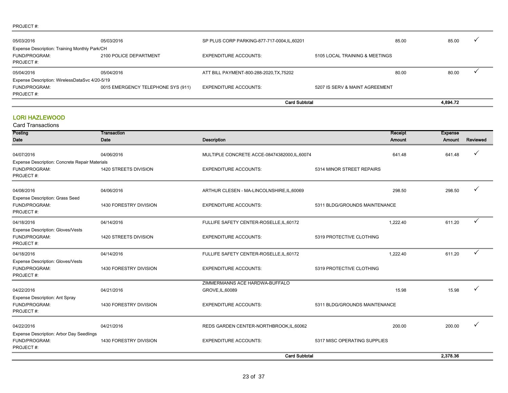#### PROJECT #:

|                                                |                                    | <b>Card Subtotal</b>                         |                                |       | 4,894.72 |  |
|------------------------------------------------|------------------------------------|----------------------------------------------|--------------------------------|-------|----------|--|
| PROJECT#:                                      |                                    |                                              |                                |       |          |  |
| FUND/PROGRAM:                                  | 0015 EMERGENCY TELEPHONE SYS (911) | <b>EXPENDITURE ACCOUNTS:</b>                 | 5207 IS SERV & MAINT AGREEMENT |       |          |  |
| Expense Description: WirelessDataSvc 4/20-5/19 |                                    |                                              |                                |       |          |  |
| 05/04/2016                                     | 05/04/2016                         | ATT BILL PAYMENT-800-288-2020, TX, 75202     |                                | 80.00 | 80.00    |  |
| PROJECT#:                                      |                                    |                                              |                                |       |          |  |
| FUND/PROGRAM:                                  | 2100 POLICE DEPARTMENT             | <b>EXPENDITURE ACCOUNTS:</b>                 | 5105 LOCAL TRAINING & MEETINGS |       |          |  |
| Expense Description: Training Monthly Park/CH  |                                    |                                              |                                |       |          |  |
| 05/03/2016                                     | 05/03/2016                         | SP PLUS CORP PARKING-877-717-0004, IL, 60201 |                                | 85.00 | 85.00    |  |
|                                                |                                    |                                              |                                |       |          |  |

# LORI HAZLEWOOD

| Posting                                                                | <b>Transaction</b>     |                                             |                               | Receipt<br><b>Expense</b> |          |
|------------------------------------------------------------------------|------------------------|---------------------------------------------|-------------------------------|---------------------------|----------|
| Date                                                                   | <b>Date</b>            | <b>Description</b>                          |                               | Amount<br>Amount          | Reviewed |
| 04/07/2016                                                             | 04/06/2016             | MULTIPLE CONCRETE ACCE-08474382000,IL,60074 |                               | 641.48<br>641.48          |          |
| Expense Description: Concrete Repair Materials                         |                        |                                             |                               |                           |          |
| FUND/PROGRAM:<br>PROJECT#:                                             | 1420 STREETS DIVISION  | <b>EXPENDITURE ACCOUNTS:</b>                | 5314 MINOR STREET REPAIRS     |                           |          |
| 04/08/2016                                                             | 04/06/2016             | ARTHUR CLESEN - MA-LINCOLNSHIRE, IL, 60069  |                               | 298.50<br>298.50          |          |
| <b>Expense Description: Grass Seed</b><br>FUND/PROGRAM:<br>PROJECT#:   | 1430 FORESTRY DIVISION | <b>EXPENDITURE ACCOUNTS:</b>                | 5311 BLDG/GROUNDS MAINTENANCE |                           |          |
| 04/18/2016                                                             | 04/14/2016             | FULLIFE SAFETY CENTER-ROSELLE, IL, 60172    |                               | 1,222.40<br>611.20        | ✓        |
| Expense Description: Gloves/Vests<br>FUND/PROGRAM:<br>PROJECT#:        | 1420 STREETS DIVISION  | <b>EXPENDITURE ACCOUNTS:</b>                | 5319 PROTECTIVE CLOTHING      |                           |          |
| 04/18/2016                                                             | 04/14/2016             | FULLIFE SAFETY CENTER-ROSELLE, IL, 60172    |                               | 1,222.40<br>611.20        | ✓        |
| Expense Description: Gloves/Vests<br>FUND/PROGRAM:<br>PROJECT#:        | 1430 FORESTRY DIVISION | <b>EXPENDITURE ACCOUNTS:</b>                | 5319 PROTECTIVE CLOTHING      |                           |          |
|                                                                        |                        | ZIMMERMANNS ACE HARDWA-BUFFALO              |                               |                           |          |
| 04/22/2016                                                             | 04/21/2016             | GROVE, IL, 60089                            |                               | 15.98<br>15.98            |          |
| Expense Description: Ant Spray<br>FUND/PROGRAM:<br>PROJECT#:           | 1430 FORESTRY DIVISION | <b>EXPENDITURE ACCOUNTS:</b>                | 5311 BLDG/GROUNDS MAINTENANCE |                           |          |
| 04/22/2016                                                             | 04/21/2016             | REDS GARDEN CENTER-NORTHBROOK, IL, 60062    |                               | 200.00<br>200.00          | ✓        |
| Expense Description: Arbor Day Seedlings<br>FUND/PROGRAM:<br>PROJECT#: | 1430 FORESTRY DIVISION | <b>EXPENDITURE ACCOUNTS:</b>                | 5317 MISC OPERATING SUPPLIES  |                           |          |
|                                                                        |                        | <b>Card Subtotal</b>                        |                               | 2.378.36                  |          |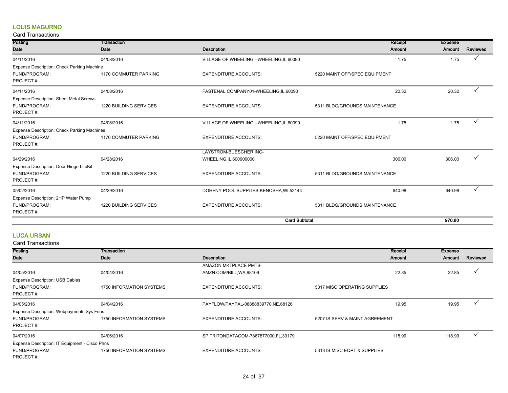# LOUIS MAGURNO

# Card Transactions

| Posting                                     | Transaction            |                                            | Receipt                       | <b>Expense</b> |          |
|---------------------------------------------|------------------------|--------------------------------------------|-------------------------------|----------------|----------|
| Date                                        | Date                   | <b>Description</b>                         | Amount                        | Amount         | Reviewed |
| 04/11/2016                                  | 04/08/2016             | VILLAGE OF WHEELING -- WHEELING, IL, 60090 | 1.75                          | 1.75           | ✓        |
| Expense Description: Check Parking Machine  |                        |                                            |                               |                |          |
| FUND/PROGRAM:                               | 1170 COMMUTER PARKING  | <b>EXPENDITURE ACCOUNTS:</b>               | 5220 MAINT OFF/SPEC EQUIPMENT |                |          |
| PROJECT#:                                   |                        |                                            |                               |                |          |
| 04/11/2016                                  | 04/08/2016             | FASTENAL COMPANY01-WHEELING,IL,60090       | 20.32                         | 20.32          |          |
| Expense Description: Sheet Metal Screws     |                        |                                            |                               |                |          |
| FUND/PROGRAM:                               | 1220 BUILDING SERVICES | <b>EXPENDITURE ACCOUNTS:</b>               | 5311 BLDG/GROUNDS MAINTENANCE |                |          |
| PROJECT#:                                   |                        |                                            |                               |                |          |
| 04/11/2016                                  | 04/08/2016             | VILLAGE OF WHEELING -- WHEELING, IL, 60090 | 1.75                          | 1.75           | ✓        |
| Expense Description: Check Parking Machines |                        |                                            |                               |                |          |
| FUND/PROGRAM:                               | 1170 COMMUTER PARKING  | <b>EXPENDITURE ACCOUNTS:</b>               | 5220 MAINT OFF/SPEC EQUIPMENT |                |          |
| PROJECT#:                                   |                        |                                            |                               |                |          |
|                                             |                        | LAYSTROM-BUESCHER INC-                     |                               |                |          |
| 04/29/2016                                  | 04/28/2016             | WHEELING, IL, 600900000                    | 306.00                        | 306.00         | ✓        |
| Expense Description: Door Hinge-LiteKit     |                        |                                            |                               |                |          |
| FUND/PROGRAM:                               | 1220 BUILDING SERVICES | <b>EXPENDITURE ACCOUNTS:</b>               | 5311 BLDG/GROUNDS MAINTENANCE |                |          |
| PROJECT#:                                   |                        |                                            |                               |                |          |
| 05/02/2016                                  | 04/29/2016             | DOHENY POOL SUPPLIES-KENOSHA, WI,53144     | 640.98                        | 640.98         |          |
| Expense Description: 2HP Water Pump         |                        |                                            |                               |                |          |
| FUND/PROGRAM:                               | 1220 BUILDING SERVICES | <b>EXPENDITURE ACCOUNTS:</b>               | 5311 BLDG/GROUNDS MAINTENANCE |                |          |
| PROJECT#:                                   |                        |                                            |                               |                |          |
|                                             |                        | <b>Card Subtotal</b>                       |                               | 970.80         |          |

# LUCA URSAN

| Posting                                        | Transaction              |                                        | Receipt                        | <b>Expense</b> |          |
|------------------------------------------------|--------------------------|----------------------------------------|--------------------------------|----------------|----------|
| Date                                           | Date                     | Description                            | <b>Amount</b>                  | Amount         | Reviewed |
|                                                |                          | <b>AMAZON MKTPLACE PMTS-</b>           |                                |                |          |
| 04/05/2016                                     | 04/04/2016               | AMZN.COM/BILL, WA, 98109               | 22.85                          | 22.85          |          |
| <b>Expense Description: USB Cables</b>         |                          |                                        |                                |                |          |
| FUND/PROGRAM:                                  | 1750 INFORMATION SYSTEMS | <b>EXPENDITURE ACCOUNTS:</b>           | 5317 MISC OPERATING SUPPLIES   |                |          |
| PROJECT#:                                      |                          |                                        |                                |                |          |
| 04/05/2016                                     | 04/04/2016               | PAYFLOW/PAYPAL-08888839770, NE, 68126  | 19.95                          | 19.95          |          |
| Expense Description: Webpayments Sys Fees      |                          |                                        |                                |                |          |
| FUND/PROGRAM:                                  | 1750 INFORMATION SYSTEMS | <b>EXPENDITURE ACCOUNTS:</b>           | 5207 IS SERV & MAINT AGREEMENT |                |          |
| PROJECT#:                                      |                          |                                        |                                |                |          |
| 04/07/2016                                     | 04/06/2016               | SP TRITONDATACOM-7867877000, FL, 33179 | 118.99                         | 118.99         |          |
| Expense Description: IT Equipment - Cisco Phns |                          |                                        |                                |                |          |
| FUND/PROGRAM:                                  | 1750 INFORMATION SYSTEMS | <b>EXPENDITURE ACCOUNTS:</b>           | 5313 IS MISC EQPT & SUPPLIES   |                |          |
| PROJECT#:                                      |                          |                                        |                                |                |          |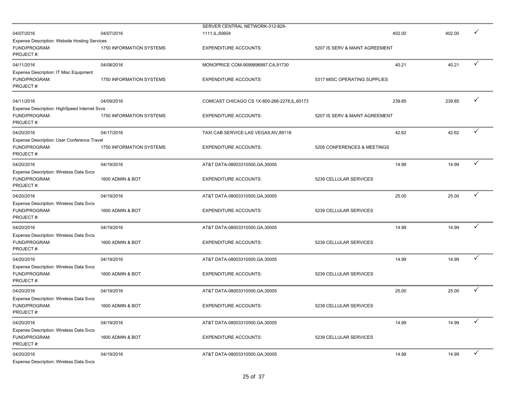|                                                                                    |                                 | SERVER CENTRAL NETWORK-312-829-               |                                |        |              |
|------------------------------------------------------------------------------------|---------------------------------|-----------------------------------------------|--------------------------------|--------|--------------|
| 04/07/2016                                                                         | 04/07/2016                      | 1111, IL, 60604                               | 402.00                         | 402.00 | ✓            |
| <b>Expense Description: Website Hosting Services</b><br>FUND/PROGRAM:<br>PROJECT#: | 1750 INFORMATION SYSTEMS        | <b>EXPENDITURE ACCOUNTS:</b>                  | 5207 IS SERV & MAINT AGREEMENT |        |              |
| 04/11/2016                                                                         | 04/08/2016                      | MONOPRICE COM-9099896887, CA, 91730           | 40.21                          | 40.21  | ✓            |
| Expense Description: IT Misc Equipment<br>FUND/PROGRAM:<br>PROJECT#:               | 1750 INFORMATION SYSTEMS        | <b>EXPENDITURE ACCOUNTS:</b>                  | 5317 MISC OPERATING SUPPLIES   |        |              |
| 04/11/2016                                                                         | 04/09/2016                      | COMCAST CHICAGO CS 1X-800-266-2278, IL, 60173 | 239.85                         | 239.85 | ✓            |
| Expense Description: HighSpeed Internet Svcs<br>FUND/PROGRAM:<br>PROJECT#:         | <b>1750 INFORMATION SYSTEMS</b> | <b>EXPENDITURE ACCOUNTS:</b>                  | 5207 IS SERV & MAINT AGREEMENT |        |              |
| 04/20/2016<br>Expense Description: User Conference Travel                          | 04/17/2016                      | TAXI CAB SERVICE-LAS VEGAS, NV, 89118         | 42.62                          | 42.62  | ✓            |
| FUND/PROGRAM:<br>PROJECT#:                                                         | 1750 INFORMATION SYSTEMS        | <b>EXPENDITURE ACCOUNTS:</b>                  | 5205 CONFERENCES & MEETINGS    |        |              |
| 04/20/2016<br>Expense Description: Wireless Data Svcs                              | 04/19/2016                      | AT&T DATA-08003310500, GA, 30005              | 14.99                          | 14.99  | ✓            |
| FUND/PROGRAM:<br>PROJECT#:                                                         | 1600 ADMIN & BOT                | <b>EXPENDITURE ACCOUNTS:</b>                  | 5239 CELLULAR SERVICES         |        |              |
| 04/20/2016                                                                         | 04/19/2016                      | AT&T DATA-08003310500, GA, 30005              | 25.00                          | 25.00  | ✓            |
| Expense Description: Wireless Data Svcs<br>FUND/PROGRAM:<br>PROJECT#:              | 1600 ADMIN & BOT                | <b>EXPENDITURE ACCOUNTS:</b>                  | 5239 CELLULAR SERVICES         |        |              |
| 04/20/2016                                                                         | 04/19/2016                      | AT&T DATA-08003310500, GA, 30005              | 14.99                          | 14.99  | ✓            |
| Expense Description: Wireless Data Svcs<br>FUND/PROGRAM:<br>PROJECT#:              | 1600 ADMIN & BOT                | <b>EXPENDITURE ACCOUNTS:</b>                  | 5239 CELLULAR SERVICES         |        |              |
| 04/20/2016                                                                         | 04/19/2016                      | AT&T DATA-08003310500, GA, 30005              | 14.99                          | 14.99  | ✓            |
| Expense Description: Wireless Data Svcs<br>FUND/PROGRAM:<br>PROJECT#:              | 1600 ADMIN & BOT                | <b>EXPENDITURE ACCOUNTS:</b>                  | 5239 CELLULAR SERVICES         |        |              |
| 04/20/2016                                                                         | 04/19/2016                      | AT&T DATA-08003310500, GA, 30005              | 25.00                          | 25.00  | ✓            |
| Expense Description: Wireless Data Svcs<br>FUND/PROGRAM:<br>PROJECT#:              | 1600 ADMIN & BOT                | <b>EXPENDITURE ACCOUNTS:</b>                  | 5239 CELLULAR SERVICES         |        |              |
| 04/20/2016                                                                         | 04/19/2016                      | AT&T DATA-08003310500, GA, 30005              | 14.99                          | 14.99  | ✓            |
| Expense Description: Wireless Data Svcs<br>FUND/PROGRAM:<br>PROJECT#:              | 1600 ADMIN & BOT                | <b>EXPENDITURE ACCOUNTS:</b>                  | 5239 CELLULAR SERVICES         |        |              |
| 04/20/2016<br>Expense Description: Wireless Data Svcs                              | 04/19/2016                      | AT&T DATA-08003310500, GA, 30005              | 14.99                          | 14.99  | $\checkmark$ |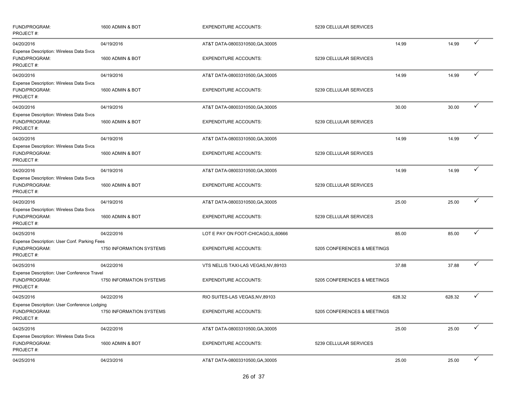| FUND/PROGRAM:<br>PROJECT#:                                                   | 1600 ADMIN & BOT         | <b>EXPENDITURE ACCOUNTS:</b>         | 5239 CELLULAR SERVICES      |        |        |              |
|------------------------------------------------------------------------------|--------------------------|--------------------------------------|-----------------------------|--------|--------|--------------|
| 04/20/2016                                                                   | 04/19/2016               | AT&T DATA-08003310500, GA, 30005     |                             | 14.99  | 14.99  | ✓            |
| Expense Description: Wireless Data Svcs<br>FUND/PROGRAM:<br>PROJECT#:        | 1600 ADMIN & BOT         | <b>EXPENDITURE ACCOUNTS:</b>         | 5239 CELLULAR SERVICES      |        |        |              |
| 04/20/2016                                                                   | 04/19/2016               | AT&T DATA-08003310500, GA, 30005     |                             | 14.99  | 14.99  | ✓            |
| Expense Description: Wireless Data Svcs<br>FUND/PROGRAM:<br>PROJECT#:        | 1600 ADMIN & BOT         | <b>EXPENDITURE ACCOUNTS:</b>         | 5239 CELLULAR SERVICES      |        |        |              |
| 04/20/2016                                                                   | 04/19/2016               | AT&T DATA-08003310500, GA, 30005     |                             | 30.00  | 30.00  | $\checkmark$ |
| Expense Description: Wireless Data Svcs<br>FUND/PROGRAM:<br>PROJECT#:        | 1600 ADMIN & BOT         | <b>EXPENDITURE ACCOUNTS:</b>         | 5239 CELLULAR SERVICES      |        |        |              |
| 04/20/2016                                                                   | 04/19/2016               | AT&T DATA-08003310500, GA, 30005     |                             | 14.99  | 14.99  | ✓            |
| Expense Description: Wireless Data Svcs<br>FUND/PROGRAM:<br>PROJECT#:        | 1600 ADMIN & BOT         | <b>EXPENDITURE ACCOUNTS:</b>         | 5239 CELLULAR SERVICES      |        |        |              |
| 04/20/2016                                                                   | 04/19/2016               | AT&T DATA-08003310500, GA, 30005     |                             | 14.99  | 14.99  | ✓            |
| Expense Description: Wireless Data Svcs<br>FUND/PROGRAM:<br>PROJECT#:        | 1600 ADMIN & BOT         | <b>EXPENDITURE ACCOUNTS:</b>         | 5239 CELLULAR SERVICES      |        |        |              |
| 04/20/2016                                                                   | 04/19/2016               | AT&T DATA-08003310500, GA, 30005     |                             | 25.00  | 25.00  | ✓            |
| Expense Description: Wireless Data Svcs<br>FUND/PROGRAM:<br>PROJECT#:        | 1600 ADMIN & BOT         | <b>EXPENDITURE ACCOUNTS:</b>         | 5239 CELLULAR SERVICES      |        |        |              |
| 04/25/2016                                                                   | 04/22/2016               | LOT E PAY ON FOOT-CHICAGO, IL, 60666 |                             | 85.00  | 85.00  | ✓            |
| Expense Description: User Conf. Parking Fees<br>FUND/PROGRAM:<br>PROJECT#:   | 1750 INFORMATION SYSTEMS | <b>EXPENDITURE ACCOUNTS:</b>         | 5205 CONFERENCES & MEETINGS |        |        |              |
| 04/25/2016                                                                   | 04/22/2016               | VTS NELLIS TAXI-LAS VEGAS, NV, 89103 |                             | 37.88  | 37.88  | ✓            |
| Expense Description: User Conference Travel<br>FUND/PROGRAM:<br>PROJECT#:    | 1750 INFORMATION SYSTEMS | <b>EXPENDITURE ACCOUNTS:</b>         | 5205 CONFERENCES & MEETINGS |        |        |              |
| 04/25/2016                                                                   | 04/22/2016               | RIO SUITES-LAS VEGAS, NV, 89103      |                             | 628.32 | 628.32 | $\checkmark$ |
| Expense Description: User Conference Lodging<br>FUND/PROGRAM:<br>PROJECT#:   | 1750 INFORMATION SYSTEMS | <b>EXPENDITURE ACCOUNTS:</b>         | 5205 CONFERENCES & MEETINGS |        |        |              |
| 04/25/2016                                                                   | 04/22/2016               | AT&T DATA-08003310500, GA, 30005     |                             | 25.00  | 25.00  | $\checkmark$ |
| <b>Expense Description: Wireless Data Svcs</b><br>FUND/PROGRAM:<br>PROJECT#: | 1600 ADMIN & BOT         | <b>EXPENDITURE ACCOUNTS:</b>         | 5239 CELLULAR SERVICES      |        |        |              |
| 04/25/2016                                                                   | 04/23/2016               | AT&T DATA-08003310500, GA, 30005     |                             | 25.00  | 25.00  | $\checkmark$ |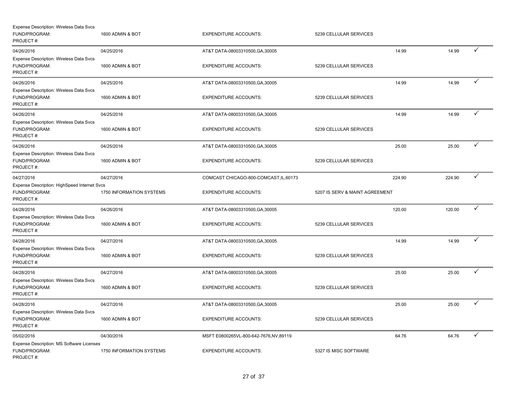| Expense Description: Wireless Data Svcs<br>FUND/PROGRAM:<br>PROJECT#:         | 1600 ADMIN & BOT               | <b>EXPENDITURE ACCOUNTS:</b>                                     | 5239 CELLULAR SERVICES         |        |        |              |
|-------------------------------------------------------------------------------|--------------------------------|------------------------------------------------------------------|--------------------------------|--------|--------|--------------|
| 04/26/2016<br><b>Expense Description: Wireless Data Svcs</b><br>FUND/PROGRAM: | 04/25/2016<br>1600 ADMIN & BOT | AT&T DATA-08003310500, GA, 30005<br><b>EXPENDITURE ACCOUNTS:</b> | 5239 CELLULAR SERVICES         | 14.99  | 14.99  | $\checkmark$ |
| PROJECT#:                                                                     |                                |                                                                  |                                |        |        |              |
| 04/26/2016                                                                    | 04/25/2016                     | AT&T DATA-08003310500, GA, 30005                                 |                                | 14.99  | 14.99  | ✓            |
| <b>Expense Description: Wireless Data Svcs</b><br>FUND/PROGRAM:<br>PROJECT#:  | 1600 ADMIN & BOT               | <b>EXPENDITURE ACCOUNTS:</b>                                     | 5239 CELLULAR SERVICES         |        |        |              |
| 04/26/2016                                                                    | 04/25/2016                     | AT&T DATA-08003310500, GA, 30005                                 |                                | 14.99  | 14.99  | $\checkmark$ |
| Expense Description: Wireless Data Svcs<br>FUND/PROGRAM:<br>PROJECT#:         | 1600 ADMIN & BOT               | <b>EXPENDITURE ACCOUNTS:</b>                                     | 5239 CELLULAR SERVICES         |        |        |              |
| 04/26/2016                                                                    | 04/25/2016                     | AT&T DATA-08003310500, GA, 30005                                 |                                | 25.00  | 25.00  | ✓            |
| <b>Expense Description: Wireless Data Svcs</b><br>FUND/PROGRAM:<br>PROJECT#:  | 1600 ADMIN & BOT               | <b>EXPENDITURE ACCOUNTS:</b>                                     | 5239 CELLULAR SERVICES         |        |        |              |
| 04/27/2016                                                                    | 04/27/2016                     | COMCAST CHICAGO-800-COMCAST, IL, 60173                           |                                | 224.90 | 224.90 | ✓            |
| Expense Description: HighSpeed Internet Svcs<br>FUND/PROGRAM:<br>PROJECT#:    | 1750 INFORMATION SYSTEMS       | <b>EXPENDITURE ACCOUNTS:</b>                                     | 5207 IS SERV & MAINT AGREEMENT |        |        |              |
| 04/28/2016                                                                    | 04/26/2016                     | AT&T DATA-08003310500, GA, 30005                                 |                                | 120.00 | 120.00 | $\checkmark$ |
| <b>Expense Description: Wireless Data Svcs</b><br>FUND/PROGRAM:<br>PROJECT#:  | 1600 ADMIN & BOT               | <b>EXPENDITURE ACCOUNTS:</b>                                     | 5239 CELLULAR SERVICES         |        |        |              |
| 04/28/2016                                                                    | 04/27/2016                     | AT&T DATA-08003310500, GA, 30005                                 |                                | 14.99  | 14.99  | ✓            |
| Expense Description: Wireless Data Svcs<br>FUND/PROGRAM:<br>PROJECT#:         | 1600 ADMIN & BOT               | <b>EXPENDITURE ACCOUNTS:</b>                                     | 5239 CELLULAR SERVICES         |        |        |              |
| 04/28/2016                                                                    | 04/27/2016                     | AT&T DATA-08003310500, GA, 30005                                 |                                | 25.00  | 25.00  | ✓            |
| <b>Expense Description: Wireless Data Svcs</b><br>FUND/PROGRAM:<br>PROJECT#:  | 1600 ADMIN & BOT               | <b>EXPENDITURE ACCOUNTS:</b>                                     | 5239 CELLULAR SERVICES         |        |        |              |
| 04/28/2016                                                                    | 04/27/2016                     | AT&T DATA-08003310500, GA, 30005                                 |                                | 25.00  | 25.00  | ✓            |
| <b>Expense Description: Wireless Data Svcs</b><br>FUND/PROGRAM:<br>PROJECT#:  | 1600 ADMIN & BOT               | <b>EXPENDITURE ACCOUNTS:</b>                                     | 5239 CELLULAR SERVICES         |        |        |              |
| 05/02/2016                                                                    | 04/30/2016                     | MSFT E0800265VL-800-642-7676, NV, 89119                          |                                | 64.76  | 64.76  | ✓            |
| Expense Description: MS Software Licenses<br>FUND/PROGRAM:<br>PROJECT#:       | 1750 INFORMATION SYSTEMS       | <b>EXPENDITURE ACCOUNTS:</b>                                     | 5327 IS MISC SOFTWARE          |        |        |              |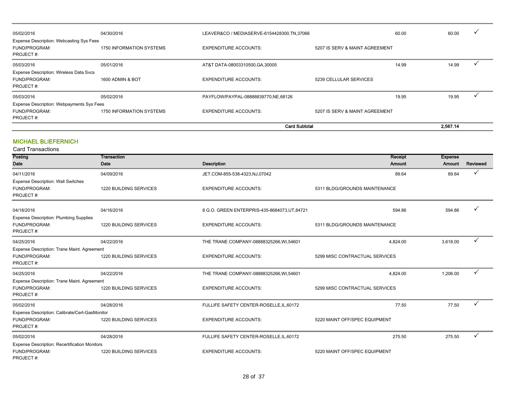|                                                                               |                          | <b>Card Subtotal</b>                         |                                |       | 2.567.14 |              |
|-------------------------------------------------------------------------------|--------------------------|----------------------------------------------|--------------------------------|-------|----------|--------------|
| PROJECT#:                                                                     |                          |                                              |                                |       |          |              |
| Expense Description: Webpayments Sys Fees<br>FUND/PROGRAM:                    | 1750 INFORMATION SYSTEMS | <b>EXPENDITURE ACCOUNTS:</b>                 | 5207 IS SERV & MAINT AGREEMENT |       |          |              |
| 05/03/2016                                                                    | 05/02/2016               | PAYFLOW/PAYPAL-08888839770,NE,68126          |                                | 19.95 | 19.95    |              |
| Expense Description: Wireless Data Svcs<br>FUND/PROGRAM:<br>PROJECT#:         | 1600 ADMIN & BOT         | <b>EXPENDITURE ACCOUNTS:</b>                 | 5239 CELLULAR SERVICES         |       |          |              |
| 05/03/2016                                                                    | 05/01/2016               | AT&T DATA-08003310500, GA, 30005             |                                | 14.99 | 14.99    |              |
| <b>Expense Description: Webcasting Sys Fees</b><br>FUND/PROGRAM:<br>PROJECT#: | 1750 INFORMATION SYSTEMS | <b>EXPENDITURE ACCOUNTS:</b>                 | 5207 IS SERV & MAINT AGREEMENT |       |          |              |
| 05/02/2016                                                                    | 04/30/2016               | LEAVER&CO / MEDIASERVE-6154428300, TN, 37066 |                                | 60.00 | 60.00    | $\checkmark$ |

# MICHAEL BLIEFERNICH

| Posting                                              | Transaction                   |                                               | Receipt                        | <b>Expense</b> |              |
|------------------------------------------------------|-------------------------------|-----------------------------------------------|--------------------------------|----------------|--------------|
| Date                                                 | Date                          | <b>Description</b>                            | Amount                         | Amount         | Reviewed     |
| 04/11/2016                                           | 04/09/2016                    | JET.COM-855-538-4323,NJ,07042                 | 89.64                          | 89.64          | ✓            |
| <b>Expense Description: Wall Switches</b>            |                               |                                               |                                |                |              |
| FUND/PROGRAM:                                        | 1220 BUILDING SERVICES        | <b>EXPENDITURE ACCOUNTS:</b>                  | 5311 BLDG/GROUNDS MAINTENANCE  |                |              |
| PROJECT#:                                            |                               |                                               |                                |                |              |
| 04/18/2016                                           | 04/16/2016                    | 8 G.O. GREEN ENTERPRIS-435-8684073, UT, 84721 | 594.86                         | 594.86         | ✓            |
| <b>Expense Description: Plumbing Supplies</b>        |                               |                                               |                                |                |              |
| FUND/PROGRAM:                                        | 1220 BUILDING SERVICES        | <b>EXPENDITURE ACCOUNTS:</b>                  | 5311 BLDG/GROUNDS MAINTENANCE  |                |              |
| PROJECT#:                                            |                               |                                               |                                |                |              |
| 04/25/2016                                           | 04/22/2016                    | THE TRANE COMPANY-08888325266, WI,54601       | 4.824.00                       | 3,618.00       | $\checkmark$ |
| Expense Description: Trane Maint. Agreement          |                               |                                               |                                |                |              |
| FUND/PROGRAM:                                        | 1220 BUILDING SERVICES        | <b>EXPENDITURE ACCOUNTS:</b>                  | 5299 MISC CONTRACTUAL SERVICES |                |              |
| PROJECT#:                                            |                               |                                               |                                |                |              |
| 04/25/2016                                           | 04/22/2016                    | THE TRANE COMPANY-08888325266, WI,54601       | 4,824.00                       | 1,206.00       | $\checkmark$ |
| Expense Description: Trane Maint. Agreement          |                               |                                               |                                |                |              |
| FUND/PROGRAM:                                        | 1220 BUILDING SERVICES        | <b>EXPENDITURE ACCOUNTS:</b>                  | 5299 MISC CONTRACTUAL SERVICES |                |              |
| PROJECT#:                                            |                               |                                               |                                |                |              |
| 05/02/2016                                           | 04/28/2016                    | FULLIFE SAFETY CENTER-ROSELLE, IL, 60172      | 77.50                          | 77.50          | ✓            |
| Expense Description: Calibrate/Cert-GasMonitor       |                               |                                               |                                |                |              |
| FUND/PROGRAM:                                        | 1220 BUILDING SERVICES        | <b>EXPENDITURE ACCOUNTS:</b>                  | 5220 MAINT OFF/SPEC EQUIPMENT  |                |              |
| PROJECT#:                                            |                               |                                               |                                |                |              |
| 05/02/2016                                           | 04/28/2016                    | FULLIFE SAFETY CENTER-ROSELLE, IL, 60172      | 275.50                         | 275.50         | ✓            |
| <b>Expense Description: Recertification Monitors</b> |                               |                                               |                                |                |              |
| FUND/PROGRAM:                                        | <b>1220 BUILDING SERVICES</b> | <b>EXPENDITURE ACCOUNTS:</b>                  | 5220 MAINT OFF/SPEC EQUIPMENT  |                |              |
| PROJECT#:                                            |                               |                                               |                                |                |              |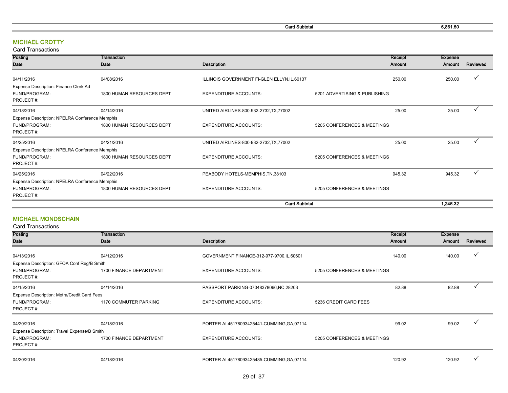Card Subtotal 5,861.50

# MICHAEL CROTTY

Card Transactions

| Posting                                        | Transaction               |                                              | Receipt                       | <b>Expense</b> |              |
|------------------------------------------------|---------------------------|----------------------------------------------|-------------------------------|----------------|--------------|
| Date                                           | Date                      | <b>Description</b>                           | Amount                        | Amount         | Reviewed     |
|                                                |                           |                                              |                               |                | V            |
| 04/11/2016                                     | 04/08/2016                | ILLINOIS GOVERNMENT FI-GLEN ELLYN, IL, 60137 | 250.00                        | 250.00         |              |
| Expense Description: Finance Clerk Ad          |                           |                                              |                               |                |              |
| FUND/PROGRAM:                                  | 1800 HUMAN RESOURCES DEPT | <b>EXPENDITURE ACCOUNTS:</b>                 | 5201 ADVERTISING & PUBLISHING |                |              |
| PROJECT#:                                      |                           |                                              |                               |                |              |
| 04/18/2016                                     | 04/14/2016                | UNITED AIRLINES-800-932-2732, TX, 77002      | 25.00                         | 25.00          | $\checkmark$ |
| Expense Description: NPELRA Conference Memphis |                           |                                              |                               |                |              |
| FUND/PROGRAM:                                  | 1800 HUMAN RESOURCES DEPT | <b>EXPENDITURE ACCOUNTS:</b>                 | 5205 CONFERENCES & MEETINGS   |                |              |
| PROJECT#:                                      |                           |                                              |                               |                |              |
| 04/25/2016                                     | 04/21/2016                | UNITED AIRLINES-800-932-2732, TX, 77002      | 25.00                         | 25.00          |              |
| Expense Description: NPELRA Conference Memphis |                           |                                              |                               |                |              |
| FUND/PROGRAM:                                  | 1800 HUMAN RESOURCES DEPT | <b>EXPENDITURE ACCOUNTS:</b>                 | 5205 CONFERENCES & MEETINGS   |                |              |
| PROJECT#:                                      |                           |                                              |                               |                |              |
| 04/25/2016                                     | 04/22/2016                | PEABODY HOTELS-MEMPHIS, TN, 38103            | 945.32                        | 945.32         | $\cdot$      |
| Expense Description: NPELRA Conference Memphis |                           |                                              |                               |                |              |
| FUND/PROGRAM:                                  | 1800 HUMAN RESOURCES DEPT | <b>EXPENDITURE ACCOUNTS:</b>                 | 5205 CONFERENCES & MEETINGS   |                |              |
| PROJECT#:                                      |                           |                                              |                               |                |              |
|                                                |                           | <b>Card Subtotal</b>                         |                               | 1,245.32       |              |

# MICHAEL MONDSCHAIN

| Posting                                     | Transaction             |                                             |                             | Receipt | <b>Expense</b> |          |
|---------------------------------------------|-------------------------|---------------------------------------------|-----------------------------|---------|----------------|----------|
| Date                                        | Date                    | Description                                 |                             | Amount  | Amount         | Reviewed |
|                                             |                         |                                             |                             |         |                |          |
| 04/13/2016                                  | 04/12/2016              | GOVERNMENT FINANCE-312-977-9700, IL, 60601  |                             | 140.00  | 140.00         | ✓        |
|                                             |                         |                                             |                             |         |                |          |
| Expense Description: GFOA Conf Reg/B Smith  |                         |                                             |                             |         |                |          |
| FUND/PROGRAM:                               | 1700 FINANCE DEPARTMENT | <b>EXPENDITURE ACCOUNTS:</b>                | 5205 CONFERENCES & MEETINGS |         |                |          |
| PROJECT#:                                   |                         |                                             |                             |         |                |          |
| 04/15/2016                                  | 04/14/2016              | PASSPORT PARKING-07048378066, NC, 28203     |                             | 82.88   | 82.88          |          |
| Expense Description: Metra/Credit Card Fees |                         |                                             |                             |         |                |          |
| FUND/PROGRAM:                               | 1170 COMMUTER PARKING   | <b>EXPENDITURE ACCOUNTS:</b>                | 5236 CREDIT CARD FEES       |         |                |          |
| PROJECT#:                                   |                         |                                             |                             |         |                |          |
|                                             |                         |                                             |                             |         |                |          |
| 04/20/2016                                  | 04/18/2016              | PORTER AI 45178093425441-CUMMING, GA, 07114 |                             | 99.02   | 99.02          |          |
| Expense Description: Travel Expense/B Smith |                         |                                             |                             |         |                |          |
| FUND/PROGRAM:                               | 1700 FINANCE DEPARTMENT | <b>EXPENDITURE ACCOUNTS:</b>                | 5205 CONFERENCES & MEETINGS |         |                |          |
| PROJECT#:                                   |                         |                                             |                             |         |                |          |
|                                             |                         |                                             |                             |         |                |          |
| 04/20/2016                                  | 04/18/2016              |                                             |                             | 120.92  | 120.92         |          |
|                                             |                         | PORTER AI 45178093425485-CUMMING, GA, 07114 |                             |         |                |          |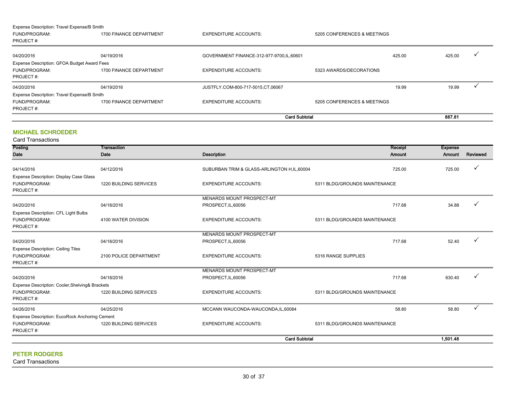|                                             |                         | <b>Card Subtotal</b>                     |                             |        | 887.81 |              |
|---------------------------------------------|-------------------------|------------------------------------------|-----------------------------|--------|--------|--------------|
| FUND/PROGRAM:<br>PROJECT#:                  | 1700 FINANCE DEPARTMENT | <b>EXPENDITURE ACCOUNTS:</b>             | 5205 CONFERENCES & MEETINGS |        |        |              |
| Expense Description: Travel Expense/B Smith |                         |                                          |                             |        |        |              |
| 04/20/2016                                  | 04/19/2016              | JUSTFLY.COM-800-717-5015.CT.06067        |                             | 19.99  | 19.99  |              |
| FUND/PROGRAM:<br>PROJECT#:                  | 1700 FINANCE DEPARTMENT | <b>EXPENDITURE ACCOUNTS:</b>             | 5323 AWARDS/DECORATIONS     |        |        |              |
| Expense Description: GFOA Budget Award Fees |                         |                                          |                             |        |        |              |
| 04/20/2016                                  | 04/19/2016              | GOVERNMENT FINANCE-312-977-9700,IL,60601 |                             | 425.00 | 425.00 | $\checkmark$ |
| FUND/PROGRAM:<br>PROJECT#:                  | 1700 FINANCE DEPARTMENT | <b>EXPENDITURE ACCOUNTS:</b>             | 5205 CONFERENCES & MEETINGS |        |        |              |
| Expense Description: Travel Expense/B Smith |                         |                                          |                             |        |        |              |

# MICHAEL SCHROEDER

Posting Date **Transaction** Date **Date Description** Receipt Amount Expense Amount Reviewed 04/14/2016 04/12/2016 04/12/2016 04/12/2016 SUBURBAN TRIM & GLASS-ARLINGTON H,IL,60004 725.00 725.00 725.00 725.00 FUND/PROGRAM: 1220 BUILDING SERVICES EXPENDITURE ACCOUNTS: 5311 BLDG/GROUNDS MAINTENANCE PROJECT #: 04/20/2016 04/18/2016 MENARDS MOUNT PROSPECT-MT  $PROSPECT, IL,60056$  and  $\checkmark$  and  $\checkmark$  and  $\checkmark$  and  $\checkmark$  and  $\checkmark$  and  $\checkmark$  and  $\checkmark$  and  $\checkmark$  and  $\checkmark$  and  $\checkmark$  and  $\checkmark$  and  $\checkmark$  and  $\checkmark$  and  $\checkmark$  and  $\checkmark$  and  $\checkmark$  and  $\checkmark$  and  $\checkmark$  and  $\checkmark$  and  $\checkmark$  and  $\check$ FUND/PROGRAM: **4100 WATER DIVISION** EXPENDITURE ACCOUNTS: 5311 BLDG/GROUNDS MAINTENANCE PROJECT #: 04/20/2016 04/18/2016 MENARDS MOUNT PROSPECT-MT  $PROSPECT, IL,60056$   $\checkmark$ FUND/PROGRAM: 2100 POLICE DEPARTMENT EXPENDITURE ACCOUNTS: 5316 RANGE SUPPLIES PROJECT #: 04/20/2016 04/18/2016 MENARDS MOUNT PROSPECT-MT  $PROSPECT, IL,60056$   $\checkmark$ FUND/PROGRAM: 1220 BUILDING SERVICES EXPENDITURE ACCOUNTS: 5311 BLDG/GROUNDS MAINTENANCE PROJECT #: 04/26/2016 04/25/2016 MCCANN WAUCONDA-WAUCONDA,IL,60084 58.80 58.80 P FUND/PROGRAM: 1220 BUILDING SERVICES EXPENDITURE ACCOUNTS: 5311 BLDG/GROUNDS MAINTENANCE PROJECT #: Expense Description: Ceiling Tiles Expense Description: Cooler,Shelving& Brackets Expense Description: EucoRock Anchoring Cement Card Subtotal 1,501.48 Card Transactions Expense Description: Display Case Glass Expense Description: CFL Light Bulbs

#### PETER RODGERS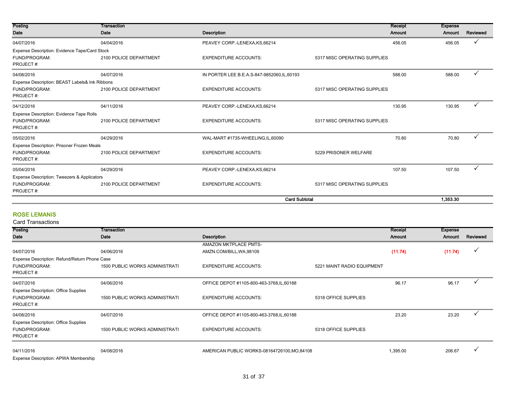| Posting                                        | <b>Transaction</b>     |                                            | Receipt                      | <b>Expense</b> |          |
|------------------------------------------------|------------------------|--------------------------------------------|------------------------------|----------------|----------|
| Date                                           | Date                   | Description                                | Amount                       | Amount         | Reviewed |
| 04/07/2016                                     | 04/04/2016             | PEAVEY CORP.-LENEXA, KS, 66214             | 456.05                       | 456.05         | ✓        |
| Expense Description: Evidence Tape/Card Stock  |                        |                                            |                              |                |          |
| FUND/PROGRAM:                                  | 2100 POLICE DEPARTMENT | <b>EXPENDITURE ACCOUNTS:</b>               | 5317 MISC OPERATING SUPPLIES |                |          |
| PROJECT#:                                      |                        |                                            |                              |                |          |
| 04/08/2016                                     | 04/07/2016             | IN PORTER LEE B.E.A.S-847-9852060,IL,60193 | 588.00                       | 588.00         | ✓        |
| Expense Description: BEAST Labels& Ink Ribbons |                        |                                            |                              |                |          |
| FUND/PROGRAM:                                  | 2100 POLICE DEPARTMENT | <b>EXPENDITURE ACCOUNTS:</b>               | 5317 MISC OPERATING SUPPLIES |                |          |
| PROJECT#:                                      |                        |                                            |                              |                |          |
| 04/12/2016                                     | 04/11/2016             | PEAVEY CORP.-LENEXA, KS, 66214             | 130.95                       | 130.95         | ✓        |
| Expense Description: Evidence Tape Rolls       |                        |                                            |                              |                |          |
| FUND/PROGRAM:                                  | 2100 POLICE DEPARTMENT | <b>EXPENDITURE ACCOUNTS:</b>               | 5317 MISC OPERATING SUPPLIES |                |          |
| PROJECT#:                                      |                        |                                            |                              |                |          |
| 05/02/2016                                     | 04/29/2016             | WAL-MART #1735-WHEELING,IL,60090           | 70.80                        | 70.80          | ✓        |
| Expense Description: Prisoner Frozen Meals     |                        |                                            |                              |                |          |
| FUND/PROGRAM:                                  | 2100 POLICE DEPARTMENT | <b>EXPENDITURE ACCOUNTS:</b>               | 5229 PRISONER WELFARE        |                |          |
| PROJECT#:                                      |                        |                                            |                              |                |          |
| 05/04/2016                                     | 04/29/2016             | PEAVEY CORP.-LENEXA, KS, 66214             | 107.50                       | 107.50         |          |
| Expense Description: Tweezers & Applicators    |                        |                                            |                              |                |          |
| FUND/PROGRAM:                                  | 2100 POLICE DEPARTMENT | <b>EXPENDITURE ACCOUNTS:</b>               | 5317 MISC OPERATING SUPPLIES |                |          |
| PROJECT#:                                      |                        |                                            |                              |                |          |
|                                                |                        | <b>Card Subtotal</b>                       |                              | 1,353.30       |          |

# ROSE LEMANIS

| Posting                                       | Transaction                           |                                             |                            | Receipt  | <b>Expense</b> |          |
|-----------------------------------------------|---------------------------------------|---------------------------------------------|----------------------------|----------|----------------|----------|
| Date                                          | Date                                  | Description                                 |                            | Amount   | Amount         | Reviewed |
|                                               |                                       | <b>AMAZON MKTPLACE PMTS-</b>                |                            |          |                |          |
| 04/07/2016                                    | 04/06/2016                            | AMZN.COM/BILL, WA, 98109                    |                            | (11.74)  | (11.74)        |          |
| Expense Description: Refund/Return Phone Case |                                       |                                             |                            |          |                |          |
| FUND/PROGRAM:                                 | 1500 PUBLIC WORKS ADMINISTRATI        | <b>EXPENDITURE ACCOUNTS:</b>                | 5221 MAINT RADIO EQUIPMENT |          |                |          |
| PROJECT#:                                     |                                       |                                             |                            |          |                |          |
| 04/07/2016                                    | 04/06/2016                            | OFFICE DEPOT #1105-800-463-3768, IL, 60188  |                            | 96.17    | 96.17          |          |
| <b>Expense Description: Office Supplies</b>   |                                       |                                             |                            |          |                |          |
| FUND/PROGRAM:                                 | 1500 PUBLIC WORKS ADMINISTRATI        | <b>EXPENDITURE ACCOUNTS:</b>                | 5318 OFFICE SUPPLIES       |          |                |          |
| PROJECT#:                                     |                                       |                                             |                            |          |                |          |
| 04/08/2016                                    | 04/07/2016                            | OFFICE DEPOT #1105-800-463-3768, IL, 60188  |                            | 23.20    | 23.20          |          |
| <b>Expense Description: Office Supplies</b>   |                                       |                                             |                            |          |                |          |
| FUND/PROGRAM:                                 | <b>1500 PUBLIC WORKS ADMINISTRATI</b> | <b>EXPENDITURE ACCOUNTS:</b>                | 5318 OFFICE SUPPLIES       |          |                |          |
| PROJECT#:                                     |                                       |                                             |                            |          |                |          |
| 04/11/2016                                    | 04/08/2016                            | AMERICAN PUBLIC WORKS-08164726100, MO.84108 |                            | 1,395.00 | 206.67         |          |
| Expense Description: APWA Membership          |                                       |                                             |                            |          |                |          |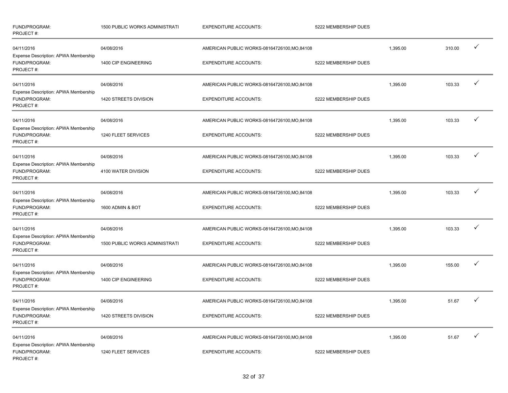| FUND/PROGRAM:<br>PROJECT#:                                         | <b>1500 PUBLIC WORKS ADMINISTRATI</b> | <b>EXPENDITURE ACCOUNTS:</b>                 | 5222 MEMBERSHIP DUES |          |        |              |
|--------------------------------------------------------------------|---------------------------------------|----------------------------------------------|----------------------|----------|--------|--------------|
| 04/11/2016<br>Expense Description: APWA Membership                 | 04/08/2016                            | AMERICAN PUBLIC WORKS-08164726100, MO, 84108 |                      | 1,395.00 | 310.00 | $\checkmark$ |
| FUND/PROGRAM:<br>PROJECT#:                                         | 1400 CIP ENGINEERING                  | <b>EXPENDITURE ACCOUNTS:</b>                 | 5222 MEMBERSHIP DUES |          |        |              |
| 04/11/2016                                                         | 04/08/2016                            | AMERICAN PUBLIC WORKS-08164726100, MO, 84108 |                      | 1,395.00 | 103.33 | ✓            |
| Expense Description: APWA Membership<br>FUND/PROGRAM:<br>PROJECT#: | 1420 STREETS DIVISION                 | <b>EXPENDITURE ACCOUNTS:</b>                 | 5222 MEMBERSHIP DUES |          |        |              |
| 04/11/2016                                                         | 04/08/2016                            | AMERICAN PUBLIC WORKS-08164726100, MO, 84108 |                      | 1,395.00 | 103.33 |              |
| Expense Description: APWA Membership<br>FUND/PROGRAM:<br>PROJECT#: | 1240 FLEET SERVICES                   | <b>EXPENDITURE ACCOUNTS:</b>                 | 5222 MEMBERSHIP DUES |          |        |              |
| 04/11/2016                                                         | 04/08/2016                            | AMERICAN PUBLIC WORKS-08164726100, MO, 84108 |                      | 1,395.00 | 103.33 | $\checkmark$ |
| Expense Description: APWA Membership<br>FUND/PROGRAM:<br>PROJECT#: | 4100 WATER DIVISION                   | <b>EXPENDITURE ACCOUNTS:</b>                 | 5222 MEMBERSHIP DUES |          |        |              |
| 04/11/2016                                                         | 04/08/2016                            | AMERICAN PUBLIC WORKS-08164726100, MO, 84108 |                      | 1,395.00 | 103.33 | ✓            |
| Expense Description: APWA Membership<br>FUND/PROGRAM:<br>PROJECT#: | 1600 ADMIN & BOT                      | <b>EXPENDITURE ACCOUNTS:</b>                 | 5222 MEMBERSHIP DUES |          |        |              |
| 04/11/2016                                                         | 04/08/2016                            | AMERICAN PUBLIC WORKS-08164726100, MO, 84108 |                      | 1,395.00 | 103.33 | ✓            |
| Expense Description: APWA Membership<br>FUND/PROGRAM:<br>PROJECT#: | <b>1500 PUBLIC WORKS ADMINISTRATI</b> | <b>EXPENDITURE ACCOUNTS:</b>                 | 5222 MEMBERSHIP DUES |          |        |              |
| 04/11/2016                                                         | 04/08/2016                            | AMERICAN PUBLIC WORKS-08164726100, MO, 84108 |                      | 1,395.00 | 155.00 | ✓            |
| Expense Description: APWA Membership<br>FUND/PROGRAM:<br>PROJECT#: | 1400 CIP ENGINEERING                  | <b>EXPENDITURE ACCOUNTS:</b>                 | 5222 MEMBERSHIP DUES |          |        |              |
| 04/11/2016                                                         | 04/08/2016                            | AMERICAN PUBLIC WORKS-08164726100, MO, 84108 |                      | 1,395.00 | 51.67  | $\checkmark$ |
| Expense Description: APWA Membership<br>FUND/PROGRAM:<br>PROJECT#: | 1420 STREETS DIVISION                 | <b>EXPENDITURE ACCOUNTS:</b>                 | 5222 MEMBERSHIP DUES |          |        |              |
| 04/11/2016                                                         | 04/08/2016                            | AMERICAN PUBLIC WORKS-08164726100, MO, 84108 |                      | 1,395.00 | 51.67  | $\checkmark$ |
| Expense Description: APWA Membership<br>FUND/PROGRAM:<br>PROJECT#: | 1240 FLEET SERVICES                   | <b>EXPENDITURE ACCOUNTS:</b>                 | 5222 MEMBERSHIP DUES |          |        |              |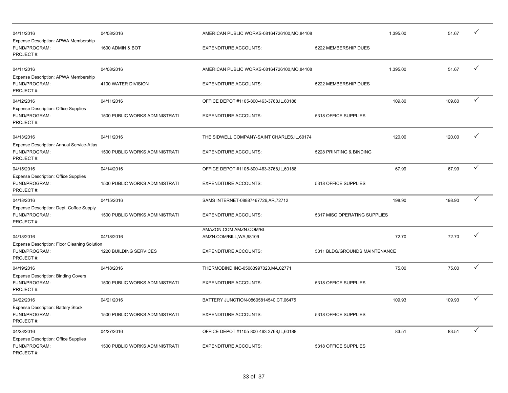| 04/11/2016                                                                | 04/08/2016                     |                                              | AMERICAN PUBLIC WORKS-08164726100, MO, 84108 |          | 51.67  |              |
|---------------------------------------------------------------------------|--------------------------------|----------------------------------------------|----------------------------------------------|----------|--------|--------------|
| Expense Description: APWA Membership<br>FUND/PROGRAM:<br>PROJECT#:        | 1600 ADMIN & BOT               | <b>EXPENDITURE ACCOUNTS:</b>                 | 5222 MEMBERSHIP DUES                         |          |        |              |
| 04/11/2016                                                                | 04/08/2016                     | AMERICAN PUBLIC WORKS-08164726100, MO, 84108 |                                              | 1.395.00 | 51.67  | $\checkmark$ |
| Expense Description: APWA Membership<br>FUND/PROGRAM:<br>PROJECT#:        | 4100 WATER DIVISION            | <b>EXPENDITURE ACCOUNTS:</b>                 | 5222 MEMBERSHIP DUES                         |          |        |              |
| 04/12/2016                                                                | 04/11/2016                     | OFFICE DEPOT #1105-800-463-3768, IL, 60188   |                                              | 109.80   | 109.80 | $\checkmark$ |
| <b>Expense Description: Office Supplies</b><br>FUND/PROGRAM:<br>PROJECT#: | 1500 PUBLIC WORKS ADMINISTRATI | <b>EXPENDITURE ACCOUNTS:</b>                 | 5318 OFFICE SUPPLIES                         |          |        |              |
| 04/13/2016                                                                | 04/11/2016                     | THE SIDWELL COMPANY-SAINT CHARLES, IL, 60174 |                                              | 120.00   | 120.00 | ✓            |
| Expense Description: Annual Service-Atlas<br>FUND/PROGRAM:<br>PROJECT#:   | 1500 PUBLIC WORKS ADMINISTRATI | <b>EXPENDITURE ACCOUNTS:</b>                 | 5228 PRINTING & BINDING                      |          |        |              |
| 04/15/2016                                                                | 04/14/2016                     | OFFICE DEPOT #1105-800-463-3768, IL, 60188   |                                              | 67.99    | 67.99  | ✓            |
| <b>Expense Description: Office Supplies</b><br>FUND/PROGRAM:<br>PROJECT#: | 1500 PUBLIC WORKS ADMINISTRATI | <b>EXPENDITURE ACCOUNTS:</b>                 | 5318 OFFICE SUPPLIES                         |          |        |              |
| 04/18/2016                                                                | 04/15/2016                     | SAMS INTERNET-08887467726, AR, 72712         |                                              | 198.90   | 198.90 | $\checkmark$ |
| Expense Description: Dept. Coffee Supply<br>FUND/PROGRAM:<br>PROJECT#:    | 1500 PUBLIC WORKS ADMINISTRATI | <b>EXPENDITURE ACCOUNTS:</b>                 | 5317 MISC OPERATING SUPPLIES                 |          |        |              |
|                                                                           |                                | AMAZON.COM AMZN.COM/BI-                      |                                              |          |        | ✓            |
| 04/18/2016<br>Expense Description: Floor Cleaning Solution                | 04/18/2016                     | AMZN.COM/BILL, WA, 98109                     |                                              | 72.70    | 72.70  |              |
| FUND/PROGRAM:<br>PROJECT#:                                                | 1220 BUILDING SERVICES         | <b>EXPENDITURE ACCOUNTS:</b>                 | 5311 BLDG/GROUNDS MAINTENANCE                |          |        |              |
| 04/19/2016                                                                | 04/18/2016                     | THERMOBIND INC-05083997023, MA, 02771        |                                              | 75.00    | 75.00  | $\checkmark$ |
| <b>Expense Description: Binding Covers</b><br>FUND/PROGRAM:<br>PROJECT#:  | 1500 PUBLIC WORKS ADMINISTRATI | <b>EXPENDITURE ACCOUNTS:</b>                 | 5318 OFFICE SUPPLIES                         |          |        |              |
| 04/22/2016                                                                | 04/21/2016                     | BATTERY JUNCTION-08605814540,CT,06475        |                                              | 109.93   | 109.93 | $\checkmark$ |
| <b>Expense Description: Battery Stock</b><br>FUND/PROGRAM:<br>PROJECT#:   | 1500 PUBLIC WORKS ADMINISTRATI | <b>EXPENDITURE ACCOUNTS:</b>                 | 5318 OFFICE SUPPLIES                         |          |        |              |
| 04/28/2016                                                                | 04/27/2016                     | OFFICE DEPOT #1105-800-463-3768, IL, 60188   |                                              | 83.51    | 83.51  | ✓            |
| <b>Expense Description: Office Supplies</b><br>FUND/PROGRAM:<br>PROJECT#: | 1500 PUBLIC WORKS ADMINISTRATI | <b>EXPENDITURE ACCOUNTS:</b>                 | 5318 OFFICE SUPPLIES                         |          |        |              |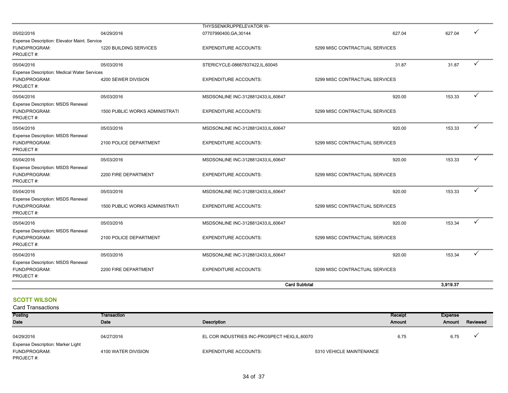| Expense Description: MSDS Renewal<br>FUND/PROGRAM:<br>PROJECT#:<br>05/04/2016<br>Expense Description: MSDS Renewal<br>FUND/PROGRAM:<br>PROJECT#: | 05/03/2016<br><b>1500 PUBLIC WORKS ADMINISTRATI</b><br>05/03/2016<br>2100 POLICE DEPARTMENT<br>05/03/2016<br>2200 FIRE DEPARTMENT | MSDSONLINE INC-3128812433, IL, 60647<br><b>EXPENDITURE ACCOUNTS:</b><br>MSDSONLINE INC-3128812433, IL, 60647<br><b>EXPENDITURE ACCOUNTS:</b><br>MSDSONLINE INC-3128812433,IL,60647<br><b>EXPENDITURE ACCOUNTS:</b> | 920.00<br>5299 MISC CONTRACTUAL SERVICES<br>920.00<br>5299 MISC CONTRACTUAL SERVICES<br>920.00<br>5299 MISC CONTRACTUAL SERVICES | 153.33<br>153.34<br>153.34 | ✓<br>✓<br>✓  |
|--------------------------------------------------------------------------------------------------------------------------------------------------|-----------------------------------------------------------------------------------------------------------------------------------|--------------------------------------------------------------------------------------------------------------------------------------------------------------------------------------------------------------------|----------------------------------------------------------------------------------------------------------------------------------|----------------------------|--------------|
|                                                                                                                                                  |                                                                                                                                   |                                                                                                                                                                                                                    |                                                                                                                                  |                            |              |
| 05/04/2016                                                                                                                                       |                                                                                                                                   |                                                                                                                                                                                                                    |                                                                                                                                  |                            |              |
| 05/04/2016<br>Expense Description: MSDS Renewal<br>FUND/PROGRAM:<br>PROJECT#:                                                                    |                                                                                                                                   |                                                                                                                                                                                                                    |                                                                                                                                  |                            |              |
| 05/04/2016<br>Expense Description: MSDS Renewal<br>FUND/PROGRAM:<br>PROJECT#:                                                                    | 05/03/2016<br>2200 FIRE DEPARTMENT                                                                                                | MSDSONLINE INC-3128812433, IL, 60647<br><b>EXPENDITURE ACCOUNTS:</b>                                                                                                                                               | 920.00<br>5299 MISC CONTRACTUAL SERVICES                                                                                         | 153.33                     | ✓            |
| 05/04/2016<br><b>Expense Description: MSDS Renewal</b><br>FUND/PROGRAM:<br>PROJECT#:                                                             | 05/03/2016<br>2100 POLICE DEPARTMENT                                                                                              | MSDSONLINE INC-3128812433, IL, 60647<br><b>EXPENDITURE ACCOUNTS:</b>                                                                                                                                               | 920.00<br>5299 MISC CONTRACTUAL SERVICES                                                                                         | 153.33                     | $\checkmark$ |
| <b>Expense Description: MSDS Renewal</b><br>FUND/PROGRAM:<br>PROJECT#:                                                                           | <b>1500 PUBLIC WORKS ADMINISTRATI</b>                                                                                             | <b>EXPENDITURE ACCOUNTS:</b>                                                                                                                                                                                       | 5299 MISC CONTRACTUAL SERVICES                                                                                                   |                            |              |
| Expense Description: Medical Water Services<br>FUND/PROGRAM:<br>PROJECT#:<br>05/04/2016                                                          | 4200 SEWER DIVISION<br>05/03/2016                                                                                                 | <b>EXPENDITURE ACCOUNTS:</b><br>MSDSONLINE INC-3128812433, IL, 60647                                                                                                                                               | 5299 MISC CONTRACTUAL SERVICES<br>920.00                                                                                         | 153.33                     | ✓            |
| FUND/PROGRAM:<br>PROJECT#:<br>05/04/2016                                                                                                         | 1220 BUILDING SERVICES<br>05/03/2016                                                                                              | <b>EXPENDITURE ACCOUNTS:</b><br>STERICYCLE-08667837422,IL,60045                                                                                                                                                    | 5299 MISC CONTRACTUAL SERVICES<br>31.87                                                                                          | 31.87                      | ✓            |
| 05/02/2016<br>Expense Description: Elevator Maint. Service                                                                                       | 04/29/2016                                                                                                                        | THYSSENKRUPPELEVATOR W-<br>07707990400, GA, 30144                                                                                                                                                                  | 627.04                                                                                                                           | 627.04                     |              |

# **SCOTT WILSON**

| Posting                           | Transaction         |                                                |                          | Receipt | Expense |          |
|-----------------------------------|---------------------|------------------------------------------------|--------------------------|---------|---------|----------|
| Date                              | Date                | Description                                    |                          | Amount  | Amount  | Reviewed |
|                                   |                     |                                                |                          |         |         |          |
| 04/29/2016                        | 04/27/2016          | EL COR INDUSTRIES INC-PROSPECT HEIG, IL, 60070 |                          | 6.75    | 6.75    |          |
| Expense Description: Marker Light |                     |                                                |                          |         |         |          |
| FUND/PROGRAM:                     | 4100 WATER DIVISION | <b>EXPENDITURE ACCOUNTS:</b>                   | 5310 VEHICLE MAINTENANCE |         |         |          |
| PROJECT#:                         |                     |                                                |                          |         |         |          |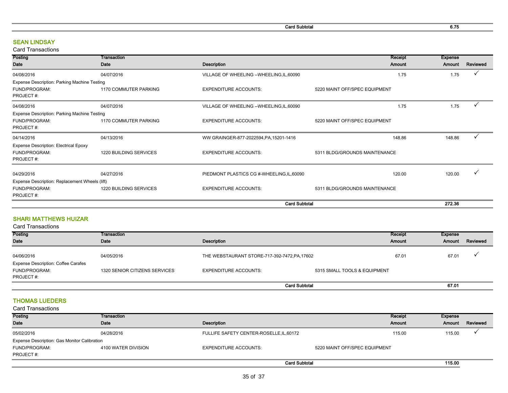Card Subtotal 6.75

# SEAN LINDSAY

### Card Transactions

| Posting                                        | Transaction            |                                            | Receipt                       | <b>Expense</b> |              |
|------------------------------------------------|------------------------|--------------------------------------------|-------------------------------|----------------|--------------|
| Date                                           | Date                   | <b>Description</b>                         | Amount                        | Amount         | Reviewed     |
| 04/08/2016                                     | 04/07/2016             | VILLAGE OF WHEELING -- WHEELING, IL, 60090 | 1.75                          | 1.75           |              |
| Expense Description: Parking Machine Testing   |                        |                                            |                               |                |              |
| FUND/PROGRAM:                                  | 1170 COMMUTER PARKING  | <b>EXPENDITURE ACCOUNTS:</b>               | 5220 MAINT OFF/SPEC EQUIPMENT |                |              |
| PROJECT#:                                      |                        |                                            |                               |                |              |
| 04/08/2016                                     | 04/07/2016             | VILLAGE OF WHEELING -- WHEELING, IL, 60090 | 1.75                          | 1.75           |              |
| Expense Description: Parking Machine Testing   |                        |                                            |                               |                |              |
| FUND/PROGRAM:                                  | 1170 COMMUTER PARKING  | <b>EXPENDITURE ACCOUNTS:</b>               | 5220 MAINT OFF/SPEC EQUIPMENT |                |              |
| PROJECT#:                                      |                        |                                            |                               |                |              |
| 04/14/2016                                     | 04/13/2016             | WW GRAINGER-877-2022594, PA, 15201-1416    | 148.86                        | 148.86         | $\checkmark$ |
| <b>Expense Description: Electrical Epoxy</b>   |                        |                                            |                               |                |              |
| FUND/PROGRAM:                                  | 1220 BUILDING SERVICES | <b>EXPENDITURE ACCOUNTS:</b>               | 5311 BLDG/GROUNDS MAINTENANCE |                |              |
| PROJECT#:                                      |                        |                                            |                               |                |              |
| 04/29/2016                                     | 04/27/2016             |                                            | 120.00                        | 120.00         |              |
|                                                |                        | PIEDMONT PLASTICS CG #-WHEELING, IL, 60090 |                               |                |              |
| Expense Description: Replacement Wheels (lift) |                        |                                            |                               |                |              |
| FUND/PROGRAM:                                  | 1220 BUILDING SERVICES | <b>EXPENDITURE ACCOUNTS:</b>               | 5311 BLDG/GROUNDS MAINTENANCE |                |              |
| PROJECT#:                                      |                        |                                            |                               |                |              |
|                                                |                        | <b>Card Subtotal</b>                       |                               | 272.36         |              |

# SHARI MATTHEWS HUIZAR

| <b>Card Transactions</b>                   |                               |                                               |                              |         |         |          |
|--------------------------------------------|-------------------------------|-----------------------------------------------|------------------------------|---------|---------|----------|
| Posting                                    | Transaction                   |                                               |                              | Receipt | Expense |          |
| Date                                       | Date                          | Description                                   |                              | Amount  | Amount  | Reviewed |
|                                            |                               |                                               |                              |         |         |          |
| 04/06/2016                                 | 04/05/2016                    | THE WEBSTAURANT STORE-717-392-7472, PA, 17602 |                              | 67.01   | 67.01   |          |
| <b>Expense Description: Coffee Carafes</b> |                               |                                               |                              |         |         |          |
| FUND/PROGRAM:                              | 1320 SENIOR CITIZENS SERVICES | <b>EXPENDITURE ACCOUNTS:</b>                  | 5315 SMALL TOOLS & EQUIPMENT |         |         |          |
| PROJECT#:                                  |                               |                                               |                              |         |         |          |
|                                            |                               |                                               | <b>Card Subtotal</b>         |         | 67.01   |          |

# THOMAS LUEDERS

| Posting                                      | Transaction         |                                          | Receipt                       | Expense |          |
|----------------------------------------------|---------------------|------------------------------------------|-------------------------------|---------|----------|
| Date                                         | Date                | Description                              | <b>Amount</b>                 | Amount  | Reviewed |
| 05/02/2016                                   | 04/28/2016          | FULLIFE SAFETY CENTER-ROSELLE, IL, 60172 | 115.00                        | 115.00  |          |
| Expense Description: Gas Monitor Calibration |                     |                                          |                               |         |          |
| FUND/PROGRAM:                                | 4100 WATER DIVISION | <b>EXPENDITURE ACCOUNTS:</b>             | 5220 MAINT OFF/SPEC EQUIPMENT |         |          |
| PROJECT#:                                    |                     |                                          |                               |         |          |
|                                              |                     |                                          | <b>Card Subtotal</b>          | 115.00  |          |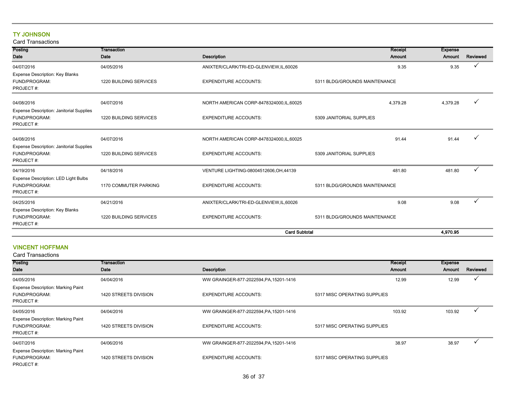# TY JOHNSON

Card Transactions

| Posting                                                   | Transaction            |                                           | Receipt                       | <b>Expense</b> |          |
|-----------------------------------------------------------|------------------------|-------------------------------------------|-------------------------------|----------------|----------|
| Date                                                      | Date                   | <b>Description</b>                        | Amount                        | Amount         | Reviewed |
| 04/07/2016                                                | 04/05/2016             | ANIXTER/CLARK/TRI-ED-GLENVIEW,IL,60026    | 9.35                          | 9.35           |          |
| Expense Description: Key Blanks                           |                        |                                           |                               |                |          |
| FUND/PROGRAM:                                             | 1220 BUILDING SERVICES | <b>EXPENDITURE ACCOUNTS:</b>              | 5311 BLDG/GROUNDS MAINTENANCE |                |          |
| PROJECT#:                                                 |                        |                                           |                               |                |          |
| 04/08/2016                                                | 04/07/2016             | NORTH AMERICAN CORP-8478324000, IL, 60025 | 4,379.28                      | 4,379.28       |          |
| Expense Description: Janitorial Supplies                  |                        |                                           |                               |                |          |
| FUND/PROGRAM:                                             | 1220 BUILDING SERVICES | <b>EXPENDITURE ACCOUNTS:</b>              | 5309 JANITORIAL SUPPLIES      |                |          |
| PROJECT#:                                                 |                        |                                           |                               |                |          |
|                                                           |                        |                                           |                               |                |          |
| 04/08/2016                                                | 04/07/2016             | NORTH AMERICAN CORP-8478324000, IL, 60025 | 91.44                         | 91.44          |          |
| Expense Description: Janitorial Supplies<br>FUND/PROGRAM: | 1220 BUILDING SERVICES | <b>EXPENDITURE ACCOUNTS:</b>              | 5309 JANITORIAL SUPPLIES      |                |          |
| PROJECT#:                                                 |                        |                                           |                               |                |          |
| 04/19/2016                                                | 04/18/2016             | VENTURE LIGHTING-08004512606, OH, 44139   | 481.80                        | 481.80         |          |
| Expense Description: LED Light Bulbs                      |                        |                                           |                               |                |          |
| FUND/PROGRAM:                                             | 1170 COMMUTER PARKING  | <b>EXPENDITURE ACCOUNTS:</b>              | 5311 BLDG/GROUNDS MAINTENANCE |                |          |
| PROJECT#:                                                 |                        |                                           |                               |                |          |
| 04/25/2016                                                | 04/21/2016             | ANIXTER/CLARK/TRI-ED-GLENVIEW,IL,60026    | 9.08                          | 9.08           |          |
| Expense Description: Key Blanks                           |                        |                                           |                               |                |          |
| FUND/PROGRAM:                                             | 1220 BUILDING SERVICES | <b>EXPENDITURE ACCOUNTS:</b>              | 5311 BLDG/GROUNDS MAINTENANCE |                |          |
| PROJECT#:                                                 |                        |                                           |                               |                |          |
|                                                           |                        | <b>Card Subtotal</b>                      |                               | 4.970.95       |          |

### Card Transactions VINCENT HOFFMAN

| Posting                                   | <b>Transaction</b>    |                                         | Receipt                      | Expense |          |
|-------------------------------------------|-----------------------|-----------------------------------------|------------------------------|---------|----------|
| Date                                      | Date                  | <b>Description</b>                      | <b>Amount</b>                | Amount  | Reviewed |
| 04/05/2016                                | 04/04/2016            | WW GRAINGER-877-2022594, PA, 15201-1416 | 12.99                        | 12.99   |          |
| <b>Expense Description: Marking Paint</b> |                       |                                         |                              |         |          |
| FUND/PROGRAM:                             | 1420 STREETS DIVISION | <b>EXPENDITURE ACCOUNTS:</b>            | 5317 MISC OPERATING SUPPLIES |         |          |
| PROJECT#:                                 |                       |                                         |                              |         |          |
| 04/05/2016                                | 04/04/2016            | WW GRAINGER-877-2022594, PA, 15201-1416 | 103.92                       | 103.92  |          |
| <b>Expense Description: Marking Paint</b> |                       |                                         |                              |         |          |
| FUND/PROGRAM:                             | 1420 STREETS DIVISION | <b>EXPENDITURE ACCOUNTS:</b>            | 5317 MISC OPERATING SUPPLIES |         |          |
| PROJECT#:                                 |                       |                                         |                              |         |          |
| 04/07/2016                                | 04/06/2016            | WW GRAINGER-877-2022594, PA, 15201-1416 | 38.97                        | 38.97   |          |
| <b>Expense Description: Marking Paint</b> |                       |                                         |                              |         |          |
| FUND/PROGRAM:                             | 1420 STREETS DIVISION | <b>EXPENDITURE ACCOUNTS:</b>            | 5317 MISC OPERATING SUPPLIES |         |          |
| PROJECT#:                                 |                       |                                         |                              |         |          |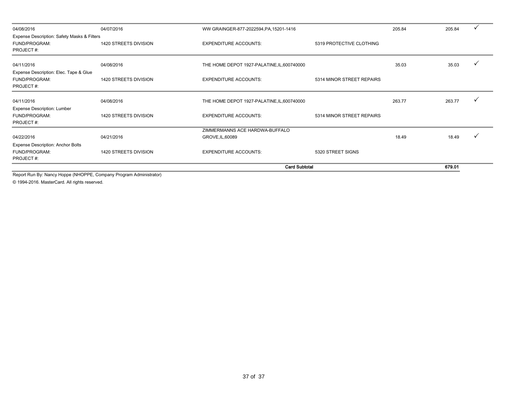| 04/08/2016                                  | 04/07/2016            | WW GRAINGER-877-2022594, PA, 15201-1416     |                           | 205.84 | 205.84 |  |
|---------------------------------------------|-----------------------|---------------------------------------------|---------------------------|--------|--------|--|
| Expense Description: Safety Masks & Filters |                       |                                             |                           |        |        |  |
| FUND/PROGRAM:                               | 1420 STREETS DIVISION | <b>EXPENDITURE ACCOUNTS:</b>                | 5319 PROTECTIVE CLOTHING  |        |        |  |
| PROJECT#:                                   |                       |                                             |                           |        |        |  |
| 04/11/2016                                  | 04/08/2016            | THE HOME DEPOT 1927-PALATINE, IL, 600740000 |                           | 35.03  | 35.03  |  |
| Expense Description: Elec. Tape & Glue      |                       |                                             |                           |        |        |  |
| FUND/PROGRAM:                               | 1420 STREETS DIVISION | <b>EXPENDITURE ACCOUNTS:</b>                | 5314 MINOR STREET REPAIRS |        |        |  |
| PROJECT#:                                   |                       |                                             |                           |        |        |  |
| 04/11/2016                                  | 04/08/2016            | THE HOME DEPOT 1927-PALATINE, IL, 600740000 |                           | 263.77 | 263.77 |  |
| <b>Expense Description: Lumber</b>          |                       |                                             |                           |        |        |  |
| FUND/PROGRAM:                               | 1420 STREETS DIVISION | <b>EXPENDITURE ACCOUNTS:</b>                | 5314 MINOR STREET REPAIRS |        |        |  |
| PROJECT#:                                   |                       |                                             |                           |        |        |  |
|                                             |                       | ZIMMERMANNS ACE HARDWA-BUFFALO              |                           |        |        |  |
| 04/22/2016                                  | 04/21/2016            | GROVE, IL, 60089                            |                           | 18.49  | 18.49  |  |
| <b>Expense Description: Anchor Bolts</b>    |                       |                                             |                           |        |        |  |
| FUND/PROGRAM:                               | 1420 STREETS DIVISION | <b>EXPENDITURE ACCOUNTS:</b>                | 5320 STREET SIGNS         |        |        |  |
| PROJECT#:                                   |                       |                                             |                           |        |        |  |
|                                             |                       |                                             | <b>Card Subtotal</b>      |        | 679.01 |  |

Report Run By: Nancy Hoppe (NHOPPE, Company Program Administrator)

© 1994-2016. MasterCard. All rights reserved.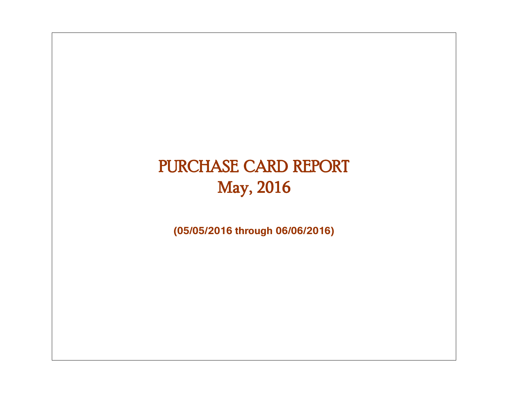# PURCHASE CARD REPORT May, 2016

**(05/05/2016 through 06/06/2016)**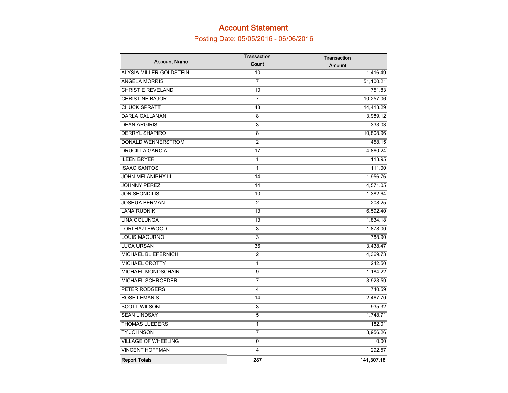# Account Statement

# Posting Date: 05/05/2016 - 06/06/2016

|                            | <b>Transaction</b> | <b>Transaction</b> |
|----------------------------|--------------------|--------------------|
| <b>Account Name</b>        | Count              | Amount             |
| ALYSIA MILLER GOLDSTEIN    | 10                 | 1,416.49           |
| <b>ANGELA MORRIS</b>       | $\overline{7}$     | 51,100.21          |
| <b>CHRISTIE REVELAND</b>   | 10                 | 751.83             |
| <b>CHRISTINE BAJOR</b>     | 7                  | 10,257.06          |
| <b>CHUCK SPRATT</b>        | 48                 | 14,413.29          |
| <b>DARLA CALLANAN</b>      | 8                  | 3,989.12           |
| <b>DEAN ARGIRIS</b>        | 3                  | 333.03             |
| <b>DERRYL SHAPIRO</b>      | 8                  | 10,808.96          |
| DONALD WENNERSTROM         | $\overline{2}$     | 458.15             |
| <b>DRUCILLA GARCIA</b>     | 17                 | 4,860.24           |
| <b>ILEEN BRYER</b>         | 1                  | 113.95             |
| <b>ISAAC SANTOS</b>        | $\mathbf{1}$       | 111.00             |
| <b>JOHN MELANIPHY III</b>  | 14                 | 1,956.76           |
| <b>JOHNNY PEREZ</b>        | 14                 | 4,571.05           |
| <b>JON SFONDILIS</b>       | 10                 | 1,382.64           |
| <b>JOSHUA BERMAN</b>       | 2                  | 208.25             |
| <b>LANA RUDNIK</b>         | 13                 | 6,592.40           |
| LINA COLUNGA               | 13                 | 1,834.18           |
| <b>LORI HAZLEWOOD</b>      | 3                  | 1,878.00           |
| <b>LOUIS MAGURNO</b>       | $\overline{3}$     | 788.90             |
| <b>LUCA URSAN</b>          | 36                 | 3,438.47           |
| MICHAEL BLIEFERNICH        | $\overline{2}$     | 4,369.73           |
| <b>MICHAEL CROTTY</b>      | $\mathbf{1}$       | 242.50             |
| MICHAEL MONDSCHAIN         | $\overline{9}$     | 1,184.22           |
| MICHAEL SCHROEDER          | 7                  | 3,923.59           |
| PETER RODGERS              | 4                  | 740.59             |
| <b>ROSE LEMANIS</b>        | 14                 | 2,467.70           |
| <b>SCOTT WILSON</b>        | 3                  | 935.32             |
| <b>SEAN LINDSAY</b>        | $\overline{5}$     | 1,748.71           |
| <b>THOMAS LUEDERS</b>      | 1                  | 182.01             |
| TY JOHNSON                 | $\overline{7}$     | 3,956.26           |
| <b>VILLAGE OF WHEELING</b> | $\overline{0}$     | 0.00               |
| <b>VINCENT HOFFMAN</b>     | 4                  | 292.57             |
| <b>Report Totals</b>       | 287                | 141,307.18         |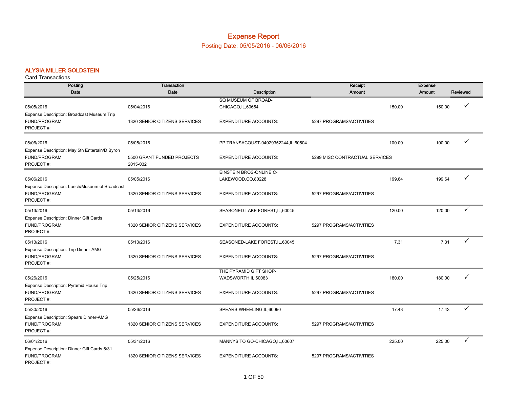# Expense Report

Posting Date: 05/05/2016 - 06/06/2016

#### ALYSIA MILLER GOLDSTEIN

| Posting                                                                      | <b>Transaction</b>                     |                                           | Receipt                        |        | <b>Expense</b> |          |
|------------------------------------------------------------------------------|----------------------------------------|-------------------------------------------|--------------------------------|--------|----------------|----------|
| Date                                                                         | Date                                   | Description                               | <b>Amount</b>                  |        | Amount         | Reviewed |
| 05/05/2016                                                                   | 05/04/2016                             | SQ MUSEUM OF BROAD-<br>CHICAGO, IL, 60654 |                                | 150.00 | 150.00         | ✓        |
| Expense Description: Broadcast Museum Trip<br>FUND/PROGRAM:<br>PROJECT#:     | 1320 SENIOR CITIZENS SERVICES          | <b>EXPENDITURE ACCOUNTS:</b>              | 5297 PROGRAMS/ACTIVITIES       |        |                |          |
| 05/06/2016                                                                   | 05/05/2016                             | PP TRANSACOUST-04029352244,IL,60504       |                                | 100.00 | 100.00         | ✓        |
| Expense Description: May 5th Entertain/D Byron<br>FUND/PROGRAM:<br>PROJECT#: | 5500 GRANT FUNDED PROJECTS<br>2015-032 | <b>EXPENDITURE ACCOUNTS:</b>              | 5299 MISC CONTRACTUAL SERVICES |        |                |          |
|                                                                              |                                        | EINSTEIN BROS-ONLINE C-                   |                                |        |                |          |
| 05/06/2016                                                                   | 05/05/2016                             | LAKEWOOD,CO,80228                         |                                | 199.64 | 199.64         | ✓        |
| Expense Description: Lunch/Museum of Broadcast<br>FUND/PROGRAM:<br>PROJECT#: | 1320 SENIOR CITIZENS SERVICES          | <b>EXPENDITURE ACCOUNTS:</b>              | 5297 PROGRAMS/ACTIVITIES       |        |                |          |
| 05/13/2016                                                                   | 05/13/2016                             | SEASONED-LAKE FOREST, IL, 60045           |                                | 120.00 | 120.00         | ✓        |
| Expense Description: Dinner Gift Cards<br>FUND/PROGRAM:<br>PROJECT#:         | 1320 SENIOR CITIZENS SERVICES          | <b>EXPENDITURE ACCOUNTS:</b>              | 5297 PROGRAMS/ACTIVITIES       |        |                |          |
| 05/13/2016                                                                   | 05/13/2016                             | SEASONED-LAKE FOREST, IL, 60045           |                                | 7.31   | 7.31           | ✓        |
| Expense Description: Trip Dinner-AMG<br>FUND/PROGRAM:<br>PROJECT#:           | 1320 SENIOR CITIZENS SERVICES          | <b>EXPENDITURE ACCOUNTS:</b>              | 5297 PROGRAMS/ACTIVITIES       |        |                |          |
|                                                                              |                                        | THE PYRAMID GIFT SHOP-                    |                                |        |                |          |
| 05/26/2016                                                                   | 05/25/2016                             | WADSWORTH, IL, 60083                      |                                | 180.00 | 180.00         | ✓        |
| Expense Description: Pyramid House Trip<br>FUND/PROGRAM:<br>PROJECT#:        | 1320 SENIOR CITIZENS SERVICES          | <b>EXPENDITURE ACCOUNTS:</b>              | 5297 PROGRAMS/ACTIVITIES       |        |                |          |
| 05/30/2016                                                                   | 05/26/2016                             | SPEARS-WHEELING,IL,60090                  |                                | 17.43  | 17.43          | ✓        |
| Expense Description: Spears Dinner-AMG<br>FUND/PROGRAM:<br>PROJECT#:         | 1320 SENIOR CITIZENS SERVICES          | <b>EXPENDITURE ACCOUNTS:</b>              | 5297 PROGRAMS/ACTIVITIES       |        |                |          |
| 06/01/2016                                                                   | 05/31/2016                             | MANNYS TO GO-CHICAGO, IL, 60607           |                                | 225.00 | 225.00         | ✓        |
| Expense Description: Dinner Gift Cards 5/31<br>FUND/PROGRAM:<br>PROJECT#:    | 1320 SENIOR CITIZENS SERVICES          | <b>EXPENDITURE ACCOUNTS:</b>              | 5297 PROGRAMS/ACTIVITIES       |        |                |          |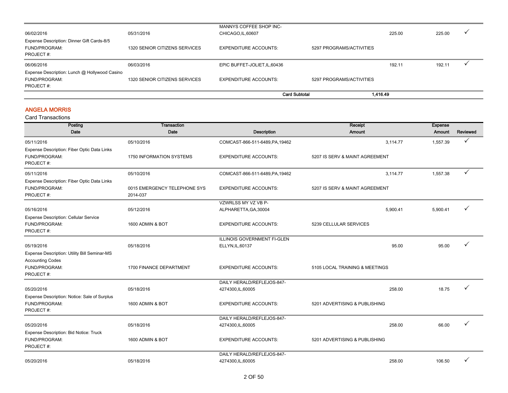|                                                                          |                               | <b>Card Subtotal</b>          | 1.416.49                 |        |        |              |
|--------------------------------------------------------------------------|-------------------------------|-------------------------------|--------------------------|--------|--------|--------------|
| PROJECT#:                                                                |                               |                               |                          |        |        |              |
| Expense Description: Lunch @ Hollywood Casino<br>FUND/PROGRAM:           | 1320 SENIOR CITIZENS SERVICES | EXPENDITURE ACCOUNTS:         | 5297 PROGRAMS/ACTIVITIES |        |        |              |
| 06/06/2016                                                               | 06/03/2016                    | EPIC BUFFET-JOLIET, IL, 60436 |                          | 192.11 | 192.11 |              |
| Expense Description: Dinner Gift Cards-8/5<br>FUND/PROGRAM:<br>PROJECT#: | 1320 SENIOR CITIZENS SERVICES | <b>EXPENDITURE ACCOUNTS:</b>  | 5297 PROGRAMS/ACTIVITIES |        |        |              |
| 06/02/2016                                                               | 05/31/2016                    | CHICAGO, IL, 60607            |                          | 225.00 | 225.00 | $\checkmark$ |
|                                                                          |                               | MANNYS COFFEE SHOP INC-       |                          |        |        |              |

#### ANGELA MORRIS

| Posting                                                                                               | Transaction                              |                                    | Receipt                        | <b>Expense</b> |              |
|-------------------------------------------------------------------------------------------------------|------------------------------------------|------------------------------------|--------------------------------|----------------|--------------|
| Date                                                                                                  | Date                                     | Description                        | Amount                         | Amount         | Reviewed     |
| 05/11/2016                                                                                            | 05/10/2016                               | COMCAST-866-511-6489, PA, 19462    | 3.114.77                       | 1,557.39       | $\checkmark$ |
| Expense Description: Fiber Optic Data Links<br>FUND/PROGRAM:<br>PROJECT#:                             | 1750 INFORMATION SYSTEMS                 | <b>EXPENDITURE ACCOUNTS:</b>       | 5207 IS SERV & MAINT AGREEMENT |                |              |
| 05/11/2016                                                                                            | 05/10/2016                               | COMCAST-866-511-6489, PA, 19462    | 3,114.77                       | 1,557.38       | ✓            |
| Expense Description: Fiber Optic Data Links<br>FUND/PROGRAM:<br>PROJECT#:                             | 0015 EMERGENCY TELEPHONE SYS<br>2014-037 | <b>EXPENDITURE ACCOUNTS:</b>       | 5207 IS SERV & MAINT AGREEMENT |                |              |
|                                                                                                       |                                          | VZWRLSS MY VZ VB P-                |                                |                |              |
| 05/16/2016                                                                                            | 05/12/2016                               | ALPHARETTA, GA, 30004              | 5,900.41                       | 5,900.41       |              |
| <b>Expense Description: Cellular Service</b><br>FUND/PROGRAM:<br>PROJECT#:                            | 1600 ADMIN & BOT                         | <b>EXPENDITURE ACCOUNTS:</b>       | 5239 CELLULAR SERVICES         |                |              |
|                                                                                                       |                                          | <b>ILLINOIS GOVERNMENT FI-GLEN</b> |                                |                |              |
| 05/19/2016                                                                                            | 05/18/2016                               | ELLYN, IL, 60137                   | 95.00                          | 95.00          |              |
| Expense Description: Utility Bill Seminar-MS<br><b>Accounting Codes</b><br>FUND/PROGRAM:<br>PROJECT#: | 1700 FINANCE DEPARTMENT                  | <b>EXPENDITURE ACCOUNTS:</b>       | 5105 LOCAL TRAINING & MEETINGS |                |              |
|                                                                                                       |                                          | DAILY HERALD/REFLEJOS-847-         |                                |                |              |
| 05/20/2016                                                                                            | 05/18/2016                               | 4274300, IL, 60005                 | 258.00                         | 18.75          |              |
| Expense Description: Notice: Sale of Surplus<br>FUND/PROGRAM:<br>PROJECT#:                            | 1600 ADMIN & BOT                         | <b>EXPENDITURE ACCOUNTS:</b>       | 5201 ADVERTISING & PUBLISHING  |                |              |
|                                                                                                       |                                          | DAILY HERALD/REFLEJOS-847-         |                                |                |              |
| 05/20/2016                                                                                            | 05/18/2016                               | 4274300, IL, 60005                 | 258.00                         | 66.00          |              |
| <b>Expense Description: Bid Notice: Truck</b><br>FUND/PROGRAM:<br>PROJECT#:                           | 1600 ADMIN & BOT                         | <b>EXPENDITURE ACCOUNTS:</b>       | 5201 ADVERTISING & PUBLISHING  |                |              |
|                                                                                                       |                                          | DAILY HERALD/REFLEJOS-847-         |                                |                |              |
| 05/20/2016                                                                                            | 05/18/2016                               | 4274300, IL, 60005                 | 258.00                         | 106.50         |              |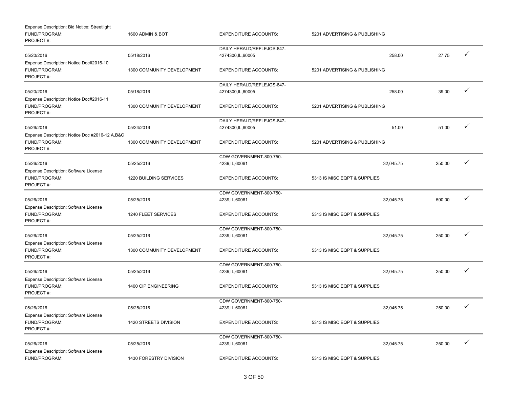| Expense Description: Bid Notice: Streetlight<br>FUND/PROGRAM:<br>PROJECT#:   | 1600 ADMIN & BOT           | <b>EXPENDITURE ACCOUNTS:</b>                     | 5201 ADVERTISING & PUBLISHING |        |              |
|------------------------------------------------------------------------------|----------------------------|--------------------------------------------------|-------------------------------|--------|--------------|
|                                                                              |                            | DAILY HERALD/REFLEJOS-847-                       |                               |        |              |
| 05/20/2016                                                                   | 05/18/2016                 | 4274300, IL, 60005                               | 258.00                        | 27.75  | $\checkmark$ |
| Expense Description: Notice Doc#2016-10<br>FUND/PROGRAM:<br>PROJECT#:        | 1300 COMMUNITY DEVELOPMENT | <b>EXPENDITURE ACCOUNTS:</b>                     | 5201 ADVERTISING & PUBLISHING |        |              |
| 05/20/2016                                                                   | 05/18/2016                 | DAILY HERALD/REFLEJOS-847-<br>4274300, IL, 60005 | 258.00                        | 39.00  | $\checkmark$ |
| Expense Description: Notice Doc#2016-11<br>FUND/PROGRAM:<br>PROJECT#:        | 1300 COMMUNITY DEVELOPMENT | <b>EXPENDITURE ACCOUNTS:</b>                     | 5201 ADVERTISING & PUBLISHING |        |              |
|                                                                              |                            | DAILY HERALD/REFLEJOS-847-                       |                               |        |              |
| 05/26/2016                                                                   | 05/24/2016                 | 4274300, IL, 60005                               | 51.00                         | 51.00  | $\checkmark$ |
| Expense Description: Notice Doc #2016-12 A,B&C<br>FUND/PROGRAM:<br>PROJECT#: | 1300 COMMUNITY DEVELOPMENT | <b>EXPENDITURE ACCOUNTS:</b>                     | 5201 ADVERTISING & PUBLISHING |        |              |
|                                                                              |                            | CDW GOVERNMENT-800-750-                          |                               |        |              |
| 05/26/2016                                                                   | 05/25/2016                 | 4239, IL, 60061                                  | 32,045.75                     | 250.00 | ✓            |
| Expense Description: Software License<br>FUND/PROGRAM:<br>PROJECT#:          | 1220 BUILDING SERVICES     | <b>EXPENDITURE ACCOUNTS:</b>                     | 5313 IS MISC EQPT & SUPPLIES  |        |              |
|                                                                              |                            | CDW GOVERNMENT-800-750-                          |                               |        |              |
| 05/26/2016                                                                   | 05/25/2016                 | 4239, IL, 60061                                  | 32,045.75                     | 500.00 | $\checkmark$ |
| Expense Description: Software License<br>FUND/PROGRAM:<br>PROJECT#:          | 1240 FLEET SERVICES        | <b>EXPENDITURE ACCOUNTS:</b>                     | 5313 IS MISC EQPT & SUPPLIES  |        |              |
|                                                                              |                            | CDW GOVERNMENT-800-750-                          |                               |        |              |
| 05/26/2016                                                                   | 05/25/2016                 | 4239, IL, 60061                                  | 32,045.75                     | 250.00 | $\checkmark$ |
| <b>Expense Description: Software License</b><br>FUND/PROGRAM:<br>PROJECT#:   | 1300 COMMUNITY DEVELOPMENT | <b>EXPENDITURE ACCOUNTS:</b>                     | 5313 IS MISC EQPT & SUPPLIES  |        |              |
|                                                                              |                            | CDW GOVERNMENT-800-750-                          |                               |        |              |
| 05/26/2016                                                                   | 05/25/2016                 | 4239, IL, 60061                                  | 32,045.75                     | 250.00 | ✓            |
| Expense Description: Software License<br>FUND/PROGRAM:<br>PROJECT#:          | 1400 CIP ENGINEERING       | <b>EXPENDITURE ACCOUNTS:</b>                     | 5313 IS MISC EQPT & SUPPLIES  |        |              |
|                                                                              |                            | CDW GOVERNMENT-800-750-                          |                               |        |              |
| 05/26/2016                                                                   | 05/25/2016                 | 4239, IL, 60061                                  | 32,045.75                     | 250.00 | ✓            |
| Expense Description: Software License<br>FUND/PROGRAM:<br>PROJECT#:          | 1420 STREETS DIVISION      | <b>EXPENDITURE ACCOUNTS:</b>                     | 5313 IS MISC EQPT & SUPPLIES  |        |              |
|                                                                              |                            | CDW GOVERNMENT-800-750-                          |                               |        |              |
| 05/26/2016                                                                   | 05/25/2016                 | 4239, IL, 60061                                  | 32,045.75                     | 250.00 | $\checkmark$ |
| Expense Description: Software License<br>FUND/PROGRAM:                       | 1430 FORESTRY DIVISION     | <b>EXPENDITURE ACCOUNTS:</b>                     | 5313 IS MISC EQPT & SUPPLIES  |        |              |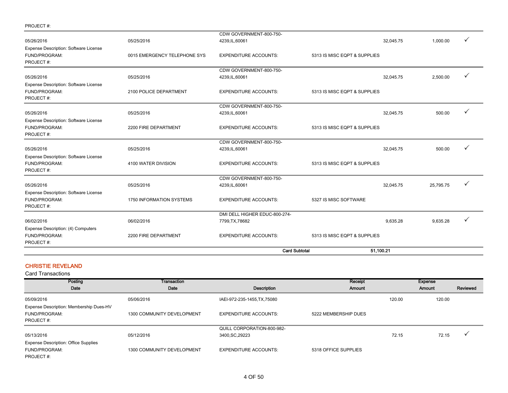|                                                                     |                              | <b>Card Subtotal</b>                             | 51,100.21                    |           |           |              |  |
|---------------------------------------------------------------------|------------------------------|--------------------------------------------------|------------------------------|-----------|-----------|--------------|--|
| Expense Description: (4) Computers<br>FUND/PROGRAM:<br>PROJECT#:    | 2200 FIRE DEPARTMENT         | <b>EXPENDITURE ACCOUNTS:</b>                     | 5313 IS MISC EQPT & SUPPLIES |           |           |              |  |
| 06/02/2016                                                          | 06/02/2016                   | DMI DELL HIGHER EDUC-800-274-<br>7799, TX, 78682 |                              | 9.635.28  | 9,635.28  | ✓            |  |
| Expense Description: Software License<br>FUND/PROGRAM:<br>PROJECT#: | 1750 INFORMATION SYSTEMS     | <b>EXPENDITURE ACCOUNTS:</b>                     | 5327 IS MISC SOFTWARE        |           |           |              |  |
| 05/26/2016                                                          | 05/25/2016                   | CDW GOVERNMENT-800-750-<br>4239, IL, 60061       |                              | 32,045.75 | 25,795.75 | $\checkmark$ |  |
| Expense Description: Software License<br>FUND/PROGRAM:<br>PROJECT#: | 4100 WATER DIVISION          | <b>EXPENDITURE ACCOUNTS:</b>                     | 5313 IS MISC EQPT & SUPPLIES |           |           |              |  |
| 05/26/2016                                                          | 05/25/2016                   | CDW GOVERNMENT-800-750-<br>4239, IL, 60061       |                              | 32,045.75 | 500.00    | $\checkmark$ |  |
| Expense Description: Software License<br>FUND/PROGRAM:<br>PROJECT#: | 2200 FIRE DEPARTMENT         | <b>EXPENDITURE ACCOUNTS:</b>                     | 5313 IS MISC EQPT & SUPPLIES |           |           |              |  |
| 05/26/2016                                                          | 05/25/2016                   | CDW GOVERNMENT-800-750-<br>4239, IL, 60061       |                              | 32,045.75 | 500.00    |              |  |
| Expense Description: Software License<br>FUND/PROGRAM:<br>PROJECT#: | 2100 POLICE DEPARTMENT       | <b>EXPENDITURE ACCOUNTS:</b>                     | 5313 IS MISC EQPT & SUPPLIES |           |           |              |  |
| 05/26/2016                                                          | 05/25/2016                   | CDW GOVERNMENT-800-750-<br>4239, IL, 60061       |                              | 32,045.75 | 2,500.00  | $\checkmark$ |  |
| Expense Description: Software License<br>FUND/PROGRAM:<br>PROJECT#: | 0015 EMERGENCY TELEPHONE SYS | <b>EXPENDITURE ACCOUNTS:</b>                     | 5313 IS MISC EQPT & SUPPLIES |           |           |              |  |
| 05/26/2016                                                          | 05/25/2016                   | CDW GOVERNMENT-800-750-<br>4239, IL, 60061       |                              | 32,045.75 | 1,000.00  | ✓            |  |
| PROJECT#:                                                           |                              |                                                  |                              |           |           |              |  |

#### CHRISTIE REVELAND

| Posting                                     | <b>Transaction</b>         |                              | Receipt              |        | <b>Expense</b> |                      |
|---------------------------------------------|----------------------------|------------------------------|----------------------|--------|----------------|----------------------|
| Date                                        | Date                       | Description                  | Amount               |        | Amount         | Reviewed             |
| 05/09/2016                                  | 05/06/2016                 | IAEI-972-235-1455, TX, 75080 |                      | 120.00 | 120.00         |                      |
| Expense Description: Membership Dues-HV     |                            |                              |                      |        |                |                      |
| FUND/PROGRAM:                               | 1300 COMMUNITY DEVELOPMENT | <b>EXPENDITURE ACCOUNTS:</b> | 5222 MEMBERSHIP DUES |        |                |                      |
| PROJECT#:                                   |                            |                              |                      |        |                |                      |
|                                             |                            | QUILL CORPORATION-800-982-   |                      |        |                |                      |
| 05/13/2016                                  | 05/12/2016                 | 3400, SC, 29223              |                      | 72.15  | 72.15          | $\ddot{\phantom{0}}$ |
| <b>Expense Description: Office Supplies</b> |                            |                              |                      |        |                |                      |
| FUND/PROGRAM:                               | 1300 COMMUNITY DEVELOPMENT | <b>EXPENDITURE ACCOUNTS:</b> | 5318 OFFICE SUPPLIES |        |                |                      |
| PROJECT#:                                   |                            |                              |                      |        |                |                      |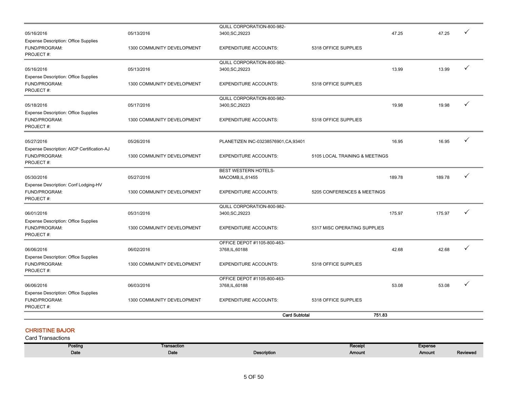|                                                                           |                            | <b>Card Subtotal</b>                           | 751.83                         |        |        |   |
|---------------------------------------------------------------------------|----------------------------|------------------------------------------------|--------------------------------|--------|--------|---|
| <b>Expense Description: Office Supplies</b><br>FUND/PROGRAM:<br>PROJECT#: | 1300 COMMUNITY DEVELOPMENT | <b>EXPENDITURE ACCOUNTS:</b>                   | 5318 OFFICE SUPPLIES           |        |        |   |
| 06/06/2016                                                                | 06/03/2016                 | OFFICE DEPOT #1105-800-463-<br>3768, IL, 60188 |                                | 53.08  | 53.08  | ✓ |
| FUND/PROGRAM:<br>PROJECT#:                                                | 1300 COMMUNITY DEVELOPMENT | <b>EXPENDITURE ACCOUNTS:</b>                   | 5318 OFFICE SUPPLIES           |        |        |   |
| 06/06/2016<br><b>Expense Description: Office Supplies</b>                 | 06/02/2016                 | OFFICE DEPOT #1105-800-463-<br>3768, IL, 60188 |                                | 42.68  | 42.68  | ✓ |
| <b>Expense Description: Office Supplies</b><br>FUND/PROGRAM:<br>PROJECT#: | 1300 COMMUNITY DEVELOPMENT | <b>EXPENDITURE ACCOUNTS:</b>                   | 5317 MISC OPERATING SUPPLIES   |        |        |   |
| 06/01/2016                                                                | 05/31/2016                 | QUILL CORPORATION-800-982-<br>3400, SC, 29223  |                                | 175.97 | 175.97 | ✓ |
| Expense Description: Conf Lodging-HV<br>FUND/PROGRAM:<br>PROJECT#:        | 1300 COMMUNITY DEVELOPMENT | <b>EXPENDITURE ACCOUNTS:</b>                   | 5205 CONFERENCES & MEETINGS    |        |        |   |
| 05/30/2016                                                                | 05/27/2016                 | BEST WESTERN HOTELS-<br>MACOMB, IL, 61455      |                                | 189.78 | 189.78 | ✓ |
| Expense Description: AICP Certification-AJ<br>FUND/PROGRAM:<br>PROJECT#:  | 1300 COMMUNITY DEVELOPMENT | <b>EXPENDITURE ACCOUNTS:</b>                   | 5105 LOCAL TRAINING & MEETINGS |        |        |   |
| 05/27/2016                                                                | 05/26/2016                 | PLANETIZEN INC-03238576901, CA, 93401          |                                | 16.95  | 16.95  | ✓ |
| <b>Expense Description: Office Supplies</b><br>FUND/PROGRAM:<br>PROJECT#: | 1300 COMMUNITY DEVELOPMENT | <b>EXPENDITURE ACCOUNTS:</b>                   | 5318 OFFICE SUPPLIES           |        |        |   |
| 05/18/2016                                                                | 05/17/2016                 | QUILL CORPORATION-800-982-<br>3400, SC, 29223  |                                | 19.98  | 19.98  | ✓ |
| <b>Expense Description: Office Supplies</b><br>FUND/PROGRAM:<br>PROJECT#: | 1300 COMMUNITY DEVELOPMENT | <b>EXPENDITURE ACCOUNTS:</b>                   | 5318 OFFICE SUPPLIES           |        |        |   |
| 05/16/2016                                                                | 05/13/2016                 | QUILL CORPORATION-800-982-<br>3400, SC, 29223  |                                | 13.99  | 13.99  | ✓ |
| <b>Expense Description: Office Supplies</b><br>FUND/PROGRAM:<br>PROJECT#: | 1300 COMMUNITY DEVELOPMENT | <b>EXPENDITURE ACCOUNTS:</b>                   | 5318 OFFICE SUPPLIES           |        |        |   |
| 05/16/2016                                                                | 05/13/2016                 | QUILL CORPORATION-800-982-<br>3400, SC, 29223  |                                | 47.25  | 47.25  |   |

#### CHRISTINE BAJOR

| Posting | Transaction |                    | Receipt | <b>Expense</b> |          |
|---------|-------------|--------------------|---------|----------------|----------|
| Date    | Date        | <b>Description</b> | Amount  | Amount         | Reviewed |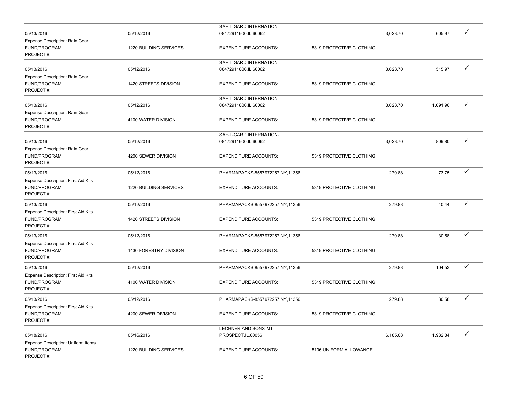|                                                                   |                        | SAF-T-GARD INTERNATION-         |                          |          |          |   |
|-------------------------------------------------------------------|------------------------|---------------------------------|--------------------------|----------|----------|---|
| 05/13/2016                                                        | 05/12/2016             | 08472911600,IL,60062            |                          | 3,023.70 | 605.97   |   |
| Expense Description: Rain Gear<br>FUND/PROGRAM:<br>PROJECT#:      | 1220 BUILDING SERVICES | <b>EXPENDITURE ACCOUNTS:</b>    | 5319 PROTECTIVE CLOTHING |          |          |   |
|                                                                   |                        | SAF-T-GARD INTERNATION-         |                          |          |          | ✓ |
| 05/13/2016                                                        | 05/12/2016             | 08472911600,IL,60062            |                          | 3,023.70 | 515.97   |   |
| Expense Description: Rain Gear<br>FUND/PROGRAM:<br>PROJECT#:      | 1420 STREETS DIVISION  | <b>EXPENDITURE ACCOUNTS:</b>    | 5319 PROTECTIVE CLOTHING |          |          |   |
|                                                                   |                        | SAF-T-GARD INTERNATION-         |                          |          |          |   |
| 05/13/2016                                                        | 05/12/2016             | 08472911600,IL,60062            |                          | 3,023.70 | 1,091.96 | ✓ |
| Expense Description: Rain Gear<br>FUND/PROGRAM:<br>PROJECT#:      | 4100 WATER DIVISION    | <b>EXPENDITURE ACCOUNTS:</b>    | 5319 PROTECTIVE CLOTHING |          |          |   |
|                                                                   |                        | SAF-T-GARD INTERNATION-         |                          |          |          |   |
| 05/13/2016                                                        | 05/12/2016             | 08472911600,IL,60062            |                          | 3,023.70 | 809.80   | ✓ |
| Expense Description: Rain Gear<br>FUND/PROGRAM:<br>PROJECT#:      | 4200 SEWER DIVISION    | <b>EXPENDITURE ACCOUNTS:</b>    | 5319 PROTECTIVE CLOTHING |          |          |   |
| 05/13/2016                                                        | 05/12/2016             | PHARMAPACKS-8557972257,NY,11356 |                          | 279.88   | 73.75    | ✓ |
| Expense Description: First Aid Kits<br>FUND/PROGRAM:<br>PROJECT#: | 1220 BUILDING SERVICES | <b>EXPENDITURE ACCOUNTS:</b>    | 5319 PROTECTIVE CLOTHING |          |          |   |
| 05/13/2016                                                        | 05/12/2016             | PHARMAPACKS-8557972257,NY,11356 |                          | 279.88   | 40.44    | ✓ |
| Expense Description: First Aid Kits<br>FUND/PROGRAM:<br>PROJECT#: | 1420 STREETS DIVISION  | <b>EXPENDITURE ACCOUNTS:</b>    | 5319 PROTECTIVE CLOTHING |          |          |   |
| 05/13/2016                                                        | 05/12/2016             | PHARMAPACKS-8557972257,NY,11356 |                          | 279.88   | 30.58    | ✓ |
| Expense Description: First Aid Kits<br>FUND/PROGRAM:<br>PROJECT#: | 1430 FORESTRY DIVISION | <b>EXPENDITURE ACCOUNTS:</b>    | 5319 PROTECTIVE CLOTHING |          |          |   |
| 05/13/2016                                                        | 05/12/2016             | PHARMAPACKS-8557972257,NY,11356 |                          | 279.88   | 104.53   | ✓ |
| Expense Description: First Aid Kits<br>FUND/PROGRAM:<br>PROJECT#: | 4100 WATER DIVISION    | <b>EXPENDITURE ACCOUNTS:</b>    | 5319 PROTECTIVE CLOTHING |          |          |   |
| 05/13/2016                                                        | 05/12/2016             | PHARMAPACKS-8557972257,NY,11356 |                          | 279.88   | 30.58    | ✓ |
| Expense Description: First Aid Kits<br>FUND/PROGRAM:<br>PROJECT#: | 4200 SEWER DIVISION    | <b>EXPENDITURE ACCOUNTS:</b>    | 5319 PROTECTIVE CLOTHING |          |          |   |
|                                                                   |                        | LECHNER AND SONS-MT             |                          |          |          |   |
| 05/18/2016                                                        | 05/16/2016             | PROSPECT, IL, 60056             |                          | 6,185.08 | 1,932.84 | ✓ |
| Expense Description: Uniform Items<br>FUND/PROGRAM:<br>PROJECT#:  | 1220 BUILDING SERVICES | <b>EXPENDITURE ACCOUNTS:</b>    | 5106 UNIFORM ALLOWANCE   |          |          |   |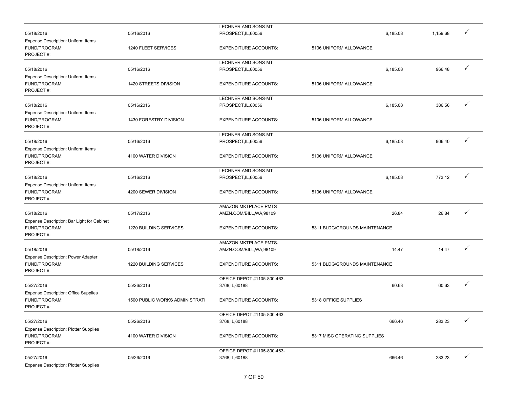|                                              |                                       | LECHNER AND SONS-MT                            |                               |          |          |              |
|----------------------------------------------|---------------------------------------|------------------------------------------------|-------------------------------|----------|----------|--------------|
| 05/18/2016                                   | 05/16/2016                            | PROSPECT, IL, 60056                            |                               | 6,185.08 | 1,159.68 | ✓            |
| Expense Description: Uniform Items           |                                       |                                                |                               |          |          |              |
| FUND/PROGRAM:                                | 1240 FLEET SERVICES                   | <b>EXPENDITURE ACCOUNTS:</b>                   | 5106 UNIFORM ALLOWANCE        |          |          |              |
| PROJECT#:                                    |                                       |                                                |                               |          |          |              |
|                                              |                                       | LECHNER AND SONS-MT                            |                               |          |          |              |
| 05/18/2016                                   | 05/16/2016                            | PROSPECT, IL, 60056                            |                               | 6,185.08 | 966.48   | ✓            |
| Expense Description: Uniform Items           |                                       |                                                |                               |          |          |              |
| FUND/PROGRAM:                                | 1420 STREETS DIVISION                 | <b>EXPENDITURE ACCOUNTS:</b>                   | 5106 UNIFORM ALLOWANCE        |          |          |              |
| PROJECT#:                                    |                                       |                                                |                               |          |          |              |
|                                              |                                       | LECHNER AND SONS-MT                            |                               |          |          |              |
| 05/18/2016                                   | 05/16/2016                            | PROSPECT, IL, 60056                            |                               | 6,185.08 | 386.56   | ✓            |
| Expense Description: Uniform Items           |                                       |                                                |                               |          |          |              |
| FUND/PROGRAM:                                | 1430 FORESTRY DIVISION                | <b>EXPENDITURE ACCOUNTS:</b>                   | 5106 UNIFORM ALLOWANCE        |          |          |              |
| PROJECT#:                                    |                                       |                                                |                               |          |          |              |
|                                              |                                       |                                                |                               |          |          |              |
|                                              |                                       | LECHNER AND SONS-MT                            |                               |          |          | ✓            |
| 05/18/2016                                   | 05/16/2016                            | PROSPECT, IL, 60056                            |                               | 6,185.08 | 966.40   |              |
| Expense Description: Uniform Items           |                                       |                                                |                               |          |          |              |
| FUND/PROGRAM:                                | 4100 WATER DIVISION                   | <b>EXPENDITURE ACCOUNTS:</b>                   | 5106 UNIFORM ALLOWANCE        |          |          |              |
| PROJECT#:                                    |                                       |                                                |                               |          |          |              |
|                                              |                                       | LECHNER AND SONS-MT                            |                               |          |          |              |
| 05/18/2016                                   | 05/16/2016                            | PROSPECT, IL, 60056                            |                               | 6,185.08 | 773.12   | ✓            |
| Expense Description: Uniform Items           |                                       |                                                |                               |          |          |              |
| FUND/PROGRAM:                                | 4200 SEWER DIVISION                   | <b>EXPENDITURE ACCOUNTS:</b>                   | 5106 UNIFORM ALLOWANCE        |          |          |              |
| PROJECT#:                                    |                                       |                                                |                               |          |          |              |
|                                              |                                       | AMAZON MKTPLACE PMTS-                          |                               |          |          |              |
| 05/18/2016                                   | 05/17/2016                            | AMZN.COM/BILL, WA, 98109                       |                               | 26.84    | 26.84    |              |
| Expense Description: Bar Light for Cabinet   |                                       |                                                |                               |          |          |              |
| FUND/PROGRAM:                                | 1220 BUILDING SERVICES                | <b>EXPENDITURE ACCOUNTS:</b>                   | 5311 BLDG/GROUNDS MAINTENANCE |          |          |              |
| PROJECT#:                                    |                                       |                                                |                               |          |          |              |
|                                              |                                       | AMAZON MKTPLACE PMTS-                          |                               |          |          |              |
| 05/18/2016                                   | 05/18/2016                            | AMZN.COM/BILL, WA, 98109                       |                               | 14.47    | 14.47    | ✓            |
| <b>Expense Description: Power Adapter</b>    |                                       |                                                |                               |          |          |              |
| FUND/PROGRAM:                                | 1220 BUILDING SERVICES                | <b>EXPENDITURE ACCOUNTS:</b>                   | 5311 BLDG/GROUNDS MAINTENANCE |          |          |              |
| PROJECT#:                                    |                                       |                                                |                               |          |          |              |
|                                              |                                       | OFFICE DEPOT #1105-800-463-                    |                               |          |          |              |
| 05/27/2016                                   | 05/26/2016                            | 3768, IL, 60188                                |                               | 60.63    | 60.63    | ✓            |
| <b>Expense Description: Office Supplies</b>  |                                       |                                                |                               |          |          |              |
| FUND/PROGRAM:                                | <b>1500 PUBLIC WORKS ADMINISTRATI</b> | <b>EXPENDITURE ACCOUNTS:</b>                   | 5318 OFFICE SUPPLIES          |          |          |              |
| PROJECT#:                                    |                                       |                                                |                               |          |          |              |
|                                              |                                       |                                                |                               |          |          |              |
| 05/27/2016                                   | 05/26/2016                            | OFFICE DEPOT #1105-800-463-<br>3768, IL, 60188 |                               | 666.46   | 283.23   |              |
|                                              |                                       |                                                |                               |          |          |              |
| <b>Expense Description: Plotter Supplies</b> |                                       |                                                |                               |          |          |              |
| FUND/PROGRAM:<br>PROJECT#:                   | 4100 WATER DIVISION                   | <b>EXPENDITURE ACCOUNTS:</b>                   | 5317 MISC OPERATING SUPPLIES  |          |          |              |
|                                              |                                       |                                                |                               |          |          |              |
|                                              |                                       | OFFICE DEPOT #1105-800-463-                    |                               |          |          | $\checkmark$ |
| 05/27/2016                                   | 05/26/2016                            | 3768, IL, 60188                                |                               | 666.46   | 283.23   |              |
| <b>Expense Description: Plotter Supplies</b> |                                       |                                                |                               |          |          |              |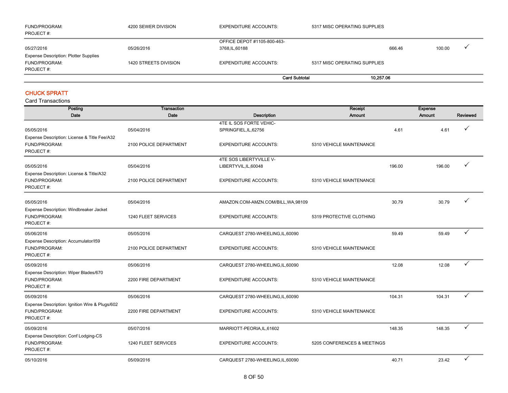| FUND/PROGRAM:<br>PROJECT #:                  | 4200 SEWER DIVISION   | EXPENDITURE ACCOUNTS:       | 5317 MISC OPERATING SUPPLIES |        |        |         |
|----------------------------------------------|-----------------------|-----------------------------|------------------------------|--------|--------|---------|
|                                              |                       | OFFICE DEPOT #1105-800-463- |                              |        |        |         |
| 05/27/2016                                   | 05/26/2016            | 3768, IL, 60188             |                              | 666.46 | 100.00 | $\cdot$ |
| <b>Expense Description: Plotter Supplies</b> |                       |                             |                              |        |        |         |
| FUND/PROGRAM:                                | 1420 STREETS DIVISION | EXPENDITURE ACCOUNTS:       | 5317 MISC OPERATING SUPPLIES |        |        |         |
| PROJECT#:                                    |                       |                             |                              |        |        |         |
|                                              |                       | <b>Card Subtotal</b>        | 10,257.06                    |        |        |         |

#### CHUCK SPRATT

| Posting                                                                      | <b>Transaction</b>     |                                     | Receipt                     |        | <b>Expense</b> |          |
|------------------------------------------------------------------------------|------------------------|-------------------------------------|-----------------------------|--------|----------------|----------|
| Date                                                                         | Date                   | <b>Description</b>                  | <b>Amount</b>               |        | Amount         | Reviewed |
|                                                                              |                        | 4TE IL SOS FORTE VEHIC-             |                             |        |                |          |
| 05/05/2016                                                                   | 05/04/2016             | SPRINGFIEL, IL, 62756               |                             | 4.61   | 4.61           |          |
| Expense Description: License & Title Fee/A32<br>FUND/PROGRAM:<br>PROJECT#:   | 2100 POLICE DEPARTMENT | <b>EXPENDITURE ACCOUNTS:</b>        | 5310 VEHICLE MAINTENANCE    |        |                |          |
|                                                                              |                        | 4TE SOS LIBERTYVILLE V-             |                             |        |                |          |
| 05/05/2016                                                                   | 05/04/2016             | LIBERTYVIL, IL, 60048               |                             | 196.00 | 196.00         |          |
| Expense Description: License & Title/A32<br>FUND/PROGRAM:<br>PROJECT#:       | 2100 POLICE DEPARTMENT | <b>EXPENDITURE ACCOUNTS:</b>        | 5310 VEHICLE MAINTENANCE    |        |                |          |
| 05/05/2016                                                                   | 05/04/2016             | AMAZON.COM-AMZN.COM/BILL, WA, 98109 |                             | 30.79  | 30.79          |          |
| Expense Description: Windbreaker Jacket<br>FUND/PROGRAM:<br>PROJECT#:        | 1240 FLEET SERVICES    | <b>EXPENDITURE ACCOUNTS:</b>        | 5319 PROTECTIVE CLOTHING    |        |                |          |
| 05/06/2016                                                                   | 05/05/2016             | CARQUEST 2780-WHEELING,IL,60090     |                             | 59.49  | 59.49          | ✓        |
| Expense Description: Accumulator/159<br>FUND/PROGRAM:<br>PROJECT#:           | 2100 POLICE DEPARTMENT | <b>EXPENDITURE ACCOUNTS:</b>        | 5310 VEHICLE MAINTENANCE    |        |                |          |
| 05/09/2016                                                                   | 05/06/2016             | CARQUEST 2780-WHEELING,IL,60090     |                             | 12.08  | 12.08          | ✓        |
| Expense Description: Wiper Blades/670<br>FUND/PROGRAM:<br>PROJECT#:          | 2200 FIRE DEPARTMENT   | <b>EXPENDITURE ACCOUNTS:</b>        | 5310 VEHICLE MAINTENANCE    |        |                |          |
| 05/09/2016                                                                   | 05/06/2016             | CARQUEST 2780-WHEELING,IL,60090     |                             | 104.31 | 104.31         | ✓        |
| Expense Description: Ignition Wire & Plugs/602<br>FUND/PROGRAM:<br>PROJECT#: | 2200 FIRE DEPARTMENT   | <b>EXPENDITURE ACCOUNTS:</b>        | 5310 VEHICLE MAINTENANCE    |        |                |          |
| 05/09/2016                                                                   | 05/07/2016             | MARRIOTT-PEORIA,IL,61602            |                             | 148.35 | 148.35         | ✓        |
| Expense Description: Conf Lodging-CS<br>FUND/PROGRAM:<br>PROJECT#:           | 1240 FLEET SERVICES    | <b>EXPENDITURE ACCOUNTS:</b>        | 5205 CONFERENCES & MEETINGS |        |                |          |
| 05/10/2016                                                                   | 05/09/2016             | CARQUEST 2780-WHEELING,IL,60090     |                             | 40.71  | 23.42          | ✓        |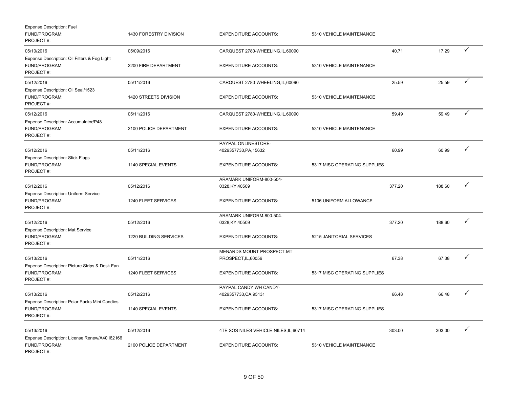| <b>Expense Description: Fuel</b><br>FUND/PROGRAM:<br>PROJECT#:               | 1430 FORESTRY DIVISION | <b>EXPENDITURE ACCOUNTS:</b>                    | 5310 VEHICLE MAINTENANCE     |        |        |              |
|------------------------------------------------------------------------------|------------------------|-------------------------------------------------|------------------------------|--------|--------|--------------|
| 05/10/2016                                                                   | 05/09/2016             | CARQUEST 2780-WHEELING,IL,60090                 |                              | 40.71  | 17.29  | $\checkmark$ |
| Expense Description: Oil Filters & Fog Light<br>FUND/PROGRAM:<br>PROJECT#:   | 2200 FIRE DEPARTMENT   | <b>EXPENDITURE ACCOUNTS:</b>                    | 5310 VEHICLE MAINTENANCE     |        |        |              |
| 05/12/2016                                                                   | 05/11/2016             | CARQUEST 2780-WHEELING, IL, 60090               |                              | 25.59  | 25.59  | ✓            |
| Expense Description: Oil Seal/1523<br>FUND/PROGRAM:<br>PROJECT#:             | 1420 STREETS DIVISION  | <b>EXPENDITURE ACCOUNTS:</b>                    | 5310 VEHICLE MAINTENANCE     |        |        |              |
| 05/12/2016                                                                   | 05/11/2016             | CARQUEST 2780-WHEELING, IL, 60090               |                              | 59.49  | 59.49  | ✓            |
| Expense Description: Accumulator/P48<br>FUND/PROGRAM:<br>PROJECT#:           | 2100 POLICE DEPARTMENT | <b>EXPENDITURE ACCOUNTS:</b>                    | 5310 VEHICLE MAINTENANCE     |        |        |              |
|                                                                              |                        | PAYPAL ONLINESTORE-                             |                              |        |        |              |
| 05/12/2016                                                                   | 05/11/2016             | 4029357733,PA,15632                             |                              | 60.99  | 60.99  | ✓            |
| <b>Expense Description: Stick Flags</b><br>FUND/PROGRAM:<br>PROJECT#:        | 1140 SPECIAL EVENTS    | <b>EXPENDITURE ACCOUNTS:</b>                    | 5317 MISC OPERATING SUPPLIES |        |        |              |
| 05/12/2016                                                                   | 05/12/2016             | ARAMARK UNIFORM-800-504-<br>0328, KY, 40509     |                              | 377.20 | 188.60 | ✓            |
| Expense Description: Uniform Service<br>FUND/PROGRAM:<br>PROJECT#:           | 1240 FLEET SERVICES    | <b>EXPENDITURE ACCOUNTS:</b>                    | 5106 UNIFORM ALLOWANCE       |        |        |              |
|                                                                              |                        | ARAMARK UNIFORM-800-504-                        |                              |        |        |              |
| 05/12/2016                                                                   | 05/12/2016             | 0328, KY, 40509                                 |                              | 377.20 | 188.60 | ✓            |
| <b>Expense Description: Mat Service</b><br>FUND/PROGRAM:<br>PROJECT#:        | 1220 BUILDING SERVICES | <b>EXPENDITURE ACCOUNTS:</b>                    | 5215 JANITORIAL SERVICES     |        |        |              |
|                                                                              |                        | MENARDS MOUNT PROSPECT-MT                       |                              |        |        |              |
| 05/13/2016                                                                   | 05/11/2016             | PROSPECT, IL, 60056                             |                              | 67.38  | 67.38  | ✓            |
| Expense Description: Picture Strips & Desk Fan<br>FUND/PROGRAM:<br>PROJECT#: | 1240 FLEET SERVICES    | <b>EXPENDITURE ACCOUNTS:</b>                    | 5317 MISC OPERATING SUPPLIES |        |        |              |
| 05/13/2016                                                                   | 05/12/2016             | PAYPAL CANDY WH CANDY-<br>4029357733, CA, 95131 |                              | 66.48  | 66.48  | ✓            |
| Expense Description: Polar Packs Mini Candies<br>FUND/PROGRAM:<br>PROJECT#:  | 1140 SPECIAL EVENTS    | <b>EXPENDITURE ACCOUNTS:</b>                    | 5317 MISC OPERATING SUPPLIES |        |        |              |
| 05/13/2016                                                                   | 05/12/2016             | 4TE SOS NILES VEHICLE-NILES, IL, 60714          |                              | 303.00 | 303.00 | ✓            |
| Expense Description: License Renew/A40 I62 I66<br>FUND/PROGRAM:<br>PROJECT#: | 2100 POLICE DEPARTMENT | <b>EXPENDITURE ACCOUNTS:</b>                    | 5310 VEHICLE MAINTENANCE     |        |        |              |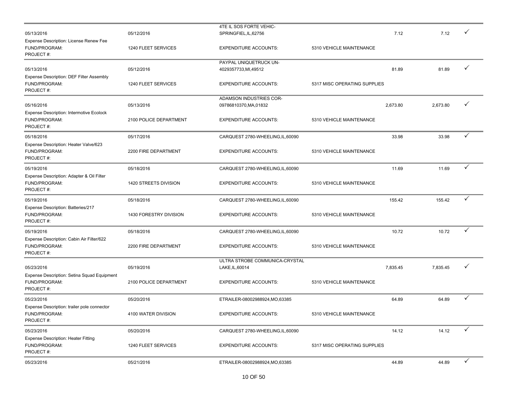|                                                                               |                        | 4TE IL SOS FORTE VEHIC-           |                              |          |          |              |
|-------------------------------------------------------------------------------|------------------------|-----------------------------------|------------------------------|----------|----------|--------------|
| 05/13/2016                                                                    | 05/12/2016             | SPRINGFIEL, IL, 62756             |                              | 7.12     | 7.12     |              |
| Expense Description: License Renew Fee<br>FUND/PROGRAM:<br>PROJECT#:          | 1240 FLEET SERVICES    | <b>EXPENDITURE ACCOUNTS:</b>      | 5310 VEHICLE MAINTENANCE     |          |          |              |
|                                                                               |                        | PAYPAL UNIQUETRUCK UN-            |                              |          |          |              |
| 05/13/2016                                                                    | 05/12/2016             | 4029357733, MI, 49512             |                              | 81.89    | 81.89    | $\checkmark$ |
| Expense Description: DEF Filter Assembly<br>FUND/PROGRAM:<br>PROJECT#:        | 1240 FLEET SERVICES    | <b>EXPENDITURE ACCOUNTS:</b>      | 5317 MISC OPERATING SUPPLIES |          |          |              |
|                                                                               |                        | ADAMSON INDUSTRIES COR-           |                              |          |          |              |
| 05/16/2016                                                                    | 05/13/2016             | 09786810370, MA, 01832            |                              | 2,673.80 | 2,673.80 | ✓            |
| <b>Expense Description: Intermotive Ecolock</b><br>FUND/PROGRAM:<br>PROJECT#: | 2100 POLICE DEPARTMENT | <b>EXPENDITURE ACCOUNTS:</b>      | 5310 VEHICLE MAINTENANCE     |          |          |              |
| 05/18/2016                                                                    | 05/17/2016             | CARQUEST 2780-WHEELING, IL, 60090 |                              | 33.98    | 33.98    | ✓            |
| Expense Description: Heater Valve/623<br>FUND/PROGRAM:<br>PROJECT#:           | 2200 FIRE DEPARTMENT   | <b>EXPENDITURE ACCOUNTS:</b>      | 5310 VEHICLE MAINTENANCE     |          |          |              |
| 05/19/2016                                                                    | 05/18/2016             | CARQUEST 2780-WHEELING, IL, 60090 |                              | 11.69    | 11.69    | ✓            |
| Expense Description: Adapter & Oil Filter<br>FUND/PROGRAM:<br>PROJECT#:       | 1420 STREETS DIVISION  | <b>EXPENDITURE ACCOUNTS:</b>      | 5310 VEHICLE MAINTENANCE     |          |          |              |
| 05/19/2016                                                                    | 05/18/2016             | CARQUEST 2780-WHEELING, IL, 60090 |                              | 155.42   | 155.42   | ✓            |
| Expense Description: Batteries/217<br>FUND/PROGRAM:<br>PROJECT#:              | 1430 FORESTRY DIVISION | <b>EXPENDITURE ACCOUNTS:</b>      | 5310 VEHICLE MAINTENANCE     |          |          |              |
| 05/19/2016                                                                    | 05/18/2016             | CARQUEST 2780-WHEELING, IL, 60090 |                              | 10.72    | 10.72    | ✓            |
| Expense Description: Cabin Air Filter/622<br>FUND/PROGRAM:<br>PROJECT#:       | 2200 FIRE DEPARTMENT   | <b>EXPENDITURE ACCOUNTS:</b>      | 5310 VEHICLE MAINTENANCE     |          |          |              |
|                                                                               |                        | ULTRA STROBE COMMUNICA-CRYSTAL    |                              |          |          |              |
| 05/23/2016                                                                    | 05/19/2016             | LAKE, IL, 60014                   |                              | 7,835.45 | 7,835.45 |              |
| Expense Description: Setina Squad Equipment<br>FUND/PROGRAM:<br>PROJECT#:     | 2100 POLICE DEPARTMENT | <b>EXPENDITURE ACCOUNTS:</b>      | 5310 VEHICLE MAINTENANCE     |          |          |              |
| 05/23/2016                                                                    | 05/20/2016             | ETRAILER-08002988924, MO, 63385   |                              | 64.89    | 64.89    | ✓            |
| Expense Description: trailer pole connector<br>FUND/PROGRAM:<br>PROJECT#:     | 4100 WATER DIVISION    | <b>EXPENDITURE ACCOUNTS:</b>      | 5310 VEHICLE MAINTENANCE     |          |          |              |
| 05/23/2016                                                                    | 05/20/2016             | CARQUEST 2780-WHEELING, IL, 60090 |                              | 14.12    | 14.12    | ✓            |
| <b>Expense Description: Heater Fitting</b><br>FUND/PROGRAM:<br>PROJECT#:      | 1240 FLEET SERVICES    | <b>EXPENDITURE ACCOUNTS:</b>      | 5317 MISC OPERATING SUPPLIES |          |          |              |
| 05/23/2016                                                                    | 05/21/2016             | ETRAILER-08002988924, MO, 63385   |                              | 44.89    | 44.89    | $\checkmark$ |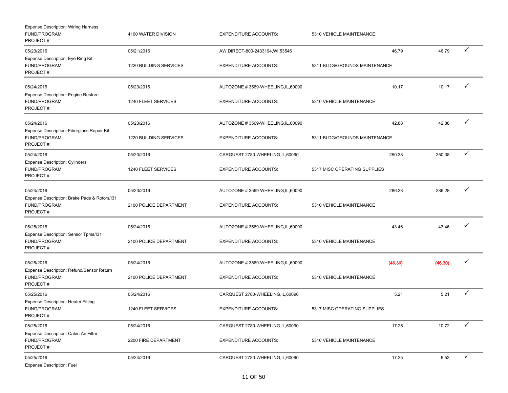| <b>Expense Description: Wiring Harness</b><br>FUND/PROGRAM:<br>PROJECT#:   | 4100 WATER DIVISION    | <b>EXPENDITURE ACCOUNTS:</b>       | 5310 VEHICLE MAINTENANCE      |         |              |
|----------------------------------------------------------------------------|------------------------|------------------------------------|-------------------------------|---------|--------------|
| 05/23/2016<br>Expense Description: Eye Ring Kit                            | 05/21/2016             | AW DIRECT-800-2433194, WI, 53546   | 46.79                         | 46.79   | $\checkmark$ |
| FUND/PROGRAM:<br>PROJECT#:                                                 | 1220 BUILDING SERVICES | <b>EXPENDITURE ACCOUNTS:</b>       | 5311 BLDG/GROUNDS MAINTENANCE |         |              |
| 05/24/2016<br><b>Expense Description: Engine Restore</b>                   | 05/23/2016             | AUTOZONE #3569-WHEELING, IL, 60090 | 10.17                         | 10.17   |              |
| FUND/PROGRAM:<br>PROJECT#:                                                 | 1240 FLEET SERVICES    | <b>EXPENDITURE ACCOUNTS:</b>       | 5310 VEHICLE MAINTENANCE      |         |              |
| 05/24/2016<br>Expense Description: Fiberglass Repair Kit                   | 05/23/2016             | AUTOZONE #3569-WHEELING, IL, 60090 | 42.88                         | 42.88   | $\checkmark$ |
| FUND/PROGRAM:<br>PROJECT#:                                                 | 1220 BUILDING SERVICES | <b>EXPENDITURE ACCOUNTS:</b>       | 5311 BLDG/GROUNDS MAINTENANCE |         |              |
| 05/24/2016<br><b>Expense Description: Cylinders</b>                        | 05/23/2016             | CARQUEST 2780-WHEELING, IL, 60090  | 250.38                        | 250.38  | $\checkmark$ |
| FUND/PROGRAM:<br>PROJECT#:                                                 | 1240 FLEET SERVICES    | <b>EXPENDITURE ACCOUNTS:</b>       | 5317 MISC OPERATING SUPPLIES  |         |              |
| 05/24/2016                                                                 | 05/23/2016             | AUTOZONE #3569-WHEELING, IL, 60090 | 286.28                        | 286.28  | ✓            |
| Expense Description: Brake Pads & Rotors/131<br>FUND/PROGRAM:<br>PROJECT#: | 2100 POLICE DEPARTMENT | <b>EXPENDITURE ACCOUNTS:</b>       | 5310 VEHICLE MAINTENANCE      |         |              |
| 05/25/2016<br>Expense Description: Sensor Tpms/I31                         | 05/24/2016             | AUTOZONE #3569-WHEELING, IL, 60090 | 43.46                         | 43.46   |              |
| FUND/PROGRAM:<br>PROJECT#:                                                 | 2100 POLICE DEPARTMENT | <b>EXPENDITURE ACCOUNTS:</b>       | 5310 VEHICLE MAINTENANCE      |         |              |
| 05/25/2016                                                                 | 05/24/2016             | AUTOZONE #3569-WHEELING, IL, 60090 | (46.30)                       | (46.30) | ✓            |
| Expense Description: Refund/Sensor Return<br>FUND/PROGRAM:<br>PROJECT#:    | 2100 POLICE DEPARTMENT | <b>EXPENDITURE ACCOUNTS:</b>       | 5310 VEHICLE MAINTENANCE      |         |              |
| 05/25/2016<br>Expense Description: Heater Fitting                          | 05/24/2016             | CARQUEST 2780-WHEELING, IL, 60090  | 5.21                          | 5.21    | ✓            |
| FUND/PROGRAM:<br>PROJECT#:                                                 | 1240 FLEET SERVICES    | <b>EXPENDITURE ACCOUNTS:</b>       | 5317 MISC OPERATING SUPPLIES  |         |              |
| 05/25/2016                                                                 | 05/24/2016             | CARQUEST 2780-WHEELING, IL, 60090  | 17.25                         | 10.72   | ✓            |
| Expense Description: Cabin Air Filter<br>FUND/PROGRAM:<br>PROJECT#:        | 2200 FIRE DEPARTMENT   | <b>EXPENDITURE ACCOUNTS:</b>       | 5310 VEHICLE MAINTENANCE      |         |              |
| 05/25/2016<br>Expense Description: Fuel                                    | 05/24/2016             | CARQUEST 2780-WHEELING, IL, 60090  | 17.25                         | 6.53    | $\checkmark$ |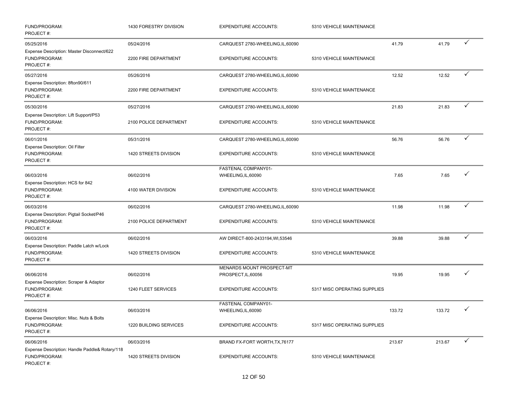| FUND/PROGRAM:<br>PROJECT#:                                                          | 1430 FORESTRY DIVISION               | <b>EXPENDITURE ACCOUNTS:</b>                        | 5310 VEHICLE MAINTENANCE     |        |        |              |
|-------------------------------------------------------------------------------------|--------------------------------------|-----------------------------------------------------|------------------------------|--------|--------|--------------|
| 05/25/2016                                                                          | 05/24/2016                           | CARQUEST 2780-WHEELING, IL, 60090                   |                              | 41.79  | 41.79  | $\checkmark$ |
| Expense Description: Master Disconnect/622<br>FUND/PROGRAM:<br>PROJECT#:            | 2200 FIRE DEPARTMENT                 | <b>EXPENDITURE ACCOUNTS:</b>                        | 5310 VEHICLE MAINTENANCE     |        |        |              |
| 05/27/2016                                                                          | 05/26/2016                           | CARQUEST 2780-WHEELING, IL, 60090                   |                              | 12.52  | 12.52  | $\checkmark$ |
| Expense Description: 8fton90/611<br>FUND/PROGRAM:<br>PROJECT#:                      | 2200 FIRE DEPARTMENT                 | <b>EXPENDITURE ACCOUNTS:</b>                        | 5310 VEHICLE MAINTENANCE     |        |        |              |
| 05/30/2016                                                                          | 05/27/2016                           | CARQUEST 2780-WHEELING, IL, 60090                   |                              | 21.83  | 21.83  | $\checkmark$ |
| Expense Description: Lift Support/P53<br>FUND/PROGRAM:<br>PROJECT#:                 | 2100 POLICE DEPARTMENT               | <b>EXPENDITURE ACCOUNTS:</b>                        | 5310 VEHICLE MAINTENANCE     |        |        |              |
| 06/01/2016                                                                          | 05/31/2016                           | CARQUEST 2780-WHEELING, IL, 60090                   |                              | 56.76  | 56.76  | $\checkmark$ |
| Expense Description: Oil Filter<br>FUND/PROGRAM:<br>PROJECT#:                       | 1420 STREETS DIVISION                | <b>EXPENDITURE ACCOUNTS:</b>                        | 5310 VEHICLE MAINTENANCE     |        |        |              |
| 06/03/2016                                                                          | 06/02/2016                           | FASTENAL COMPANY01-<br>WHEELING, IL, 60090          |                              | 7.65   | 7.65   | ✓            |
| Expense Description: HCS for 842<br>FUND/PROGRAM:<br>PROJECT#:                      | 4100 WATER DIVISION                  | <b>EXPENDITURE ACCOUNTS:</b>                        | 5310 VEHICLE MAINTENANCE     |        |        |              |
| 06/03/2016                                                                          | 06/02/2016                           | CARQUEST 2780-WHEELING, IL, 60090                   |                              | 11.98  | 11.98  | $\checkmark$ |
| Expense Description: Pigtail Socket/P46<br>FUND/PROGRAM:<br>PROJECT#:               | 2100 POLICE DEPARTMENT               | <b>EXPENDITURE ACCOUNTS:</b>                        | 5310 VEHICLE MAINTENANCE     |        |        |              |
| 06/03/2016                                                                          | 06/02/2016                           | AW DIRECT-800-2433194, WI,53546                     |                              | 39.88  | 39.88  | $\checkmark$ |
| Expense Description: Paddle Latch w/Lock<br>FUND/PROGRAM:<br>PROJECT#:              | 1420 STREETS DIVISION                | <b>EXPENDITURE ACCOUNTS:</b>                        | 5310 VEHICLE MAINTENANCE     |        |        |              |
| 06/06/2016                                                                          | 06/02/2016                           | MENARDS MOUNT PROSPECT-MT<br>PROSPECT, IL, 60056    |                              | 19.95  | 19.95  | $\checkmark$ |
| Expense Description: Scraper & Adaptor<br>FUND/PROGRAM:<br>PROJECT#:                | 1240 FLEET SERVICES                  | <b>EXPENDITURE ACCOUNTS:</b>                        | 5317 MISC OPERATING SUPPLIES |        |        |              |
|                                                                                     |                                      | FASTENAL COMPANY01-                                 |                              |        |        | $\checkmark$ |
| 06/06/2016<br>Expense Description: Misc. Nuts & Bolts<br>FUND/PROGRAM:<br>PROJECT#: | 06/03/2016<br>1220 BUILDING SERVICES | WHEELING, IL, 60090<br><b>EXPENDITURE ACCOUNTS:</b> | 5317 MISC OPERATING SUPPLIES | 133.72 | 133.72 |              |
| 06/06/2016                                                                          | 06/03/2016                           | BRAND FX-FORT WORTH, TX, 76177                      |                              | 213.67 | 213.67 | $\checkmark$ |
| Expense Description: Handle Paddle& Rotary/118<br>FUND/PROGRAM:<br>PROJECT#:        | 1420 STREETS DIVISION                | <b>EXPENDITURE ACCOUNTS:</b>                        | 5310 VEHICLE MAINTENANCE     |        |        |              |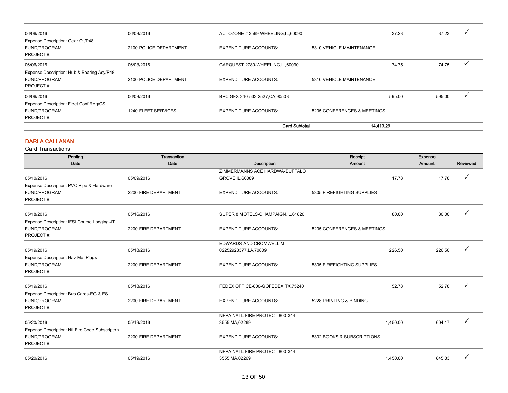| 06/06/2016                                                               | 06/03/2016             | AUTOZONE #3569-WHEELING,IL,60090  |                             | 37.23  | 37.23  | ✓ |
|--------------------------------------------------------------------------|------------------------|-----------------------------------|-----------------------------|--------|--------|---|
| Expense Description: Gear Oil/P48<br>FUND/PROGRAM:<br>PROJECT#:          | 2100 POLICE DEPARTMENT | <b>EXPENDITURE ACCOUNTS:</b>      | 5310 VEHICLE MAINTENANCE    |        |        |   |
| 06/06/2016                                                               | 06/03/2016             | CARQUEST 2780-WHEELING, IL, 60090 |                             | 74.75  | 74.75  |   |
| Expense Description: Hub & Bearing Asy/P48<br>FUND/PROGRAM:<br>PROJECT#: | 2100 POLICE DEPARTMENT | <b>EXPENDITURE ACCOUNTS:</b>      | 5310 VEHICLE MAINTENANCE    |        |        |   |
| 06/06/2016                                                               | 06/03/2016             | BPC GFX-310-533-2527, CA, 90503   |                             | 595.00 | 595.00 |   |
| Expense Description: Fleet Conf Reg/CS<br>FUND/PROGRAM:<br>PROJECT#:     | 1240 FLEET SERVICES    | <b>EXPENDITURE ACCOUNTS:</b>      | 5205 CONFERENCES & MEETINGS |        |        |   |
|                                                                          |                        | <b>Card Subtotal</b>              | 14,413.29                   |        |        |   |

#### DARLA CALLANAN

| Posting                                        | <b>Transaction</b>   |                                     | Receipt                     |          | <b>Expense</b> |          |
|------------------------------------------------|----------------------|-------------------------------------|-----------------------------|----------|----------------|----------|
| Date                                           | Date                 | Description                         | Amount                      |          | Amount         | Reviewed |
|                                                |                      | ZIMMERMANNS ACE HARDWA-BUFFALO      |                             |          |                |          |
| 05/10/2016                                     | 05/09/2016           | GROVE, IL, 60089                    |                             | 17.78    | 17.78          | ✓        |
| Expense Description: PVC Pipe & Hardware       |                      |                                     |                             |          |                |          |
| FUND/PROGRAM:                                  | 2200 FIRE DEPARTMENT | <b>EXPENDITURE ACCOUNTS:</b>        | 5305 FIREFIGHTING SUPPLIES  |          |                |          |
| PROJECT#:                                      |                      |                                     |                             |          |                |          |
| 05/18/2016                                     | 05/16/2016           | SUPER 8 MOTELS-CHAMPAIGN, IL, 61820 |                             | 80.00    | 80.00          |          |
| Expense Description: IFSI Course Lodging-JT    |                      |                                     |                             |          |                |          |
| FUND/PROGRAM:                                  | 2200 FIRE DEPARTMENT | <b>EXPENDITURE ACCOUNTS:</b>        | 5205 CONFERENCES & MEETINGS |          |                |          |
| PROJECT#:                                      |                      |                                     |                             |          |                |          |
|                                                |                      | <b>EDWARDS AND CROMWELL M-</b>      |                             |          |                |          |
| 05/19/2016                                     | 05/18/2016           | 02252923377, LA, 70809              |                             | 226.50   | 226.50         |          |
| Expense Description: Haz Mat Plugs             |                      |                                     |                             |          |                |          |
| FUND/PROGRAM:                                  | 2200 FIRE DEPARTMENT | <b>EXPENDITURE ACCOUNTS:</b>        | 5305 FIREFIGHTING SUPPLIES  |          |                |          |
| PROJECT#:                                      |                      |                                     |                             |          |                |          |
| 05/19/2016                                     | 05/18/2016           | FEDEX OFFICE-800-GOFEDEX, TX, 75240 |                             | 52.78    | 52.78          |          |
| Expense Description: Bus Cards-EG & ES         |                      |                                     |                             |          |                |          |
| FUND/PROGRAM:                                  | 2200 FIRE DEPARTMENT | <b>EXPENDITURE ACCOUNTS:</b>        | 5228 PRINTING & BINDING     |          |                |          |
| PROJECT#:                                      |                      |                                     |                             |          |                |          |
|                                                |                      | NFPA NATL FIRE PROTECT-800-344-     |                             |          |                |          |
| 05/20/2016                                     | 05/19/2016           | 3555, MA, 02269                     |                             | 1,450.00 | 604.17         |          |
| Expense Description: Ntl Fire Code Subscripton |                      |                                     |                             |          |                |          |
| FUND/PROGRAM:                                  | 2200 FIRE DEPARTMENT | <b>EXPENDITURE ACCOUNTS:</b>        | 5302 BOOKS & SUBSCRIPTIONS  |          |                |          |
| PROJECT#:                                      |                      |                                     |                             |          |                |          |
|                                                |                      | NFPA NATL FIRE PROTECT-800-344-     |                             |          |                |          |
| 05/20/2016                                     | 05/19/2016           | 3555, MA, 02269                     |                             | 1,450.00 | 845.83         |          |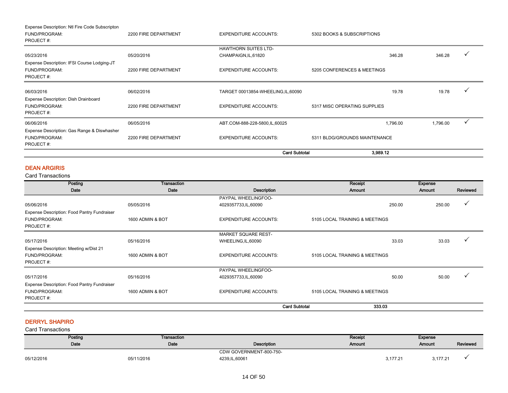|                                                              |                      | <b>Card Subtotal</b>              | 3,989.12                      |          |  |
|--------------------------------------------------------------|----------------------|-----------------------------------|-------------------------------|----------|--|
| FUND/PROGRAM:<br>PROJECT#:                                   | 2200 FIRE DEPARTMENT | <b>EXPENDITURE ACCOUNTS:</b>      | 5311 BLDG/GROUNDS MAINTENANCE |          |  |
| Expense Description: Gas Range & Diswhasher                  |                      |                                   |                               |          |  |
| 06/06/2016                                                   | 06/05/2016           | ABT.COM-888-228-5800,IL,60025     | 1,796.00                      | 1,796.00 |  |
| PROJECT#:                                                    |                      |                                   |                               |          |  |
| Expense Description: Dish Drainboard<br>FUND/PROGRAM:        | 2200 FIRE DEPARTMENT | <b>EXPENDITURE ACCOUNTS:</b>      | 5317 MISC OPERATING SUPPLIES  |          |  |
| 06/03/2016                                                   | 06/02/2016           | TARGET 00013854-WHEELING,IL,60090 | 19.78                         | 19.78    |  |
| PROJECT#:                                                    |                      |                                   |                               |          |  |
| Expense Description: IFSI Course Lodging-JT<br>FUND/PROGRAM: | 2200 FIRE DEPARTMENT | <b>EXPENDITURE ACCOUNTS:</b>      | 5205 CONFERENCES & MEETINGS   |          |  |
|                                                              |                      | CHAMPAIGN, IL, 61820              |                               |          |  |
| 05/23/2016                                                   | 05/20/2016           | <b>HAWTHORN SUITES LTD-</b>       | 346.28                        | 346.28   |  |
| PROJECT#:                                                    |                      |                                   |                               |          |  |
| FUND/PROGRAM:                                                | 2200 FIRE DEPARTMENT | <b>EXPENDITURE ACCOUNTS:</b>      | 5302 BOOKS & SUBSCRIPTIONS    |          |  |

#### DEAN ARGIRIS

Card Transactions

| Posting                                     | <b>Transaction</b> |                              | Receipt                        | <b>Expense</b> |          |
|---------------------------------------------|--------------------|------------------------------|--------------------------------|----------------|----------|
| Date                                        | Date               | Description                  | <b>Amount</b>                  | <b>Amount</b>  | Reviewed |
|                                             |                    | PAYPAL WHEELINGFOO-          |                                |                |          |
| 05/06/2016                                  | 05/05/2016         | 4029357733,IL,60090          | 250.00                         | 250.00         |          |
| Expense Description: Food Pantry Fundraiser |                    |                              |                                |                |          |
| FUND/PROGRAM:                               | 1600 ADMIN & BOT   | <b>EXPENDITURE ACCOUNTS:</b> | 5105 LOCAL TRAINING & MEETINGS |                |          |
| PROJECT#:                                   |                    |                              |                                |                |          |
|                                             |                    | <b>MARKET SQUARE REST-</b>   |                                |                |          |
| 05/17/2016                                  | 05/16/2016         | WHEELING, IL, 60090          | 33.03                          | 33.03          |          |
| Expense Description: Meeting w/Dist 21      |                    |                              |                                |                |          |
| FUND/PROGRAM:                               | 1600 ADMIN & BOT   | <b>EXPENDITURE ACCOUNTS:</b> | 5105 LOCAL TRAINING & MEETINGS |                |          |
| PROJECT#:                                   |                    |                              |                                |                |          |
|                                             |                    | PAYPAL WHEELINGFOO-          |                                |                |          |
| 05/17/2016                                  | 05/16/2016         | 4029357733,IL,60090          | 50.00                          | 50.00          |          |
| Expense Description: Food Pantry Fundraiser |                    |                              |                                |                |          |
| FUND/PROGRAM:                               | 1600 ADMIN & BOT   | <b>EXPENDITURE ACCOUNTS:</b> | 5105 LOCAL TRAINING & MEETINGS |                |          |
| PROJECT#:                                   |                    |                              |                                |                |          |
|                                             |                    | <b>Card Subtotal</b>         | 333.03                         |                |          |

#### DERRYL SHAPIRO

| Posting    | Transaction |                         | Receipt |          | Expense       |          |
|------------|-------------|-------------------------|---------|----------|---------------|----------|
| Date       | Date        | Description             | Amount  |          | <b>Amount</b> | Reviewed |
|            |             | CDW GOVERNMENT-800-750- |         |          |               |          |
| 05/12/2016 | 05/11/2016  | 4239, IL, 60061         |         | 3,177.21 | 3,177.21      |          |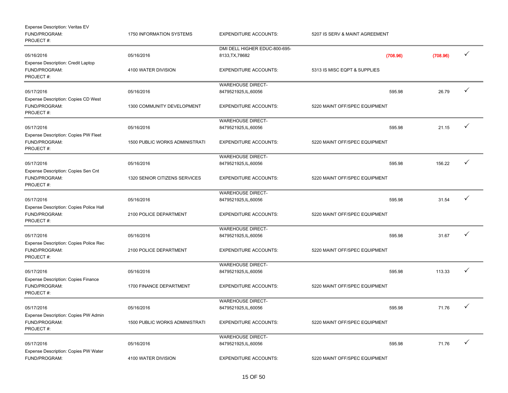| Expense Description: Veritas EV<br>FUND/PROGRAM:<br>PROJECT#:           | 1750 INFORMATION SYSTEMS              | <b>EXPENDITURE ACCOUNTS:</b>                      | 5207 IS SERV & MAINT AGREEMENT |          |              |
|-------------------------------------------------------------------------|---------------------------------------|---------------------------------------------------|--------------------------------|----------|--------------|
|                                                                         |                                       | DMI DELL HIGHER EDUC-800-695-                     |                                |          |              |
| 05/16/2016                                                              | 05/16/2016                            | 8133, TX, 78682                                   | (708.96)                       | (708.96) | ✓            |
| <b>Expense Description: Credit Laptop</b><br>FUND/PROGRAM:<br>PROJECT#: | 4100 WATER DIVISION                   | <b>EXPENDITURE ACCOUNTS:</b>                      | 5313 IS MISC EQPT & SUPPLIES   |          |              |
| 05/17/2016                                                              | 05/16/2016                            | <b>WAREHOUSE DIRECT-</b><br>8479521925, IL, 60056 | 595.98                         | 26.79    | ✓            |
| Expense Description: Copies CD West<br>FUND/PROGRAM:<br>PROJECT#:       | 1300 COMMUNITY DEVELOPMENT            | <b>EXPENDITURE ACCOUNTS:</b>                      | 5220 MAINT OFF/SPEC EQUIPMENT  |          |              |
|                                                                         |                                       | <b>WAREHOUSE DIRECT-</b>                          |                                |          |              |
| 05/17/2016                                                              | 05/16/2016                            | 8479521925, IL, 60056                             | 595.98                         | 21.15    | ✓            |
| Expense Description: Copies PW Fleet<br>FUND/PROGRAM:<br>PROJECT#:      | 1500 PUBLIC WORKS ADMINISTRATI        | <b>EXPENDITURE ACCOUNTS:</b>                      | 5220 MAINT OFF/SPEC EQUIPMENT  |          |              |
|                                                                         |                                       | <b>WAREHOUSE DIRECT-</b>                          |                                |          |              |
| 05/17/2016                                                              | 05/16/2016                            | 8479521925, IL, 60056                             | 595.98                         | 156.22   |              |
| Expense Description: Copies Sen Cnt<br>FUND/PROGRAM:<br>PROJECT#:       | 1320 SENIOR CITIZENS SERVICES         | <b>EXPENDITURE ACCOUNTS:</b>                      | 5220 MAINT OFF/SPEC EQUIPMENT  |          |              |
|                                                                         |                                       | <b>WAREHOUSE DIRECT-</b>                          |                                |          |              |
| 05/17/2016                                                              | 05/16/2016                            | 8479521925, IL, 60056                             | 595.98                         | 31.54    |              |
| Expense Description: Copies Police Hall<br>FUND/PROGRAM:<br>PROJECT#:   | 2100 POLICE DEPARTMENT                | <b>EXPENDITURE ACCOUNTS:</b>                      | 5220 MAINT OFF/SPEC EQUIPMENT  |          |              |
|                                                                         |                                       | <b>WAREHOUSE DIRECT-</b>                          |                                |          |              |
| 05/17/2016                                                              | 05/16/2016                            | 8479521925, IL, 60056                             | 595.98                         | 31.67    | ✓            |
| Expense Description: Copies Police Rec<br>FUND/PROGRAM:<br>PROJECT#:    | 2100 POLICE DEPARTMENT                | <b>EXPENDITURE ACCOUNTS:</b>                      | 5220 MAINT OFF/SPEC EQUIPMENT  |          |              |
|                                                                         |                                       | <b>WAREHOUSE DIRECT-</b>                          |                                |          |              |
| 05/17/2016                                                              | 05/16/2016                            | 8479521925, IL, 60056                             | 595.98                         | 113.33   |              |
| Expense Description: Copies Finance<br>FUND/PROGRAM:<br>PROJECT#:       | 1700 FINANCE DEPARTMENT               | <b>EXPENDITURE ACCOUNTS:</b>                      | 5220 MAINT OFF/SPEC EQUIPMENT  |          |              |
|                                                                         |                                       | <b>WAREHOUSE DIRECT-</b>                          |                                |          |              |
| 05/17/2016                                                              | 05/16/2016                            | 8479521925,IL,60056                               | 595.98                         | 71.76    | ✓            |
| Expense Description: Copies PW Admin<br>FUND/PROGRAM:<br>PROJECT#:      | <b>1500 PUBLIC WORKS ADMINISTRATI</b> | <b>EXPENDITURE ACCOUNTS:</b>                      | 5220 MAINT OFF/SPEC EQUIPMENT  |          |              |
|                                                                         |                                       | <b>WAREHOUSE DIRECT-</b>                          |                                |          |              |
| 05/17/2016<br>Expense Description: Copies PW Water                      | 05/16/2016                            | 8479521925, IL, 60056                             | 595.98                         | 71.76    | $\checkmark$ |
| FUND/PROGRAM:                                                           | 4100 WATER DIVISION                   | <b>EXPENDITURE ACCOUNTS:</b>                      | 5220 MAINT OFF/SPEC EQUIPMENT  |          |              |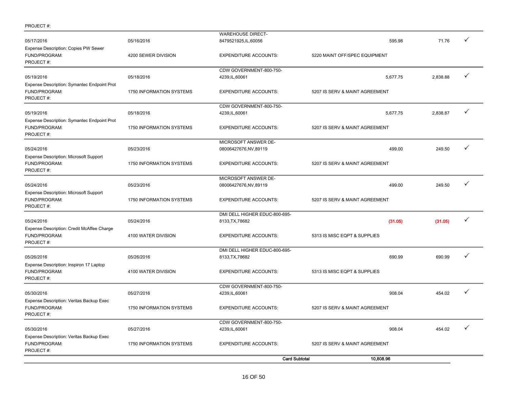| PROJECT#: |  |
|-----------|--|
|-----------|--|

|                                                                             |                          | <b>Card Subtotal</b>                             | 10,808.96                      |          |              |  |
|-----------------------------------------------------------------------------|--------------------------|--------------------------------------------------|--------------------------------|----------|--------------|--|
| Expense Description: Veritas Backup Exec<br>FUND/PROGRAM:<br>PROJECT#:      | 1750 INFORMATION SYSTEMS | <b>EXPENDITURE ACCOUNTS:</b>                     | 5207 IS SERV & MAINT AGREEMENT |          |              |  |
| 05/30/2016                                                                  | 05/27/2016               | CDW GOVERNMENT-800-750-<br>4239, IL, 60061       | 908.04                         | 454.02   | ✓            |  |
| FUND/PROGRAM:<br>PROJECT#:                                                  | 1750 INFORMATION SYSTEMS | <b>EXPENDITURE ACCOUNTS:</b>                     | 5207 IS SERV & MAINT AGREEMENT |          |              |  |
| 05/30/2016<br>Expense Description: Veritas Backup Exec                      | 05/27/2016               | CDW GOVERNMENT-800-750-<br>4239, IL, 60061       | 908.04                         | 454.02   | ✓            |  |
| FUND/PROGRAM:<br>PROJECT#:                                                  | 4100 WATER DIVISION      | <b>EXPENDITURE ACCOUNTS:</b>                     | 5313 IS MISC EQPT & SUPPLIES   |          |              |  |
| 05/26/2016<br>Expense Description: Inspiron 17 Laptop                       | 05/26/2016               | DMI DELL HIGHER EDUC-800-695-<br>8133, TX, 78682 | 690.99                         | 690.99   | ✓            |  |
| Expense Description: Credit McAffee Charge<br>FUND/PROGRAM:<br>PROJECT#:    | 4100 WATER DIVISION      | <b>EXPENDITURE ACCOUNTS:</b>                     | 5313 IS MISC EQPT & SUPPLIES   |          |              |  |
| 05/24/2016                                                                  | 05/24/2016               | DMI DELL HIGHER EDUC-800-695-<br>8133, TX, 78682 | (31.05)                        | (31.05)  | ✓            |  |
| <b>Expense Description: Microsoft Support</b><br>FUND/PROGRAM:<br>PROJECT#: | 1750 INFORMATION SYSTEMS | <b>EXPENDITURE ACCOUNTS:</b>                     | 5207 IS SERV & MAINT AGREEMENT |          |              |  |
| 05/24/2016                                                                  | 05/23/2016               | MICROSOFT ANSWER DE-<br>08006427676,NV,89119     | 499.00                         | 249.50   | ✓            |  |
| <b>Expense Description: Microsoft Support</b><br>FUND/PROGRAM:<br>PROJECT#: | 1750 INFORMATION SYSTEMS | <b>EXPENDITURE ACCOUNTS:</b>                     | 5207 IS SERV & MAINT AGREEMENT |          |              |  |
| 05/24/2016                                                                  | 05/23/2016               | MICROSOFT ANSWER DE-<br>08006427676,NV,89119     | 499.00                         | 249.50   | $\checkmark$ |  |
| Expense Description: Symantec Endpoint Prot<br>FUND/PROGRAM:<br>PROJECT#:   | 1750 INFORMATION SYSTEMS | <b>EXPENDITURE ACCOUNTS:</b>                     | 5207 IS SERV & MAINT AGREEMENT |          |              |  |
| 05/19/2016                                                                  | 05/18/2016               | CDW GOVERNMENT-800-750-<br>4239, IL, 60061       | 5,677.75                       | 2,838.87 | $\checkmark$ |  |
| Expense Description: Symantec Endpoint Prot<br>FUND/PROGRAM:<br>PROJECT#:   | 1750 INFORMATION SYSTEMS | <b>EXPENDITURE ACCOUNTS:</b>                     | 5207 IS SERV & MAINT AGREEMENT |          |              |  |
| 05/19/2016                                                                  | 05/18/2016               | CDW GOVERNMENT-800-750-<br>4239, IL, 60061       | 5,677.75                       | 2,838.88 | $\checkmark$ |  |
| Expense Description: Copies PW Sewer<br>FUND/PROGRAM:<br>PROJECT#:          | 4200 SEWER DIVISION      | <b>EXPENDITURE ACCOUNTS:</b>                     | 5220 MAINT OFF/SPEC EQUIPMENT  |          |              |  |
| 05/17/2016                                                                  | 05/16/2016               | <b>WAREHOUSE DIRECT-</b><br>8479521925,IL,60056  | 595.98                         | 71.76    | ✓            |  |
|                                                                             |                          |                                                  |                                |          |              |  |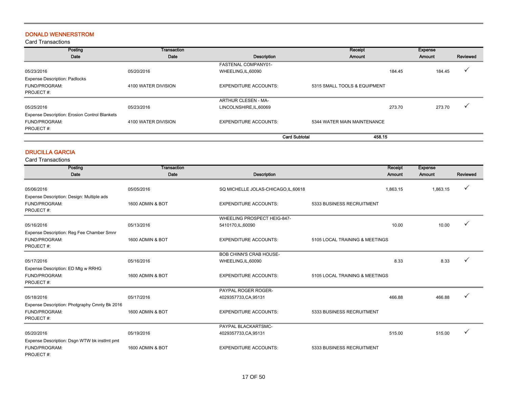## DONALD WENNERSTROM

Card Transactions

| Posting                                       | Transaction         |                              | Receipt                      | <b>Expense</b> |          |
|-----------------------------------------------|---------------------|------------------------------|------------------------------|----------------|----------|
| Date                                          | Date                | Description                  | Amount                       | Amount         | Reviewed |
|                                               |                     | FASTENAL COMPANY01-          |                              |                |          |
| 05/23/2016                                    | 05/20/2016          | WHEELING, IL, 60090          | 184.45                       | 184.45         |          |
| <b>Expense Description: Padlocks</b>          |                     |                              |                              |                |          |
| FUND/PROGRAM:                                 | 4100 WATER DIVISION | <b>EXPENDITURE ACCOUNTS:</b> | 5315 SMALL TOOLS & EQUIPMENT |                |          |
| PROJECT#:                                     |                     |                              |                              |                |          |
|                                               |                     | ARTHUR CLESEN - MA-          |                              |                |          |
| 05/25/2016                                    | 05/23/2016          | LINCOLNSHIRE, IL, 60069      | 273.70                       | 273.70         |          |
| Expense Description: Erosion Control Blankets |                     |                              |                              |                |          |
| FUND/PROGRAM:                                 | 4100 WATER DIVISION | <b>EXPENDITURE ACCOUNTS:</b> | 5344 WATER MAIN MAINTENANCE  |                |          |
| PROJECT#:                                     |                     |                              |                              |                |          |
|                                               |                     | <b>Card Subtotal</b>         | 458.15                       |                |          |

## DRUCILLA GARCIA

| Posting                                                                 | <b>Transaction</b> |                                      | Receipt                        | <b>Expense</b> |          |
|-------------------------------------------------------------------------|--------------------|--------------------------------------|--------------------------------|----------------|----------|
| Date                                                                    | Date               | <b>Description</b>                   | Amount                         | Amount         | Reviewed |
| 05/06/2016                                                              | 05/05/2016         | SQ MICHELLE JOLAS-CHICAGO, IL, 60618 | 1,863.15                       | 1,863.15       |          |
| Expense Description: Design: Multiple ads<br>FUND/PROGRAM:<br>PROJECT#: | 1600 ADMIN & BOT   | <b>EXPENDITURE ACCOUNTS:</b>         | 5333 BUSINESS RECRUITMENT      |                |          |
|                                                                         |                    | WHEELING PROSPECT HEIG-847-          |                                |                |          |
| 05/16/2016                                                              | 05/13/2016         | 5410170, IL, 60090                   | 10.00                          | 10.00          |          |
| Expense Description: Reg Fee Chamber Smnr                               |                    |                                      |                                |                |          |
| FUND/PROGRAM:<br>PROJECT#:                                              | 1600 ADMIN & BOT   | <b>EXPENDITURE ACCOUNTS:</b>         | 5105 LOCAL TRAINING & MEETINGS |                |          |
|                                                                         |                    | <b>BOB CHINN'S CRAB HOUSE-</b>       |                                |                |          |
| 05/17/2016                                                              | 05/16/2016         | WHEELING, IL, 60090                  | 8.33                           | 8.33           |          |
| Expense Description: ED Mtg w RRHG                                      |                    |                                      |                                |                |          |
| FUND/PROGRAM:<br>PROJECT#:                                              | 1600 ADMIN & BOT   | <b>EXPENDITURE ACCOUNTS:</b>         | 5105 LOCAL TRAINING & MEETINGS |                |          |
|                                                                         |                    | PAYPAL ROGER ROGER-                  |                                |                |          |
| 05/18/2016                                                              | 05/17/2016         | 4029357733, CA, 95131                | 466.88                         | 466.88         |          |
| Expense Description: Photgraphy Cmnty Bk 2016                           |                    |                                      |                                |                |          |
| FUND/PROGRAM:                                                           | 1600 ADMIN & BOT   | <b>EXPENDITURE ACCOUNTS:</b>         | 5333 BUSINESS RECRUITMENT      |                |          |
| PROJECT#:                                                               |                    |                                      |                                |                |          |
|                                                                         |                    | PAYPAL BLACKARTSMC-                  |                                |                |          |
| 05/20/2016                                                              | 05/19/2016         | 4029357733, CA, 95131                | 515.00                         | 515.00         |          |
| Expense Description: Dsgn WTW bk instlmt pmt                            |                    |                                      |                                |                |          |
| FUND/PROGRAM:<br>PROJECT#:                                              | 1600 ADMIN & BOT   | <b>EXPENDITURE ACCOUNTS:</b>         | 5333 BUSINESS RECRUITMENT      |                |          |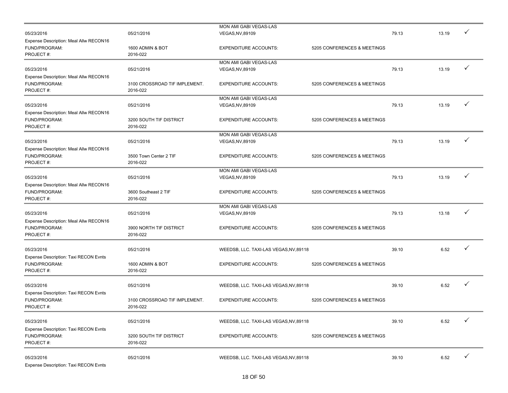|                                        |                               | MON AMI GABI VEGAS-LAS                 |                             |       |       |   |
|----------------------------------------|-------------------------------|----------------------------------------|-----------------------------|-------|-------|---|
| 05/23/2016                             | 05/21/2016                    | <b>VEGAS, NV, 89109</b>                |                             | 79.13 | 13.19 |   |
| Expense Description: Meal Allw RECON16 |                               |                                        |                             |       |       |   |
| FUND/PROGRAM:                          | 1600 ADMIN & BOT              | <b>EXPENDITURE ACCOUNTS:</b>           | 5205 CONFERENCES & MEETINGS |       |       |   |
| PROJECT#:                              | 2016-022                      |                                        |                             |       |       |   |
|                                        |                               | MON AMI GABI VEGAS-LAS                 |                             |       |       |   |
| 05/23/2016                             | 05/21/2016                    | <b>VEGAS, NV, 89109</b>                |                             | 79.13 | 13.19 | ✓ |
| Expense Description: Meal Allw RECON16 |                               |                                        |                             |       |       |   |
| FUND/PROGRAM:                          | 3100 CROSSROAD TIF IMPLEMENT. | <b>EXPENDITURE ACCOUNTS:</b>           | 5205 CONFERENCES & MEETINGS |       |       |   |
| PROJECT#:                              | 2016-022                      |                                        |                             |       |       |   |
|                                        |                               | MON AMI GABI VEGAS-LAS                 |                             |       |       |   |
|                                        |                               |                                        |                             | 79.13 | 13.19 | ✓ |
| 05/23/2016                             | 05/21/2016                    | VEGAS, NV, 89109                       |                             |       |       |   |
| Expense Description: Meal Allw RECON16 |                               |                                        |                             |       |       |   |
| FUND/PROGRAM:                          | 3200 SOUTH TIF DISTRICT       | <b>EXPENDITURE ACCOUNTS:</b>           | 5205 CONFERENCES & MEETINGS |       |       |   |
| PROJECT#:                              | 2016-022                      |                                        |                             |       |       |   |
|                                        |                               | MON AMI GABI VEGAS-LAS                 |                             |       |       |   |
| 05/23/2016                             | 05/21/2016                    | <b>VEGAS, NV, 89109</b>                |                             | 79.13 | 13.19 | ✓ |
| Expense Description: Meal Allw RECON16 |                               |                                        |                             |       |       |   |
| FUND/PROGRAM:                          | 3500 Town Center 2 TIF        | <b>EXPENDITURE ACCOUNTS:</b>           | 5205 CONFERENCES & MEETINGS |       |       |   |
| PROJECT#:                              | 2016-022                      |                                        |                             |       |       |   |
|                                        |                               | MON AMI GABI VEGAS-LAS                 |                             |       |       |   |
| 05/23/2016                             | 05/21/2016                    | <b>VEGAS, NV, 89109</b>                |                             | 79.13 | 13.19 |   |
| Expense Description: Meal Allw RECON16 |                               |                                        |                             |       |       |   |
| FUND/PROGRAM:                          | 3600 Southeast 2 TIF          | <b>EXPENDITURE ACCOUNTS:</b>           | 5205 CONFERENCES & MEETINGS |       |       |   |
| PROJECT#:                              | 2016-022                      |                                        |                             |       |       |   |
|                                        |                               |                                        |                             |       |       |   |
|                                        |                               | MON AMI GABI VEGAS-LAS                 |                             |       |       | ✓ |
| 05/23/2016                             | 05/21/2016                    | <b>VEGAS, NV, 89109</b>                |                             | 79.13 | 13.18 |   |
| Expense Description: Meal Allw RECON16 |                               |                                        |                             |       |       |   |
| FUND/PROGRAM:                          | 3900 NORTH TIF DISTRICT       | <b>EXPENDITURE ACCOUNTS:</b>           | 5205 CONFERENCES & MEETINGS |       |       |   |
| PROJECT#:                              | 2016-022                      |                                        |                             |       |       |   |
|                                        |                               |                                        |                             |       |       |   |
| 05/23/2016                             | 05/21/2016                    | WEEDSB, LLC. TAXI-LAS VEGAS, NV, 89118 |                             | 39.10 | 6.52  |   |
| Expense Description: Taxi RECON Evnts  |                               |                                        |                             |       |       |   |
| FUND/PROGRAM:                          | 1600 ADMIN & BOT              | <b>EXPENDITURE ACCOUNTS:</b>           | 5205 CONFERENCES & MEETINGS |       |       |   |
| PROJECT#:                              | 2016-022                      |                                        |                             |       |       |   |
|                                        |                               |                                        |                             |       |       |   |
| 05/23/2016                             | 05/21/2016                    | WEEDSB, LLC. TAXI-LAS VEGAS, NV, 89118 |                             | 39.10 | 6.52  |   |
| Expense Description: Taxi RECON Evnts  |                               |                                        |                             |       |       |   |
| FUND/PROGRAM:                          | 3100 CROSSROAD TIF IMPLEMENT. | <b>EXPENDITURE ACCOUNTS:</b>           | 5205 CONFERENCES & MEETINGS |       |       |   |
| PROJECT#:                              | 2016-022                      |                                        |                             |       |       |   |
|                                        |                               |                                        |                             |       |       |   |
|                                        |                               |                                        |                             |       |       |   |
| 05/23/2016                             | 05/21/2016                    | WEEDSB, LLC. TAXI-LAS VEGAS, NV, 89118 |                             | 39.10 | 6.52  |   |
| Expense Description: Taxi RECON Evnts  |                               |                                        |                             |       |       |   |
| FUND/PROGRAM:                          | 3200 SOUTH TIF DISTRICT       | <b>EXPENDITURE ACCOUNTS:</b>           | 5205 CONFERENCES & MEETINGS |       |       |   |
| PROJECT#:                              | 2016-022                      |                                        |                             |       |       |   |
|                                        |                               |                                        |                             |       |       |   |
| 05/23/2016                             | 05/21/2016                    | WEEDSB, LLC. TAXI-LAS VEGAS, NV, 89118 |                             | 39.10 | 6.52  |   |
| Expense Description: Taxi RECON Evnts  |                               |                                        |                             |       |       |   |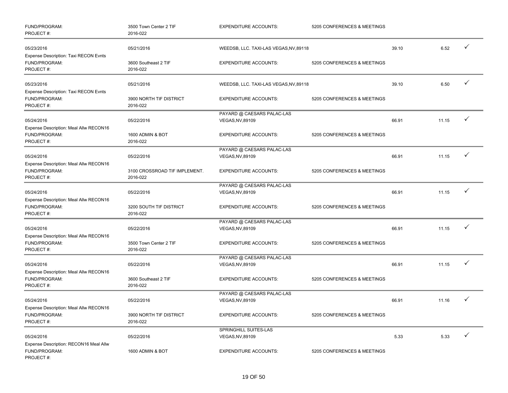| FUND/PROGRAM:<br>PROJECT#:                                           | 3500 Town Center 2 TIF<br>2016-022        | <b>EXPENDITURE ACCOUNTS:</b>                   | 5205 CONFERENCES & MEETINGS |       |       |              |
|----------------------------------------------------------------------|-------------------------------------------|------------------------------------------------|-----------------------------|-------|-------|--------------|
| 05/23/2016<br>Expense Description: Taxi RECON Evnts                  | 05/21/2016                                | WEEDSB, LLC. TAXI-LAS VEGAS, NV, 89118         |                             | 39.10 | 6.52  | ✓            |
| FUND/PROGRAM:<br>PROJECT#:                                           | 3600 Southeast 2 TIF<br>2016-022          | <b>EXPENDITURE ACCOUNTS:</b>                   | 5205 CONFERENCES & MEETINGS |       |       |              |
| 05/23/2016<br>Expense Description: Taxi RECON Evnts                  | 05/21/2016                                | WEEDSB, LLC. TAXI-LAS VEGAS, NV, 89118         |                             | 39.10 | 6.50  | $\checkmark$ |
| FUND/PROGRAM:<br>PROJECT#:                                           | 3900 NORTH TIF DISTRICT<br>2016-022       | <b>EXPENDITURE ACCOUNTS:</b>                   | 5205 CONFERENCES & MEETINGS |       |       |              |
| 05/24/2016<br>Expense Description: Meal Allw RECON16                 | 05/22/2016                                | PAYARD @ CAESARS PALAC-LAS<br>VEGAS, NV, 89109 |                             | 66.91 | 11.15 | ✓            |
| FUND/PROGRAM:<br>PROJECT#:                                           | 1600 ADMIN & BOT<br>2016-022              | <b>EXPENDITURE ACCOUNTS:</b>                   | 5205 CONFERENCES & MEETINGS |       |       |              |
| 05/24/2016<br>Expense Description: Meal Allw RECON16                 | 05/22/2016                                | PAYARD @ CAESARS PALAC-LAS<br>VEGAS, NV, 89109 |                             | 66.91 | 11.15 | $\checkmark$ |
| FUND/PROGRAM:<br>PROJECT#:                                           | 3100 CROSSROAD TIF IMPLEMENT.<br>2016-022 | <b>EXPENDITURE ACCOUNTS:</b>                   | 5205 CONFERENCES & MEETINGS |       |       |              |
| 05/24/2016<br>Expense Description: Meal Allw RECON16                 | 05/22/2016                                | PAYARD @ CAESARS PALAC-LAS<br>VEGAS, NV, 89109 |                             | 66.91 | 11.15 | $\checkmark$ |
| FUND/PROGRAM:<br>PROJECT#:                                           | 3200 SOUTH TIF DISTRICT<br>2016-022       | <b>EXPENDITURE ACCOUNTS:</b>                   | 5205 CONFERENCES & MEETINGS |       |       |              |
| 05/24/2016<br>Expense Description: Meal Allw RECON16                 | 05/22/2016                                | PAYARD @ CAESARS PALAC-LAS<br>VEGAS, NV, 89109 |                             | 66.91 | 11.15 | ✓            |
| FUND/PROGRAM:<br>PROJECT#:                                           | 3500 Town Center 2 TIF<br>2016-022        | <b>EXPENDITURE ACCOUNTS:</b>                   | 5205 CONFERENCES & MEETINGS |       |       |              |
| 05/24/2016<br>Expense Description: Meal Allw RECON16                 | 05/22/2016                                | PAYARD @ CAESARS PALAC-LAS<br>VEGAS, NV, 89109 |                             | 66.91 | 11.15 | $\checkmark$ |
| FUND/PROGRAM:<br>PROJECT#:                                           | 3600 Southeast 2 TIF<br>2016-022          | <b>EXPENDITURE ACCOUNTS:</b>                   | 5205 CONFERENCES & MEETINGS |       |       |              |
| 05/24/2016<br>Expense Description: Meal Allw RECON16                 | 05/22/2016                                | PAYARD @ CAESARS PALAC-LAS<br>VEGAS, NV, 89109 |                             | 66.91 | 11.16 | ✓            |
| FUND/PROGRAM:<br>PROJECT#:                                           | 3900 NORTH TIF DISTRICT<br>2016-022       | <b>EXPENDITURE ACCOUNTS:</b>                   | 5205 CONFERENCES & MEETINGS |       |       |              |
| 05/24/2016                                                           | 05/22/2016                                | SPRINGHILL SUITES-LAS<br>VEGAS, NV, 89109      |                             | 5.33  | 5.33  | $\checkmark$ |
| Expense Description: RECON16 Meal Allw<br>FUND/PROGRAM:<br>PROJECT#: | 1600 ADMIN & BOT                          | <b>EXPENDITURE ACCOUNTS:</b>                   | 5205 CONFERENCES & MEETINGS |       |       |              |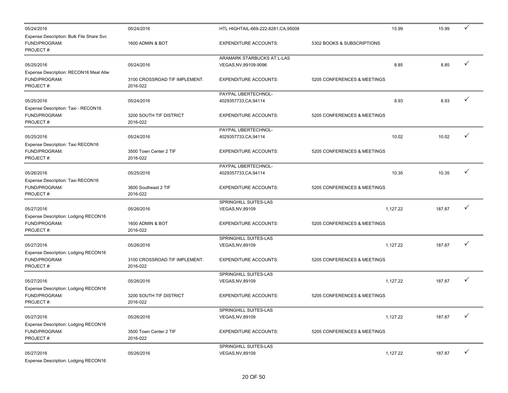| 05/24/2016                                                             | 05/24/2016                         | HTL HIGHTAIL-669-222-8281, CA, 95008      | 15.99                       | 15.99  | $\checkmark$ |
|------------------------------------------------------------------------|------------------------------------|-------------------------------------------|-----------------------------|--------|--------------|
| Expense Description: Bulk File Share Svc<br>FUND/PROGRAM:<br>PROJECT#: | 1600 ADMIN & BOT                   | <b>EXPENDITURE ACCOUNTS:</b>              | 5302 BOOKS & SUBSCRIPTIONS  |        |              |
|                                                                        |                                    | ARAMARK STARBUCKS AT L-LAS                |                             |        |              |
| 05/25/2016                                                             | 05/24/2016                         | VEGAS, NV, 89109-9096                     | 8.85                        | 8.85   | ✓            |
| Expense Description: RECON16 Meal Allw                                 |                                    |                                           |                             |        |              |
| FUND/PROGRAM:                                                          | 3100 CROSSROAD TIF IMPLEMENT.      | <b>EXPENDITURE ACCOUNTS:</b>              | 5205 CONFERENCES & MEETINGS |        |              |
| PROJECT#:                                                              | 2016-022                           |                                           |                             |        |              |
|                                                                        |                                    | PAYPAL UBERTECHNOL-                       |                             |        |              |
| 05/25/2016                                                             | 05/24/2016                         | 4029357733, CA, 94114                     | 8.93                        | 8.93   |              |
| Expense Description: Taxi - RECON16                                    |                                    |                                           |                             |        |              |
| FUND/PROGRAM:                                                          | 3200 SOUTH TIF DISTRICT            | <b>EXPENDITURE ACCOUNTS:</b>              | 5205 CONFERENCES & MEETINGS |        |              |
| PROJECT#:                                                              | 2016-022                           |                                           |                             |        |              |
|                                                                        |                                    | PAYPAL UBERTECHNOL-                       | 10.02                       | 10.02  | ✓            |
| 05/25/2016                                                             | 05/24/2016                         | 4029357733, CA, 94114                     |                             |        |              |
| Expense Description: Taxi RECON16<br>FUND/PROGRAM:                     | 3500 Town Center 2 TIF             | <b>EXPENDITURE ACCOUNTS:</b>              | 5205 CONFERENCES & MEETINGS |        |              |
| PROJECT#:                                                              | 2016-022                           |                                           |                             |        |              |
|                                                                        |                                    | PAYPAL UBERTECHNOL-                       |                             |        |              |
| 05/26/2016                                                             | 05/25/2016                         | 4029357733, CA, 94114                     | 10.35                       | 10.35  |              |
| Expense Description: Taxi RECON16                                      |                                    |                                           |                             |        |              |
| FUND/PROGRAM:                                                          | 3600 Southeast 2 TIF               | <b>EXPENDITURE ACCOUNTS:</b>              | 5205 CONFERENCES & MEETINGS |        |              |
| PROJECT#:                                                              | 2016-022                           |                                           |                             |        |              |
|                                                                        |                                    | SPRINGHILL SUITES-LAS                     |                             |        |              |
| 05/27/2016                                                             | 05/26/2016                         | VEGAS, NV, 89109                          | 1,127.22                    | 187.87 |              |
| Expense Description: Lodging RECON16                                   |                                    |                                           |                             |        |              |
| FUND/PROGRAM:                                                          | 1600 ADMIN & BOT                   | <b>EXPENDITURE ACCOUNTS:</b>              | 5205 CONFERENCES & MEETINGS |        |              |
| PROJECT#:                                                              | 2016-022                           |                                           |                             |        |              |
|                                                                        |                                    | SPRINGHILL SUITES-LAS                     |                             |        |              |
| 05/27/2016                                                             | 05/26/2016                         | <b>VEGAS, NV, 89109</b>                   | 1,127.22                    | 187.87 | ✓            |
| Expense Description: Lodging RECON16                                   |                                    |                                           |                             |        |              |
| FUND/PROGRAM:                                                          | 3100 CROSSROAD TIF IMPLEMENT.      | <b>EXPENDITURE ACCOUNTS:</b>              | 5205 CONFERENCES & MEETINGS |        |              |
| PROJECT#:                                                              | 2016-022                           |                                           |                             |        |              |
|                                                                        |                                    | SPRINGHILL SUITES-LAS                     |                             |        |              |
| 05/27/2016                                                             | 05/26/2016                         | VEGAS, NV, 89109                          | 1,127.22                    | 187.87 |              |
| Expense Description: Lodging RECON16                                   |                                    |                                           |                             |        |              |
| FUND/PROGRAM:                                                          | 3200 SOUTH TIF DISTRICT            | <b>EXPENDITURE ACCOUNTS:</b>              | 5205 CONFERENCES & MEETINGS |        |              |
| PROJECT#:                                                              | 2016-022                           |                                           |                             |        |              |
|                                                                        |                                    | <b>SPRINGHILL SUITES-LAS</b>              |                             |        | ✓            |
| 05/27/2016                                                             | 05/26/2016                         | VEGAS, NV, 89109                          | 1,127.22                    | 187.87 |              |
| Expense Description: Lodging RECON16                                   |                                    |                                           |                             |        |              |
| FUND/PROGRAM:<br>PROJECT#:                                             | 3500 Town Center 2 TIF<br>2016-022 | <b>EXPENDITURE ACCOUNTS:</b>              | 5205 CONFERENCES & MEETINGS |        |              |
|                                                                        |                                    |                                           |                             |        |              |
| 05/27/2016                                                             | 05/26/2016                         | SPRINGHILL SUITES-LAS<br>VEGAS, NV, 89109 | 1,127.22                    | 187.87 | ✓            |
| Expense Description: Lodging RECON16                                   |                                    |                                           |                             |        |              |
|                                                                        |                                    |                                           |                             |        |              |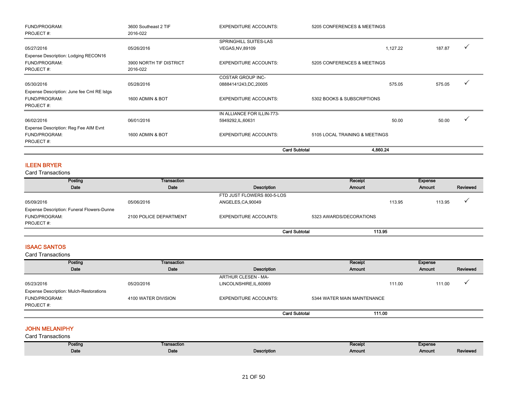| FUND/PROGRAM:                              | 3600 Southeast 2 TIF    | <b>EXPENDITURE ACCOUNTS:</b> | 5205 CONFERENCES & MEETINGS    |        |   |
|--------------------------------------------|-------------------------|------------------------------|--------------------------------|--------|---|
| PROJECT#:                                  | 2016-022                |                              |                                |        |   |
|                                            |                         | SPRINGHILL SUITES-LAS        |                                |        |   |
| 05/27/2016                                 | 05/26/2016              | <b>VEGAS, NV, 89109</b>      | 1,127.22                       | 187.87 |   |
| Expense Description: Lodging RECON16       |                         |                              |                                |        |   |
| FUND/PROGRAM:                              | 3900 NORTH TIF DISTRICT | <b>EXPENDITURE ACCOUNTS:</b> | 5205 CONFERENCES & MEETINGS    |        |   |
| PROJECT#:                                  | 2016-022                |                              |                                |        |   |
|                                            |                         | <b>COSTAR GROUP INC-</b>     |                                |        |   |
| 05/30/2016                                 | 05/28/2016              | 08884141243, DC, 20005       | 575.05                         | 575.05 |   |
| Expense Description: June fee Cml RE Istgs |                         |                              |                                |        |   |
| FUND/PROGRAM:                              | 1600 ADMIN & BOT        | <b>EXPENDITURE ACCOUNTS:</b> | 5302 BOOKS & SUBSCRIPTIONS     |        |   |
| PROJECT#:                                  |                         |                              |                                |        |   |
|                                            |                         | IN ALLIANCE FOR ILLIN-773-   |                                |        |   |
| 06/02/2016                                 | 06/01/2016              | 5949292, IL, 60631           | 50.00                          | 50.00  | ✓ |
| Expense Description: Reg Fee AIM Evnt      |                         |                              |                                |        |   |
| FUND/PROGRAM:                              | 1600 ADMIN & BOT        | <b>EXPENDITURE ACCOUNTS:</b> | 5105 LOCAL TRAINING & MEETINGS |        |   |
| PROJECT#:                                  |                         |                              |                                |        |   |
|                                            |                         | <b>Card Subtotal</b>         | 4,860.24                       |        |   |

# ILEEN BRYER

Card Transactions

| Posting                                           | Transaction            |                              | Receipt                 |        | <b>Expense</b> |          |
|---------------------------------------------------|------------------------|------------------------------|-------------------------|--------|----------------|----------|
| Date                                              | Date                   | Description                  | Amount                  |        | Amount         | Reviewed |
|                                                   |                        | FTD JUST FLOWERS 800-5-LOS   |                         |        |                |          |
| 05/09/2016                                        | 05/06/2016             | ANGELES, CA, 90049           |                         | 113.95 | 113.95         |          |
| <b>Expense Description: Funeral Flowers-Dunne</b> |                        |                              |                         |        |                |          |
| FUND/PROGRAM:                                     | 2100 POLICE DEPARTMENT | <b>EXPENDITURE ACCOUNTS:</b> | 5323 AWARDS/DECORATIONS |        |                |          |
| PROJECT#:                                         |                        |                              |                         |        |                |          |
|                                                   |                        | <b>Card Subtotal</b>         | 113.95                  |        |                |          |

# ISAAC SANTOS

Card Transactions

| Posting                                        | Transaction         |                              | Receipt                     | Expense          |          |
|------------------------------------------------|---------------------|------------------------------|-----------------------------|------------------|----------|
| Date                                           | Date                | Description                  | Amount                      | Amount           | Reviewed |
|                                                |                     | ARTHUR CLESEN - MA-          |                             |                  |          |
| 05/23/2016                                     | 05/20/2016          | LINCOLNSHIRE, IL, 60069      |                             | 111.00<br>111.00 |          |
| <b>Expense Description: Mulch-Restorations</b> |                     |                              |                             |                  |          |
| FUND/PROGRAM:                                  | 4100 WATER DIVISION | <b>EXPENDITURE ACCOUNTS:</b> | 5344 WATER MAIN MAINTENANCE |                  |          |
| PROJECT#:                                      |                     |                              |                             |                  |          |
|                                                |                     | <b>Card Subtotal</b>         | 111.00                      |                  |          |

## JOHN MELANIPHY

| Posting | Transaction |             | Receipt | <b>Expense</b> |          |
|---------|-------------|-------------|---------|----------------|----------|
| Date    | Date        | Description | Amount  | Amount         | Reviewed |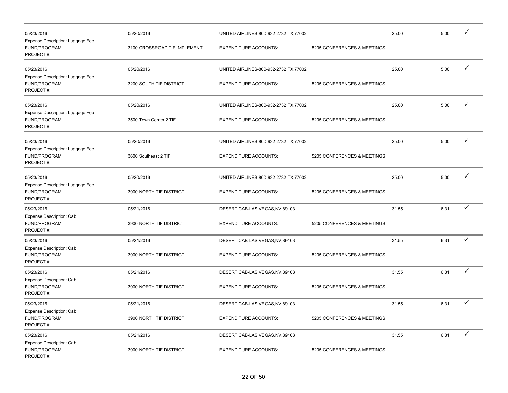| 05/23/2016<br>Expense Description: Luggage Fee<br>FUND/PROGRAM:<br>PROJECT#: | 05/20/2016<br>3100 CROSSROAD TIF IMPLEMENT. | UNITED AIRLINES-800-932-2732, TX, 77002<br><b>EXPENDITURE ACCOUNTS:</b> | 5205 CONFERENCES & MEETINGS | 25.00 | 5.00 |              |
|------------------------------------------------------------------------------|---------------------------------------------|-------------------------------------------------------------------------|-----------------------------|-------|------|--------------|
| 05/23/2016<br>Expense Description: Luggage Fee<br>FUND/PROGRAM:<br>PROJECT#: | 05/20/2016<br>3200 SOUTH TIF DISTRICT       | UNITED AIRLINES-800-932-2732, TX, 77002<br><b>EXPENDITURE ACCOUNTS:</b> | 5205 CONFERENCES & MEETINGS | 25.00 | 5.00 | ✓            |
| 05/23/2016<br>Expense Description: Luggage Fee<br>FUND/PROGRAM:<br>PROJECT#: | 05/20/2016<br>3500 Town Center 2 TIF        | UNITED AIRLINES-800-932-2732, TX, 77002<br><b>EXPENDITURE ACCOUNTS:</b> | 5205 CONFERENCES & MEETINGS | 25.00 | 5.00 | $\checkmark$ |
| 05/23/2016<br>Expense Description: Luggage Fee<br>FUND/PROGRAM:<br>PROJECT#: | 05/20/2016<br>3600 Southeast 2 TIF          | UNITED AIRLINES-800-932-2732, TX, 77002<br><b>EXPENDITURE ACCOUNTS:</b> | 5205 CONFERENCES & MEETINGS | 25.00 | 5.00 | ✓            |
| 05/23/2016<br>Expense Description: Luggage Fee<br>FUND/PROGRAM:<br>PROJECT#: | 05/20/2016<br>3900 NORTH TIF DISTRICT       | UNITED AIRLINES-800-932-2732, TX, 77002<br><b>EXPENDITURE ACCOUNTS:</b> | 5205 CONFERENCES & MEETINGS | 25.00 | 5.00 | ✓            |
| 05/23/2016<br><b>Expense Description: Cab</b><br>FUND/PROGRAM:<br>PROJECT#:  | 05/21/2016<br>3900 NORTH TIF DISTRICT       | DESERT CAB-LAS VEGAS, NV, 89103<br><b>EXPENDITURE ACCOUNTS:</b>         | 5205 CONFERENCES & MEETINGS | 31.55 | 6.31 | $\checkmark$ |
| 05/23/2016<br>Expense Description: Cab<br>FUND/PROGRAM:<br>PROJECT#:         | 05/21/2016<br>3900 NORTH TIF DISTRICT       | DESERT CAB-LAS VEGAS, NV, 89103<br><b>EXPENDITURE ACCOUNTS:</b>         | 5205 CONFERENCES & MEETINGS | 31.55 | 6.31 | ✓            |
| 05/23/2016<br>Expense Description: Cab<br>FUND/PROGRAM:<br>PROJECT#:         | 05/21/2016<br>3900 NORTH TIF DISTRICT       | DESERT CAB-LAS VEGAS, NV, 89103<br><b>EXPENDITURE ACCOUNTS:</b>         | 5205 CONFERENCES & MEETINGS | 31.55 | 6.31 | ✓            |
| 05/23/2016<br>Expense Description: Cab<br>FUND/PROGRAM:<br>PROJECT#:         | 05/21/2016<br>3900 NORTH TIF DISTRICT       | DESERT CAB-LAS VEGAS, NV, 89103<br><b>EXPENDITURE ACCOUNTS:</b>         | 5205 CONFERENCES & MEETINGS | 31.55 | 6.31 | ✓            |
| 05/23/2016<br><b>Expense Description: Cab</b><br>FUND/PROGRAM:<br>PROJECT#:  | 05/21/2016<br>3900 NORTH TIF DISTRICT       | DESERT CAB-LAS VEGAS, NV, 89103<br><b>EXPENDITURE ACCOUNTS:</b>         | 5205 CONFERENCES & MEETINGS | 31.55 | 6.31 | ✓            |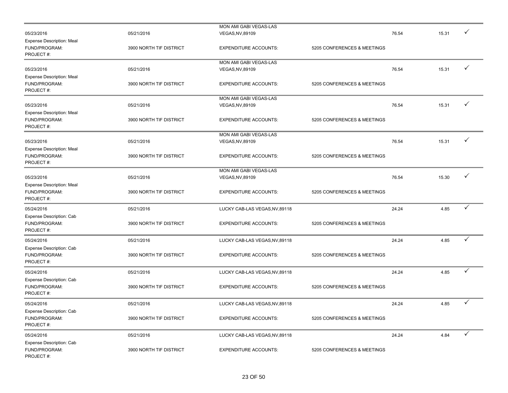|                                           |                         | MON AMI GABI VEGAS-LAS         |                             |       |       |              |
|-------------------------------------------|-------------------------|--------------------------------|-----------------------------|-------|-------|--------------|
| 05/23/2016                                | 05/21/2016              | VEGAS, NV, 89109               |                             | 76.54 | 15.31 |              |
| <b>Expense Description: Meal</b>          |                         |                                |                             |       |       |              |
| FUND/PROGRAM:                             | 3900 NORTH TIF DISTRICT | <b>EXPENDITURE ACCOUNTS:</b>   | 5205 CONFERENCES & MEETINGS |       |       |              |
| PROJECT#:                                 |                         |                                |                             |       |       |              |
|                                           |                         | MON AMI GABI VEGAS-LAS         |                             |       |       |              |
| 05/23/2016                                | 05/21/2016              | VEGAS, NV, 89109               |                             | 76.54 | 15.31 | ✓            |
| <b>Expense Description: Meal</b>          |                         |                                |                             |       |       |              |
| FUND/PROGRAM:                             | 3900 NORTH TIF DISTRICT | <b>EXPENDITURE ACCOUNTS:</b>   | 5205 CONFERENCES & MEETINGS |       |       |              |
| PROJECT#:                                 |                         |                                |                             |       |       |              |
|                                           |                         | MON AMI GABI VEGAS-LAS         |                             |       |       |              |
| 05/23/2016                                | 05/21/2016              | VEGAS, NV, 89109               |                             | 76.54 | 15.31 | ✓            |
|                                           |                         |                                |                             |       |       |              |
| <b>Expense Description: Meal</b>          |                         |                                |                             |       |       |              |
| FUND/PROGRAM:<br>PROJECT#:                | 3900 NORTH TIF DISTRICT | <b>EXPENDITURE ACCOUNTS:</b>   | 5205 CONFERENCES & MEETINGS |       |       |              |
|                                           |                         |                                |                             |       |       |              |
|                                           |                         | MON AMI GABI VEGAS-LAS         |                             |       |       | $\checkmark$ |
| 05/23/2016                                | 05/21/2016              | VEGAS, NV, 89109               |                             | 76.54 | 15.31 |              |
| <b>Expense Description: Meal</b>          |                         |                                |                             |       |       |              |
| FUND/PROGRAM:                             | 3900 NORTH TIF DISTRICT | <b>EXPENDITURE ACCOUNTS:</b>   | 5205 CONFERENCES & MEETINGS |       |       |              |
| PROJECT#:                                 |                         |                                |                             |       |       |              |
|                                           |                         | MON AMI GABI VEGAS-LAS         |                             |       |       |              |
| 05/23/2016                                | 05/21/2016              | <b>VEGAS, NV, 89109</b>        |                             | 76.54 | 15.30 | ✓            |
| <b>Expense Description: Meal</b>          |                         |                                |                             |       |       |              |
| FUND/PROGRAM:                             | 3900 NORTH TIF DISTRICT | <b>EXPENDITURE ACCOUNTS:</b>   | 5205 CONFERENCES & MEETINGS |       |       |              |
| PROJECT#:                                 |                         |                                |                             |       |       |              |
| 05/24/2016                                | 05/21/2016              | LUCKY CAB-LAS VEGAS, NV, 89118 |                             | 24.24 | 4.85  | $\checkmark$ |
|                                           |                         |                                |                             |       |       |              |
| Expense Description: Cab<br>FUND/PROGRAM: | 3900 NORTH TIF DISTRICT | <b>EXPENDITURE ACCOUNTS:</b>   | 5205 CONFERENCES & MEETINGS |       |       |              |
| PROJECT#:                                 |                         |                                |                             |       |       |              |
|                                           |                         |                                |                             |       |       |              |
| 05/24/2016                                | 05/21/2016              | LUCKY CAB-LAS VEGAS, NV, 89118 |                             | 24.24 | 4.85  | $\checkmark$ |
| Expense Description: Cab                  |                         |                                |                             |       |       |              |
| FUND/PROGRAM:                             | 3900 NORTH TIF DISTRICT | <b>EXPENDITURE ACCOUNTS:</b>   | 5205 CONFERENCES & MEETINGS |       |       |              |
| PROJECT#:                                 |                         |                                |                             |       |       |              |
| 05/24/2016                                | 05/21/2016              | LUCKY CAB-LAS VEGAS, NV, 89118 |                             | 24.24 | 4.85  | ✓            |
| Expense Description: Cab                  |                         |                                |                             |       |       |              |
| FUND/PROGRAM:                             | 3900 NORTH TIF DISTRICT | <b>EXPENDITURE ACCOUNTS:</b>   | 5205 CONFERENCES & MEETINGS |       |       |              |
| PROJECT#:                                 |                         |                                |                             |       |       |              |
|                                           |                         |                                |                             |       |       |              |
| 05/24/2016                                | 05/21/2016              | LUCKY CAB-LAS VEGAS, NV, 89118 |                             | 24.24 | 4.85  | ✓            |
| Expense Description: Cab                  |                         |                                |                             |       |       |              |
| FUND/PROGRAM:                             | 3900 NORTH TIF DISTRICT | <b>EXPENDITURE ACCOUNTS:</b>   | 5205 CONFERENCES & MEETINGS |       |       |              |
| PROJECT#:                                 |                         |                                |                             |       |       |              |
| 05/24/2016                                | 05/21/2016              | LUCKY CAB-LAS VEGAS, NV, 89118 |                             | 24.24 | 4.84  | $\checkmark$ |
| Expense Description: Cab                  |                         |                                |                             |       |       |              |
| FUND/PROGRAM:                             | 3900 NORTH TIF DISTRICT | <b>EXPENDITURE ACCOUNTS:</b>   | 5205 CONFERENCES & MEETINGS |       |       |              |
| PROJECT#:                                 |                         |                                |                             |       |       |              |
|                                           |                         |                                |                             |       |       |              |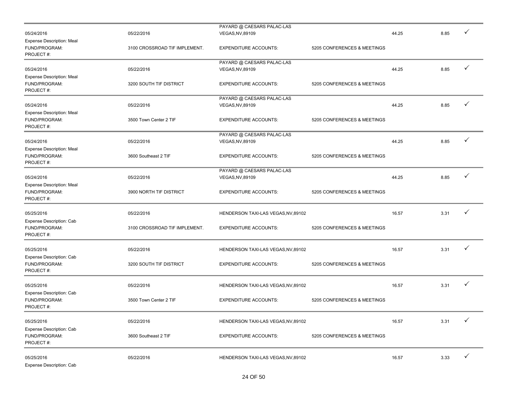|                                                                |                               | PAYARD @ CAESARS PALAC-LAS          |                             |       |      |              |
|----------------------------------------------------------------|-------------------------------|-------------------------------------|-----------------------------|-------|------|--------------|
| 05/24/2016                                                     | 05/22/2016                    | VEGAS, NV, 89109                    |                             | 44.25 | 8.85 |              |
| <b>Expense Description: Meal</b><br>FUND/PROGRAM:<br>PROJECT#: | 3100 CROSSROAD TIF IMPLEMENT. | <b>EXPENDITURE ACCOUNTS:</b>        | 5205 CONFERENCES & MEETINGS |       |      |              |
|                                                                |                               | PAYARD @ CAESARS PALAC-LAS          |                             |       |      |              |
| 05/24/2016                                                     | 05/22/2016                    | <b>VEGAS, NV, 89109</b>             |                             | 44.25 | 8.85 | $\checkmark$ |
| <b>Expense Description: Meal</b><br>FUND/PROGRAM:<br>PROJECT#: | 3200 SOUTH TIF DISTRICT       | <b>EXPENDITURE ACCOUNTS:</b>        | 5205 CONFERENCES & MEETINGS |       |      |              |
|                                                                |                               | PAYARD @ CAESARS PALAC-LAS          |                             |       |      |              |
| 05/24/2016                                                     | 05/22/2016                    | VEGAS, NV, 89109                    |                             | 44.25 | 8.85 | ✓            |
| <b>Expense Description: Meal</b><br>FUND/PROGRAM:<br>PROJECT#: | 3500 Town Center 2 TIF        | <b>EXPENDITURE ACCOUNTS:</b>        | 5205 CONFERENCES & MEETINGS |       |      |              |
|                                                                |                               | PAYARD @ CAESARS PALAC-LAS          |                             |       |      |              |
| 05/24/2016                                                     | 05/22/2016                    | <b>VEGAS, NV, 89109</b>             |                             | 44.25 | 8.85 | ✓            |
| <b>Expense Description: Meal</b><br>FUND/PROGRAM:<br>PROJECT#: | 3600 Southeast 2 TIF          | <b>EXPENDITURE ACCOUNTS:</b>        | 5205 CONFERENCES & MEETINGS |       |      |              |
|                                                                |                               | PAYARD @ CAESARS PALAC-LAS          |                             |       |      |              |
| 05/24/2016                                                     | 05/22/2016                    | VEGAS, NV, 89109                    |                             | 44.25 | 8.85 | ✓            |
| <b>Expense Description: Meal</b><br>FUND/PROGRAM:<br>PROJECT#: | 3900 NORTH TIF DISTRICT       | <b>EXPENDITURE ACCOUNTS:</b>        | 5205 CONFERENCES & MEETINGS |       |      |              |
| 05/25/2016                                                     | 05/22/2016                    | HENDERSON TAXI-LAS VEGAS, NV, 89102 |                             | 16.57 | 3.31 |              |
| Expense Description: Cab<br>FUND/PROGRAM:<br>PROJECT#:         | 3100 CROSSROAD TIF IMPLEMENT. | <b>EXPENDITURE ACCOUNTS:</b>        | 5205 CONFERENCES & MEETINGS |       |      |              |
| 05/25/2016                                                     | 05/22/2016                    | HENDERSON TAXI-LAS VEGAS, NV, 89102 |                             | 16.57 | 3.31 | ✓            |
| Expense Description: Cab<br>FUND/PROGRAM:<br>PROJECT#:         | 3200 SOUTH TIF DISTRICT       | <b>EXPENDITURE ACCOUNTS:</b>        | 5205 CONFERENCES & MEETINGS |       |      |              |
| 05/25/2016                                                     | 05/22/2016                    | HENDERSON TAXI-LAS VEGAS, NV, 89102 |                             | 16.57 | 3.31 |              |
| Expense Description: Cab<br>FUND/PROGRAM:<br>PROJECT#:         | 3500 Town Center 2 TIF        | <b>EXPENDITURE ACCOUNTS:</b>        | 5205 CONFERENCES & MEETINGS |       |      |              |
| 05/25/2016                                                     | 05/22/2016                    | HENDERSON TAXI-LAS VEGAS, NV, 89102 |                             | 16.57 | 3.31 |              |
| Expense Description: Cab<br>FUND/PROGRAM:<br>PROJECT#:         | 3600 Southeast 2 TIF          | <b>EXPENDITURE ACCOUNTS:</b>        | 5205 CONFERENCES & MEETINGS |       |      |              |
| 05/25/2016<br>Expense Description: Cab                         | 05/22/2016                    | HENDERSON TAXI-LAS VEGAS, NV, 89102 |                             | 16.57 | 3.33 | ✓            |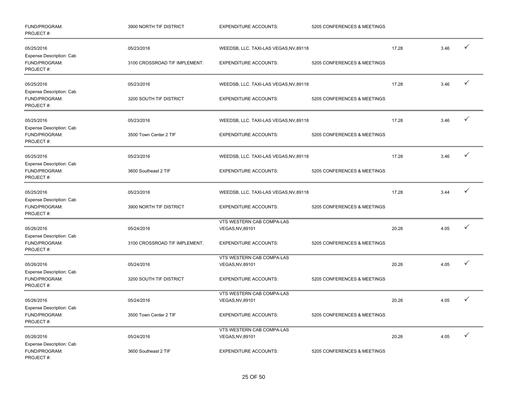| FUND/PROGRAM:<br>PROJECT#:                             | 3900 NORTH TIF DISTRICT       | <b>EXPENDITURE ACCOUNTS:</b>                  | 5205 CONFERENCES & MEETINGS |       |      |              |
|--------------------------------------------------------|-------------------------------|-----------------------------------------------|-----------------------------|-------|------|--------------|
| 05/25/2016                                             | 05/23/2016                    | WEEDSB, LLC. TAXI-LAS VEGAS, NV, 89118        |                             | 17.28 | 3.46 | $\checkmark$ |
| Expense Description: Cab<br>FUND/PROGRAM:<br>PROJECT#: | 3100 CROSSROAD TIF IMPLEMENT. | <b>EXPENDITURE ACCOUNTS:</b>                  | 5205 CONFERENCES & MEETINGS |       |      |              |
| 05/25/2016<br>Expense Description: Cab                 | 05/23/2016                    | WEEDSB, LLC. TAXI-LAS VEGAS, NV, 89118        |                             | 17.28 | 3.46 | ✓            |
| FUND/PROGRAM:<br>PROJECT#:                             | 3200 SOUTH TIF DISTRICT       | <b>EXPENDITURE ACCOUNTS:</b>                  | 5205 CONFERENCES & MEETINGS |       |      |              |
| 05/25/2016<br>Expense Description: Cab                 | 05/23/2016                    | WEEDSB, LLC. TAXI-LAS VEGAS, NV, 89118        |                             | 17.28 | 3.46 | ✓            |
| FUND/PROGRAM:<br>PROJECT#:                             | 3500 Town Center 2 TIF        | <b>EXPENDITURE ACCOUNTS:</b>                  | 5205 CONFERENCES & MEETINGS |       |      |              |
| 05/25/2016<br>Expense Description: Cab                 | 05/23/2016                    | WEEDSB, LLC. TAXI-LAS VEGAS, NV, 89118        |                             | 17.28 | 3.46 | ✓            |
| FUND/PROGRAM:<br>PROJECT#:                             | 3600 Southeast 2 TIF          | <b>EXPENDITURE ACCOUNTS:</b>                  | 5205 CONFERENCES & MEETINGS |       |      |              |
| 05/25/2016                                             | 05/23/2016                    | WEEDSB, LLC. TAXI-LAS VEGAS, NV, 89118        |                             | 17.28 | 3.44 |              |
| Expense Description: Cab<br>FUND/PROGRAM:<br>PROJECT#: | 3900 NORTH TIF DISTRICT       | <b>EXPENDITURE ACCOUNTS:</b>                  | 5205 CONFERENCES & MEETINGS |       |      |              |
| 05/26/2016                                             | 05/24/2016                    | VTS WESTERN CAB COMPA-LAS<br>VEGAS, NV, 89101 |                             | 20.26 | 4.05 | ✓            |
| Expense Description: Cab<br>FUND/PROGRAM:<br>PROJECT#: | 3100 CROSSROAD TIF IMPLEMENT. | <b>EXPENDITURE ACCOUNTS:</b>                  | 5205 CONFERENCES & MEETINGS |       |      |              |
|                                                        |                               | VTS WESTERN CAB COMPA-LAS                     |                             |       |      |              |
| 05/26/2016                                             | 05/24/2016                    | VEGAS, NV, 89101                              |                             | 20.26 | 4.05 | ✓            |
| Expense Description: Cab<br>FUND/PROGRAM:<br>PROJECT#: | 3200 SOUTH TIF DISTRICT       | <b>EXPENDITURE ACCOUNTS:</b>                  | 5205 CONFERENCES & MEETINGS |       |      |              |
|                                                        |                               | VTS WESTERN CAB COMPA-LAS                     |                             |       |      | $\checkmark$ |
| 05/26/2016                                             | 05/24/2016                    | <b>VEGAS, NV, 89101</b>                       |                             | 20.26 | 4.05 |              |
| Expense Description: Cab<br>FUND/PROGRAM:<br>PROJECT#: | 3500 Town Center 2 TIF        | <b>EXPENDITURE ACCOUNTS:</b>                  | 5205 CONFERENCES & MEETINGS |       |      |              |
|                                                        |                               | VTS WESTERN CAB COMPA-LAS                     |                             |       |      |              |
| 05/26/2016                                             | 05/24/2016                    | VEGAS, NV, 89101                              |                             | 20.26 | 4.05 | $\checkmark$ |
| Expense Description: Cab<br>FUND/PROGRAM:<br>PROJECT#: | 3600 Southeast 2 TIF          | <b>EXPENDITURE ACCOUNTS:</b>                  | 5205 CONFERENCES & MEETINGS |       |      |              |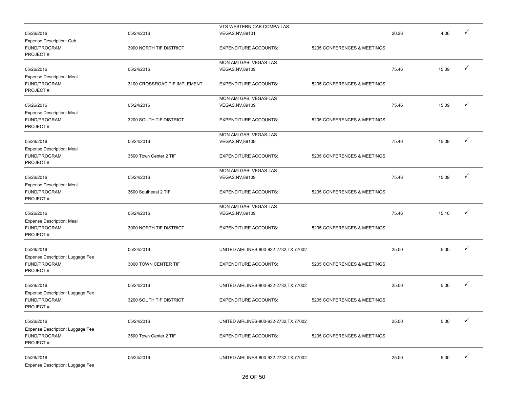|                                  |                               | VTS WESTERN CAB COMPA-LAS                  |                             |       |       |              |
|----------------------------------|-------------------------------|--------------------------------------------|-----------------------------|-------|-------|--------------|
| 05/26/2016                       | 05/24/2016                    | <b>VEGAS, NV, 89101</b>                    |                             | 20.26 | 4.06  |              |
| Expense Description: Cab         |                               |                                            |                             |       |       |              |
| FUND/PROGRAM:                    | 3900 NORTH TIF DISTRICT       | <b>EXPENDITURE ACCOUNTS:</b>               | 5205 CONFERENCES & MEETINGS |       |       |              |
| PROJECT#:                        |                               |                                            |                             |       |       |              |
|                                  |                               | MON AMI GABI VEGAS-LAS                     |                             |       |       |              |
| 05/26/2016                       | 05/24/2016                    | VEGAS, NV, 89109                           |                             | 75.46 | 15.09 | $\checkmark$ |
| <b>Expense Description: Meal</b> |                               |                                            |                             |       |       |              |
| FUND/PROGRAM:                    | 3100 CROSSROAD TIF IMPLEMENT. | <b>EXPENDITURE ACCOUNTS:</b>               | 5205 CONFERENCES & MEETINGS |       |       |              |
| PROJECT#:                        |                               |                                            |                             |       |       |              |
|                                  |                               | MON AMI GABI VEGAS-LAS                     |                             |       |       |              |
| 05/26/2016                       | 05/24/2016                    | VEGAS, NV, 89109                           |                             | 75.46 | 15.09 | ✓            |
| <b>Expense Description: Meal</b> |                               |                                            |                             |       |       |              |
| FUND/PROGRAM:                    | 3200 SOUTH TIF DISTRICT       | <b>EXPENDITURE ACCOUNTS:</b>               | 5205 CONFERENCES & MEETINGS |       |       |              |
| PROJECT#:                        |                               |                                            |                             |       |       |              |
|                                  |                               | MON AMI GABI VEGAS-LAS                     |                             |       |       |              |
| 05/26/2016                       | 05/24/2016                    | VEGAS, NV, 89109                           |                             | 75.46 | 15.09 | ✓            |
| <b>Expense Description: Meal</b> |                               |                                            |                             |       |       |              |
| FUND/PROGRAM:                    | 3500 Town Center 2 TIF        | <b>EXPENDITURE ACCOUNTS:</b>               | 5205 CONFERENCES & MEETINGS |       |       |              |
| PROJECT#:                        |                               |                                            |                             |       |       |              |
|                                  |                               | MON AMI GABI VEGAS-LAS                     |                             |       |       |              |
| 05/26/2016                       | 05/24/2016                    | VEGAS, NV, 89109                           |                             | 75.46 | 15.09 | ✓            |
| <b>Expense Description: Meal</b> |                               |                                            |                             |       |       |              |
| FUND/PROGRAM:                    | 3600 Southeast 2 TIF          | <b>EXPENDITURE ACCOUNTS:</b>               | 5205 CONFERENCES & MEETINGS |       |       |              |
| PROJECT#:                        |                               |                                            |                             |       |       |              |
|                                  |                               |                                            |                             |       |       |              |
| 05/26/2016                       | 05/24/2016                    | MON AMI GABI VEGAS-LAS<br>VEGAS, NV, 89109 |                             | 75.46 | 15.10 |              |
|                                  |                               |                                            |                             |       |       |              |
| <b>Expense Description: Meal</b> |                               |                                            |                             |       |       |              |
| FUND/PROGRAM:<br>PROJECT#:       | 3900 NORTH TIF DISTRICT       | <b>EXPENDITURE ACCOUNTS:</b>               | 5205 CONFERENCES & MEETINGS |       |       |              |
|                                  |                               |                                            |                             |       |       |              |
|                                  |                               |                                            |                             |       |       | ✓            |
| 05/26/2016                       | 05/24/2016                    | UNITED AIRLINES-800-932-2732, TX, 77002    |                             | 25.00 | 5.00  |              |
| Expense Description: Luggage Fee |                               |                                            |                             |       |       |              |
| FUND/PROGRAM:                    | 3000 TOWN CENTER TIF          | <b>EXPENDITURE ACCOUNTS:</b>               | 5205 CONFERENCES & MEETINGS |       |       |              |
| PROJECT#:                        |                               |                                            |                             |       |       |              |
|                                  |                               |                                            |                             |       |       | $\checkmark$ |
| 05/26/2016                       | 05/24/2016                    | UNITED AIRLINES-800-932-2732, TX, 77002    |                             | 25.00 | 5.00  |              |
| Expense Description: Luggage Fee |                               |                                            |                             |       |       |              |
| FUND/PROGRAM:                    | 3200 SOUTH TIF DISTRICT       | <b>EXPENDITURE ACCOUNTS:</b>               | 5205 CONFERENCES & MEETINGS |       |       |              |
| PROJECT#:                        |                               |                                            |                             |       |       |              |
|                                  |                               |                                            |                             |       |       |              |
| 05/26/2016                       | 05/24/2016                    | UNITED AIRLINES-800-932-2732, TX, 77002    |                             | 25.00 | 5.00  |              |
| Expense Description: Luggage Fee |                               |                                            |                             |       |       |              |
| FUND/PROGRAM:                    | 3500 Town Center 2 TIF        | <b>EXPENDITURE ACCOUNTS:</b>               | 5205 CONFERENCES & MEETINGS |       |       |              |
| PROJECT#:                        |                               |                                            |                             |       |       |              |
|                                  |                               |                                            |                             |       |       |              |
| 05/26/2016                       | 05/24/2016                    | UNITED AIRLINES-800-932-2732, TX, 77002    |                             | 25.00 | 5.00  | $\checkmark$ |
| Expense Description: Luggage Fee |                               |                                            |                             |       |       |              |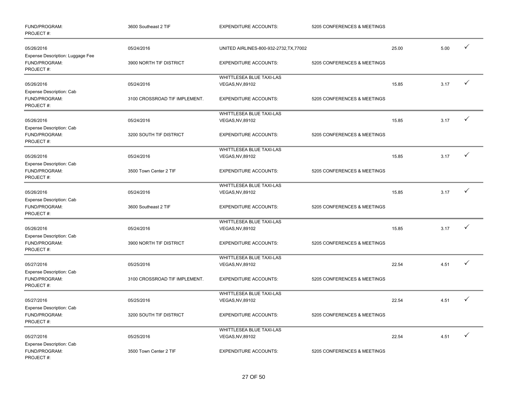| FUND/PROGRAM:<br>PROJECT#:                                     | 3600 Southeast 2 TIF          | <b>EXPENDITURE ACCOUNTS:</b>                 | 5205 CONFERENCES & MEETINGS |       |      |              |
|----------------------------------------------------------------|-------------------------------|----------------------------------------------|-----------------------------|-------|------|--------------|
| 05/26/2016                                                     | 05/24/2016                    | UNITED AIRLINES-800-932-2732, TX, 77002      |                             | 25.00 | 5.00 | $\checkmark$ |
| Expense Description: Luggage Fee<br>FUND/PROGRAM:<br>PROJECT#: | 3900 NORTH TIF DISTRICT       | <b>EXPENDITURE ACCOUNTS:</b>                 | 5205 CONFERENCES & MEETINGS |       |      |              |
| 05/26/2016                                                     | 05/24/2016                    | WHITTLESEA BLUE TAXI-LAS<br>VEGAS, NV, 89102 |                             | 15.85 | 3.17 | $\checkmark$ |
| Expense Description: Cab<br>FUND/PROGRAM:<br>PROJECT#:         | 3100 CROSSROAD TIF IMPLEMENT. | <b>EXPENDITURE ACCOUNTS:</b>                 | 5205 CONFERENCES & MEETINGS |       |      |              |
| 05/26/2016                                                     | 05/24/2016                    | WHITTLESEA BLUE TAXI-LAS<br>VEGAS, NV, 89102 |                             | 15.85 | 3.17 | ✓            |
| Expense Description: Cab<br>FUND/PROGRAM:<br>PROJECT#:         | 3200 SOUTH TIF DISTRICT       | <b>EXPENDITURE ACCOUNTS:</b>                 | 5205 CONFERENCES & MEETINGS |       |      |              |
| 05/26/2016<br>Expense Description: Cab                         | 05/24/2016                    | WHITTLESEA BLUE TAXI-LAS<br>VEGAS, NV, 89102 |                             | 15.85 | 3.17 | $\checkmark$ |
| FUND/PROGRAM:<br>PROJECT#:                                     | 3500 Town Center 2 TIF        | <b>EXPENDITURE ACCOUNTS:</b>                 | 5205 CONFERENCES & MEETINGS |       |      |              |
| 05/26/2016                                                     | 05/24/2016                    | WHITTLESEA BLUE TAXI-LAS<br>VEGAS, NV, 89102 |                             | 15.85 | 3.17 | ✓            |
| Expense Description: Cab<br>FUND/PROGRAM:<br>PROJECT#:         | 3600 Southeast 2 TIF          | <b>EXPENDITURE ACCOUNTS:</b>                 | 5205 CONFERENCES & MEETINGS |       |      |              |
| 05/26/2016<br>Expense Description: Cab                         | 05/24/2016                    | WHITTLESEA BLUE TAXI-LAS<br>VEGAS, NV, 89102 |                             | 15.85 | 3.17 |              |
| FUND/PROGRAM:<br>PROJECT#:                                     | 3900 NORTH TIF DISTRICT       | <b>EXPENDITURE ACCOUNTS:</b>                 | 5205 CONFERENCES & MEETINGS |       |      |              |
| 05/27/2016<br>Expense Description: Cab                         | 05/25/2016                    | WHITTLESEA BLUE TAXI-LAS<br>VEGAS, NV, 89102 |                             | 22.54 | 4.51 | ✓            |
| FUND/PROGRAM:<br>PROJECT#:                                     | 3100 CROSSROAD TIF IMPLEMENT. | <b>EXPENDITURE ACCOUNTS:</b>                 | 5205 CONFERENCES & MEETINGS |       |      |              |
| 05/27/2016                                                     | 05/25/2016                    | WHITTLESEA BLUE TAXI-LAS<br>VEGAS, NV, 89102 |                             | 22.54 | 4.51 | ✓            |
| Expense Description: Cab<br>FUND/PROGRAM:<br>PROJECT#:         | 3200 SOUTH TIF DISTRICT       | <b>EXPENDITURE ACCOUNTS:</b>                 | 5205 CONFERENCES & MEETINGS |       |      |              |
| 05/27/2016                                                     | 05/25/2016                    | WHITTLESEA BLUE TAXI-LAS<br>VEGAS, NV, 89102 |                             | 22.54 | 4.51 | ✓            |
| Expense Description: Cab<br>FUND/PROGRAM:<br>PROJECT#:         | 3500 Town Center 2 TIF        | <b>EXPENDITURE ACCOUNTS:</b>                 | 5205 CONFERENCES & MEETINGS |       |      |              |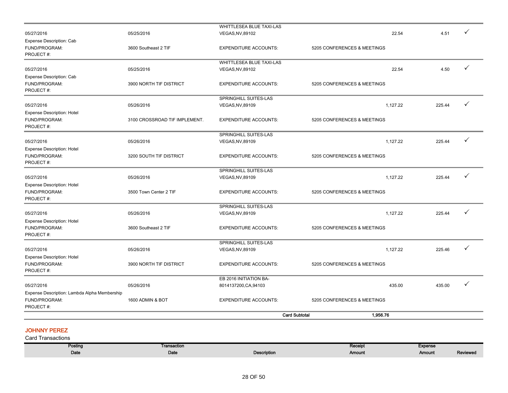|                                                                            |                               |                                                  | <b>Card Subtotal</b><br>1,956.76 |        |              |
|----------------------------------------------------------------------------|-------------------------------|--------------------------------------------------|----------------------------------|--------|--------------|
| Expense Description: Lambda Alpha Membership<br>FUND/PROGRAM:<br>PROJECT#: | 1600 ADMIN & BOT              | <b>EXPENDITURE ACCOUNTS:</b>                     | 5205 CONFERENCES & MEETINGS      |        |              |
| 05/27/2016                                                                 | 05/26/2016                    | EB 2016 INITIATION BA-<br>8014137200, CA, 94103  | 435.00                           | 435.00 |              |
| PROJECT#:                                                                  |                               |                                                  |                                  |        |              |
| <b>Expense Description: Hotel</b><br>FUND/PROGRAM:                         | 3900 NORTH TIF DISTRICT       | <b>EXPENDITURE ACCOUNTS:</b>                     | 5205 CONFERENCES & MEETINGS      |        |              |
| 05/27/2016                                                                 | 05/26/2016                    | SPRINGHILL SUITES-LAS<br>VEGAS, NV, 89109        | 1,127.22                         | 225.46 | $\checkmark$ |
| <b>Expense Description: Hotel</b><br>FUND/PROGRAM:<br>PROJECT#:            | 3600 Southeast 2 TIF          | <b>EXPENDITURE ACCOUNTS:</b>                     | 5205 CONFERENCES & MEETINGS      |        |              |
| 05/27/2016                                                                 | 05/26/2016                    | SPRINGHILL SUITES-LAS<br><b>VEGAS, NV, 89109</b> | 1,127.22                         | 225.44 | ✓            |
| <b>Expense Description: Hotel</b><br>FUND/PROGRAM:<br>PROJECT#:            | 3500 Town Center 2 TIF        | <b>EXPENDITURE ACCOUNTS:</b>                     | 5205 CONFERENCES & MEETINGS      |        |              |
| 05/27/2016                                                                 | 05/26/2016                    | SPRINGHILL SUITES-LAS<br>VEGAS, NV, 89109        | 1.127.22                         | 225.44 | ✓            |
| <b>Expense Description: Hotel</b><br>FUND/PROGRAM:<br>PROJECT#:            | 3200 SOUTH TIF DISTRICT       | <b>EXPENDITURE ACCOUNTS:</b>                     | 5205 CONFERENCES & MEETINGS      |        |              |
| 05/27/2016                                                                 | 05/26/2016                    | SPRINGHILL SUITES-LAS<br>VEGAS, NV, 89109        | 1,127.22                         | 225.44 | ✓            |
| <b>Expense Description: Hotel</b><br>FUND/PROGRAM:<br>PROJECT#:            | 3100 CROSSROAD TIF IMPLEMENT. | <b>EXPENDITURE ACCOUNTS:</b>                     | 5205 CONFERENCES & MEETINGS      |        |              |
| 05/27/2016                                                                 | 05/26/2016                    | SPRINGHILL SUITES-LAS<br>VEGAS, NV, 89109        | 1,127.22                         | 225.44 | ✓            |
| Expense Description: Cab<br>FUND/PROGRAM:<br>PROJECT#:                     | 3900 NORTH TIF DISTRICT       | <b>EXPENDITURE ACCOUNTS:</b>                     | 5205 CONFERENCES & MEETINGS      |        |              |
| 05/27/2016                                                                 | 05/25/2016                    | WHITTLESEA BLUE TAXI-LAS<br>VEGAS, NV, 89102     | 22.54                            | 4.50   | $\checkmark$ |
| Expense Description: Cab<br>FUND/PROGRAM:<br>PROJECT#:                     | 3600 Southeast 2 TIF          | <b>EXPENDITURE ACCOUNTS:</b>                     | 5205 CONFERENCES & MEETINGS      |        |              |
| 05/27/2016                                                                 | 05/25/2016                    | VEGAS, NV, 89102                                 | 22.54                            | 4.51   |              |

### JOHNNY PEREZ

| Posting | Transaction |             | Receipt | <b>Expense</b> |          |
|---------|-------------|-------------|---------|----------------|----------|
| Date    | Date        | Description | Amount  | Amount         | Reviewed |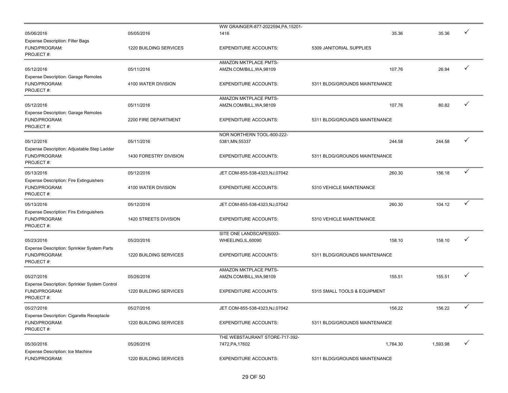|                                                                                           |                                      | WW GRAINGER-877-2022594, PA, 15201-                      |                                        |          |              |
|-------------------------------------------------------------------------------------------|--------------------------------------|----------------------------------------------------------|----------------------------------------|----------|--------------|
| 05/06/2016                                                                                | 05/05/2016                           | 1416                                                     | 35.36                                  | 35.36    |              |
| <b>Expense Description: Filter Bags</b><br>FUND/PROGRAM:<br>PROJECT#:                     | 1220 BUILDING SERVICES               | <b>EXPENDITURE ACCOUNTS:</b>                             | 5309 JANITORIAL SUPPLIES               |          |              |
|                                                                                           |                                      | AMAZON MKTPLACE PMTS-                                    |                                        |          |              |
| 05/12/2016                                                                                | 05/11/2016                           | AMZN.COM/BILL, WA, 98109                                 | 107.76                                 | 26.94    | ✓            |
| <b>Expense Description: Garage Remotes</b><br>FUND/PROGRAM:<br>PROJECT#:                  | 4100 WATER DIVISION                  | <b>EXPENDITURE ACCOUNTS:</b>                             | 5311 BLDG/GROUNDS MAINTENANCE          |          |              |
| 05/12/2016                                                                                | 05/11/2016                           | AMAZON MKTPLACE PMTS-<br>AMZN.COM/BILL, WA, 98109        | 107.76                                 | 80.82    |              |
| <b>Expense Description: Garage Remotes</b><br>FUND/PROGRAM:<br>PROJECT#:                  | 2200 FIRE DEPARTMENT                 | <b>EXPENDITURE ACCOUNTS:</b>                             | 5311 BLDG/GROUNDS MAINTENANCE          |          |              |
|                                                                                           |                                      | NOR NORTHERN TOOL-800-222-                               |                                        |          |              |
| 05/12/2016                                                                                | 05/11/2016                           | 5381, MN, 55337                                          | 244.58                                 | 244.58   |              |
| Expense Description: Adjustable Step Ladder<br>FUND/PROGRAM:<br>PROJECT#:                 | 1430 FORESTRY DIVISION               | <b>EXPENDITURE ACCOUNTS:</b>                             | 5311 BLDG/GROUNDS MAINTENANCE          |          |              |
| 05/13/2016                                                                                | 05/12/2016                           | JET.COM-855-538-4323,NJ,07042                            | 260.30                                 | 156.18   | ✓            |
| <b>Expense Description: Fire Extinguishers</b><br>FUND/PROGRAM:<br>PROJECT#:              | 4100 WATER DIVISION                  | <b>EXPENDITURE ACCOUNTS:</b>                             | 5310 VEHICLE MAINTENANCE               |          |              |
| 05/13/2016                                                                                | 05/12/2016                           | JET.COM-855-538-4323,NJ,07042                            | 260.30                                 | 104.12   | ✓            |
| <b>Expense Description: Fire Extinguishers</b><br>FUND/PROGRAM:<br>PROJECT#:              | 1420 STREETS DIVISION                | <b>EXPENDITURE ACCOUNTS:</b>                             | 5310 VEHICLE MAINTENANCE               |          |              |
|                                                                                           |                                      | SITE ONE LANDSCAPES003-                                  |                                        |          |              |
| 05/23/2016                                                                                | 05/20/2016                           | WHEELING, IL, 60090                                      | 158.10                                 | 158.10   |              |
| Expense Description: Sprinkler System Parts<br>FUND/PROGRAM:<br>PROJECT#:                 | 1220 BUILDING SERVICES               | <b>EXPENDITURE ACCOUNTS:</b>                             | 5311 BLDG/GROUNDS MAINTENANCE          |          |              |
|                                                                                           |                                      | AMAZON MKTPLACE PMTS-                                    |                                        |          | ✓            |
| 05/27/2016<br>Expense Description: Sprinkler System Control<br>FUND/PROGRAM:<br>PROJECT#: | 05/26/2016<br>1220 BUILDING SERVICES | AMZN.COM/BILL, WA, 98109<br><b>EXPENDITURE ACCOUNTS:</b> | 155.51<br>5315 SMALL TOOLS & EQUIPMENT | 155.51   |              |
| 05/27/2016                                                                                | 05/27/2016                           | JET.COM-855-538-4323,NJ,07042                            | 156.22                                 | 156.22   | $\checkmark$ |
| Expense Description: Cigarette Receptacle<br>FUND/PROGRAM:<br>PROJECT#:                   | 1220 BUILDING SERVICES               | <b>EXPENDITURE ACCOUNTS:</b>                             | 5311 BLDG/GROUNDS MAINTENANCE          |          |              |
| 05/30/2016<br>Expense Description: Ice Machine                                            | 05/26/2016                           | THE WEBSTAURANT STORE-717-392-<br>7472, PA, 17602        | 1,764.30                               | 1,593.98 | ✓            |
| FUND/PROGRAM:                                                                             | 1220 BUILDING SERVICES               | <b>EXPENDITURE ACCOUNTS:</b>                             | 5311 BLDG/GROUNDS MAINTENANCE          |          |              |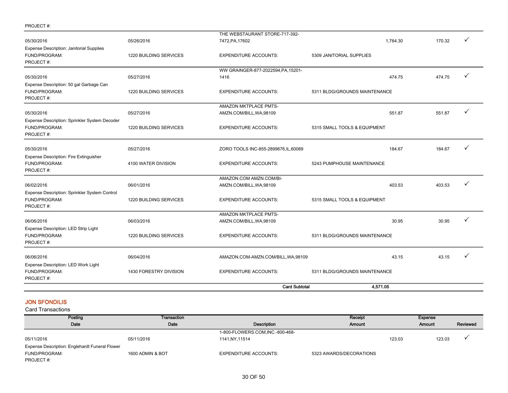| PROJECT#: |  |
|-----------|--|
|-----------|--|

| 06/02/2016<br>06/01/2016<br>Expense Description: Sprinkler System Control<br>FUND/PROGRAM:<br>1220 BUILDING SERVICES<br>PROJECT#:<br>06/06/2016<br>06/03/2016<br>Expense Description: LED Strip Light<br>FUND/PROGRAM:<br>1220 BUILDING SERVICES<br>PROJECT#:<br>06/06/2016<br>06/04/2016<br>Expense Description: LED Work Light<br>FUND/PROGRAM:<br>1430 FORESTRY DIVISION<br>PROJECT#: |                                                     | 5311 BLDG/GROUNDS MAINTENANCE       |                               |        |   |
|------------------------------------------------------------------------------------------------------------------------------------------------------------------------------------------------------------------------------------------------------------------------------------------------------------------------------------------------------------------------------------------|-----------------------------------------------------|-------------------------------------|-------------------------------|--------|---|
|                                                                                                                                                                                                                                                                                                                                                                                          | <b>EXPENDITURE ACCOUNTS:</b>                        |                                     |                               |        |   |
|                                                                                                                                                                                                                                                                                                                                                                                          |                                                     | AMAZON.COM-AMZN.COM/BILL, WA, 98109 | 43.15                         | 43.15  |   |
|                                                                                                                                                                                                                                                                                                                                                                                          | <b>EXPENDITURE ACCOUNTS:</b>                        |                                     | 5311 BLDG/GROUNDS MAINTENANCE |        |   |
|                                                                                                                                                                                                                                                                                                                                                                                          | AMAZON MKTPLACE PMTS-<br>AMZN.COM/BILL, WA, 98109   |                                     | 30.95                         | 30.95  |   |
|                                                                                                                                                                                                                                                                                                                                                                                          | <b>EXPENDITURE ACCOUNTS:</b>                        | 5315 SMALL TOOLS & EQUIPMENT        |                               |        |   |
|                                                                                                                                                                                                                                                                                                                                                                                          | AMAZON.COM AMZN.COM/BI-<br>AMZN.COM/BILL, WA, 98109 |                                     | 403.53                        | 403.53 | ✓ |
| Expense Description: Fire Extinguisher<br>FUND/PROGRAM:<br>4100 WATER DIVISION<br>PROJECT#:                                                                                                                                                                                                                                                                                              | <b>EXPENDITURE ACCOUNTS:</b>                        | 5243 PUMPHOUSE MAINTENANCE          |                               |        |   |
| 05/30/2016<br>05/27/2016                                                                                                                                                                                                                                                                                                                                                                 | ZORO TOOLS INC-855-2899676, IL, 60089               |                                     | 184.67                        | 184.67 | ✓ |
| Expense Description: Sprinkler System Decoder<br>FUND/PROGRAM:<br>1220 BUILDING SERVICES<br>PROJECT#:                                                                                                                                                                                                                                                                                    | <b>EXPENDITURE ACCOUNTS:</b>                        | 5315 SMALL TOOLS & EQUIPMENT        |                               |        |   |
| 05/27/2016<br>05/30/2016                                                                                                                                                                                                                                                                                                                                                                 | AMAZON MKTPLACE PMTS-<br>AMZN.COM/BILL, WA, 98109   |                                     | 551.87                        | 551.87 |   |
| Expense Description: 50 gal Garbage Can<br>FUND/PROGRAM:<br>1220 BUILDING SERVICES<br>PROJECT#:                                                                                                                                                                                                                                                                                          | <b>EXPENDITURE ACCOUNTS:</b>                        |                                     | 5311 BLDG/GROUNDS MAINTENANCE |        |   |
| 05/30/2016<br>05/27/2016                                                                                                                                                                                                                                                                                                                                                                 | WW GRAINGER-877-2022594, PA, 15201-<br>1416         |                                     | 474.75                        | 474.75 | ✓ |
| <b>Expense Description: Janitorial Supplies</b><br>FUND/PROGRAM:<br><b>1220 BUILDING SERVICES</b><br>PROJECT#:                                                                                                                                                                                                                                                                           | <b>EXPENDITURE ACCOUNTS:</b>                        | 5309 JANITORIAL SUPPLIES            |                               |        |   |
| 05/30/2016<br>05/26/2016                                                                                                                                                                                                                                                                                                                                                                 | THE WEBSTAURANT STORE-717-392-<br>7472, PA, 17602   |                                     | 1,764.30                      | 170.32 |   |

#### JON SFONDILIS

| Posting                                        | Transaction      |                                  | Receipt                 |        | Expense |          |
|------------------------------------------------|------------------|----------------------------------|-------------------------|--------|---------|----------|
| Date                                           | Date             | Description                      | <b>Amount</b>           |        | Amount  | Reviewed |
|                                                |                  | 1-800-FLOWERS.COM, INC.-800-468- |                         |        |         |          |
| 05/11/2016                                     | 05/11/2016       | 1141, NY, 11514                  |                         | 123.03 | 123.03  |          |
| Expense Description: Englehardt Funeral Flower |                  |                                  |                         |        |         |          |
| FUND/PROGRAM:                                  | 1600 ADMIN & BOT | <b>EXPENDITURE ACCOUNTS:</b>     | 5323 AWARDS/DECORATIONS |        |         |          |
| PROJECT#:                                      |                  |                                  |                         |        |         |          |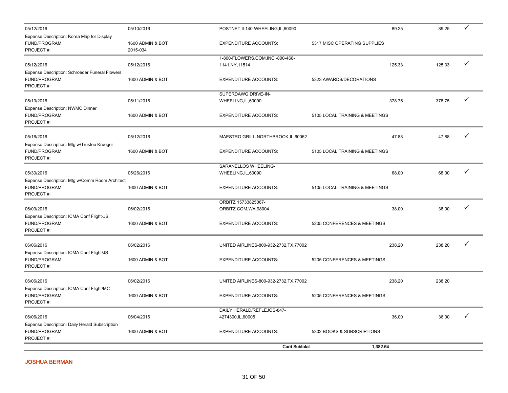| 05/12/2016                                                                   | 05/10/2016                   | POSTNET IL140-WHEELING, IL, 60090                  |                                | 89.25  | 89.25  | ✓ |
|------------------------------------------------------------------------------|------------------------------|----------------------------------------------------|--------------------------------|--------|--------|---|
| Expense Description: Korea Map for Display<br>FUND/PROGRAM:<br>PROJECT#:     | 1600 ADMIN & BOT<br>2015-034 | <b>EXPENDITURE ACCOUNTS:</b>                       | 5317 MISC OPERATING SUPPLIES   |        |        |   |
| 05/12/2016                                                                   | 05/12/2016                   | 1-800-FLOWERS.COM,INC.-800-468-<br>1141, NY, 11514 |                                | 125.33 | 125.33 | ✓ |
| Expense Description: Schroeder Funeral Flowers<br>FUND/PROGRAM:<br>PROJECT#: | 1600 ADMIN & BOT             | <b>EXPENDITURE ACCOUNTS:</b>                       | 5323 AWARDS/DECORATIONS        |        |        |   |
| 05/13/2016<br>Expense Description: NWMC Dinner                               | 05/11/2016                   | SUPERDAWG DRIVE-IN-<br>WHEELING, IL, 60090         |                                | 378.75 | 378.75 | ✓ |
| FUND/PROGRAM:<br>PROJECT#:                                                   | 1600 ADMIN & BOT             | <b>EXPENDITURE ACCOUNTS:</b>                       | 5105 LOCAL TRAINING & MEETINGS |        |        |   |
| 05/16/2016<br>Expense Description: Mtg w/Trustee Krueger                     | 05/12/2016                   | MAESTRO GRILL-NORTHBROOK, IL, 60062                |                                | 47.88  | 47.88  | ✓ |
| FUND/PROGRAM:<br>PROJECT#:                                                   | 1600 ADMIN & BOT             | <b>EXPENDITURE ACCOUNTS:</b>                       | 5105 LOCAL TRAINING & MEETINGS |        |        |   |
| 05/30/2016<br>Expense Description: Mtg w/Comm Room Architect                 | 05/26/2016                   | SARANELLOS WHEELING-<br>WHEELING, IL, 60090        |                                | 68.00  | 68.00  | ✓ |
| FUND/PROGRAM:<br>PROJECT#:                                                   | 1600 ADMIN & BOT             | <b>EXPENDITURE ACCOUNTS:</b>                       | 5105 LOCAL TRAINING & MEETINGS |        |        |   |
| 06/03/2016                                                                   | 06/02/2016                   | ORBITZ 15733825067-<br>ORBITZ.COM, WA, 98004       |                                | 38.00  | 38.00  | ✓ |
| Expense Description: ICMA Conf Flight-JS<br>FUND/PROGRAM:<br>PROJECT#:       | 1600 ADMIN & BOT             | <b>EXPENDITURE ACCOUNTS:</b>                       | 5205 CONFERENCES & MEETINGS    |        |        |   |
| 06/06/2016<br>Expense Description: ICMA Conf Flight/JS                       | 06/02/2016                   | UNITED AIRLINES-800-932-2732, TX, 77002            |                                | 238.20 | 238.20 | ✓ |
| FUND/PROGRAM:<br>PROJECT#:                                                   | 1600 ADMIN & BOT             | <b>EXPENDITURE ACCOUNTS:</b>                       | 5205 CONFERENCES & MEETINGS    |        |        |   |
| 06/06/2016<br>Expense Description: ICMA Conf Flight/MC                       | 06/02/2016                   | UNITED AIRLINES-800-932-2732, TX, 77002            |                                | 238.20 | 238.20 |   |
| FUND/PROGRAM:<br>PROJECT#:                                                   | 1600 ADMIN & BOT             | <b>EXPENDITURE ACCOUNTS:</b>                       | 5205 CONFERENCES & MEETINGS    |        |        |   |
| 06/06/2016                                                                   | 06/04/2016                   | DAILY HERALD/REFLEJOS-847-<br>4274300, IL, 60005   |                                | 36.00  | 36.00  |   |
| Expense Description: Daily Herald Subscription<br>FUND/PROGRAM:<br>PROJECT#: | 1600 ADMIN & BOT             | <b>EXPENDITURE ACCOUNTS:</b>                       | 5302 BOOKS & SUBSCRIPTIONS     |        |        |   |
|                                                                              |                              | <b>Card Subtotal</b>                               | 1,382.64                       |        |        |   |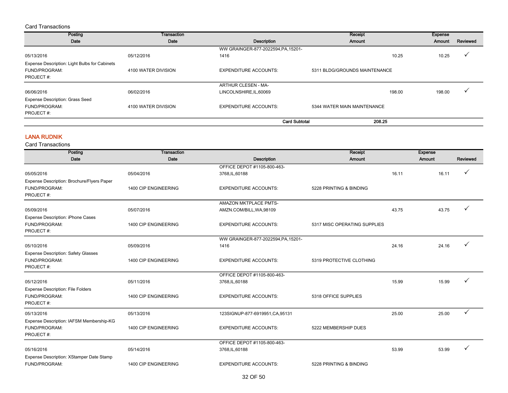#### Card Transactions

| Posting                                       | <b>Transaction</b>  |                                     | Receipt                       | Expense          |          |
|-----------------------------------------------|---------------------|-------------------------------------|-------------------------------|------------------|----------|
| Date                                          | Date                | Description                         | Amount                        | Amount           | Reviewed |
|                                               |                     | WW GRAINGER-877-2022594, PA, 15201- |                               |                  |          |
| 05/13/2016                                    | 05/12/2016          | 1416                                |                               | 10.25<br>10.25   |          |
| Expense Description: Light Bulbs for Cabinets |                     |                                     |                               |                  |          |
| <b>FUND/PROGRAM:</b>                          | 4100 WATER DIVISION | <b>EXPENDITURE ACCOUNTS:</b>        | 5311 BLDG/GROUNDS MAINTENANCE |                  |          |
| PROJECT#:                                     |                     |                                     |                               |                  |          |
|                                               |                     | ARTHUR CLESEN - MA-                 |                               |                  |          |
| 06/06/2016                                    | 06/02/2016          | LINCOLNSHIRE, IL, 60069             |                               | 198.00<br>198.00 |          |
| <b>Expense Description: Grass Seed</b>        |                     |                                     |                               |                  |          |
| FUND/PROGRAM:                                 | 4100 WATER DIVISION | <b>EXPENDITURE ACCOUNTS:</b>        | 5344 WATER MAIN MAINTENANCE   |                  |          |
| PROJECT#:                                     |                     |                                     |                               |                  |          |
|                                               |                     | <b>Card Subtotal</b>                | 208.25                        |                  |          |

#### LANA RUDNIK

| Posting                                    | Transaction          |                                     | Receipt                      |       | <b>Expense</b> |              |
|--------------------------------------------|----------------------|-------------------------------------|------------------------------|-------|----------------|--------------|
| Date                                       | Date                 | <b>Description</b>                  | Amount                       |       | Amount         | Reviewed     |
|                                            |                      | OFFICE DEPOT #1105-800-463-         |                              |       |                |              |
| 05/05/2016                                 | 05/04/2016           | 3768, IL, 60188                     |                              | 16.11 | 16.11          |              |
| Expense Description: Brochure/Flyers Paper |                      |                                     |                              |       |                |              |
| FUND/PROGRAM:                              | 1400 CIP ENGINEERING | <b>EXPENDITURE ACCOUNTS:</b>        | 5228 PRINTING & BINDING      |       |                |              |
| PROJECT#:                                  |                      |                                     |                              |       |                |              |
|                                            |                      | AMAZON MKTPLACE PMTS-               |                              |       |                |              |
| 05/09/2016                                 | 05/07/2016           | AMZN.COM/BILL, WA, 98109            |                              | 43.75 | 43.75          |              |
| <b>Expense Description: iPhone Cases</b>   |                      |                                     |                              |       |                |              |
| FUND/PROGRAM:                              | 1400 CIP ENGINEERING | <b>EXPENDITURE ACCOUNTS:</b>        | 5317 MISC OPERATING SUPPLIES |       |                |              |
| PROJECT#:                                  |                      |                                     |                              |       |                |              |
|                                            |                      | WW GRAINGER-877-2022594, PA, 15201- |                              |       |                |              |
| 05/10/2016                                 | 05/09/2016           | 1416                                |                              | 24.16 | 24.16          |              |
| <b>Expense Description: Safety Glasses</b> |                      |                                     |                              |       |                |              |
| FUND/PROGRAM:                              | 1400 CIP ENGINEERING | <b>EXPENDITURE ACCOUNTS:</b>        | 5319 PROTECTIVE CLOTHING     |       |                |              |
| PROJECT#:                                  |                      |                                     |                              |       |                |              |
|                                            |                      | OFFICE DEPOT #1105-800-463-         |                              |       |                |              |
| 05/12/2016                                 | 05/11/2016           | 3768, IL, 60188                     |                              | 15.99 | 15.99          |              |
| <b>Expense Description: File Folders</b>   |                      |                                     |                              |       |                |              |
| FUND/PROGRAM:                              | 1400 CIP ENGINEERING | <b>EXPENDITURE ACCOUNTS:</b>        | 5318 OFFICE SUPPLIES         |       |                |              |
| PROJECT#:                                  |                      |                                     |                              |       |                |              |
| 05/13/2016                                 | 05/13/2016           | 123SIGNUP-877-6919951, CA, 95131    |                              | 25.00 | 25.00          | $\checkmark$ |
| Expense Description: IAFSM Membership-KG   |                      |                                     |                              |       |                |              |
| FUND/PROGRAM:                              | 1400 CIP ENGINEERING | <b>EXPENDITURE ACCOUNTS:</b>        | 5222 MEMBERSHIP DUES         |       |                |              |
| PROJECT#:                                  |                      |                                     |                              |       |                |              |
|                                            |                      | OFFICE DEPOT #1105-800-463-         |                              |       |                |              |
| 05/16/2016                                 | 05/14/2016           | 3768, IL, 60188                     |                              | 53.99 | 53.99          |              |
| Expense Description: XStamper Date Stamp   |                      |                                     |                              |       |                |              |
| FUND/PROGRAM:                              | 1400 CIP ENGINEERING | <b>EXPENDITURE ACCOUNTS:</b>        | 5228 PRINTING & BINDING      |       |                |              |
|                                            |                      |                                     |                              |       |                |              |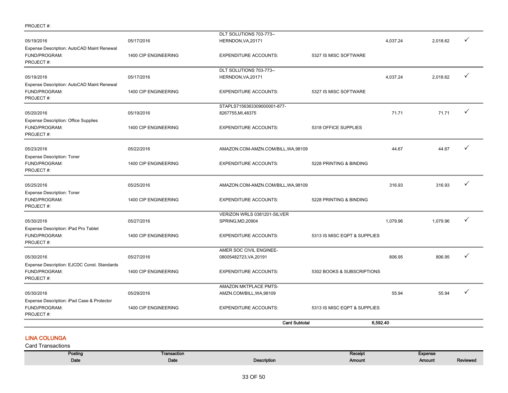|                                                                           |                      | <b>Card Subtotal</b>                              | 6,592.40                     |          |          |              |
|---------------------------------------------------------------------------|----------------------|---------------------------------------------------|------------------------------|----------|----------|--------------|
| Expense Description: iPad Case & Protector<br>FUND/PROGRAM:<br>PROJECT#:  | 1400 CIP ENGINEERING | <b>EXPENDITURE ACCOUNTS:</b>                      | 5313 IS MISC EQPT & SUPPLIES |          |          |              |
| 05/30/2016                                                                | 05/29/2016           | AMAZON MKTPLACE PMTS-<br>AMZN.COM/BILL, WA, 98109 |                              | 55.94    | 55.94    | ✓            |
| FUND/PROGRAM:<br>PROJECT#:                                                | 1400 CIP ENGINEERING | <b>EXPENDITURE ACCOUNTS:</b>                      | 5302 BOOKS & SUBSCRIPTIONS   |          |          |              |
| 05/30/2016<br>Expense Description: EJCDC Const. Standards                 | 05/27/2016           | AMER SOC CIVIL ENGINEE-<br>08005482723, VA, 20191 |                              | 806.95   | 806.95   | ✓            |
| Expense Description: iPad Pro Tablet<br>FUND/PROGRAM:<br>PROJECT#:        | 1400 CIP ENGINEERING | <b>EXPENDITURE ACCOUNTS:</b>                      | 5313 IS MISC EQPT & SUPPLIES |          |          |              |
| 05/30/2016                                                                | 05/27/2016           | VERIZON WRLS 0381201-SILVER<br>SPRING, MD, 20904  |                              | 1,079.96 | 1,079.96 | ✓            |
| <b>Expense Description: Toner</b><br>FUND/PROGRAM:<br>PROJECT#:           | 1400 CIP ENGINEERING | <b>EXPENDITURE ACCOUNTS:</b>                      | 5228 PRINTING & BINDING      |          |          |              |
| 05/25/2016                                                                | 05/25/2016           | AMAZON.COM-AMZN.COM/BILL, WA, 98109               |                              | 316.93   | 316.93   | ✓            |
| <b>Expense Description: Toner</b><br>FUND/PROGRAM:<br>PROJECT#:           | 1400 CIP ENGINEERING | <b>EXPENDITURE ACCOUNTS:</b>                      | 5228 PRINTING & BINDING      |          |          |              |
| 05/23/2016                                                                | 05/22/2016           | AMAZON.COM-AMZN.COM/BILL, WA, 98109               |                              | 44.67    | 44.67    | ✓            |
| <b>Expense Description: Office Supplies</b><br>FUND/PROGRAM:<br>PROJECT#: | 1400 CIP ENGINEERING | <b>EXPENDITURE ACCOUNTS:</b>                      | 5318 OFFICE SUPPLIES         |          |          |              |
| 05/20/2016                                                                | 05/19/2016           | STAPLS7156363309000001-877-<br>8267755, MI, 48375 |                              | 71.71    | 71.71    | $\checkmark$ |
| Expense Description: AutoCAD Maint Renewal<br>FUND/PROGRAM:<br>PROJECT#:  | 1400 CIP ENGINEERING | <b>EXPENDITURE ACCOUNTS:</b>                      | 5327 IS MISC SOFTWARE        |          |          |              |
| 05/19/2016                                                                | 05/17/2016           | DLT SOLUTIONS 703-773--<br>HERNDON, VA, 20171     |                              | 4,037.24 | 2,018.62 | ✓            |
| Expense Description: AutoCAD Maint Renewal<br>FUND/PROGRAM:<br>PROJECT#:  | 1400 CIP ENGINEERING | <b>EXPENDITURE ACCOUNTS:</b>                      | 5327 IS MISC SOFTWARE        |          |          |              |
| 05/19/2016                                                                | 05/17/2016           | DLT SOLUTIONS 703-773--<br>HERNDON, VA, 20171     |                              | 4.037.24 | 2.018.62 | ✓            |

## LINA COLUNGA

PROJECT #:

| Posting | Transaction |             | Receipt | <b>Expense</b> |          |
|---------|-------------|-------------|---------|----------------|----------|
| Date    | Date        | Description | Amount  | Amount         | Reviewed |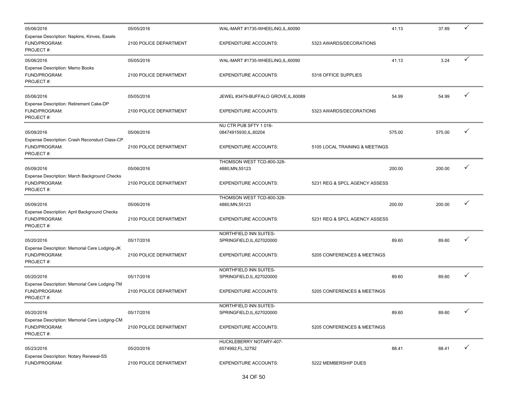| 05/06/2016                                                                   | 05/05/2016             | WAL-MART #1735-WHEELING, IL, 60090              |                                | 41.13  | 37.89  | ✓            |
|------------------------------------------------------------------------------|------------------------|-------------------------------------------------|--------------------------------|--------|--------|--------------|
| Expense Description: Napkins, Kinves, Easels<br>FUND/PROGRAM:<br>PROJECT#:   | 2100 POLICE DEPARTMENT | <b>EXPENDITURE ACCOUNTS:</b>                    | 5323 AWARDS/DECORATIONS        |        |        |              |
| 05/06/2016                                                                   | 05/05/2016             | WAL-MART #1735-WHEELING, IL, 60090              |                                | 41.13  | 3.24   | ✓            |
| <b>Expense Description: Memo Books</b><br>FUND/PROGRAM:<br>PROJECT#:         | 2100 POLICE DEPARTMENT | <b>EXPENDITURE ACCOUNTS:</b>                    | 5318 OFFICE SUPPLIES           |        |        |              |
| 05/06/2016                                                                   | 05/05/2016             | JEWEL #3479-BUFFALO GROVE, IL, 60089            |                                | 54.99  | 54.99  |              |
| Expense Description: Retirement Cake-DP<br>FUND/PROGRAM:<br>PROJECT#:        | 2100 POLICE DEPARTMENT | <b>EXPENDITURE ACCOUNTS:</b>                    | 5323 AWARDS/DECORATIONS        |        |        |              |
| 05/09/2016                                                                   | 05/06/2016             | NU CTR PUB SFTY 1016-<br>08474915930, IL, 60204 |                                | 575.00 | 575.00 | ✓            |
| Expense Description: Crash Reconstuct Class-CP<br>FUND/PROGRAM:<br>PROJECT#: | 2100 POLICE DEPARTMENT | <b>EXPENDITURE ACCOUNTS:</b>                    | 5105 LOCAL TRAINING & MEETINGS |        |        |              |
| 05/09/2016                                                                   | 05/06/2016             | THOMSON WEST TCD-800-328-<br>4880, MN, 55123    |                                | 200.00 | 200.00 |              |
| Expense Description: March Background Checks<br>FUND/PROGRAM:<br>PROJECT#:   | 2100 POLICE DEPARTMENT | <b>EXPENDITURE ACCOUNTS:</b>                    | 5231 REG & SPCL AGENCY ASSESS  |        |        |              |
|                                                                              |                        | THOMSON WEST TCD-800-328-                       |                                |        |        |              |
| 05/09/2016<br>Expense Description: April Background Checks                   | 05/06/2016             | 4880, MN, 55123                                 |                                | 200.00 | 200.00 |              |
| FUND/PROGRAM:<br>PROJECT#:                                                   | 2100 POLICE DEPARTMENT | <b>EXPENDITURE ACCOUNTS:</b>                    | 5231 REG & SPCL AGENCY ASSESS  |        |        |              |
|                                                                              |                        | NORTHFIELD INN SUITES-                          |                                |        |        | ✓            |
| 05/20/2016<br>Expense Description: Memorial Cere Lodging-JK                  | 05/17/2016             | SPRINGFIELD, IL, 627020000                      |                                | 89.60  | 89.60  |              |
| FUND/PROGRAM:<br>PROJECT#:                                                   | 2100 POLICE DEPARTMENT | <b>EXPENDITURE ACCOUNTS:</b>                    | 5205 CONFERENCES & MEETINGS    |        |        |              |
|                                                                              |                        | NORTHFIELD INN SUITES-                          |                                |        |        |              |
| 05/20/2016                                                                   | 05/17/2016             | SPRINGFIELD, IL, 627020000                      |                                | 89.60  | 89.60  |              |
| Expense Description: Memorial Cere Lodging-TM<br>FUND/PROGRAM:<br>PROJECT#:  | 2100 POLICE DEPARTMENT | <b>EXPENDITURE ACCOUNTS:</b>                    | 5205 CONFERENCES & MEETINGS    |        |        |              |
|                                                                              |                        | NORTHFIELD INN SUITES-                          |                                |        |        |              |
| 05/20/2016<br>Expense Description: Memorial Cere Lodging-CM                  | 05/17/2016             | SPRINGFIELD, IL, 627020000                      |                                | 89.60  | 89.60  |              |
| FUND/PROGRAM:<br>PROJECT#:                                                   | 2100 POLICE DEPARTMENT | <b>EXPENDITURE ACCOUNTS:</b>                    | 5205 CONFERENCES & MEETINGS    |        |        |              |
| 05/23/2016                                                                   | 05/20/2016             | HUCKLEBERRY NOTARY-407-<br>6574992, FL, 32792   |                                | 88.41  | 88.41  | $\checkmark$ |
| Expense Description: Notary Renewal-SS<br>FUND/PROGRAM:                      | 2100 POLICE DEPARTMENT | <b>EXPENDITURE ACCOUNTS:</b>                    | 5222 MEMBERSHIP DUES           |        |        |              |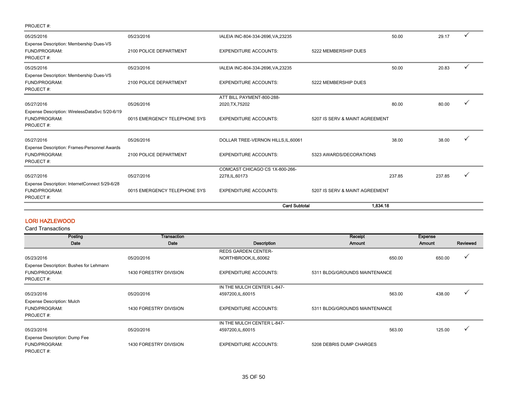| PROJECT#:                                                                    |                              |                                     |                                |        |        |              |
|------------------------------------------------------------------------------|------------------------------|-------------------------------------|--------------------------------|--------|--------|--------------|
| 05/25/2016                                                                   | 05/23/2016                   | IALEIA INC-804-334-2696, VA, 23235  |                                | 50.00  | 29.17  |              |
| Expense Description: Membership Dues-VS<br>FUND/PROGRAM:<br>PROJECT#:        | 2100 POLICE DEPARTMENT       | <b>EXPENDITURE ACCOUNTS:</b>        | 5222 MEMBERSHIP DUES           |        |        |              |
| 05/25/2016                                                                   | 05/23/2016                   | IALEIA INC-804-334-2696, VA, 23235  |                                | 50.00  | 20.83  | $\checkmark$ |
| Expense Description: Membership Dues-VS<br>FUND/PROGRAM:<br>PROJECT#:        | 2100 POLICE DEPARTMENT       | <b>EXPENDITURE ACCOUNTS:</b>        | 5222 MEMBERSHIP DUES           |        |        |              |
|                                                                              |                              | ATT BILL PAYMENT-800-288-           |                                |        |        |              |
| 05/27/2016                                                                   | 05/26/2016                   | 2020, TX, 75202                     |                                | 80.00  | 80.00  |              |
| Expense Description: WirelessDataSvc 5/20-6/19<br>FUND/PROGRAM:<br>PROJECT#: | 0015 EMERGENCY TELEPHONE SYS | <b>EXPENDITURE ACCOUNTS:</b>        | 5207 IS SERV & MAINT AGREEMENT |        |        |              |
| 05/27/2016                                                                   | 05/26/2016                   | DOLLAR TREE-VERNON HILLS, IL, 60061 |                                | 38.00  | 38.00  |              |
| Expense Description: Frames-Personnel Awards<br>FUND/PROGRAM:<br>PROJECT#:   | 2100 POLICE DEPARTMENT       | <b>EXPENDITURE ACCOUNTS:</b>        | 5323 AWARDS/DECORATIONS        |        |        |              |
|                                                                              |                              | COMCAST CHICAGO CS 1X-800-266-      |                                |        |        |              |
| 05/27/2016                                                                   | 05/27/2016                   | 2278, IL, 60173                     |                                | 237.85 | 237.85 |              |
| Expense Description: InternetConnect 5/29-6/28<br>FUND/PROGRAM:<br>PROJECT#: | 0015 EMERGENCY TELEPHONE SYS | <b>EXPENDITURE ACCOUNTS:</b>        | 5207 IS SERV & MAINT AGREEMENT |        |        |              |
|                                                                              |                              | <b>Card Subtotal</b>                | 1,834.18                       |        |        |              |

## LORI HAZLEWOOD

| Posting                                 | Transaction            |                              | Receipt                       | <b>Expense</b> |              |
|-----------------------------------------|------------------------|------------------------------|-------------------------------|----------------|--------------|
| Date                                    | Date                   | Description                  | Amount                        | <b>Amount</b>  | Reviewed     |
|                                         |                        | <b>REDS GARDEN CENTER-</b>   |                               |                |              |
| 05/23/2016                              | 05/20/2016             | NORTHBROOK, IL, 60062        | 650.00                        | 650.00         | v            |
| Expense Description: Bushes for Lehmann |                        |                              |                               |                |              |
| FUND/PROGRAM:                           | 1430 FORESTRY DIVISION | <b>EXPENDITURE ACCOUNTS:</b> | 5311 BLDG/GROUNDS MAINTENANCE |                |              |
| PROJECT#:                               |                        |                              |                               |                |              |
|                                         |                        | IN THE MULCH CENTER L-847-   |                               |                |              |
| 05/23/2016                              | 05/20/2016             | 4597200, IL, 60015           | 563.00                        | 438.00         |              |
| <b>Expense Description: Mulch</b>       |                        |                              |                               |                |              |
| FUND/PROGRAM:                           | 1430 FORESTRY DIVISION | <b>EXPENDITURE ACCOUNTS:</b> | 5311 BLDG/GROUNDS MAINTENANCE |                |              |
| PROJECT#:                               |                        |                              |                               |                |              |
|                                         |                        | IN THE MULCH CENTER L-847-   |                               |                |              |
| 05/23/2016                              | 05/20/2016             | 4597200, IL, 60015           | 563.00                        | 125.00         | $\checkmark$ |
| Expense Description: Dump Fee           |                        |                              |                               |                |              |
| FUND/PROGRAM:                           | 1430 FORESTRY DIVISION | <b>EXPENDITURE ACCOUNTS:</b> | 5208 DEBRIS DUMP CHARGES      |                |              |
| PROJECT#:                               |                        |                              |                               |                |              |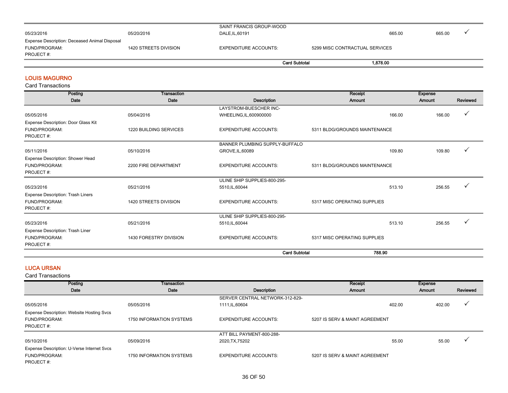|                                               |                       | SAINT FRANCIS GROUP-WOOD     |                                |        |        |  |
|-----------------------------------------------|-----------------------|------------------------------|--------------------------------|--------|--------|--|
| 05/23/2016                                    | 05/20/2016            | DALE, IL, 60191              |                                | 665.00 | 665.00 |  |
| Expense Description: Deceased Animal Disposal |                       |                              |                                |        |        |  |
| FUND/PROGRAM:                                 | 1420 STREETS DIVISION | <b>EXPENDITURE ACCOUNTS:</b> | 5299 MISC CONTRACTUAL SERVICES |        |        |  |
| PROJECT#:                                     |                       |                              |                                |        |        |  |
|                                               |                       | <b>Card Subtotal</b>         | 1.878.00                       |        |        |  |

### LOUIS MAGURNO

Card Transactions

| Posting                             | Transaction                   |                                | Receipt                       | <b>Expense</b>   |          |
|-------------------------------------|-------------------------------|--------------------------------|-------------------------------|------------------|----------|
| Date                                | Date                          | <b>Description</b>             | Amount                        | Amount           | Reviewed |
|                                     |                               | LAYSTROM-BUESCHER INC-         |                               |                  |          |
| 05/05/2016                          | 05/04/2016                    | WHEELING, IL, 600900000        |                               | 166.00<br>166.00 | ✓        |
| Expense Description: Door Glass Kit |                               |                                |                               |                  |          |
| FUND/PROGRAM:                       | <b>1220 BUILDING SERVICES</b> | <b>EXPENDITURE ACCOUNTS:</b>   | 5311 BLDG/GROUNDS MAINTENANCE |                  |          |
| PROJECT#:                           |                               |                                |                               |                  |          |
|                                     |                               | BANNER PLUMBING SUPPLY-BUFFALO |                               |                  |          |
| 05/11/2016                          | 05/10/2016                    | GROVE, IL, 60089               |                               | 109.80<br>109.80 |          |
| Expense Description: Shower Head    |                               |                                |                               |                  |          |
| FUND/PROGRAM:                       | 2200 FIRE DEPARTMENT          | <b>EXPENDITURE ACCOUNTS:</b>   | 5311 BLDG/GROUNDS MAINTENANCE |                  |          |
| PROJECT#:                           |                               |                                |                               |                  |          |
|                                     |                               | ULINE SHIP SUPPLIES-800-295-   |                               |                  |          |
| 05/23/2016                          | 05/21/2016                    | 5510, IL, 60044                |                               | 256.55<br>513.10 |          |
| Expense Description: Trash Liners   |                               |                                |                               |                  |          |
| FUND/PROGRAM:                       | 1420 STREETS DIVISION         | <b>EXPENDITURE ACCOUNTS:</b>   | 5317 MISC OPERATING SUPPLIES  |                  |          |
| PROJECT#:                           |                               |                                |                               |                  |          |
|                                     |                               | ULINE SHIP SUPPLIES-800-295-   |                               |                  |          |
| 05/23/2016                          | 05/21/2016                    | 5510, IL, 60044                |                               | 256.55<br>513.10 |          |
| Expense Description: Trash Liner    |                               |                                |                               |                  |          |
| FUND/PROGRAM:                       | 1430 FORESTRY DIVISION        | <b>EXPENDITURE ACCOUNTS:</b>   | 5317 MISC OPERATING SUPPLIES  |                  |          |
| PROJECT#:                           |                               |                                |                               |                  |          |
|                                     |                               | <b>Card Subtotal</b>           | 788.90                        |                  |          |

### LUCA URSAN

| Posting                                    | <b>Transaction</b>       |                                 | Receipt                        | Expense |          |
|--------------------------------------------|--------------------------|---------------------------------|--------------------------------|---------|----------|
| Date                                       | Date                     | Description                     | Amount                         | Amount  | Reviewed |
|                                            |                          | SERVER CENTRAL NETWORK-312-829- |                                |         |          |
| 05/05/2016                                 | 05/05/2016               | 1111, IL, 60604                 | 402.00                         | 402.00  |          |
| Expense Description: Website Hosting Svcs  |                          |                                 |                                |         |          |
| FUND/PROGRAM:                              | 1750 INFORMATION SYSTEMS | <b>EXPENDITURE ACCOUNTS:</b>    | 5207 IS SERV & MAINT AGREEMENT |         |          |
| PROJECT#:                                  |                          |                                 |                                |         |          |
|                                            |                          | ATT BILL PAYMENT-800-288-       |                                |         |          |
| 05/10/2016                                 | 05/09/2016               | 2020, TX, 75202                 | 55.00                          | 55.00   | v        |
| Expense Description: U-Verse Internet Svcs |                          |                                 |                                |         |          |
| FUND/PROGRAM:                              | 1750 INFORMATION SYSTEMS | <b>EXPENDITURE ACCOUNTS:</b>    | 5207 IS SERV & MAINT AGREEMENT |         |          |
| PROJECT#:                                  |                          |                                 |                                |         |          |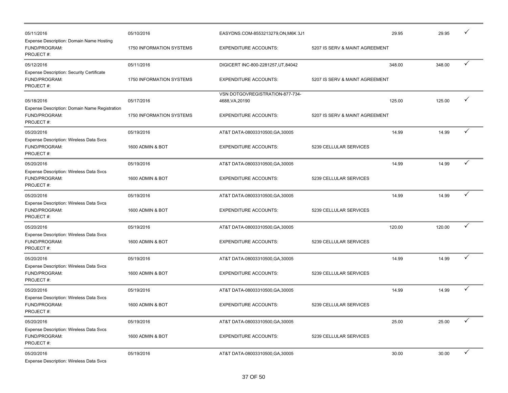| 05/11/2016<br>Expense Description: Domain Name Hosting                         | 05/10/2016               | EASYDNS.COM-8553213279,ON,M6K 3J1                  |                                | 29.95  | 29.95  |              |
|--------------------------------------------------------------------------------|--------------------------|----------------------------------------------------|--------------------------------|--------|--------|--------------|
| FUND/PROGRAM:<br>PROJECT#:                                                     | 1750 INFORMATION SYSTEMS | <b>EXPENDITURE ACCOUNTS:</b>                       | 5207 IS SERV & MAINT AGREEMENT |        |        |              |
| 05/12/2016                                                                     | 05/11/2016               | DIGICERT INC-800-2281257, UT, 84042                |                                | 348.00 | 348.00 | $\checkmark$ |
| <b>Expense Description: Security Certificate</b><br>FUND/PROGRAM:<br>PROJECT#: | 1750 INFORMATION SYSTEMS | <b>EXPENDITURE ACCOUNTS:</b>                       | 5207 IS SERV & MAINT AGREEMENT |        |        |              |
| 05/18/2016<br>Expense Description: Domain Name Registration                    | 05/17/2016               | VSN DOTGOVREGISTRATION-877-734-<br>4688, VA, 20190 |                                | 125.00 | 125.00 | ✓            |
| FUND/PROGRAM:<br>PROJECT#:                                                     | 1750 INFORMATION SYSTEMS | <b>EXPENDITURE ACCOUNTS:</b>                       | 5207 IS SERV & MAINT AGREEMENT |        |        |              |
| 05/20/2016                                                                     | 05/19/2016               | AT&T DATA-08003310500, GA, 30005                   |                                | 14.99  | 14.99  | $\checkmark$ |
| Expense Description: Wireless Data Svcs<br>FUND/PROGRAM:<br>PROJECT#:          | 1600 ADMIN & BOT         | <b>EXPENDITURE ACCOUNTS:</b>                       | 5239 CELLULAR SERVICES         |        |        |              |
| 05/20/2016                                                                     | 05/19/2016               | AT&T DATA-08003310500, GA, 30005                   |                                | 14.99  | 14.99  | $\checkmark$ |
| Expense Description: Wireless Data Svcs<br>FUND/PROGRAM:<br>PROJECT#:          | 1600 ADMIN & BOT         | <b>EXPENDITURE ACCOUNTS:</b>                       | 5239 CELLULAR SERVICES         |        |        |              |
| 05/20/2016                                                                     | 05/19/2016               | AT&T DATA-08003310500, GA, 30005                   |                                | 14.99  | 14.99  | $\checkmark$ |
| Expense Description: Wireless Data Svcs<br>FUND/PROGRAM:<br>PROJECT#:          | 1600 ADMIN & BOT         | <b>EXPENDITURE ACCOUNTS:</b>                       | 5239 CELLULAR SERVICES         |        |        |              |
| 05/20/2016                                                                     | 05/19/2016               | AT&T DATA-08003310500, GA, 30005                   |                                | 120.00 | 120.00 | ✓            |
| Expense Description: Wireless Data Svcs<br>FUND/PROGRAM:<br>PROJECT#:          | 1600 ADMIN & BOT         | <b>EXPENDITURE ACCOUNTS:</b>                       | 5239 CELLULAR SERVICES         |        |        |              |
| 05/20/2016                                                                     | 05/19/2016               | AT&T DATA-08003310500, GA, 30005                   |                                | 14.99  | 14.99  | ✓            |
| Expense Description: Wireless Data Svcs<br>FUND/PROGRAM:<br>PROJECT#:          | 1600 ADMIN & BOT         | <b>EXPENDITURE ACCOUNTS:</b>                       | 5239 CELLULAR SERVICES         |        |        |              |
| 05/20/2016                                                                     | 05/19/2016               | AT&T DATA-08003310500, GA, 30005                   |                                | 14.99  | 14.99  | $\checkmark$ |
| Expense Description: Wireless Data Svcs<br>FUND/PROGRAM:<br>PROJECT#:          | 1600 ADMIN & BOT         | <b>EXPENDITURE ACCOUNTS:</b>                       | 5239 CELLULAR SERVICES         |        |        |              |
| 05/20/2016                                                                     | 05/19/2016               | AT&T DATA-08003310500, GA, 30005                   |                                | 25.00  | 25.00  | ✓            |
| Expense Description: Wireless Data Svcs<br>FUND/PROGRAM:<br>PROJECT#:          | 1600 ADMIN & BOT         | <b>EXPENDITURE ACCOUNTS:</b>                       | 5239 CELLULAR SERVICES         |        |        |              |
| 05/20/2016<br><b>Expense Description: Wireless Data Svcs</b>                   | 05/19/2016               | AT&T DATA-08003310500, GA, 30005                   |                                | 30.00  | 30.00  | $\checkmark$ |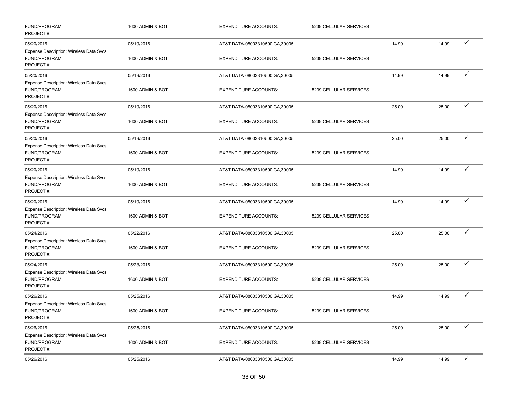| FUND/PROGRAM:<br>PROJECT#:                                                   | 1600 ADMIN & BOT | <b>EXPENDITURE ACCOUNTS:</b>     | 5239 CELLULAR SERVICES |       |       |              |
|------------------------------------------------------------------------------|------------------|----------------------------------|------------------------|-------|-------|--------------|
| 05/20/2016                                                                   | 05/19/2016       | AT&T DATA-08003310500, GA, 30005 |                        | 14.99 | 14.99 | ✓            |
| Expense Description: Wireless Data Svcs<br>FUND/PROGRAM:<br>PROJECT#:        | 1600 ADMIN & BOT | <b>EXPENDITURE ACCOUNTS:</b>     | 5239 CELLULAR SERVICES |       |       |              |
| 05/20/2016                                                                   | 05/19/2016       | AT&T DATA-08003310500, GA, 30005 |                        | 14.99 | 14.99 | ✓            |
| Expense Description: Wireless Data Svcs<br>FUND/PROGRAM:<br>PROJECT#:        | 1600 ADMIN & BOT | <b>EXPENDITURE ACCOUNTS:</b>     | 5239 CELLULAR SERVICES |       |       |              |
| 05/20/2016                                                                   | 05/19/2016       | AT&T DATA-08003310500, GA, 30005 |                        | 25.00 | 25.00 | ✓            |
| Expense Description: Wireless Data Svcs<br>FUND/PROGRAM:<br>PROJECT#:        | 1600 ADMIN & BOT | <b>EXPENDITURE ACCOUNTS:</b>     | 5239 CELLULAR SERVICES |       |       |              |
| 05/20/2016                                                                   | 05/19/2016       | AT&T DATA-08003310500, GA, 30005 |                        | 25.00 | 25.00 | ✓            |
| Expense Description: Wireless Data Svcs<br>FUND/PROGRAM:<br>PROJECT#:        | 1600 ADMIN & BOT | <b>EXPENDITURE ACCOUNTS:</b>     | 5239 CELLULAR SERVICES |       |       |              |
| 05/20/2016                                                                   | 05/19/2016       | AT&T DATA-08003310500, GA, 30005 |                        | 14.99 | 14.99 | ✓            |
| Expense Description: Wireless Data Svcs<br>FUND/PROGRAM:<br>PROJECT#:        | 1600 ADMIN & BOT | <b>EXPENDITURE ACCOUNTS:</b>     | 5239 CELLULAR SERVICES |       |       |              |
| 05/20/2016                                                                   | 05/19/2016       | AT&T DATA-08003310500, GA, 30005 |                        | 14.99 | 14.99 | ✓            |
| Expense Description: Wireless Data Svcs<br>FUND/PROGRAM:<br>PROJECT#:        | 1600 ADMIN & BOT | <b>EXPENDITURE ACCOUNTS:</b>     | 5239 CELLULAR SERVICES |       |       |              |
| 05/24/2016                                                                   | 05/22/2016       | AT&T DATA-08003310500, GA, 30005 |                        | 25.00 | 25.00 | ✓            |
| Expense Description: Wireless Data Svcs<br>FUND/PROGRAM:<br>PROJECT#:        | 1600 ADMIN & BOT | <b>EXPENDITURE ACCOUNTS:</b>     | 5239 CELLULAR SERVICES |       |       |              |
| 05/24/2016                                                                   | 05/23/2016       | AT&T DATA-08003310500, GA, 30005 |                        | 25.00 | 25.00 | ✓            |
| Expense Description: Wireless Data Svcs<br>FUND/PROGRAM:<br>PROJECT#:        | 1600 ADMIN & BOT | <b>EXPENDITURE ACCOUNTS:</b>     | 5239 CELLULAR SERVICES |       |       |              |
| 05/26/2016                                                                   | 05/25/2016       | AT&T DATA-08003310500, GA, 30005 |                        | 14.99 | 14.99 | ✓            |
| <b>Expense Description: Wireless Data Svcs</b><br>FUND/PROGRAM:<br>PROJECT#: | 1600 ADMIN & BOT | <b>EXPENDITURE ACCOUNTS:</b>     | 5239 CELLULAR SERVICES |       |       |              |
| 05/26/2016                                                                   | 05/25/2016       | AT&T DATA-08003310500, GA, 30005 |                        | 25.00 | 25.00 | ✓            |
| <b>Expense Description: Wireless Data Svcs</b><br>FUND/PROGRAM:<br>PROJECT#: | 1600 ADMIN & BOT | <b>EXPENDITURE ACCOUNTS:</b>     | 5239 CELLULAR SERVICES |       |       |              |
| 05/26/2016                                                                   | 05/25/2016       | AT&T DATA-08003310500, GA, 30005 |                        | 14.99 | 14.99 | $\checkmark$ |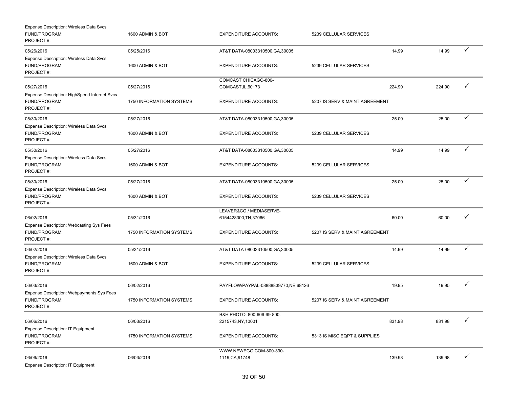| Expense Description: Wireless Data Svcs<br>FUND/PROGRAM:<br>PROJECT#:   | 1600 ADMIN & BOT                | <b>EXPENDITURE ACCOUNTS:</b>                                     | 5239 CELLULAR SERVICES         |        |        |              |
|-------------------------------------------------------------------------|---------------------------------|------------------------------------------------------------------|--------------------------------|--------|--------|--------------|
| 05/26/2016<br>Expense Description: Wireless Data Svcs<br>FUND/PROGRAM:  | 05/25/2016<br>1600 ADMIN & BOT  | AT&T DATA-08003310500, GA, 30005<br><b>EXPENDITURE ACCOUNTS:</b> | 5239 CELLULAR SERVICES         | 14.99  | 14.99  | ✓            |
| PROJECT#:                                                               |                                 |                                                                  |                                |        |        |              |
| 05/27/2016<br>Expense Description: HighSpeed Internet Svcs              | 05/27/2016                      | COMCAST CHICAGO-800-<br>COMCAST, IL, 60173                       |                                | 224.90 | 224.90 |              |
| FUND/PROGRAM:<br>PROJECT#:                                              | <b>1750 INFORMATION SYSTEMS</b> | <b>EXPENDITURE ACCOUNTS:</b>                                     | 5207 IS SERV & MAINT AGREEMENT |        |        |              |
| 05/30/2016<br>Expense Description: Wireless Data Svcs                   | 05/27/2016                      | AT&T DATA-08003310500, GA, 30005                                 |                                | 25.00  | 25.00  | $\checkmark$ |
| FUND/PROGRAM:<br>PROJECT#:                                              | 1600 ADMIN & BOT                | <b>EXPENDITURE ACCOUNTS:</b>                                     | 5239 CELLULAR SERVICES         |        |        |              |
| 05/30/2016                                                              | 05/27/2016                      | AT&T DATA-08003310500, GA, 30005                                 |                                | 14.99  | 14.99  | ✓            |
| Expense Description: Wireless Data Svcs<br>FUND/PROGRAM:<br>PROJECT#:   | 1600 ADMIN & BOT                | <b>EXPENDITURE ACCOUNTS:</b>                                     | 5239 CELLULAR SERVICES         |        |        |              |
| 05/30/2016                                                              | 05/27/2016                      | AT&T DATA-08003310500, GA, 30005                                 |                                | 25.00  | 25.00  | $\checkmark$ |
| Expense Description: Wireless Data Svcs<br>FUND/PROGRAM:<br>PROJECT#:   | 1600 ADMIN & BOT                | <b>EXPENDITURE ACCOUNTS:</b>                                     | 5239 CELLULAR SERVICES         |        |        |              |
| 06/02/2016                                                              | 05/31/2016                      | LEAVER&CO / MEDIASERVE-<br>6154428300, TN, 37066                 |                                | 60.00  | 60.00  |              |
| Expense Description: Webcasting Sys Fees<br>FUND/PROGRAM:<br>PROJECT#:  | 1750 INFORMATION SYSTEMS        | <b>EXPENDITURE ACCOUNTS:</b>                                     | 5207 IS SERV & MAINT AGREEMENT |        |        |              |
| 06/02/2016                                                              | 05/31/2016                      | AT&T DATA-08003310500, GA, 30005                                 |                                | 14.99  | 14.99  | ✓            |
| Expense Description: Wireless Data Svcs<br>FUND/PROGRAM:<br>PROJECT#:   | 1600 ADMIN & BOT                | <b>EXPENDITURE ACCOUNTS:</b>                                     | 5239 CELLULAR SERVICES         |        |        |              |
| 06/03/2016                                                              | 06/02/2016                      | PAYFLOW/PAYPAL-08888839770, NE, 68126                            |                                | 19.95  | 19.95  |              |
| Expense Description: Webpayments Sys Fees<br>FUND/PROGRAM:<br>PROJECT#: | 1750 INFORMATION SYSTEMS        | <b>EXPENDITURE ACCOUNTS:</b>                                     | 5207 IS SERV & MAINT AGREEMENT |        |        |              |
| 06/06/2016                                                              | 06/03/2016                      | B&H PHOTO, 800-606-69-800-<br>2215743, NY, 10001                 |                                | 831.98 | 831.98 | $\checkmark$ |
| <b>Expense Description: IT Equipment</b><br>FUND/PROGRAM:<br>PROJECT#:  | 1750 INFORMATION SYSTEMS        | <b>EXPENDITURE ACCOUNTS:</b>                                     | 5313 IS MISC EQPT & SUPPLIES   |        |        |              |
| 06/06/2016<br><b>Expense Description: IT Equipment</b>                  | 06/03/2016                      | WWW.NEWEGG.COM-800-390-<br>1119, CA, 91748                       |                                | 139.98 | 139.98 | ✓            |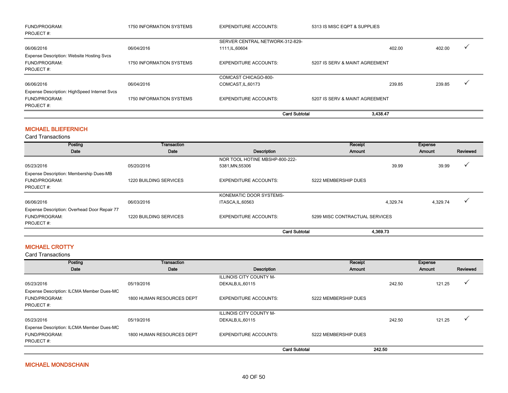| FUND/PROGRAM:                                    | 1750 INFORMATION SYSTEMS | <b>EXPENDITURE ACCOUNTS:</b>    | 5313 IS MISC EQPT & SUPPLIES   |        |        |  |
|--------------------------------------------------|--------------------------|---------------------------------|--------------------------------|--------|--------|--|
| PROJECT#:                                        |                          |                                 |                                |        |        |  |
|                                                  |                          | SERVER CENTRAL NETWORK-312-829- |                                |        |        |  |
| 06/06/2016                                       | 06/04/2016               | 1111, IL, 60604                 |                                | 402.00 | 402.00 |  |
| <b>Expense Description: Website Hosting Svcs</b> |                          |                                 |                                |        |        |  |
| FUND/PROGRAM:                                    | 1750 INFORMATION SYSTEMS | <b>EXPENDITURE ACCOUNTS:</b>    | 5207 IS SERV & MAINT AGREEMENT |        |        |  |
| PROJECT#:                                        |                          |                                 |                                |        |        |  |
|                                                  |                          | COMCAST CHICAGO-800-            |                                |        |        |  |
| 06/06/2016                                       | 06/04/2016               | COMCAST, IL, 60173              |                                | 239.85 | 239.85 |  |
| Expense Description: HighSpeed Internet Svcs     |                          |                                 |                                |        |        |  |
| FUND/PROGRAM:                                    | 1750 INFORMATION SYSTEMS | <b>EXPENDITURE ACCOUNTS:</b>    | 5207 IS SERV & MAINT AGREEMENT |        |        |  |
| PROJECT#:                                        |                          |                                 |                                |        |        |  |
|                                                  |                          | <b>Card Subtotal</b>            | 3.438.47                       |        |        |  |

## MICHAEL BLIEFERNICH

Card Transactions

| Posting                                      | Transaction            |                                | Receipt                        |          | <b>Expense</b> |          |
|----------------------------------------------|------------------------|--------------------------------|--------------------------------|----------|----------------|----------|
| Date                                         | Date                   | Description                    | Amount                         |          | Amount         | Reviewed |
|                                              |                        | NOR TOOL HOTINE MBSHP-800-222- |                                |          |                |          |
| 05/23/2016                                   | 05/20/2016             | 5381, MN, 55306                |                                | 39.99    | 39.99          |          |
| Expense Description: Membership Dues-MB      |                        |                                |                                |          |                |          |
| FUND/PROGRAM:                                | 1220 BUILDING SERVICES | <b>EXPENDITURE ACCOUNTS:</b>   | 5222 MEMBERSHIP DUES           |          |                |          |
| PROJECT#:                                    |                        |                                |                                |          |                |          |
|                                              |                        | KONEMATIC DOOR SYSTEMS-        |                                |          |                |          |
| 06/06/2016                                   | 06/03/2016             | ITASCA, IL, 60563              |                                | 4,329.74 | 4,329.74       |          |
| Expense Description: Overhead Door Repair 77 |                        |                                |                                |          |                |          |
| FUND/PROGRAM:                                | 1220 BUILDING SERVICES | <b>EXPENDITURE ACCOUNTS:</b>   | 5299 MISC CONTRACTUAL SERVICES |          |                |          |
| PROJECT#:                                    |                        |                                |                                |          |                |          |
|                                              |                        | <b>Card Subtotal</b>           |                                | 4.369.73 |                |          |

# MICHAEL CROTTY

| Posting                                   | Transaction               |                                | Receipt              |        | Expense |          |
|-------------------------------------------|---------------------------|--------------------------------|----------------------|--------|---------|----------|
| Date                                      | Date                      | Description                    | <b>Amount</b>        |        | Amount  | Reviewed |
|                                           |                           | <b>ILLINOIS CITY COUNTY M-</b> |                      |        |         |          |
| 05/23/2016                                | 05/19/2016                | DEKALB, IL, 60115              |                      | 242.50 | 121.25  |          |
| Expense Description: ILCMA Member Dues-MC |                           |                                |                      |        |         |          |
| FUND/PROGRAM:                             | 1800 HUMAN RESOURCES DEPT | <b>EXPENDITURE ACCOUNTS:</b>   | 5222 MEMBERSHIP DUES |        |         |          |
| PROJECT#:                                 |                           |                                |                      |        |         |          |
|                                           |                           | ILLINOIS CITY COUNTY M-        |                      |        |         |          |
| 05/23/2016                                | 05/19/2016                | DEKALB, IL, 60115              |                      | 242.50 | 121.25  |          |
| Expense Description: ILCMA Member Dues-MC |                           |                                |                      |        |         |          |
| FUND/PROGRAM:                             | 1800 HUMAN RESOURCES DEPT | <b>EXPENDITURE ACCOUNTS:</b>   | 5222 MEMBERSHIP DUES |        |         |          |
| PROJECT#:                                 |                           |                                |                      |        |         |          |
|                                           |                           | <b>Card Subtotal</b>           |                      | 242.50 |         |          |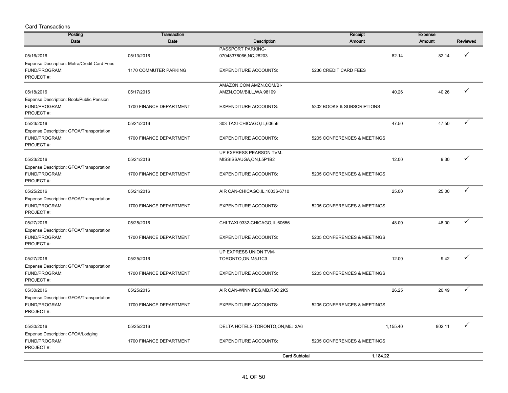| <b>Posting</b>                                               | Transaction             |                                             | Receipt                     | <b>Expense</b>     |          |
|--------------------------------------------------------------|-------------------------|---------------------------------------------|-----------------------------|--------------------|----------|
| Date                                                         | Date                    | <b>Description</b>                          | Amount                      | <b>Amount</b>      | Reviewed |
| 05/16/2016                                                   | 05/13/2016              | PASSPORT PARKING-<br>07048378066, NC, 28203 |                             | 82.14<br>82.14     | ✓        |
|                                                              |                         |                                             |                             |                    |          |
| Expense Description: Metra/Credit Card Fees<br>FUND/PROGRAM: | 1170 COMMUTER PARKING   | <b>EXPENDITURE ACCOUNTS:</b>                | 5236 CREDIT CARD FEES       |                    |          |
| PROJECT#:                                                    |                         |                                             |                             |                    |          |
|                                                              |                         | AMAZON.COM AMZN.COM/BI-                     |                             |                    |          |
| 05/18/2016                                                   | 05/17/2016              | AMZN.COM/BILL, WA, 98109                    |                             | 40.26<br>40.26     | ✓        |
| Expense Description: Book/Public Pension                     |                         |                                             |                             |                    |          |
| FUND/PROGRAM:                                                | 1700 FINANCE DEPARTMENT | <b>EXPENDITURE ACCOUNTS:</b>                | 5302 BOOKS & SUBSCRIPTIONS  |                    |          |
| PROJECT#:                                                    |                         |                                             |                             |                    |          |
| 05/23/2016                                                   | 05/21/2016              | 303 TAXI-CHICAGO, IL, 60656                 |                             | 47.50<br>47.50     | ✓        |
| Expense Description: GFOA/Transportation                     |                         |                                             |                             |                    |          |
| FUND/PROGRAM:                                                | 1700 FINANCE DEPARTMENT | <b>EXPENDITURE ACCOUNTS:</b>                | 5205 CONFERENCES & MEETINGS |                    |          |
| PROJECT#:                                                    |                         |                                             |                             |                    |          |
|                                                              |                         | UP EXPRESS PEARSON TVM-                     |                             |                    |          |
| 05/23/2016                                                   | 05/21/2016              | MISSISSAUGA, ON, L5P1B2                     |                             | 12.00<br>9.30      | ✓        |
| Expense Description: GFOA/Transportation                     |                         |                                             |                             |                    |          |
| FUND/PROGRAM:                                                | 1700 FINANCE DEPARTMENT | <b>EXPENDITURE ACCOUNTS:</b>                | 5205 CONFERENCES & MEETINGS |                    |          |
| PROJECT#:                                                    |                         |                                             |                             |                    |          |
| 05/25/2016                                                   | 05/21/2016              | AIR CAN-CHICAGO, IL, 10036-6710             |                             | 25.00<br>25.00     | ✓        |
| Expense Description: GFOA/Transportation                     |                         |                                             |                             |                    |          |
| FUND/PROGRAM:                                                | 1700 FINANCE DEPARTMENT | <b>EXPENDITURE ACCOUNTS:</b>                | 5205 CONFERENCES & MEETINGS |                    |          |
| PROJECT#:                                                    |                         |                                             |                             |                    |          |
| 05/27/2016                                                   | 05/25/2016              | CHI TAXI 9332-CHICAGO, IL, 60656            |                             | 48.00<br>48.00     | ✓        |
| Expense Description: GFOA/Transportation                     |                         |                                             |                             |                    |          |
| FUND/PROGRAM:                                                | 1700 FINANCE DEPARTMENT | <b>EXPENDITURE ACCOUNTS:</b>                | 5205 CONFERENCES & MEETINGS |                    |          |
| PROJECT#:                                                    |                         |                                             |                             |                    |          |
|                                                              |                         | UP EXPRESS UNION TVM-                       |                             |                    |          |
| 05/27/2016                                                   | 05/25/2016              | TORONTO, ON, M5J1C3                         |                             | 9.42<br>12.00      |          |
| Expense Description: GFOA/Transportation                     |                         |                                             |                             |                    |          |
| FUND/PROGRAM:                                                | 1700 FINANCE DEPARTMENT | <b>EXPENDITURE ACCOUNTS:</b>                | 5205 CONFERENCES & MEETINGS |                    |          |
| PROJECT#:                                                    |                         |                                             |                             |                    |          |
| 05/30/2016                                                   | 05/25/2016              | AIR CAN-WINNIPEG, MB, R3C 2K5               |                             | 20.49<br>26.25     | ✓        |
| Expense Description: GFOA/Transportation                     |                         |                                             |                             |                    |          |
| FUND/PROGRAM:                                                | 1700 FINANCE DEPARTMENT | <b>EXPENDITURE ACCOUNTS:</b>                | 5205 CONFERENCES & MEETINGS |                    |          |
| PROJECT#:                                                    |                         |                                             |                             |                    |          |
| 05/30/2016                                                   | 05/25/2016              | DELTA HOTELS-TORONTO, ON, M5J 3A6           |                             | 902.11<br>1,155.40 | ✓        |
| Expense Description: GFOA/Lodging                            |                         |                                             |                             |                    |          |
| FUND/PROGRAM:                                                | 1700 FINANCE DEPARTMENT | <b>EXPENDITURE ACCOUNTS:</b>                | 5205 CONFERENCES & MEETINGS |                    |          |
| PROJECT#:                                                    |                         |                                             |                             |                    |          |
|                                                              |                         | <b>Card Subtotal</b>                        | 1,184.22                    |                    |          |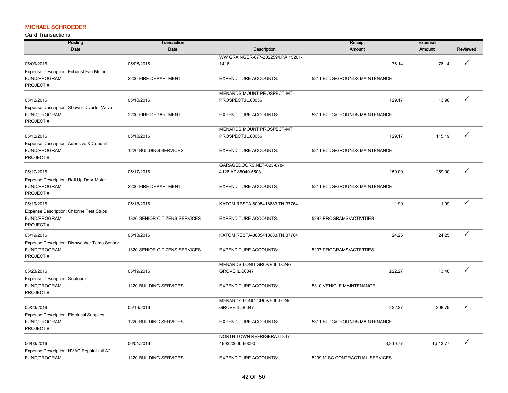## MICHAEL SCHROEDER

| Posting                                         | <b>Transaction</b>            |                                     | Receipt                        | <b>Expense</b> |          |
|-------------------------------------------------|-------------------------------|-------------------------------------|--------------------------------|----------------|----------|
| Date                                            | Date                          | Description                         | Amount                         | Amount         | Reviewed |
|                                                 |                               | WW GRAINGER-877-2022594, PA, 15201- |                                |                |          |
| 05/09/2016                                      | 05/06/2016                    | 1416                                | 76.14                          | 76.14          |          |
| Expense Description: Exhaust Fan Motor          |                               |                                     |                                |                |          |
| FUND/PROGRAM:                                   | 2200 FIRE DEPARTMENT          | <b>EXPENDITURE ACCOUNTS:</b>        | 5311 BLDG/GROUNDS MAINTENANCE  |                |          |
| PROJECT#:                                       |                               |                                     |                                |                |          |
|                                                 |                               | MENARDS MOUNT PROSPECT-MT           |                                |                |          |
| 05/12/2016                                      | 05/10/2016                    | PROSPECT, IL, 60056                 | 129.17                         | 13.98          | ✓        |
| Expense Description: Shower Diverter Valve      |                               |                                     |                                |                |          |
| FUND/PROGRAM:                                   | 2200 FIRE DEPARTMENT          | <b>EXPENDITURE ACCOUNTS:</b>        | 5311 BLDG/GROUNDS MAINTENANCE  |                |          |
| PROJECT#:                                       |                               |                                     |                                |                |          |
|                                                 |                               | MENARDS MOUNT PROSPECT-MT           |                                |                |          |
| 05/12/2016                                      | 05/10/2016                    | PROSPECT, IL, 60056                 | 129.17                         | 115.19         | ✓        |
| Expense Description: Adhesive & Conduit         |                               |                                     |                                |                |          |
| FUND/PROGRAM:                                   | 1220 BUILDING SERVICES        | <b>EXPENDITURE ACCOUNTS:</b>        | 5311 BLDG/GROUNDS MAINTENANCE  |                |          |
| PROJECT#:                                       |                               |                                     |                                |                |          |
|                                                 |                               | GARAGEDOORS.NET-623-878-            |                                |                |          |
| 05/17/2016                                      | 05/17/2016                    | 4128, AZ, 85040-5503                | 259.00                         | 259.00         | ✓        |
| Expense Description: Roll Up Door Motor         |                               |                                     |                                |                |          |
| FUND/PROGRAM:                                   | 2200 FIRE DEPARTMENT          | <b>EXPENDITURE ACCOUNTS:</b>        | 5311 BLDG/GROUNDS MAINTENANCE  |                |          |
| PROJECT#:                                       |                               |                                     |                                |                |          |
|                                                 |                               |                                     |                                |                | ✓        |
| 05/19/2016                                      | 05/18/2016                    | KATOM RESTA-8005418683, TN, 37764   | 1.99                           | 1.99           |          |
| Expense Description: Chlorine Test Strips       |                               |                                     |                                |                |          |
| FUND/PROGRAM:                                   | 1320 SENIOR CITIZENS SERVICES | <b>EXPENDITURE ACCOUNTS:</b>        | 5297 PROGRAMS/ACTIVITIES       |                |          |
| PROJECT#:                                       |                               |                                     |                                |                |          |
| 05/19/2016                                      | 05/18/2016                    | KATOM RESTA-8005418683, TN, 37764   | 24.25                          | 24.25          | ✓        |
| Expense Description: Dishwasher Temp Sensor     |                               |                                     |                                |                |          |
| FUND/PROGRAM:                                   | 1320 SENIOR CITIZENS SERVICES | <b>EXPENDITURE ACCOUNTS:</b>        | 5297 PROGRAMS/ACTIVITIES       |                |          |
| PROJECT#:                                       |                               |                                     |                                |                |          |
|                                                 |                               | MENARDS LONG GROVE IL-LONG          |                                |                |          |
| 05/23/2016                                      | 05/19/2016                    | GROVE, IL, 60047                    | 222.27                         | 13.48          | ✓        |
| Expense Description: Seafoam                    |                               |                                     |                                |                |          |
| FUND/PROGRAM:                                   | 1220 BUILDING SERVICES        | <b>EXPENDITURE ACCOUNTS:</b>        | 5310 VEHICLE MAINTENANCE       |                |          |
| PROJECT#:                                       |                               |                                     |                                |                |          |
|                                                 |                               | MENARDS LONG GROVE IL-LONG          |                                |                |          |
| 05/23/2016                                      | 05/19/2016                    | GROVE, IL, 60047                    | 222.27                         | 208.79         |          |
| <b>Expense Description: Electrical Supplies</b> |                               |                                     |                                |                |          |
| FUND/PROGRAM:                                   | 1220 BUILDING SERVICES        | <b>EXPENDITURE ACCOUNTS:</b>        | 5311 BLDG/GROUNDS MAINTENANCE  |                |          |
| PROJECT#:                                       |                               |                                     |                                |                |          |
|                                                 |                               | NORTH TOWN REFRIGERATI-847-         |                                |                |          |
| 06/03/2016                                      | 06/01/2016                    | 4993200, IL, 60090                  | 3,210.77                       | 1,513.77       | ✓        |
| Expense Description: HVAC Repair-Unit A2        |                               |                                     |                                |                |          |
| FUND/PROGRAM:                                   | 1220 BUILDING SERVICES        | <b>EXPENDITURE ACCOUNTS:</b>        | 5299 MISC CONTRACTUAL SERVICES |                |          |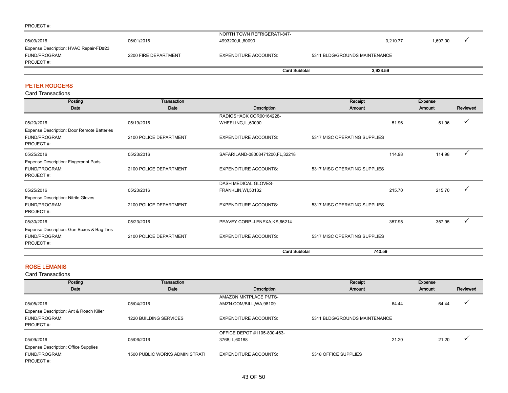#### PROJECT #:

|                                        |                      | <b>Card Subtotal</b>        | 3.923.59                      |          |          |  |
|----------------------------------------|----------------------|-----------------------------|-------------------------------|----------|----------|--|
| PROJECT#:                              |                      |                             |                               |          |          |  |
| FUND/PROGRAM:                          | 2200 FIRE DEPARTMENT | EXPENDITURE ACCOUNTS:       | 5311 BLDG/GROUNDS MAINTENANCE |          |          |  |
| Expense Description: HVAC Repair-FD#23 |                      |                             |                               |          |          |  |
| 06/03/2016                             | 06/01/2016           | 4993200, IL, 60090          |                               | 3,210.77 | 1,697.00 |  |
|                                        |                      | NORTH TOWN REFRIGERATI-847- |                               |          |          |  |

### PETER RODGERS

Card Transactions

| Posting                                    | Transaction            |                                 | Receipt                      |        | <b>Expense</b> |              |
|--------------------------------------------|------------------------|---------------------------------|------------------------------|--------|----------------|--------------|
| Date                                       | Date                   | Description                     | Amount                       |        | Amount         | Reviewed     |
|                                            |                        | RADIOSHACK COR00164228-         |                              |        |                |              |
| 05/20/2016                                 | 05/19/2016             | WHEELING, IL, 60090             |                              | 51.96  | 51.96          |              |
| Expense Description: Door Remote Batteries |                        |                                 |                              |        |                |              |
| FUND/PROGRAM:                              | 2100 POLICE DEPARTMENT | <b>EXPENDITURE ACCOUNTS:</b>    | 5317 MISC OPERATING SUPPLIES |        |                |              |
| PROJECT#:                                  |                        |                                 |                              |        |                |              |
| 05/25/2016                                 | 05/23/2016             | SAFARILAND-08003471200,FL,32218 |                              | 114.98 | 114.98         | ✓            |
| Expense Description: Fingerprint Pads      |                        |                                 |                              |        |                |              |
| FUND/PROGRAM:                              | 2100 POLICE DEPARTMENT | <b>EXPENDITURE ACCOUNTS:</b>    | 5317 MISC OPERATING SUPPLIES |        |                |              |
| PROJECT#:                                  |                        |                                 |                              |        |                |              |
|                                            |                        | DASH MEDICAL GLOVES-            |                              |        |                |              |
| 05/25/2016                                 | 05/23/2016             | FRANKLIN, WI, 53132             |                              | 215.70 | 215.70         |              |
| <b>Expense Description: Nitrile Gloves</b> |                        |                                 |                              |        |                |              |
| FUND/PROGRAM:                              | 2100 POLICE DEPARTMENT | <b>EXPENDITURE ACCOUNTS:</b>    | 5317 MISC OPERATING SUPPLIES |        |                |              |
| PROJECT#:                                  |                        |                                 |                              |        |                |              |
| 05/30/2016                                 | 05/23/2016             | PEAVEY CORP.-LENEXA, KS, 66214  |                              | 357.95 | 357.95         | $\checkmark$ |
| Expense Description: Gun Boxes & Bag Ties  |                        |                                 |                              |        |                |              |
| FUND/PROGRAM:                              | 2100 POLICE DEPARTMENT | <b>EXPENDITURE ACCOUNTS:</b>    | 5317 MISC OPERATING SUPPLIES |        |                |              |
| PROJECT#:                                  |                        |                                 |                              |        |                |              |
|                                            |                        | <b>Card Subtotal</b>            | 740.59                       |        |                |              |

#### ROSE LEMANIS

| Posting                                                               | Transaction                    |                              | Receipt                       |       | <b>Expense</b> |                |
|-----------------------------------------------------------------------|--------------------------------|------------------------------|-------------------------------|-------|----------------|----------------|
| Date                                                                  | Date                           | Description                  | Amount                        |       | Amount         | Reviewed       |
|                                                                       |                                | <b>AMAZON MKTPLACE PMTS-</b> |                               |       |                |                |
| 05/05/2016                                                            | 05/04/2016                     | AMZN.COM/BILL, WA, 98109     |                               | 64.44 | 64.44          | $\overline{ }$ |
| Expense Description: Ant & Roach Killer<br>FUND/PROGRAM:<br>PROJECT#: | 1220 BUILDING SERVICES         | <b>EXPENDITURE ACCOUNTS:</b> | 5311 BLDG/GROUNDS MAINTENANCE |       |                |                |
|                                                                       |                                | OFFICE DEPOT #1105-800-463-  |                               |       |                |                |
| 05/09/2016                                                            | 05/06/2016                     | 3768, IL, 60188              |                               | 21.20 | 21.20          | $\mathbf{v}$   |
| <b>Expense Description: Office Supplies</b>                           |                                |                              |                               |       |                |                |
| FUND/PROGRAM:<br>PROJECT#:                                            | 1500 PUBLIC WORKS ADMINISTRATI | <b>EXPENDITURE ACCOUNTS:</b> | 5318 OFFICE SUPPLIES          |       |                |                |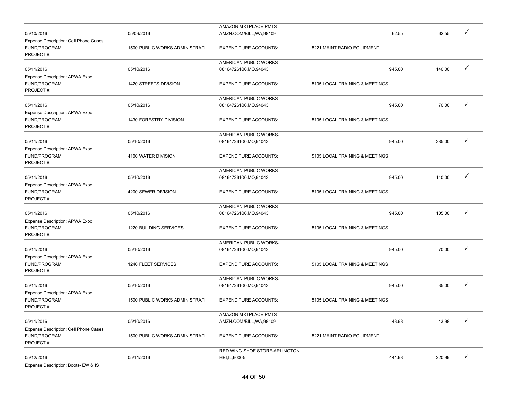|                                                                            |                                       | AMAZON MKTPLACE PMTS-         |                                |        |   |
|----------------------------------------------------------------------------|---------------------------------------|-------------------------------|--------------------------------|--------|---|
| 05/10/2016                                                                 | 05/09/2016                            | AMZN.COM/BILL, WA, 98109      | 62.55                          | 62.55  |   |
| Expense Description: Cell Phone Cases<br>FUND/PROGRAM:<br>PROJECT#:        | 1500 PUBLIC WORKS ADMINISTRATI        | <b>EXPENDITURE ACCOUNTS:</b>  | 5221 MAINT RADIO EQUIPMENT     |        |   |
|                                                                            |                                       | AMERICAN PUBLIC WORKS-        |                                |        |   |
| 05/11/2016                                                                 | 05/10/2016                            | 08164726100, MO, 94043        | 945.00                         | 140.00 | ✓ |
| Expense Description: APWA Expo<br>FUND/PROGRAM:<br>PROJECT#:               | 1420 STREETS DIVISION                 | <b>EXPENDITURE ACCOUNTS:</b>  | 5105 LOCAL TRAINING & MEETINGS |        |   |
|                                                                            |                                       | AMERICAN PUBLIC WORKS-        |                                |        |   |
| 05/11/2016                                                                 | 05/10/2016                            | 08164726100, MO, 94043        | 945.00                         | 70.00  | ✓ |
| Expense Description: APWA Expo<br>FUND/PROGRAM:<br>PROJECT#:               | 1430 FORESTRY DIVISION                | <b>EXPENDITURE ACCOUNTS:</b>  | 5105 LOCAL TRAINING & MEETINGS |        |   |
|                                                                            |                                       | AMERICAN PUBLIC WORKS-        |                                |        |   |
| 05/11/2016                                                                 | 05/10/2016                            | 08164726100, MO, 94043        | 945.00                         | 385.00 | ✓ |
| Expense Description: APWA Expo<br>FUND/PROGRAM:<br>PROJECT#:               | 4100 WATER DIVISION                   | <b>EXPENDITURE ACCOUNTS:</b>  | 5105 LOCAL TRAINING & MEETINGS |        |   |
|                                                                            |                                       | AMERICAN PUBLIC WORKS-        |                                |        |   |
| 05/11/2016                                                                 | 05/10/2016                            | 08164726100, MO, 94043        | 945.00                         | 140.00 | ✓ |
| Expense Description: APWA Expo<br>FUND/PROGRAM:<br>PROJECT#:               | 4200 SEWER DIVISION                   | <b>EXPENDITURE ACCOUNTS:</b>  | 5105 LOCAL TRAINING & MEETINGS |        |   |
|                                                                            |                                       | AMERICAN PUBLIC WORKS-        |                                |        |   |
| 05/11/2016                                                                 | 05/10/2016                            | 08164726100, MO, 94043        | 945.00                         | 105.00 |   |
| Expense Description: APWA Expo<br>FUND/PROGRAM:<br>PROJECT#:               | 1220 BUILDING SERVICES                | <b>EXPENDITURE ACCOUNTS:</b>  | 5105 LOCAL TRAINING & MEETINGS |        |   |
|                                                                            |                                       | AMERICAN PUBLIC WORKS-        |                                |        |   |
| 05/11/2016                                                                 | 05/10/2016                            | 08164726100, MO, 94043        | 945.00                         | 70.00  | ✓ |
| Expense Description: APWA Expo<br>FUND/PROGRAM:<br>PROJECT#:               | 1240 FLEET SERVICES                   | <b>EXPENDITURE ACCOUNTS:</b>  | 5105 LOCAL TRAINING & MEETINGS |        |   |
|                                                                            |                                       | AMERICAN PUBLIC WORKS-        |                                |        |   |
| 05/11/2016                                                                 | 05/10/2016                            | 08164726100, MO, 94043        | 945.00                         | 35.00  |   |
| Expense Description: APWA Expo<br>FUND/PROGRAM:<br>PROJECT#:               | <b>1500 PUBLIC WORKS ADMINISTRATI</b> | <b>EXPENDITURE ACCOUNTS:</b>  | 5105 LOCAL TRAINING & MEETINGS |        |   |
|                                                                            |                                       | AMAZON MKTPLACE PMTS-         |                                |        |   |
| 05/11/2016                                                                 | 05/10/2016                            | AMZN.COM/BILL, WA, 98109      | 43.98                          | 43.98  |   |
| <b>Expense Description: Cell Phone Cases</b><br>FUND/PROGRAM:<br>PROJECT#: | <b>1500 PUBLIC WORKS ADMINISTRATI</b> | <b>EXPENDITURE ACCOUNTS:</b>  | 5221 MAINT RADIO EQUIPMENT     |        |   |
|                                                                            |                                       | RED WING SHOE STORE-ARLINGTON |                                |        |   |
| 05/12/2016<br>Expense Description: Boots- EW & IS                          | 05/11/2016                            | HEI, IL, 60005                | 441.98                         | 220.99 | ✓ |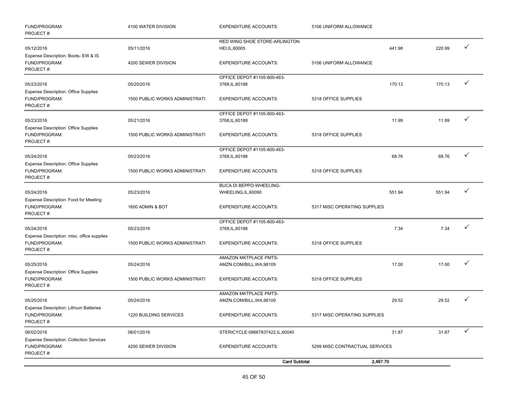| FUND/PROGRAM:<br>PROJECT#:                                                    | 4100 WATER DIVISION            | <b>EXPENDITURE ACCOUNTS:</b>                    | 5106 UNIFORM ALLOWANCE         |        |              |
|-------------------------------------------------------------------------------|--------------------------------|-------------------------------------------------|--------------------------------|--------|--------------|
| 05/12/2016                                                                    | 05/11/2016                     | RED WING SHOE STORE-ARLINGTON<br>HEI, IL, 60005 | 441.98                         | 220.99 | ✓            |
| Expense Description: Boots- EW & IS<br>FUND/PROGRAM:<br>PROJECT#:             | 4200 SEWER DIVISION            | <b>EXPENDITURE ACCOUNTS:</b>                    | 5106 UNIFORM ALLOWANCE         |        |              |
| 05/23/2016                                                                    | 05/20/2016                     | OFFICE DEPOT #1105-800-463-<br>3768, IL, 60188  | 170.13                         | 170.13 | $\checkmark$ |
| <b>Expense Description: Office Supplies</b>                                   |                                |                                                 |                                |        |              |
| FUND/PROGRAM:<br>PROJECT#:                                                    | 1500 PUBLIC WORKS ADMINISTRATI | <b>EXPENDITURE ACCOUNTS:</b>                    | 5318 OFFICE SUPPLIES           |        |              |
| 05/23/2016                                                                    | 05/21/2016                     | OFFICE DEPOT #1105-800-463-<br>3768, IL, 60188  | 11.99                          | 11.99  | $\checkmark$ |
| <b>Expense Description: Office Supplies</b><br>FUND/PROGRAM:<br>PROJECT#:     | 1500 PUBLIC WORKS ADMINISTRATI | <b>EXPENDITURE ACCOUNTS:</b>                    | 5318 OFFICE SUPPLIES           |        |              |
|                                                                               |                                | OFFICE DEPOT #1105-800-463-                     |                                |        |              |
| 05/24/2016                                                                    | 05/23/2016                     | 3768, IL, 60188                                 | 68.76                          | 68.76  | ✓            |
| <b>Expense Description: Office Supplies</b><br>FUND/PROGRAM:<br>PROJECT#:     | 1500 PUBLIC WORKS ADMINISTRATI | <b>EXPENDITURE ACCOUNTS:</b>                    | 5318 OFFICE SUPPLIES           |        |              |
| 05/24/2016                                                                    | 05/23/2016                     | BUCA DI BEPPO-WHEELING-<br>WHEELING, IL, 60090  | 551.94                         | 551.94 | ✓            |
| Expense Description: Food for Meeting<br>FUND/PROGRAM:<br>PROJECT#:           | 1600 ADMIN & BOT               | <b>EXPENDITURE ACCOUNTS:</b>                    | 5317 MISC OPERATING SUPPLIES   |        |              |
|                                                                               |                                | OFFICE DEPOT #1105-800-463-                     |                                |        |              |
| 05/24/2016<br>Expense Description: misc. office supplies                      | 05/23/2016                     | 3768, IL, 60188                                 | 7.34                           | 7.34   |              |
| FUND/PROGRAM:<br>PROJECT#:                                                    | 1500 PUBLIC WORKS ADMINISTRATI | <b>EXPENDITURE ACCOUNTS:</b>                    | 5318 OFFICE SUPPLIES           |        |              |
|                                                                               |                                | AMAZON MKTPLACE PMTS-                           |                                |        |              |
| 05/25/2016                                                                    | 05/24/2016                     | AMZN.COM/BILL, WA, 98109                        | 17.00                          | 17.00  | $\checkmark$ |
| <b>Expense Description: Office Supplies</b><br>FUND/PROGRAM:<br>PROJECT#:     | 1500 PUBLIC WORKS ADMINISTRATI | <b>EXPENDITURE ACCOUNTS:</b>                    | 5318 OFFICE SUPPLIES           |        |              |
|                                                                               |                                | AMAZON MKTPLACE PMTS-                           |                                |        |              |
| 05/25/2016                                                                    | 05/24/2016                     | AMZN.COM/BILL, WA, 98109                        | 29.52                          | 29.52  | ✓            |
| <b>Expense Description: Lithium Batteries</b><br>FUND/PROGRAM:<br>PROJECT#:   | 1220 BUILDING SERVICES         | <b>EXPENDITURE ACCOUNTS:</b>                    | 5317 MISC OPERATING SUPPLIES   |        |              |
| 06/02/2016                                                                    | 06/01/2016                     | STERICYCLE-08667837422,IL,60045                 | 31.87                          | 31.87  | $\checkmark$ |
| <b>Expense Description: Collection Services</b><br>FUND/PROGRAM:<br>PROJECT#: | 4200 SEWER DIVISION            | <b>EXPENDITURE ACCOUNTS:</b>                    | 5299 MISC CONTRACTUAL SERVICES |        |              |
|                                                                               |                                | <b>Card Subtotal</b>                            | 2,467.70                       |        |              |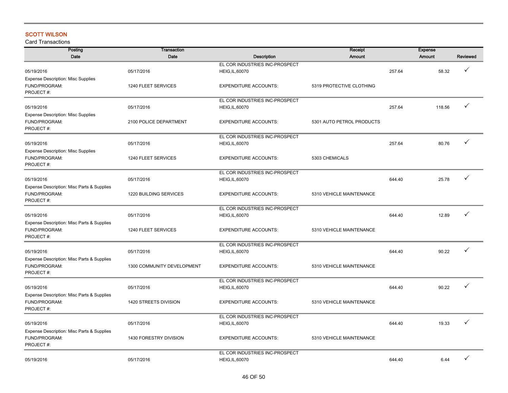# SCOTT WILSON

| Posting                                                    | <b>Transaction</b>           |                                | Receipt                   |        | <b>Expense</b> |              |
|------------------------------------------------------------|------------------------------|--------------------------------|---------------------------|--------|----------------|--------------|
| Date                                                       | Date                         | Description                    | <b>Amount</b>             |        | <b>Amount</b>  | Reviewed     |
|                                                            |                              | EL COR INDUSTRIES INC-PROSPECT |                           |        |                |              |
| 05/19/2016                                                 | 05/17/2016                   | HEIG, IL, 60070                |                           | 257.64 | 58.32          | $\checkmark$ |
| <b>Expense Description: Misc Supplies</b>                  |                              |                                |                           |        |                |              |
| FUND/PROGRAM:                                              | 1240 FLEET SERVICES          | <b>EXPENDITURE ACCOUNTS:</b>   | 5319 PROTECTIVE CLOTHING  |        |                |              |
| PROJECT#:                                                  |                              |                                |                           |        |                |              |
|                                                            |                              | EL COR INDUSTRIES INC-PROSPECT |                           |        |                | ✓            |
| 05/19/2016                                                 | 05/17/2016                   | HEIG, IL, 60070                |                           | 257.64 | 118.56         |              |
| <b>Expense Description: Misc Supplies</b>                  |                              |                                |                           |        |                |              |
| FUND/PROGRAM:                                              | 2100 POLICE DEPARTMENT       | <b>EXPENDITURE ACCOUNTS:</b>   | 5301 AUTO PETROL PRODUCTS |        |                |              |
| PROJECT#:                                                  |                              |                                |                           |        |                |              |
|                                                            |                              | EL COR INDUSTRIES INC-PROSPECT |                           |        |                | ✓            |
| 05/19/2016                                                 | 05/17/2016                   | <b>HEIG, IL, 60070</b>         |                           | 257.64 | 80.76          |              |
| <b>Expense Description: Misc Supplies</b><br>FUND/PROGRAM: | 1240 FLEET SERVICES          | <b>EXPENDITURE ACCOUNTS:</b>   | 5303 CHEMICALS            |        |                |              |
| PROJECT#:                                                  |                              |                                |                           |        |                |              |
|                                                            |                              | EL COR INDUSTRIES INC-PROSPECT |                           |        |                |              |
| 05/19/2016                                                 | 05/17/2016                   | HEIG, IL, 60070                |                           | 644.40 | 25.78          | ✓            |
| Expense Description: Misc Parts & Supplies                 |                              |                                |                           |        |                |              |
| FUND/PROGRAM:                                              | 1220 BUILDING SERVICES       | <b>EXPENDITURE ACCOUNTS:</b>   | 5310 VEHICLE MAINTENANCE  |        |                |              |
| PROJECT#:                                                  |                              |                                |                           |        |                |              |
|                                                            |                              | EL COR INDUSTRIES INC-PROSPECT |                           |        |                |              |
| 05/19/2016                                                 | 05/17/2016                   | HEIG, IL, 60070                |                           | 644.40 | 12.89          | ✓            |
| Expense Description: Misc Parts & Supplies                 |                              |                                |                           |        |                |              |
| FUND/PROGRAM:                                              | 1240 FLEET SERVICES          | <b>EXPENDITURE ACCOUNTS:</b>   | 5310 VEHICLE MAINTENANCE  |        |                |              |
| PROJECT#:                                                  |                              |                                |                           |        |                |              |
|                                                            |                              | EL COR INDUSTRIES INC-PROSPECT |                           |        |                |              |
| 05/19/2016                                                 | 05/17/2016                   | <b>HEIG, IL, 60070</b>         |                           | 644.40 | 90.22          | ✓            |
| Expense Description: Misc Parts & Supplies                 |                              |                                |                           |        |                |              |
| FUND/PROGRAM:                                              | 1300 COMMUNITY DEVELOPMENT   | <b>EXPENDITURE ACCOUNTS:</b>   | 5310 VEHICLE MAINTENANCE  |        |                |              |
| PROJECT#:                                                  |                              |                                |                           |        |                |              |
|                                                            |                              | EL COR INDUSTRIES INC-PROSPECT |                           |        |                |              |
| 05/19/2016                                                 | 05/17/2016                   | <b>HEIG, IL, 60070</b>         |                           | 644.40 | 90.22          | ✓            |
| Expense Description: Misc Parts & Supplies                 |                              |                                |                           |        |                |              |
| FUND/PROGRAM:                                              | <b>1420 STREETS DIVISION</b> | <b>EXPENDITURE ACCOUNTS:</b>   | 5310 VEHICLE MAINTENANCE  |        |                |              |
| PROJECT#:                                                  |                              |                                |                           |        |                |              |
|                                                            |                              | EL COR INDUSTRIES INC-PROSPECT |                           |        |                | ✓            |
| 05/19/2016                                                 | 05/17/2016                   | HEIG, IL, 60070                |                           | 644.40 | 19.33          |              |
| Expense Description: Misc Parts & Supplies                 |                              |                                |                           |        |                |              |
| FUND/PROGRAM:<br>PROJECT#:                                 | 1430 FORESTRY DIVISION       | <b>EXPENDITURE ACCOUNTS:</b>   | 5310 VEHICLE MAINTENANCE  |        |                |              |
|                                                            |                              | EL COR INDUSTRIES INC-PROSPECT |                           |        |                |              |
| 05/19/2016                                                 | 05/17/2016                   | HEIG, IL, 60070                |                           | 644.40 | 6.44           | ✓            |
|                                                            |                              |                                |                           |        |                |              |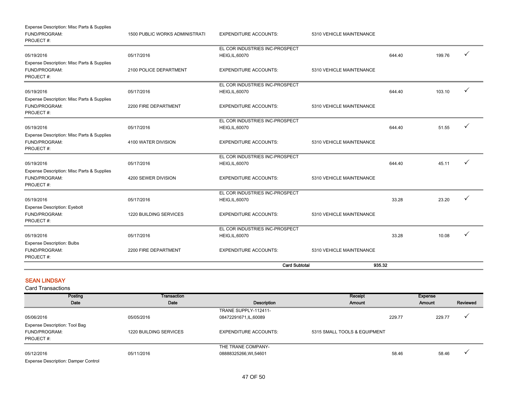|                                                                          |                                | <b>Card Subtotal</b>                                     | 935.32                   |        |        |   |
|--------------------------------------------------------------------------|--------------------------------|----------------------------------------------------------|--------------------------|--------|--------|---|
| <b>Expense Description: Bulbs</b><br>FUND/PROGRAM:<br>PROJECT#:          | 2200 FIRE DEPARTMENT           | <b>EXPENDITURE ACCOUNTS:</b>                             | 5310 VEHICLE MAINTENANCE |        |        |   |
| 05/19/2016                                                               | 05/17/2016                     | EL COR INDUSTRIES INC-PROSPECT<br>HEIG, IL, 60070        |                          | 33.28  | 10.08  | ✓ |
| FUND/PROGRAM:<br>PROJECT#:                                               | 1220 BUILDING SERVICES         | <b>EXPENDITURE ACCOUNTS:</b>                             | 5310 VEHICLE MAINTENANCE |        |        |   |
| 05/19/2016<br><b>Expense Description: Eyebolt</b>                        | 05/17/2016                     | EL COR INDUSTRIES INC-PROSPECT<br><b>HEIG, IL, 60070</b> |                          | 33.28  | 23.20  |   |
| Expense Description: Misc Parts & Supplies<br>FUND/PROGRAM:<br>PROJECT#: | 4200 SEWER DIVISION            | <b>EXPENDITURE ACCOUNTS:</b>                             | 5310 VEHICLE MAINTENANCE |        |        |   |
| 05/19/2016                                                               | 05/17/2016                     | EL COR INDUSTRIES INC-PROSPECT<br><b>HEIG, IL, 60070</b> |                          | 644.40 | 45.11  |   |
| Expense Description: Misc Parts & Supplies<br>FUND/PROGRAM:<br>PROJECT#: | 4100 WATER DIVISION            | <b>EXPENDITURE ACCOUNTS:</b>                             | 5310 VEHICLE MAINTENANCE |        |        |   |
| 05/19/2016                                                               | 05/17/2016                     | EL COR INDUSTRIES INC-PROSPECT<br><b>HEIG, IL, 60070</b> |                          | 644.40 | 51.55  |   |
| Expense Description: Misc Parts & Supplies<br>FUND/PROGRAM:<br>PROJECT#: | 2200 FIRE DEPARTMENT           | <b>EXPENDITURE ACCOUNTS:</b>                             | 5310 VEHICLE MAINTENANCE |        |        |   |
| 05/19/2016                                                               | 05/17/2016                     | EL COR INDUSTRIES INC-PROSPECT<br><b>HEIG, IL, 60070</b> |                          | 644.40 | 103.10 |   |
| Expense Description: Misc Parts & Supplies<br>FUND/PROGRAM:<br>PROJECT#: | 2100 POLICE DEPARTMENT         | <b>EXPENDITURE ACCOUNTS:</b>                             | 5310 VEHICLE MAINTENANCE |        |        |   |
| 05/19/2016                                                               | 05/17/2016                     | EL COR INDUSTRIES INC-PROSPECT<br><b>HEIG, IL, 60070</b> |                          | 644.40 | 199.76 | ✓ |
| Expense Description: Misc Parts & Supplies<br>FUND/PROGRAM:<br>PROJECT#: | 1500 PUBLIC WORKS ADMINISTRATI | <b>EXPENDITURE ACCOUNTS:</b>                             | 5310 VEHICLE MAINTENANCE |        |        |   |

## SEAN LINDSAY

Card Transactions

| Posting                              | Transaction            |                              | Receipt                      | Expense |          |
|--------------------------------------|------------------------|------------------------------|------------------------------|---------|----------|
| Date                                 | Date                   | Description                  | Amount                       | Amount  | Reviewed |
|                                      |                        | TRANE SUPPLY-112411-         |                              |         |          |
| 05/06/2016                           | 05/05/2016             | 08472291671,IL,60089         | 229.77                       | 229.77  |          |
| Expense Description: Tool Bag        |                        |                              |                              |         |          |
| FUND/PROGRAM:                        | 1220 BUILDING SERVICES | <b>EXPENDITURE ACCOUNTS:</b> | 5315 SMALL TOOLS & EQUIPMENT |         |          |
| PROJECT#:                            |                        |                              |                              |         |          |
|                                      |                        | THE TRANE COMPANY-           |                              |         |          |
| 05/12/2016                           | 05/11/2016             | 08888325266, WI, 54601       | 58.46                        | 58.46   |          |
| Fundador Boundations Bournon Ocatrol |                        |                              |                              |         |          |

Expense Description: Damper Control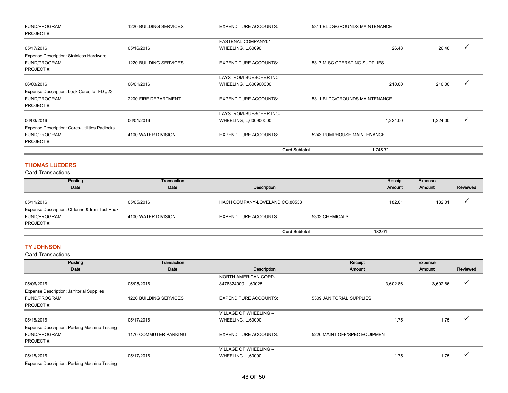| FUND/PROGRAM:                                        | <b>1220 BUILDING SERVICES</b> | <b>EXPENDITURE ACCOUNTS:</b> | 5311 BLDG/GROUNDS MAINTENANCE |          |   |
|------------------------------------------------------|-------------------------------|------------------------------|-------------------------------|----------|---|
| PROJECT#:                                            |                               |                              |                               |          |   |
|                                                      |                               | FASTENAL COMPANY01-          |                               |          |   |
| 05/17/2016                                           | 05/16/2016                    | WHEELING, IL, 60090          | 26.48                         | 26.48    |   |
| <b>Expense Description: Stainless Hardware</b>       |                               |                              |                               |          |   |
| FUND/PROGRAM:                                        | 1220 BUILDING SERVICES        | <b>EXPENDITURE ACCOUNTS:</b> | 5317 MISC OPERATING SUPPLIES  |          |   |
| PROJECT#:                                            |                               |                              |                               |          |   |
|                                                      |                               | LAYSTROM-BUESCHER INC-       |                               |          |   |
| 06/03/2016                                           | 06/01/2016                    | WHEELING, IL, 600900000      | 210.00                        | 210.00   |   |
| Expense Description: Lock Cores for FD #23           |                               |                              |                               |          |   |
| FUND/PROGRAM:                                        | 2200 FIRE DEPARTMENT          | <b>EXPENDITURE ACCOUNTS:</b> | 5311 BLDG/GROUNDS MAINTENANCE |          |   |
| PROJECT#:                                            |                               |                              |                               |          |   |
|                                                      |                               | LAYSTROM-BUESCHER INC-       |                               |          |   |
| 06/03/2016                                           | 06/01/2016                    | WHEELING, IL, 600900000      | 1,224.00                      | 1,224.00 | ✓ |
| <b>Expense Description: Cores-Utilities Padlocks</b> |                               |                              |                               |          |   |
| FUND/PROGRAM:                                        | 4100 WATER DIVISION           | <b>EXPENDITURE ACCOUNTS:</b> | 5243 PUMPHOUSE MAINTENANCE    |          |   |
| PROJECT#:                                            |                               |                              |                               |          |   |
|                                                      |                               | <b>Card Subtotal</b>         | 1,748.71                      |          |   |

## THOMAS LUEDERS

Card Transactions

| Posting<br>Date                                              | Transaction<br>Date | Description                    |                | Receipt<br>Amount | Expense<br><b>Amount</b> | Reviewed |
|--------------------------------------------------------------|---------------------|--------------------------------|----------------|-------------------|--------------------------|----------|
| 05/11/2016<br>Expense Description: Chlorine & Iron Test Pack | 05/05/2016          | HACH COMPANY-LOVELAND,CO,80538 |                | 182.01            | 182.01                   |          |
| FUND/PROGRAM:<br>PROJECT#:                                   | 4100 WATER DIVISION | <b>EXPENDITURE ACCOUNTS:</b>   | 5303 CHEMICALS |                   |                          |          |
|                                                              |                     | <b>Card Subtotal</b>           |                | 182.01            |                          |          |

## TY JOHNSON

Card Transactions

| Posting                                         | <b>Transaction</b>     |                              | Receipt                       |          | <b>Expense</b> |          |
|-------------------------------------------------|------------------------|------------------------------|-------------------------------|----------|----------------|----------|
| Date                                            | Date                   | Description                  | Amount                        |          | Amount         | Reviewed |
|                                                 |                        | <b>NORTH AMERICAN CORP-</b>  |                               |          |                |          |
| 05/06/2016                                      | 05/05/2016             | 8478324000,IL,60025          |                               | 3,602.86 | 3,602.86       | v        |
| <b>Expense Description: Janitorial Supplies</b> |                        |                              |                               |          |                |          |
| FUND/PROGRAM:                                   | 1220 BUILDING SERVICES | <b>EXPENDITURE ACCOUNTS:</b> | 5309 JANITORIAL SUPPLIES      |          |                |          |
| PROJECT#:                                       |                        |                              |                               |          |                |          |
|                                                 |                        | VILLAGE OF WHEELING --       |                               |          |                |          |
| 05/18/2016                                      | 05/17/2016             | WHEELING, IL, 60090          |                               | 1.75     | 1.75           |          |
| Expense Description: Parking Machine Testing    |                        |                              |                               |          |                |          |
| FUND/PROGRAM:                                   | 1170 COMMUTER PARKING  | <b>EXPENDITURE ACCOUNTS:</b> | 5220 MAINT OFF/SPEC EQUIPMENT |          |                |          |
| PROJECT#:                                       |                        |                              |                               |          |                |          |
|                                                 |                        | VILLAGE OF WHEELING --       |                               |          |                |          |
| 05/18/2016                                      | 05/17/2016             | WHEELING, IL, 60090          |                               | 1.75     | 1.75           |          |
| Exponso Description: Parking Machine Tosting    |                        |                              |                               |          |                |          |

Expense Description: Parking Machine Testing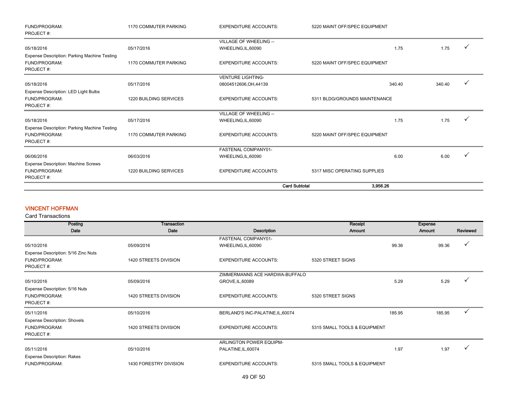| FUND/PROGRAM:<br>PROJECT#:                   | 1170 COMMUTER PARKING  | <b>EXPENDITURE ACCOUNTS:</b> | 5220 MAINT OFF/SPEC EQUIPMENT |        |              |
|----------------------------------------------|------------------------|------------------------------|-------------------------------|--------|--------------|
|                                              |                        | VILLAGE OF WHEELING --       |                               |        |              |
| 05/18/2016                                   | 05/17/2016             | WHEELING, IL, 60090          | 1.75                          | 1.75   | $\checkmark$ |
| Expense Description: Parking Machine Testing |                        |                              |                               |        |              |
| FUND/PROGRAM:                                | 1170 COMMUTER PARKING  | <b>EXPENDITURE ACCOUNTS:</b> | 5220 MAINT OFF/SPEC EQUIPMENT |        |              |
| PROJECT#:                                    |                        |                              |                               |        |              |
|                                              |                        | <b>VENTURE LIGHTING-</b>     |                               |        |              |
| 05/18/2016                                   | 05/17/2016             | 08004512606, OH, 44139       | 340.40                        | 340.40 |              |
| Expense Description: LED Light Bulbs         |                        |                              |                               |        |              |
| FUND/PROGRAM:                                | 1220 BUILDING SERVICES | <b>EXPENDITURE ACCOUNTS:</b> | 5311 BLDG/GROUNDS MAINTENANCE |        |              |
| PROJECT#:                                    |                        |                              |                               |        |              |
|                                              |                        | VILLAGE OF WHEELING --       |                               |        |              |
| 05/18/2016                                   | 05/17/2016             | WHEELING, IL, 60090          | 1.75                          | 1.75   |              |
| Expense Description: Parking Machine Testing |                        |                              |                               |        |              |
| FUND/PROGRAM:                                | 1170 COMMUTER PARKING  | <b>EXPENDITURE ACCOUNTS:</b> | 5220 MAINT OFF/SPEC EQUIPMENT |        |              |
| PROJECT#:                                    |                        |                              |                               |        |              |
|                                              |                        | FASTENAL COMPANY01-          |                               |        |              |
| 06/06/2016                                   | 06/03/2016             | WHEELING, IL, 60090          | 6.00                          | 6.00   |              |
| Expense Description: Machine Screws          |                        |                              |                               |        |              |
| FUND/PROGRAM:                                | 1220 BUILDING SERVICES | <b>EXPENDITURE ACCOUNTS:</b> | 5317 MISC OPERATING SUPPLIES  |        |              |
| PROJECT#:                                    |                        |                              |                               |        |              |
|                                              |                        | <b>Card Subtotal</b>         | 3.956.26                      |        |              |

## VINCENT HOFFMAN

| Posting                             | <b>Transaction</b>     |                                   | Receipt                      |        | <b>Expense</b> |          |
|-------------------------------------|------------------------|-----------------------------------|------------------------------|--------|----------------|----------|
| Date                                | Date                   | Description                       | Amount                       |        |                | Reviewed |
|                                     |                        | FASTENAL COMPANY01-               |                              |        |                |          |
| 05/10/2016                          | 05/09/2016             | WHEELING, IL, 60090               |                              | 99.36  | 99.36          |          |
| Expense Description: 5/16 Zinc Nuts |                        |                                   |                              |        |                |          |
| FUND/PROGRAM:                       | 1420 STREETS DIVISION  | <b>EXPENDITURE ACCOUNTS:</b>      | 5320 STREET SIGNS            |        |                |          |
| PROJECT#:                           |                        |                                   |                              |        |                |          |
|                                     |                        | ZIMMERMANNS ACE HARDWA-BUFFALO    |                              |        |                |          |
| 05/10/2016                          | 05/09/2016             | GROVE, IL, 60089                  |                              | 5.29   | 5.29           |          |
| Expense Description: 5/16 Nuts      |                        |                                   |                              |        |                |          |
| FUND/PROGRAM:                       | 1420 STREETS DIVISION  | <b>EXPENDITURE ACCOUNTS:</b>      | 5320 STREET SIGNS            |        |                |          |
| PROJECT#:                           |                        |                                   |                              |        |                |          |
| 05/11/2016                          | 05/10/2016             | BERLAND'S INC-PALATINE, IL, 60074 |                              | 185.95 | 185.95         |          |
| <b>Expense Description: Shovels</b> |                        |                                   |                              |        |                |          |
| FUND/PROGRAM:                       | 1420 STREETS DIVISION  | <b>EXPENDITURE ACCOUNTS:</b>      | 5315 SMALL TOOLS & EQUIPMENT |        |                |          |
| PROJECT#:                           |                        |                                   |                              |        |                |          |
|                                     |                        | ARLINGTON POWER EQUIPM-           |                              |        |                |          |
| 05/11/2016                          | 05/10/2016             | PALATINE, IL, 60074               |                              | 1.97   | 1.97           |          |
| <b>Expense Description: Rakes</b>   |                        |                                   |                              |        |                |          |
| FUND/PROGRAM:                       | 1430 FORESTRY DIVISION | <b>EXPENDITURE ACCOUNTS:</b>      | 5315 SMALL TOOLS & EQUIPMENT |        |                |          |
|                                     |                        |                                   |                              |        |                |          |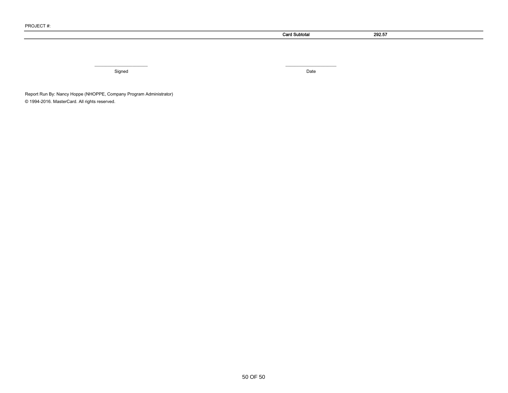|            | <b>Card Subtotal</b> | 292.57 |
|------------|----------------------|--------|
|            |                      |        |
|            |                      |        |
|            |                      |        |
| __________ | _________            |        |
| Signed     | Date                 |        |

Report Run By: Nancy Hoppe (NHOPPE, Company Program Administrator) © 1994-2016. MasterCard. All rights reserved.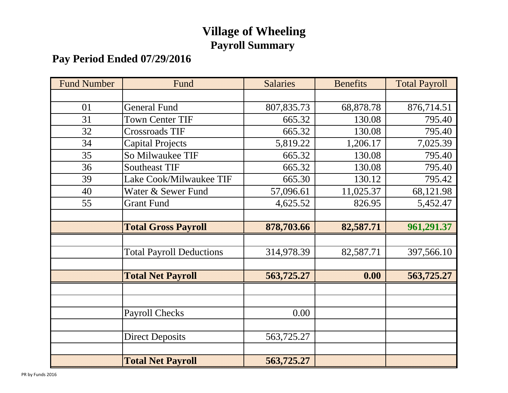# **Village of Wheeling Payroll Summary**

# **Pay Period Ended 07/29/2016**

| <b>Fund Number</b> | Fund                            | <b>Salaries</b> | <b>Benefits</b> | <b>Total Payroll</b> |
|--------------------|---------------------------------|-----------------|-----------------|----------------------|
|                    |                                 |                 |                 |                      |
| 01                 | <b>General Fund</b>             | 807,835.73      | 68,878.78       | 876,714.51           |
| 31                 | <b>Town Center TIF</b>          | 665.32          | 130.08          | 795.40               |
| 32                 | <b>Crossroads TIF</b>           | 665.32          | 130.08          | 795.40               |
| 34                 | <b>Capital Projects</b>         | 5,819.22        | 1,206.17        | 7,025.39             |
| 35                 | So Milwaukee TIF                | 665.32          | 130.08          | 795.40               |
| 36                 | <b>Southeast TIF</b>            | 665.32          | 130.08          | 795.40               |
| 39                 | Lake Cook/Milwaukee TIF         | 665.30          | 130.12          | 795.42               |
| 40                 | Water & Sewer Fund              | 57,096.61       | 11,025.37       | 68,121.98            |
| 55                 | <b>Grant Fund</b>               | 4,625.52        | 826.95          | 5,452.47             |
|                    |                                 |                 |                 |                      |
|                    | <b>Total Gross Payroll</b>      | 878,703.66      | 82,587.71       | 961,291.37           |
|                    |                                 |                 |                 |                      |
|                    | <b>Total Payroll Deductions</b> | 314,978.39      | 82,587.71       | 397,566.10           |
|                    |                                 |                 |                 |                      |
|                    | <b>Total Net Payroll</b>        | 563,725.27      | 0.00            | 563,725.27           |
|                    |                                 |                 |                 |                      |
|                    |                                 |                 |                 |                      |
|                    | <b>Payroll Checks</b>           | 0.00            |                 |                      |
|                    |                                 |                 |                 |                      |
|                    | <b>Direct Deposits</b>          | 563,725.27      |                 |                      |
|                    |                                 |                 |                 |                      |
|                    | <b>Total Net Payroll</b>        | 563,725.27      |                 |                      |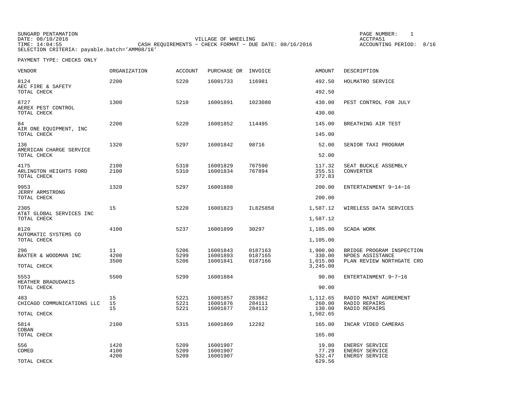| SUNGARD PENTAMATION                          |                                                           | PAGE NUMBER:            |  |
|----------------------------------------------|-----------------------------------------------------------|-------------------------|--|
| DATE: 08/10/2016                             | VILLAGE OF WHEELING                                       | ACCTPA51                |  |
| TIME: 14:04:55                               | CASH REOUIREMENTS - CHECK FORMAT - DUE DATE: $08/16/2016$ | ACCOUNTING PERIOD: 8/16 |  |
| SELECTION CRITERIA: payable.batch='AMM08/16' |                                                           |                         |  |

PAYMENT TYPE: CHECKS ONLY

| VENDOR                                        | <b>ORGANIZATION</b> | <b>ACCOUNT</b> | PURCHASE OR          | INVOICE            | <b>AMOUNT</b>                  | DESCRIPTION                                   |
|-----------------------------------------------|---------------------|----------------|----------------------|--------------------|--------------------------------|-----------------------------------------------|
| 8124<br>AEC FIRE & SAFETY                     | 2200                | 5220           | 16001733             | 116981             | 492.50                         | HOLMATRO SERVICE                              |
| TOTAL CHECK                                   |                     |                |                      |                    | 492.50                         |                                               |
| 8727<br>AEREX PEST CONTROL<br>TOTAL CHECK     | 1300                | 5210           | 16001891             | 1023080            | 430.00<br>430.00               | PEST CONTROL FOR JULY                         |
|                                               |                     |                |                      |                    |                                |                                               |
| 84<br>AIR ONE EOUIPMENT, INC<br>TOTAL CHECK   | 2200                | 5220           | 16001852             | 114495             | 145.00<br>145.00               | BREATHING AIR TEST                            |
| 136                                           | 1320                | 5297           | 16001842             | 98716              | 52.00                          | SENIOR TAXI PROGRAM                           |
| AMERICAN CHARGE SERVICE<br>TOTAL CHECK        |                     |                |                      |                    | 52.00                          |                                               |
| 4175<br>ARLINGTON HEIGHTS FORD<br>TOTAL CHECK | 2100<br>2100        | 5310<br>5310   | 16001829<br>16001834 | 767590<br>767894   | 117.32<br>255.51<br>372.83     | SEAT BUCKLE ASSEMBLY<br><b>CONVERTER</b>      |
| 9953                                          | 1320                | 5297           | 16001888             |                    | 200.00                         | ENTERTAINMENT 9-14-16                         |
| JERRY ARMSTRONG<br>TOTAL CHECK                |                     |                |                      |                    | 200.00                         |                                               |
| 2305                                          | 15                  | 5220           | 16001823             | IL825858           | 1,587.12                       | WIRELESS DATA SERVICES                        |
| AT&T GLOBAL SERVICES INC<br>TOTAL CHECK       |                     |                |                      |                    | 1,587.12                       |                                               |
| 8120                                          | 4100                | 5237           | 16001899             | 30297              | 1,105.00                       | SCADA WORK                                    |
| AUTOMATIC SYSTEMS CO<br>TOTAL CHECK           |                     |                |                      |                    | 1,105.00                       |                                               |
| 296                                           | 11                  | 5206           | 16001843             | 0187163            | 1,900.00                       | BRIDGE PROGRAM INSPECTION                     |
| BAXTER & WOODMAN INC<br>TOTAL CHECK           | 4200<br>3500        | 5299<br>5206   | 16001893<br>16001841 | 0187165<br>0187166 | 330.00<br>1,015.00<br>3,245.00 | NPDES ASSISTANCE<br>PLAN REVIEW NORTHGATE CRO |
| 5553                                          | 5500                | 5299           | 16001884             |                    | 90.00                          | ENTERTAINMENT 9-7-16                          |
| HEATHER BRAOUDAKIS<br>TOTAL CHECK             |                     |                |                      |                    | 90.00                          |                                               |
| 483                                           | 15                  | 5221           | 16001857             | 283862             | 1,112.65                       | RADIO MAINT AGREEMENT                         |
| CHICAGO COMMUNICATIONS LLC                    | 15                  | 5221           | 16001876             | 284111             | 260.00                         | RADIO REPAIRS                                 |
| TOTAL CHECK                                   | 15                  | 5221           | 16001877             | 284112             | 130.00<br>1,502.65             | RADIO REPAIRS                                 |
| 5814                                          | 2100                | 5315           | 16001869             | 12282              | 165.00                         | INCAR VIDEO CAMERAS                           |
| COBAN<br>TOTAL CHECK                          |                     |                |                      |                    | 165.00                         |                                               |
| 556                                           | 1420                | 5209           | 16001907             |                    | 19.80                          | ENERGY SERVICE                                |
| COMED                                         | 4100<br>4200        | 5209<br>5209   | 16001907<br>16001907 |                    | 77.29<br>532.47                | ENERGY SERVICE                                |
| TOTAL CHECK                                   |                     |                |                      |                    | 629.56                         | <b>ENERGY SERVICE</b>                         |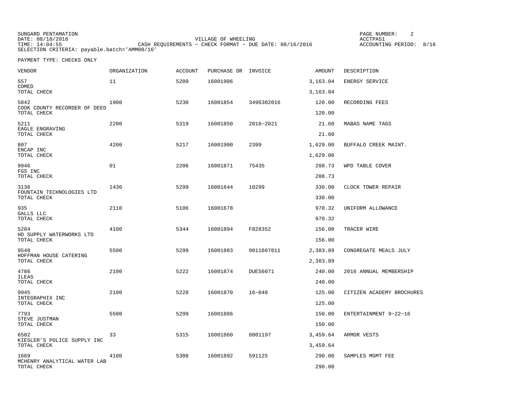SUNGARD PENTAMATION PAGE NUMBER: 2DATE: 08/10/2016 VILLAGE OF WHEELING ACCTPA51TIME: 14:04:55 CASH REQUIREMENTS − CHECK FORMAT − DUE DATE: 08/16/2016 SELECTION CRITERIA: payable.batch='AMM08/16'

ACCOUNTING PERIOD: 8/16

PAYMENT TYPE: CHECKS ONLY

| VENDOR                                              | <b>ORGANIZATION</b> | <b>ACCOUNT</b> | PURCHASE OR INVOICE |                 | AMOUNT               | DESCRIPTION               |
|-----------------------------------------------------|---------------------|----------------|---------------------|-----------------|----------------------|---------------------------|
| 557                                                 | 11                  | 5209           | 16001906            |                 | 3,163.04             | ENERGY SERVICE            |
| COMED<br>TOTAL CHECK                                |                     |                |                     |                 | 3,163.04             |                           |
| 5842<br>COOK COUNTY RECORDER OF DEED<br>TOTAL CHECK | 1900                | 5230           | 16001854            | 3496302016      | 120.00<br>120.00     | RECORDING FEES            |
| 5211<br>EAGLE ENGRAVING                             | 2200                | 5319           | 16001850            | 2016-2021       | 21.60                | MABAS NAME TAGS           |
| TOTAL CHECK                                         |                     |                |                     |                 | 21.60                |                           |
| 807<br>ENCAP INC<br>TOTAL CHECK                     | 4200                | 5217           | 16001900            | 2399            | 1,629.00<br>1,629.00 | BUFFALO CREEK MAINT.      |
| 9946<br>FGS INC                                     | 01                  | 2206           | 16001871            | 75435           | 208.73               | WPD TABLE COVER           |
| TOTAL CHECK                                         |                     |                |                     |                 | 208.73               |                           |
| 3136<br>FOUNTAIN TECHNOLOGIES LTD<br>TOTAL CHECK    | 1430                | 5299           | 16001844            | 10299           | 330.00<br>330.00     | CLOCK TOWER REPAIR        |
| 935<br>GALLS LLC<br>TOTAL CHECK                     | 2110                | 5106           | 16001678            |                 | 970.32<br>970.32     | UNIFORM ALLOWANCE         |
| 5284<br>HD SUPPLY WATERWORKS LTD<br>TOTAL CHECK     | 4100                | 5344           | 16001894            | F828352         | 156.00<br>156.00     | TRACER WIRE               |
| 9548<br>HOFFMAN HOUSE CATERING                      | 5500                | 5299           | 16001883            | 9811607011      | 2,383.89             | CONGREGATE MEALS JULY     |
| TOTAL CHECK                                         |                     |                |                     |                 | 2,383.89             |                           |
| 4786<br>ILEAS<br>TOTAL CHECK                        | 2100                | 5222           | 16001874            | <b>DUES6071</b> | 240.00<br>240.00     | 2016 ANNUAL MEMBERSHIP    |
| 9945<br>INTEGRAPHIX INC<br>TOTAL CHECK              | 2100                | 5228           | 16001870            | $16 - 048$      | 125.00<br>125.00     | CITIZEN ACADEMY BROCHURES |
| 7793<br>STEVE JUSTMAN                               | 5500                | 5299           | 16001886            |                 | 150.00               | ENTERTAINMENT 9-22-16     |
| TOTAL CHECK                                         |                     |                |                     |                 | 150.00               |                           |
| 6502<br>KIESLER'S POLICE SUPPLY INC<br>TOTAL CHECK  | 33                  | 5315           | 16001860            | 0801197         | 3,459.64<br>3,459.64 | ARMOR VESTS               |
| 1669<br>MCHENRY ANALYTICAL WATER LAB<br>TOTAL CHECK | 4100                | 5308           | 16001892            | 591125          | 290.00<br>290.00     | SAMPLES MGMT FEE          |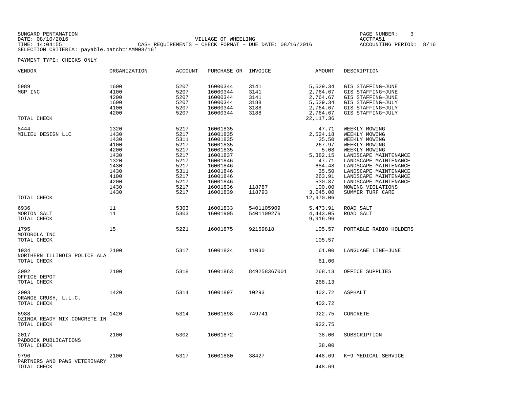SUNGARD PENTAMATION PAGE NUMBER: 3DATE: 08/10/2016 VILLAGE OF WHEELING ACCTPA51ACCOUNTING PERIOD: 8/16 TIME: 14:04:55 CASH REQUIREMENTS − CHECK FORMAT − DUE DATE: 08/16/2016 SELECTION CRITERIA: payable.batch='AMM08/16'

PAYMENT TYPE: CHECKS ONLY

| VENDOR                                              | ORGANIZATION                                                                                         | <b>ACCOUNT</b>                                                                                       | PURCHASE OR INVOICE                                                                                                                                      |                                              | AMOUNT                                                                                                                         | DESCRIPTION                                                                                                                                                                                                                                                                      |
|-----------------------------------------------------|------------------------------------------------------------------------------------------------------|------------------------------------------------------------------------------------------------------|----------------------------------------------------------------------------------------------------------------------------------------------------------|----------------------------------------------|--------------------------------------------------------------------------------------------------------------------------------|----------------------------------------------------------------------------------------------------------------------------------------------------------------------------------------------------------------------------------------------------------------------------------|
| 5989<br>MGP INC<br>TOTAL CHECK                      | 1600<br>4100<br>4200<br>1600<br>4100<br>4200                                                         | 5207<br>5207<br>5207<br>5207<br>5207<br>5207                                                         | 16000344<br>16000344<br>16000344<br>16000344<br>16000344<br>16000344                                                                                     | 3141<br>3141<br>3141<br>3188<br>3188<br>3188 | 5,529.34<br>2,764.67<br>2,764.67<br>5,529.34<br>2,764.67<br>2,764.67<br>22, 117.36                                             | GIS STAFFING-JUNE<br>GIS STAFFING-JUNE<br>GIS STAFFING-JUNE<br>GIS STAFFING-JULY<br>GIS STAFFING-JULY<br>GIS STAFFING-JULY                                                                                                                                                       |
| 8444<br>MILIEU DESIGN LLC                           | 1320<br>1430<br>1430<br>4100<br>4200<br>1430<br>1320<br>1430<br>1430<br>4100<br>4200<br>1430<br>1430 | 5217<br>5217<br>5311<br>5217<br>5217<br>5217<br>5217<br>5217<br>5311<br>5217<br>5217<br>5217<br>5217 | 16001835<br>16001835<br>16001835<br>16001835<br>16001835<br>16001837<br>16001846<br>16001846<br>16001846<br>16001846<br>16001846<br>16001836<br>16001839 | 118787<br>118793                             | 47.71<br>2,524.18<br>35.50<br>267.97<br>5.08<br>5,382.15<br>47.71<br>684.48<br>35.50<br>263.91<br>530.87<br>100.00<br>3,045.00 | WEEKLY MOWING<br>WEEKLY MOWING<br>WEEKLY MOWING<br>WEEKLY MOWING<br>WEEKLY MOWING<br>LANDSCAPE MAINTENANCE<br>LANDSCAPE MAINTENANCE<br>LANDSCAPE MAINTENANCE<br>LANDSCAPE MAINTENANCE<br>LANDSCAPE MAINTENANCE<br>LANDSCAPE MAINTENANCE<br>MOWING VIOLATIONS<br>SUMMER TURF CARE |
| TOTAL CHECK<br>6936<br>MORTON SALT                  | 11<br>11                                                                                             | 5303<br>5303                                                                                         | 16001833<br>16001905                                                                                                                                     | 5401105909<br>5401109276                     | 12,970.06<br>5,473.91<br>4,443.05                                                                                              | ROAD SALT<br>ROAD SALT                                                                                                                                                                                                                                                           |
| TOTAL CHECK<br>1795<br>MOTOROLA INC<br>TOTAL CHECK  | 15                                                                                                   | 5221                                                                                                 | 16001875                                                                                                                                                 | 92159818                                     | 9,916.96<br>105.57<br>105.57                                                                                                   | PORTABLE RADIO HOLDERS                                                                                                                                                                                                                                                           |
| 1934<br>NORTHERN ILLINOIS POLICE ALA<br>TOTAL CHECK | 2100                                                                                                 | 5317                                                                                                 | 16001824                                                                                                                                                 | 11030                                        | 61.00<br>61.00                                                                                                                 | LANGUAGE LINE-JUNE                                                                                                                                                                                                                                                               |
| 3092<br>OFFICE DEPOT<br>TOTAL CHECK                 | 2100                                                                                                 | 5318                                                                                                 | 16001863                                                                                                                                                 | 849258367001                                 | 268.13<br>268.13                                                                                                               | OFFICE SUPPLIES                                                                                                                                                                                                                                                                  |
| 2003<br>ORANGE CRUSH, L.L.C.<br>TOTAL CHECK         | 1420                                                                                                 | 5314                                                                                                 | 16001897                                                                                                                                                 | 10293                                        | 402.72<br>402.72                                                                                                               | ASPHALT                                                                                                                                                                                                                                                                          |
| 8988<br>OZINGA READY MIX CONCRETE IN<br>TOTAL CHECK | 1420                                                                                                 | 5314                                                                                                 | 16001898                                                                                                                                                 | 749741                                       | 922.75<br>922.75                                                                                                               | CONCRETE                                                                                                                                                                                                                                                                         |
| 2017<br>PADDOCK PUBLICATIONS<br>TOTAL CHECK         | 2100                                                                                                 | 5302                                                                                                 | 16001872                                                                                                                                                 |                                              | 38.00<br>38.00                                                                                                                 | SUBSCRIPTION                                                                                                                                                                                                                                                                     |
| 9796<br>PARTNERS AND PAWS VETERINARY<br>TOTAL CHECK | 2100                                                                                                 | 5317                                                                                                 | 16001880                                                                                                                                                 | 38427                                        | 448.69<br>448.69                                                                                                               | K-9 MEDICAL SERVICE                                                                                                                                                                                                                                                              |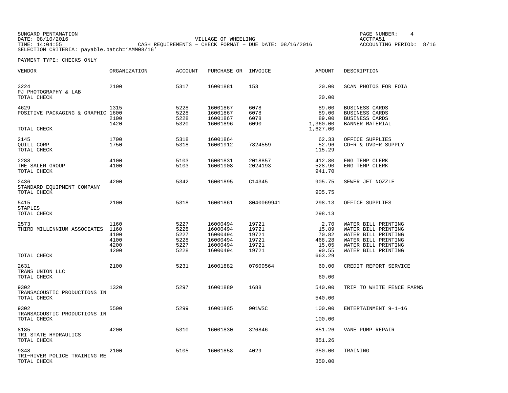SUNGARD PENTAMATION PAGE NUMBER: 4 DATE: 08/10/2016 VILLAGE OF WHEELING ACCTPA51TIME: 14:04:55 CASH REQUIREMENTS − CHECK FORMAT − DUE DATE: 08/16/2016 SELECTION CRITERIA: payable.batch='AMM08/16'

ACCOUNTING PERIOD: 8/16

PAYMENT TYPE: CHECKS ONLY

| VENDOR                                                   | ORGANIZATION                                 | <b>ACCOUNT</b>                               | PURCHASE OR                                                          | INVOICE                                            | AMOUNT                                                       | DESCRIPTION                                                                                                                            |
|----------------------------------------------------------|----------------------------------------------|----------------------------------------------|----------------------------------------------------------------------|----------------------------------------------------|--------------------------------------------------------------|----------------------------------------------------------------------------------------------------------------------------------------|
| 3224<br>PJ PHOTOGRAPHY & LAB<br>TOTAL CHECK              | 2100                                         | 5317                                         | 16001881                                                             | 153                                                | 20.00<br>20.00                                               | SCAN PHOTOS FOR FOIA                                                                                                                   |
| 4629<br>POSITIVE PACKAGING & GRAPHIC 1600<br>TOTAL CHECK | 1315<br>2100<br>1420                         | 5228<br>5228<br>5228<br>5320                 | 16001867<br>16001867<br>16001867<br>16001896                         | 6078<br>6078<br>6078<br>6090                       | 89.00<br>89.00<br>89.00<br>1,360.00<br>1,627.00              | BUSINESS CARDS<br>BUSINESS CARDS<br>BUSINESS CARDS<br>BANNER MATERIAL                                                                  |
| 2145<br>QUILL CORP<br>TOTAL CHECK                        | 1700<br>1750                                 | 5318<br>5318                                 | 16001864<br>16001912                                                 | 7824559                                            | 62.33<br>52.96<br>115.29                                     | OFFICE SUPPLIES<br>CD-R & DVD-R SUPPLY                                                                                                 |
| 2288<br>THE SALEM GROUP<br>TOTAL CHECK                   | 4100<br>4100                                 | 5103<br>5103                                 | 16001831<br>16001908                                                 | 2018857<br>2024193                                 | 412.80<br>528.90<br>941.70                                   | ENG TEMP CLERK<br>ENG TEMP CLERK                                                                                                       |
| 2436<br>STANDARD EQUIPMENT COMPANY<br>TOTAL CHECK        | 4200                                         | 5342                                         | 16001895                                                             | C14345                                             | 905.75<br>905.75                                             | SEWER JET NOZZLE                                                                                                                       |
| 5415<br><b>STAPLES</b><br>TOTAL CHECK                    | 2100                                         | 5318                                         | 16001861                                                             | 8040069941                                         | 298.13<br>298.13                                             | OFFICE SUPPLIES                                                                                                                        |
| 2573<br>THIRD MILLENNIUM ASSOCIATES<br>TOTAL CHECK       | 1160<br>1160<br>4100<br>4100<br>4200<br>4200 | 5227<br>5228<br>5227<br>5228<br>5227<br>5228 | 16000494<br>16000494<br>16000494<br>16000494<br>16000494<br>16000494 | 19721<br>19721<br>19721<br>19721<br>19721<br>19721 | 2.70<br>15.89<br>70.82<br>468.28<br>15.05<br>90.55<br>663.29 | WATER BILL PRINTING<br>WATER BILL PRINTING<br>WATER BILL PRINTING<br>WATER BILL PRINTING<br>WATER BILL PRINTING<br>WATER BILL PRINTING |
| 2631<br>TRANS UNION LLC<br>TOTAL CHECK                   | 2100                                         | 5231                                         | 16001882                                                             | 07600564                                           | 60.00<br>60.00                                               | CREDIT REPORT SERVICE                                                                                                                  |
| 9302<br>TRANSACOUSTIC PRODUCTIONS IN<br>TOTAL CHECK      | 1320                                         | 5297                                         | 16001889                                                             | 1688                                               | 540.00<br>540.00                                             | TRIP TO WHITE FENCE FARMS                                                                                                              |
| 9302<br>TRANSACOUSTIC PRODUCTIONS IN<br>TOTAL CHECK      | 5500                                         | 5299                                         | 16001885                                                             | 901WSC                                             | 100.00<br>100.00                                             | ENTERTAINMENT 9-1-16                                                                                                                   |
| 8185<br>TRI STATE HYDRAULICS<br>TOTAL CHECK              | 4200                                         | 5310                                         | 16001830                                                             | 326846                                             | 851.26<br>851.26                                             | VANE PUMP REPAIR                                                                                                                       |
| 9348<br>TRI-RIVER POLICE TRAINING RE<br>TOTAL CHECK      | 2100                                         | 5105                                         | 16001858                                                             | 4029                                               | 350.00<br>350.00                                             | TRAINING                                                                                                                               |
|                                                          |                                              |                                              |                                                                      |                                                    |                                                              |                                                                                                                                        |